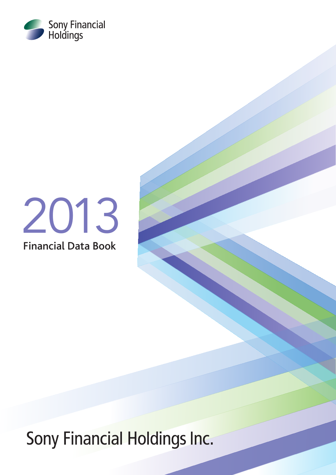

# 2013

Financial Data Book

Sony Financial Holdings Inc.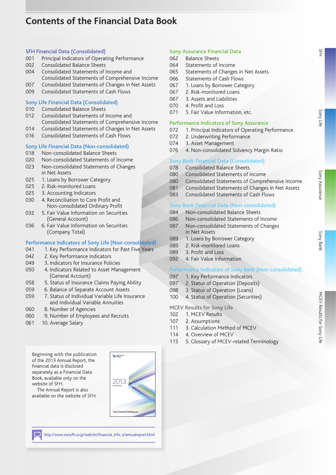# **Contents of the Financial Data Book**

### SFH Financial Data (Consolidated)

- 001 Principal Indicators of Operating Performance
- 002 Consolidated Balance Sheets
- 004 Consolidated Statements of Income and
- Consolidated Statements of Comprehensive Income
- 007 Consolidated Statements of Changes in Net Assets
- 009 Consolidated Statements of Cash Flows

### Sony Life Financial Data (Consolidated)

- 010 Consolidated Balance Sheets
- 012 Consolidated Statements of Income and Consolidated Statements of Comprehensive Income
- 014 Consolidated Statements of Changes in Net Assets
- 016 Consolidated Statements of Cash Flows

# Sony Life Financial Data (Non-consolidated)<br>018 Mon-consolidated Balance Sheets

- 018 Non-consolidated Balance Sheets
- 020 Non-consolidated Statements of Income
- 023 Non-consolidated Statements of Changes in Net Assets
- 025 1. Loans by Borrower Category
- 025 2. Risk-monitored Loans
- 025 3. Accounting Indicators
- 030 4. Reconciliation to Core Profit and Non-consolidated Ordinary Profit
- 032 5. Fair Value Information on Securities (General Account)
- 036 6. Fair Value Information on Securities (Company Total)

### Performance Indicators of Sony Life (Non-consolidated)

- 041 1. Key Performance Indicators for Past Five Years
- 042 2. Key Performance Indicators
- 049 3. Indicators for Insurance Policies
- 050 4. Indicators Related to Asset Management (General Account)
- 058 5. Status of Insurance Claims Paying Ability
- 059 6. Balance of Separate Account Assets
- 059 7. Status of Individual Variable Life Insurance and Individual Variable Annuities
- 060 8. Number of Agencies
- 060 9. Number of Employees and Recruits
- 061 10. Average Salary

Beginning with the publication of the 2013 Annual Report, the financial data is disclosed separately as a Financial Data Book, available only on the website of SFH.

The Annual Report is also available on the website of SFH.



### http://www.sonyfh.co.jp/web/en/financial\_info\_e/annualreport.html

### Sony Assurance Financial Data

- 062 Balance Sheets
- 064 Statements of Income
- 065 Statements of Changes in Net Assets
- 066 Statements of Cash Flows
- 067 1. Loans by Borrower Category
- 067 2. Risk-monitored Loans
- 067 3. Assets and Liabilities
- 070 4. Profit and Loss
- 071 5. Fair Value Information, etc.

### Performance Indicators of Sony Assurance

- 072 1. Principal Indicators of Operating Performance
- 072 2. Underwriting Performance
- 074 3. Asset Management
- 076 4. Non-consolidated Solvency Margin Ratio

### Sony Bank Financial Data (Consolidated)

- 078 Consolidated Balance Sheets
- 080 Consolidated Statements of Income
- 080 Consolidated Statements of Comprehensive Income
- 081 Consolidated Statements of Changes in Net Assets
- 083 Consolidated Statements of Cash Flows

### Sony Bank Financial Data (Non-consolidated)

- 084 Non-consolidated Balance Sheets
- 086 Non-consolidated Statements of Income
- 087 Non-consolidated Statements of Changes in Net Assets
- 089 1. Loans by Borrower Category
- 089 2. Risk-monitored Loans
- 089 3. Profit and Loss
- 092 4. Fair Value Information

### Performance Indicators of Sony Bank (Non-consolidated)

- 097 1. Key Performance Indicators
- 097 2. Status of Operation (Deposits)
- 098 3. Status of Operation (Loans)
- 100 4. Status of Operation (Securities)

MCEV Results for Sony Life

- 102 1. MCEV Results
- 107 2. Assumptions
- 111 3. Calculation Method of MCEV
- 114 4. Overview of MCEV
- 115 5. Glossary of MCEV-related Terminology

 $rac{45}{4}$ 

[Sony Assurance](#page-63-0)

Sony Assurance

Sony Bank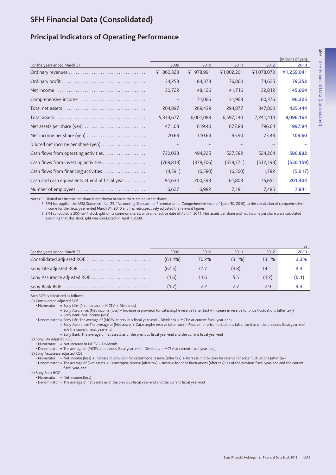# <span id="page-2-0"></span>**SFH Financial Data (Consolidated)**

# **Principal Indicators of Operating Performance**

|                                                 |                                 |            |            |            | (Millions of yen) |
|-------------------------------------------------|---------------------------------|------------|------------|------------|-------------------|
| For the years ended March 31                    | 2009                            | 2010       | 2011       | 2012       | 2013              |
|                                                 | ¥ 860,323                       | ¥ 978,991  | ¥1,002,201 | ¥1,078,070 | ¥1,259,041        |
|                                                 | 34,253                          | 84,373     | 76,860     | 74,625     | 79,252            |
|                                                 | 30,722                          | 48,126     | 41,716     | 32,812     | 45,064            |
| Comprehensive income                            |                                 | 71,066     | 31,963     | 60,376     | 96,225            |
|                                                 | 204,897                         | 269,439    | 294,877    | 347,800    | 435,444           |
|                                                 | 5,313,677                       | 6,001,088  | 6,597,140  | 7,241,414  | 8,096,164         |
| Net assets per share (yen)                      | 471.03                          | 619.40     | 677.88     | 796.64     | 997.94            |
| Net income per share (yen)                      | 70.63                           | 110.64     | 95.90      | 75.43      | 103.60            |
| Diluted net income per share (yen)              | $\hspace{0.1mm}-\hspace{0.1mm}$ |            |            |            |                   |
| Cash flows from operating activities            | 730,038                         | 494,225    | 527,582    | 524,264    | 580,882           |
| Cash flows from investing activities            | (769, 813)                      | (378, 706) | (559, 771) | (512, 198) | (550,159)         |
| Cash flows from financing activities            | (4,591)                         | (6,580)    | (6, 560)   | 1,782      | (5,017)           |
| Cash and cash equivalents at end of fiscal year | 91,634                          | 200,593    | 161,803    | 175,651    | 201,404           |
| Number of employees                             | 6,627                           | 6,982      | 7,181      | 7,485      | 7,841             |

Notes: 1. Diluted net income per share is not shown because there are no latent shares.

2. SFH has applied the ASBJ Statement No. 25, "Accounting Standard for Presentation of Comprehensive Income" (June 30, 2010) to the calculation of comprehensive income for the fiscal year ended March 31, 2010 and has retrospectively adjusted the relevant figures.

3. SFH conducted a 200-for-1 stock split of its common shares, with an effective date of April 1, 2011. Net assets per share and net income per share were calculated assuming that this stock split was conducted on April 1, 2008.

|                              |            |       |           |       | %     |
|------------------------------|------------|-------|-----------|-------|-------|
| For the years ended March 31 | 2009       | 2010  | 2011      | 2012  | 2013  |
| Consolidated adjusted ROE    | $(61.4\%)$ | 70.2% | $(3.1\%)$ | 13.1% | 3.3%  |
|                              | (67.5)     | 77.7  | (3.8)     | 14.1  | 3.3   |
| Sony Assurance adjusted ROE  | (1.6)      | 11.6  | 5.5       | (1.2) | (0.1) |
|                              | (1.7)      | 2.2   |           | 2.9   | 4.3   |

Each ROE is calculated as follows:

(1) Consolidated adiusted ROE

• Numerator = Sony Life: (Net increase in MCEV + Dividends)

+ Sony Assurance: (Net income (loss) + Increase in provision for catastrophe reserve (after tax) + Increase in reserve for price fluctuations (after tax)) + Sony Bank: Net income (loss)

· Denominator = Sony Life: The average of (MCEV at previous fiscal year-end - Dividends + MCEV at current fiscal year-end)

+ Sony Assurance: The average of (Net assets + Catastrophe reserve (after tax) + Reserve for price fluctuations (after tax)) as of the previous fiscal year-end and the current fiscal year-end

+ Sony Bank: The average of net assets as of the previous fiscal year-end and the current fiscal year-end

(2) Sony Life adjusted ROE

 $\cdot$  Numerator = Net increase in MCEV + Dividends

• Denominator = The average of (MCEV at previous fiscal year-end - Dividends + MCEV at current fiscal year-end)

(3) Sony Assurance adjusted ROE

· Numerator = Net income (loss) + Increase in provision for catastrophe reserve (after tax) + Increase in provision for reserve for price fluctuations (after tax)

· Denominator = The average of (Net assets + Catastrophe reserve (after tax) + Reserve for price fluctuations (after tax)) as of the previous fiscal year-end and the current fiscal year-end

(4) Sony Bank ROE

 $\cdot$  Numerator = Net income (loss)

• Denominator = The average of net assets as of the previous fiscal year-end and the current fiscal year-end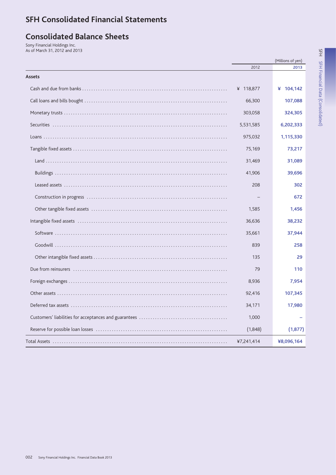# **SFH Consolidated Financial Statements**

# **Consolidated Balance Sheets**

Sony Financial Holdings Inc.<br>As of March 31, 2012 and 2013

|        |            | (Millions of yen) |
|--------|------------|-------------------|
|        | 2012       | 2013              |
| Assets |            |                   |
|        | ¥ 118,877  | ¥ 104,142         |
|        | 66,300     | 107,088           |
|        | 303,058    | 324,305           |
|        | 5,531,585  | 6,202,333         |
|        | 975,032    | 1,115,330         |
|        | 75,169     | 73,217            |
|        | 31,469     | 31,089            |
|        | 41,906     | 39,696            |
|        | 208        | 302               |
|        |            | 672               |
|        | 1,585      | 1,456             |
|        | 36,636     | 38.232            |
|        | 35,661     | 37,944            |
|        | 839        | 258               |
|        | 135        | 29                |
|        | 79         | 110               |
|        | 8,936      | 7,954             |
|        | 92,416     | 107,345           |
|        | 34,171     | 17,980            |
|        | 1,000      |                   |
|        | (1,848)    | (1, 877)          |
|        | ¥7,241,414 | ¥8,096,164        |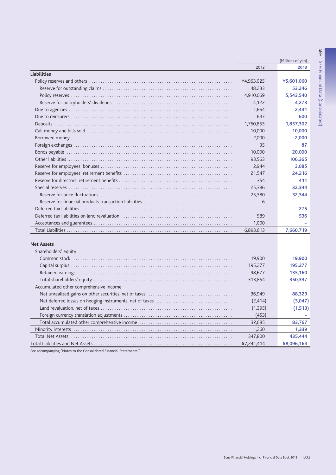|                                        |            | (Millions of yen) |
|----------------------------------------|------------|-------------------|
|                                        | 2012       | 2013              |
| <b>Liabilities</b>                     |            |                   |
|                                        | ¥4,963,025 | ¥5,601,060        |
|                                        | 48,233     | 53,246            |
|                                        | 4,910,669  | 5,543,540         |
|                                        | 4,122      | 4,273             |
|                                        | 1,664      | 2,431             |
|                                        | 647        | 600               |
|                                        | 1,760,853  | 1,857,302         |
|                                        | 10,000     | 10,000            |
|                                        | 2,000      | 2,000             |
|                                        | 35         | 87                |
|                                        | 10,000     | 20,000            |
|                                        | 93,563     | 106,365           |
|                                        | 2,944      | 3,085             |
|                                        | 21,547     | 24,216            |
|                                        | 354        | 411               |
|                                        | 25,386     | 32,344            |
|                                        | 25,380     | 32,344            |
|                                        | 6          |                   |
|                                        |            | 275               |
|                                        | 589        | 536               |
|                                        | 1,000      |                   |
|                                        | 6,893,613  | 7,660,719         |
| <b>Net Assets</b>                      |            |                   |
| Shareholders' equity                   |            |                   |
|                                        | 19,900     | 19,900            |
|                                        | 195,277    | 195,277           |
|                                        | 98,677     | 135,160           |
|                                        | 313,854    | 350,337           |
| Accumulated other comprehensive income |            |                   |
|                                        | 36,949     | 88,329            |
|                                        | (2, 414)   | (3,047)           |
|                                        | (1, 395)   | (1, 513)          |
|                                        | (453)      |                   |
|                                        | 32,685     | 83,767            |
|                                        | 1,260      | 1,339             |
|                                        | 347,800    | 435,444           |
|                                        | ¥7.241.414 | ¥8.096.164        |

See accompanying "Notes to the Consolidated Financial Statements."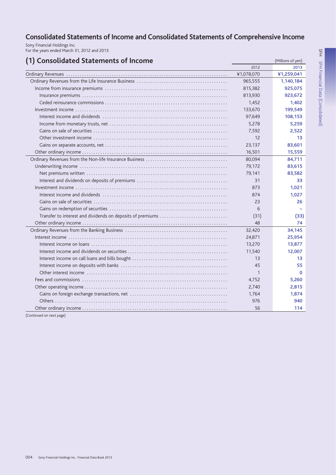# Consolidated Statements of Income and Consolidated Statements of Comprehensive Income

Sony Financial Holdings Inc.<br>For the years ended March 31, 2012 and 2013

| 2012<br>2013<br>¥1,078,070<br>¥1,259,041<br>965,555<br>1,140,184<br>925,075<br>815,382<br>813,930<br>923,672<br>1,452<br>1,402<br>133,670<br>199,549<br>97,649<br>108,153<br>5,278<br>5,259<br>7,592<br>2,522<br>12<br>13<br>23,137<br>83,601<br>16,501<br>15,559<br>80,094<br>84,711<br>79,172<br>83,615<br>79,141<br>83,582<br>31<br>33<br>873<br>1,021<br>874<br>1,027<br>23<br>26<br>6<br>Transfer to interest and dividends on deposits of premiums<br>(31)<br>(33)<br>48<br>74<br>32,420<br>34,145<br>24,871<br>25,954<br>13,270<br>13,877<br>11,540<br>12,007<br>13<br>13<br>45<br>55<br>$\mathbf{1}$<br>$\Omega$<br>4,752<br>5,260<br>2,740<br>2,815<br>1,764<br>1,874<br>976<br>940 | (1) Consolidated Statements of Income | (Millions of yen) |
|----------------------------------------------------------------------------------------------------------------------------------------------------------------------------------------------------------------------------------------------------------------------------------------------------------------------------------------------------------------------------------------------------------------------------------------------------------------------------------------------------------------------------------------------------------------------------------------------------------------------------------------------------------------------------------------------|---------------------------------------|-------------------|
|                                                                                                                                                                                                                                                                                                                                                                                                                                                                                                                                                                                                                                                                                              |                                       |                   |
|                                                                                                                                                                                                                                                                                                                                                                                                                                                                                                                                                                                                                                                                                              |                                       |                   |
|                                                                                                                                                                                                                                                                                                                                                                                                                                                                                                                                                                                                                                                                                              |                                       |                   |
|                                                                                                                                                                                                                                                                                                                                                                                                                                                                                                                                                                                                                                                                                              |                                       |                   |
|                                                                                                                                                                                                                                                                                                                                                                                                                                                                                                                                                                                                                                                                                              |                                       |                   |
|                                                                                                                                                                                                                                                                                                                                                                                                                                                                                                                                                                                                                                                                                              |                                       |                   |
|                                                                                                                                                                                                                                                                                                                                                                                                                                                                                                                                                                                                                                                                                              |                                       |                   |
|                                                                                                                                                                                                                                                                                                                                                                                                                                                                                                                                                                                                                                                                                              |                                       |                   |
|                                                                                                                                                                                                                                                                                                                                                                                                                                                                                                                                                                                                                                                                                              |                                       |                   |
|                                                                                                                                                                                                                                                                                                                                                                                                                                                                                                                                                                                                                                                                                              |                                       |                   |
|                                                                                                                                                                                                                                                                                                                                                                                                                                                                                                                                                                                                                                                                                              |                                       |                   |
|                                                                                                                                                                                                                                                                                                                                                                                                                                                                                                                                                                                                                                                                                              |                                       |                   |
|                                                                                                                                                                                                                                                                                                                                                                                                                                                                                                                                                                                                                                                                                              |                                       |                   |
|                                                                                                                                                                                                                                                                                                                                                                                                                                                                                                                                                                                                                                                                                              |                                       |                   |
|                                                                                                                                                                                                                                                                                                                                                                                                                                                                                                                                                                                                                                                                                              |                                       |                   |
|                                                                                                                                                                                                                                                                                                                                                                                                                                                                                                                                                                                                                                                                                              |                                       |                   |
|                                                                                                                                                                                                                                                                                                                                                                                                                                                                                                                                                                                                                                                                                              |                                       |                   |
|                                                                                                                                                                                                                                                                                                                                                                                                                                                                                                                                                                                                                                                                                              |                                       |                   |
|                                                                                                                                                                                                                                                                                                                                                                                                                                                                                                                                                                                                                                                                                              |                                       |                   |
|                                                                                                                                                                                                                                                                                                                                                                                                                                                                                                                                                                                                                                                                                              |                                       |                   |
|                                                                                                                                                                                                                                                                                                                                                                                                                                                                                                                                                                                                                                                                                              |                                       |                   |
|                                                                                                                                                                                                                                                                                                                                                                                                                                                                                                                                                                                                                                                                                              |                                       |                   |
|                                                                                                                                                                                                                                                                                                                                                                                                                                                                                                                                                                                                                                                                                              |                                       |                   |
|                                                                                                                                                                                                                                                                                                                                                                                                                                                                                                                                                                                                                                                                                              |                                       |                   |
|                                                                                                                                                                                                                                                                                                                                                                                                                                                                                                                                                                                                                                                                                              |                                       |                   |
|                                                                                                                                                                                                                                                                                                                                                                                                                                                                                                                                                                                                                                                                                              |                                       |                   |
|                                                                                                                                                                                                                                                                                                                                                                                                                                                                                                                                                                                                                                                                                              |                                       |                   |
|                                                                                                                                                                                                                                                                                                                                                                                                                                                                                                                                                                                                                                                                                              |                                       |                   |
|                                                                                                                                                                                                                                                                                                                                                                                                                                                                                                                                                                                                                                                                                              |                                       |                   |
|                                                                                                                                                                                                                                                                                                                                                                                                                                                                                                                                                                                                                                                                                              |                                       |                   |
|                                                                                                                                                                                                                                                                                                                                                                                                                                                                                                                                                                                                                                                                                              |                                       |                   |
|                                                                                                                                                                                                                                                                                                                                                                                                                                                                                                                                                                                                                                                                                              |                                       |                   |
|                                                                                                                                                                                                                                                                                                                                                                                                                                                                                                                                                                                                                                                                                              |                                       |                   |
|                                                                                                                                                                                                                                                                                                                                                                                                                                                                                                                                                                                                                                                                                              |                                       |                   |
| 56<br>114                                                                                                                                                                                                                                                                                                                                                                                                                                                                                                                                                                                                                                                                                    |                                       |                   |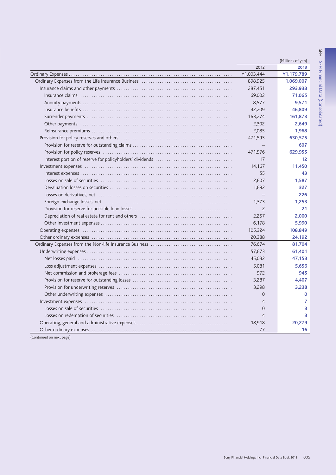|                | (Millions of yen) |
|----------------|-------------------|
| 2012           | 2013              |
| ¥1,003,444     | ¥1,179,789        |
| 898,925        | 1,069,007         |
| 287,451        | 293,938           |
| 69,002         | 71,065            |
| 8,577          | 9,571             |
| 42,209         | 46,809            |
| 163,274        | 161,873           |
| 2,302          | 2,649             |
| 2,085          | 1,968             |
| 471,593        | 630,575           |
|                | 607               |
| 471,576        | 629,955           |
| 17             | 12                |
| 14,167         | 11,450            |
| 55             | 43                |
| 2,607          | 1,587             |
| 1,692          | 327               |
|                | 226               |
| 1,373          | 1,253             |
| 2              | 21                |
| 2,257          | 2,000             |
| 6,178          | 5,990             |
| 105,324        | 108,849           |
| 20,388         | 24,192            |
| 76,674         | 81,704            |
| 57,673         | 61,401            |
| 45,032         | 47,153            |
| 5,081          | 5,656             |
| 972            | 945               |
| 3,287          | 4,407             |
| 3,298          | 3,238             |
| $\Omega$       | $\mathbf 0$       |
| 4              | 7                 |
| $\Omega$       | 3                 |
| $\overline{4}$ | 3                 |
| 18,918         | 20,279            |
| 77             | 16                |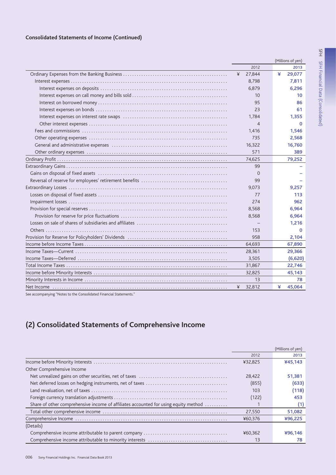# **Consolidated Statements of Income (Continued)**

|                                                                                                                                                                              |                | (Millions of yen) |
|------------------------------------------------------------------------------------------------------------------------------------------------------------------------------|----------------|-------------------|
|                                                                                                                                                                              | 2012           | 2013              |
|                                                                                                                                                                              | 27,844<br>¥    | ¥<br>29,077       |
|                                                                                                                                                                              | 8,798          | 7,811             |
|                                                                                                                                                                              | 6,879          | 6,296             |
|                                                                                                                                                                              | 10             | 10                |
|                                                                                                                                                                              | 95             | 86                |
|                                                                                                                                                                              | 23             | 61                |
|                                                                                                                                                                              | 1,784          | 1,355             |
|                                                                                                                                                                              | $\overline{4}$ | $\Omega$          |
|                                                                                                                                                                              | 1,416          | 1.546             |
|                                                                                                                                                                              | 735            | 2,568             |
|                                                                                                                                                                              | 16,322         | 16,760            |
|                                                                                                                                                                              | 571            | 389               |
|                                                                                                                                                                              | 74,625         | 79,252            |
|                                                                                                                                                                              | 99             |                   |
|                                                                                                                                                                              | $\mathbf{O}$   |                   |
|                                                                                                                                                                              | 99             |                   |
|                                                                                                                                                                              | 9,073          | 9.257             |
|                                                                                                                                                                              | 77             | 113               |
|                                                                                                                                                                              | 274            | 962               |
|                                                                                                                                                                              | 8,568          | 6,964             |
|                                                                                                                                                                              | 8,568          | 6,964             |
|                                                                                                                                                                              |                | 1,216             |
|                                                                                                                                                                              | 153            | $\Omega$          |
|                                                                                                                                                                              | 958            | 2,104             |
|                                                                                                                                                                              | 64,693         | 67,890            |
|                                                                                                                                                                              | 28,361         | 29,366            |
|                                                                                                                                                                              | 3,505          | (6,620)           |
|                                                                                                                                                                              | 31,867         | 22,746            |
|                                                                                                                                                                              | 32,825         | 45,143            |
|                                                                                                                                                                              | 13             | 78                |
|                                                                                                                                                                              | ¥<br>32,812    | ¥<br>45,064       |
| $\mathcal{L}_{\text{max}}$ (Network and the $\mathcal{L}_{\text{max}}$ ) $\mathcal{L}_{\text{max}}$ of Figure 21.1 $\mathcal{L}_{\text{max}}$ and $\mathcal{L}_{\text{max}}$ |                |                   |

See accompanying "Notes to the Consolidated Financial Statements.

# (2) Consolidated Statements of Comprehensive Income

|                                                                                         |         | (Millions of yen) |
|-----------------------------------------------------------------------------------------|---------|-------------------|
|                                                                                         | 2012    | 2013              |
|                                                                                         | ¥32,825 | ¥45,143           |
| Other Comprehensive Income                                                              |         |                   |
|                                                                                         | 28.422  | 51,381            |
|                                                                                         | (855)   | (633)             |
|                                                                                         | 103     | (118)             |
|                                                                                         | (122)   | 453               |
| Share of other comprehensive income of affiliates accounted for using equity method     |         | (1)               |
|                                                                                         | 27.550  | 51,082            |
|                                                                                         | ¥60.376 | ¥96,225           |
| (Details)                                                                               |         |                   |
|                                                                                         | ¥60,362 | ¥96.146           |
| Comprehensive income attributable to minority interests encourage exercises assessed to | 13      | 78                |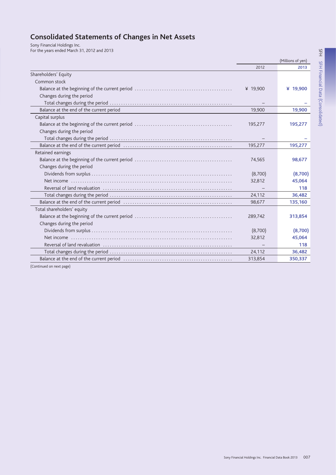# **Consolidated Statements of Changes in Net Assets**

Sony Financial Holdings Inc. For the years ended March 31, 2012 and 2013

(Millions of yen) 2012 2013 Shareholders' Equity Common stock ¥ 19,900 ¥ 19,900 Changes during the period 19,900 Balance at the end of the current period 19,900 Capital surplus 195,277 195,277 Changes during the period 195,277 195,277 Retained earnings 74,565 98,677 Changes during the period  $(8,700)$  $(8,700)$ 32,812 45,064 118 24.112 36.482 135,160 98,677 Total shareholders' equity 289,742 313,854 Changes during the period  $(8,700)$  $(8,700)$ 45,064 Net income 32,812 118 24.112 36.482 313,854 350.337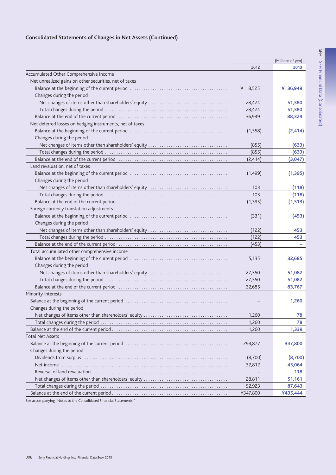# **Consolidated Statements of Changes in Net Assets (Continued)**

|                                                          |            | (Millions of yen) |
|----------------------------------------------------------|------------|-------------------|
|                                                          | 2012       | 2013              |
| Accumulated Other Comprehensive Income                   |            |                   |
| Net unrealized gains on other securities, net of taxes   |            |                   |
|                                                          | 8,525<br>¥ | ¥ 36,949          |
| Changes during the period                                |            |                   |
|                                                          | 28,424     | 51,380            |
|                                                          | 28,424     | 51,380            |
|                                                          | 36,949     | 88,329            |
| Net deferred losses on hedging instruments, net of taxes |            |                   |
|                                                          | (1,558)    | (2, 414)          |
| Changes during the period                                |            |                   |
|                                                          | (855)      | (633)             |
|                                                          | (855)      | (633)             |
|                                                          | (2, 414)   | (3,047)           |
| Land revaluation, net of taxes                           |            |                   |
|                                                          | (1,499)    | (1, 395)          |
| Changes during the period                                |            |                   |
|                                                          | 103        | (118)             |
|                                                          | 103        | (118)             |
|                                                          | (1, 395)   | (1, 513)          |
| Foreign currency translation adjustments                 |            |                   |
|                                                          | (331)      | (453)             |
| Changes during the period                                |            |                   |
|                                                          | (122)      | 453               |
|                                                          | (122)      | 453               |
|                                                          | (453)      |                   |
| Total accumulated other comprehensive income             |            |                   |
|                                                          | 5,135      | 32,685            |
| Changes during the period                                |            |                   |
|                                                          | 27,550     | 51,082            |
|                                                          | 27,550     | 51,082            |
|                                                          | 32,685     | 83,767            |
| Minority Interests                                       |            |                   |
|                                                          |            | 1,260             |
| Changes during the period                                |            |                   |
|                                                          | 1,260      | 78                |
|                                                          | 1,260      | 78                |
|                                                          | 1,260      | 1,339             |
| <b>Total Net Assets</b>                                  |            |                   |
|                                                          | 294,877    | 347,800           |
| Changes during the period                                |            |                   |
|                                                          | (8,700)    | (8,700)           |
|                                                          | 32,812     | 45,064            |
|                                                          |            | 118               |
|                                                          | 28,811     | 51,161            |
|                                                          | 52,923     | 87,643            |
|                                                          | ¥347,800   | ¥435,444          |

See accompanying "Notes to the Consolidated Financial Statements."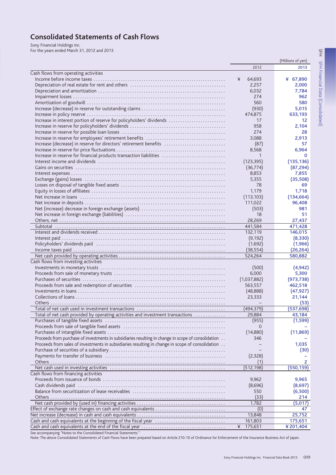# **Consolidated Statements of Cash Flows**

Sony Financial Holdings Inc. For the years ended March 31, 2012 and 2013

(Millions of yen) 2012 2013 Cash flows from operating activities Income before income taxes ............... 64.693 ¥ 67.890  $\vee$ 2.000 2257 6.032 7.784 274 962 580 560  $(930)$ 5,015 633,193 474,875 Increase in interest portion of reserve for policyholders' dividends ..........................  $17$  $12$ 958 2.104 274  $28$ 3.088 2,913 Increase (decrease) in reserve for directors' retirement benefits .............................  $(87)$ 57 8,568 6,964 Increase in reserve for financial products transaction liabilities ...............................  $\mathbf 0$  $\overline{1}$  $(123, 395)$  $(135, 136)$  $(36, 774)$  $(87, 294)$ 8.853 7.855 5.355  $(35,508)$ 78 69 1,179 1,718  $(113, 103)$  $(134, 664)$ 111022 96.408  $(503)$ 981  $18$ 51 28.269 27.437 441.584 471.428 Subtotal .. 132,119 146.015  $(9, 192)$  $(8.330)$  $(1,692)$  $(1,966)$  $(38, 554)$  $(26, 264)$ 580,882 524.264 Cash flows from investing activities  $(500)$  $(4,942)$ 6,000 5,300  $(973, 738)$  $(1,037,882)$ 563.557 462.518  $(48.888)$  $(47.927)$ Collections of loans 23,333 21,144  $(53)$  $(494.379)$  $(537, 698)$ Total of net cash provided by operating activities and investment transactions .............. 29,884 43,184  $(1, 599)$  $(955)$  $\Omega$  $(14,880)$  $(11,869)$ Proceeds from purchase of investments in subsidiaries resulting in change in scope of consolidation .. 346 Proceeds from sales of investments in subsidiaries resulting in change in scope of consolidation .. 1.035  $(30)$  $(2.328)$  $\overline{2}$ Others  $(1)$  $\overline{(512.198)}$  $(550.159)$ Cash flows from financing activities 9.962 9.965 Proceeds from issuance of bonds ..  $(8,696)$ Cash dividends paid (a) and (a) and (b) and (b) and (b) and (b) and (b) and (b) and (b) and (b) and (b) and (b) and (b) and (b) and (b) and (b) and (b) and (b) and (b) and (b) and (b) and (b) and (b) and (b) and (b) and (b  $(8,697)$ 550  $(6,500)$ Others ...  $(33)$ 214 1,782  $(5,017)$  $(0)$ 47 13,848 25,752 161,803 175,651  $\angle$ 175,651 ¥201.404

See accompanying "Notes to the Consolidated Financial Statements."

Note: The above Consolidated Statements of Cash Flows have been prepared based on Article 210-10 of Ordinance for Enforcement of the Insurance Business Act of Japan.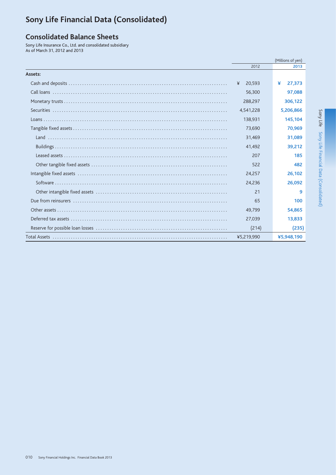# <span id="page-11-0"></span>Sony Life Financial Data (Consolidated)

# **Consolidated Balance Sheets**

Sony Life Insurance Co., Ltd. and consolidated subsidiary As of March 31, 2012 and 2013

|                     |             | (Millions of yen) |
|---------------------|-------------|-------------------|
|                     | 2012        | 2013              |
| Assets:             |             |                   |
|                     | 20,593<br>¥ | ¥<br>27,373       |
|                     | 56,300      | 97,088            |
|                     | 288,297     | 306.122           |
|                     | 4,541,228   | 5,206,866         |
|                     | 138.931     | 145,104           |
|                     | 73,690      | 70,969            |
|                     | 31.469      | 31.089            |
|                     | 41,492      | 39,212            |
|                     | 207         | 185               |
|                     | 522         | 482               |
|                     | 24,257      | 26,102            |
|                     | 24.236      | 26,092            |
|                     | 21          | 9                 |
|                     | 65          | 100               |
|                     | 49,799      | 54,865            |
|                     | 27,039      | 13,833            |
|                     | (214)       | (235)             |
| <b>Total Assets</b> | ¥5,219,990  | ¥5,948,190        |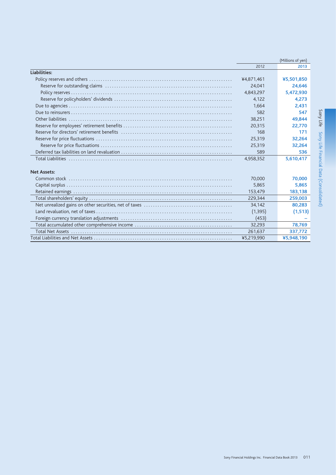|                    |            | (Millions of yen) |
|--------------------|------------|-------------------|
|                    | 2012       | 2013              |
| Liabilities:       |            |                   |
|                    | ¥4,871,461 | ¥5,501,850        |
|                    | 24.041     | 24,646            |
|                    | 4,843,297  | 5,472,930         |
|                    | 4,122      | 4,273             |
|                    | 1.664      | 2.431             |
|                    | 582        | 547               |
|                    | 38,251     | 49.844            |
|                    | 20,315     | 22,770            |
|                    | 168        | 171               |
|                    | 25,319     | 32,264            |
|                    | 25,319     | 32,264            |
|                    | 589        | 536               |
|                    | 4,958,352  | 5,610,417         |
|                    |            |                   |
| <b>Net Assets:</b> |            |                   |
|                    | 70,000     | 70,000            |
|                    | 5.865      | 5.865             |
|                    | 153,479    | 183,138           |
|                    | 229,344    | 259,003           |
|                    | 34,142     | 80,283            |
|                    | (1, 395)   | (1, 513)          |
|                    | (453)      |                   |
|                    | 32.293     | 78,769            |
|                    | 261,637    | 337,772           |
|                    | ¥5,219,990 | ¥5,948,190        |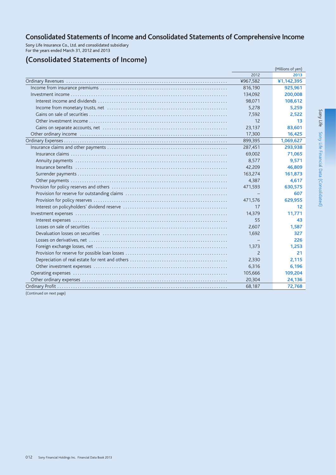# Consolidated Statements of Income and Consolidated Statements of Comprehensive Income

Sony Life Insurance Co., Ltd. and consolidated subsidiary<br>For the years ended March 31, 2012 and 2013

# (Consolidated Statements of Income)

|                          |                | (Millions of yen) |
|--------------------------|----------------|-------------------|
|                          | 2012           | 2013              |
|                          | ¥967,582       | ¥1,142,395        |
|                          | 816,190        | 925,961           |
|                          | 134,092        | 200,008           |
|                          | 98,071         | 108,612           |
|                          | 5,278          | 5,259             |
|                          | 7,592          | 2,522             |
|                          | 12             | 13                |
|                          | 23,137         | 83,601            |
|                          | 17,300         | 16,425            |
|                          | 899,395        | 1,069,627         |
|                          | 287,451        | 293,938           |
|                          | 69,002         | 71,065            |
|                          | 8,577          | 9,571             |
|                          | 42,209         | 46,809            |
|                          | 163,274        | 161,873           |
|                          | 4,387          | 4,617             |
|                          | 471,593        | 630,575           |
|                          |                | 607               |
|                          | 471,576        | 629,955           |
|                          | 17             | 12                |
|                          | 14,379         | 11,771            |
|                          | 55             | 43                |
|                          | 2,607          | 1,587             |
|                          | 1.692          | 327               |
|                          |                | 226               |
|                          | 1,373          | 1,253             |
|                          | $\overline{2}$ | 21                |
|                          | 2,330          | 2,115             |
|                          | 6,316          | 6,196             |
|                          | 105,666        | 109,204           |
|                          | 20,304         | 24,136            |
|                          | 68,187         | 72,768            |
| (Continued on next page) |                |                   |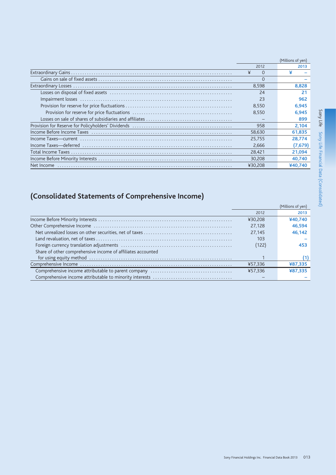|            |         | (Millions of yen) |
|------------|---------|-------------------|
|            | 2012    | 2013              |
|            | ¥<br>0  | ¥                 |
|            | 0       |                   |
|            | 8,598   | 8.828             |
|            | 24      |                   |
|            | 23      | 962               |
|            | 8.550   | 6.945             |
|            | 8.550   | 6.945             |
|            |         | 899               |
|            | 958     | 2,104             |
|            | 58,630  | 61,835            |
|            | 25.755  | 28.774            |
|            | 2,666   | (7,679)           |
|            | 28.421  | 21,094            |
|            | 30,208  | 40,740            |
| Net Income | ¥30.208 | ¥40.740           |

# (Consolidated Statements of Comprehensive Income)

|                                                             |         | (Millions of yen) |
|-------------------------------------------------------------|---------|-------------------|
|                                                             | 2012    | 2013              |
|                                                             | ¥30.208 | ¥40.740           |
|                                                             | 27.128  | 46,594            |
|                                                             | 27.145  | 46,142            |
|                                                             | 103     |                   |
|                                                             | (122)   | 453               |
| Share of other comprehensive income of affiliates accounted |         |                   |
|                                                             |         |                   |
|                                                             | ¥57,336 | ¥87.335           |
|                                                             | ¥57.336 | ¥87.335           |
|                                                             |         |                   |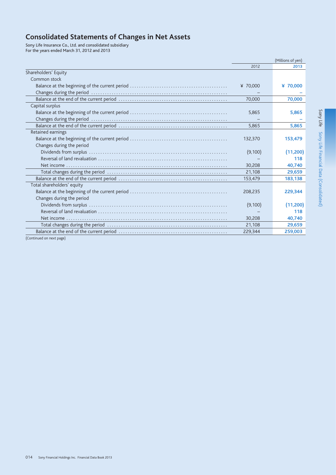# **Consolidated Statements of Changes in Net Assets**

Sony Life Insurance Co., Ltd. and consolidated subsidiary<br>For the years ended March 31, 2012 and 2013

|                            |          | (Millions of yen) |
|----------------------------|----------|-------------------|
|                            | 2012     | 2013              |
| Shareholders' Equity       |          |                   |
| Common stock               |          |                   |
|                            | ¥ 70,000 | ¥ 70,000          |
|                            |          |                   |
|                            | 70,000   | 70,000            |
| Capital surplus            |          |                   |
|                            | 5,865    | 5,865             |
|                            |          |                   |
|                            | 5,865    | 5,865             |
| Retained earnings          |          |                   |
|                            | 132,370  | 153,479           |
| Changes during the period  |          |                   |
|                            | (9,100)  | (11,200)          |
|                            |          | 118               |
|                            | 30,208   | 40,740            |
|                            | 21,108   | 29,659            |
|                            | 153,479  | 183,138           |
| Total shareholders' equity |          |                   |
|                            | 208,235  | 229,344           |
| Changes during the period  |          |                   |
|                            | (9,100)  | (11,200)          |
|                            |          | 118               |
|                            | 30,208   | 40,740            |
|                            | 21,108   | 29,659            |
|                            | 229,344  | 259,003           |
|                            |          |                   |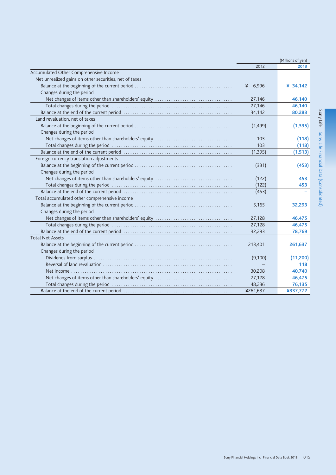|                                                        |            | (Millions of yen) |
|--------------------------------------------------------|------------|-------------------|
|                                                        | 2012       | 2013              |
| Accumulated Other Comprehensive Income                 |            |                   |
| Net unrealized gains on other securities, net of taxes |            |                   |
|                                                        | 6,996<br>¥ | ¥ 34,142          |
| Changes during the period                              |            |                   |
|                                                        | 27,146     | 46,140            |
|                                                        | 27,146     | 46,140            |
|                                                        | 34,142     | 80,283            |
| Land revaluation, net of taxes                         |            |                   |
|                                                        | (1,499)    | (1, 395)          |
| Changes during the period                              |            |                   |
|                                                        | 103        | (118)             |
|                                                        | 103        | (118)             |
|                                                        | (1, 395)   | (1, 513)          |
| Foreign currency translation adjustments               |            |                   |
|                                                        | (331)      | (453)             |
| Changes during the period                              |            |                   |
| Net changes of items other than shareholders' equity   | (122)      | 453               |
|                                                        | (122)      | 453               |
|                                                        | (453)      |                   |
| Total accumulated other comprehensive income           |            |                   |
|                                                        | 5,165      | 32,293            |
| Changes during the period                              |            |                   |
|                                                        | 27,128     | 46,475            |
|                                                        | 27,128     | 46,475            |
|                                                        | 32,293     | 78,769            |
| <b>Total Net Assets</b>                                |            |                   |
|                                                        | 213,401    | 261,637           |
| Changes during the period                              |            |                   |
|                                                        | (9,100)    | (11,200)          |
|                                                        |            | 118               |
|                                                        | 30,208     | 40,740            |
|                                                        | 27,128     | 46,475            |
|                                                        | 48,236     | 76,135            |
|                                                        | ¥261,637   | ¥337,772          |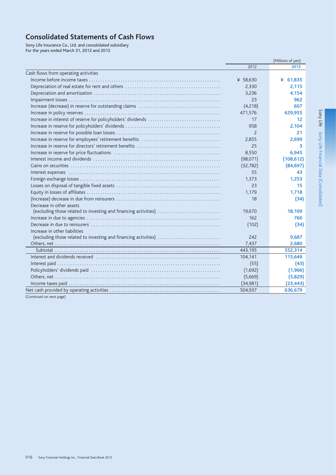# **Consolidated Statements of Cash Flows**

Sony Life Insurance Co., Ltd. and consolidated subsidiary<br>For the years ended March 31, 2012 and 2013

|                                                                 | (Millions of yen) |            |
|-----------------------------------------------------------------|-------------------|------------|
|                                                                 | 2012              | 2013       |
| Cash flows from operating activities                            |                   |            |
|                                                                 | ¥ 58,630          | ¥ $61,835$ |
|                                                                 | 2,330             | 2.115      |
|                                                                 | 3.236             | 4,154      |
|                                                                 | 23                | 962        |
|                                                                 | (4,218)           | 607        |
|                                                                 | 471,576           | 629,955    |
|                                                                 | 17                | 12         |
|                                                                 | 958               | 2,104      |
|                                                                 | $\overline{c}$    | 21         |
|                                                                 | 2,855             | 2.699      |
|                                                                 | 25                | 3          |
|                                                                 | 8,550             | 6,945      |
|                                                                 | (98,071)          | (108, 612) |
|                                                                 | (32, 782)         | (84, 697)  |
|                                                                 | 55                | 43         |
|                                                                 | 1,373             | 1,253      |
|                                                                 | 23                | 15         |
|                                                                 | 1,179             | 1,718      |
|                                                                 | 18                | (34)       |
| Decrease in other assets                                        |                   |            |
| (excluding those related to investing and financing activities) | 19,670            | 18,109     |
|                                                                 | 162               | 766        |
|                                                                 | (102)             | (34)       |
| Increase in other liabilities                                   |                   |            |
| (excluding those related to investing and financing activities) | 242               | 9,687      |
|                                                                 | 7,437             | 2,680      |
|                                                                 | 443,195           | 552,314    |
|                                                                 | 104,141           | 115,649    |
|                                                                 | (55)              | (43)       |
|                                                                 | (1,692)           | (1,966)    |
|                                                                 | (5,669)           | (5,829)    |
|                                                                 | (34,981)          | (23, 443)  |
|                                                                 | 504,937           | 636,679    |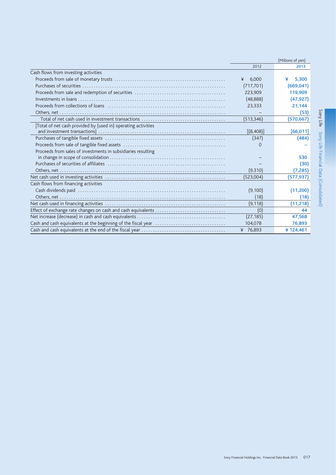|                                                               |            | (Millions of yen) |
|---------------------------------------------------------------|------------|-------------------|
|                                                               | 2012       | 2013              |
| Cash flows from investing activities                          |            |                   |
|                                                               | 6.000<br>¥ | ¥<br>5.300        |
|                                                               | (717, 701) | (669, 041)        |
|                                                               | 223,909    | 119,909           |
|                                                               | (48, 888)  | (47, 927)         |
|                                                               | 23,333     | 21,144            |
|                                                               |            | (53)              |
|                                                               | (513, 346) | (570,667)         |
| [Total of net cash provided by (used in) operating activities |            |                   |
|                                                               | [(8,408)]  | [66, 011]         |
|                                                               | (347)      | (484)             |
|                                                               | $\Omega$   |                   |
| Proceeds from sales of investments in subsidiaries resulting  |            |                   |
|                                                               |            | 530               |
|                                                               |            | (30)              |
|                                                               | (9,310)    | (7, 285)          |
|                                                               | (523,004)  | (577,937)         |
| Cash flows from financing activities                          |            |                   |
|                                                               | (9,100)    | (11, 200)         |
|                                                               | (18)       | (18)              |
|                                                               | (9, 118)   | (11, 218)         |
|                                                               | (0)        | 44                |
|                                                               | (27, 185)  | 47,568            |
|                                                               | 104,078    | 76,893            |
|                                                               | ¥ 76,893   | ¥124,461          |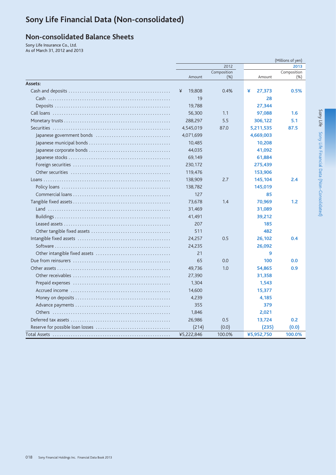# Sony Life Financial Data (Non-consolidated)

# **Non-consolidated Balance Sheets**

Sony Life Insurance Co., Ltd. As of March 31, 2012 and 2013

|                     |             |                     |             | (Millions of yen)     |
|---------------------|-------------|---------------------|-------------|-----------------------|
|                     | 2012        |                     |             | 2013                  |
|                     | Amount      | Composition<br>(% ) | Amount      | Composition<br>$(\%)$ |
| Assets:             |             |                     |             |                       |
|                     | 19,808<br>¥ | 0.4%                | ¥<br>27,373 | 0.5%                  |
|                     | 19          |                     | 28          |                       |
|                     | 19,788      |                     | 27,344      |                       |
|                     | 56,300      | 1.1                 | 97,088      | 1.6                   |
|                     | 288,297     | 5.5                 | 306,122     | 5.1                   |
|                     | 4,545,019   | 87.0                | 5,211,535   | 87.5                  |
|                     | 4,071,699   |                     | 4,669,003   |                       |
|                     | 10,485      |                     | 10,208      |                       |
|                     | 44,035      |                     | 41,092      |                       |
|                     | 69,149      |                     | 61,884      |                       |
|                     | 230,172     |                     | 275,439     |                       |
|                     | 119,476     |                     | 153,906     |                       |
|                     | 138,909     | 2.7                 | 145,104     | 2.4                   |
|                     | 138,782     |                     | 145,019     |                       |
|                     | 127         |                     | 85          |                       |
|                     | 73,678      | 1.4                 | 70,969      | 1.2                   |
|                     | 31,469      |                     | 31,089      |                       |
|                     | 41,491      |                     | 39,212      |                       |
|                     | 207         |                     | 185         |                       |
|                     | 511         |                     | 482         |                       |
|                     | 24,257      | 0.5                 | 26,102      | 0.4                   |
|                     | 24,235      |                     | 26,092      |                       |
|                     | 21          |                     | 9           |                       |
|                     | 65          | 0.0                 | 100         | 0.0                   |
|                     | 49,736      | 1.0                 | 54,865      | 0.9                   |
|                     | 27,390      |                     | 31,358      |                       |
|                     | 1,304       |                     | 1,543       |                       |
|                     | 14,600      |                     | 15,377      |                       |
|                     | 4,239       |                     | 4,185       |                       |
|                     | 355         |                     | 379         |                       |
|                     | 1,846       |                     | 2,021       |                       |
|                     | 26,986      | 0.5                 | 13,724      | 0.2                   |
|                     | (214)       | (0.0)               | (235)       | (0.0)                 |
| <b>Total Assets</b> | ¥5,222,846  | 100.0%              | ¥5,952,750  | 100.0%                |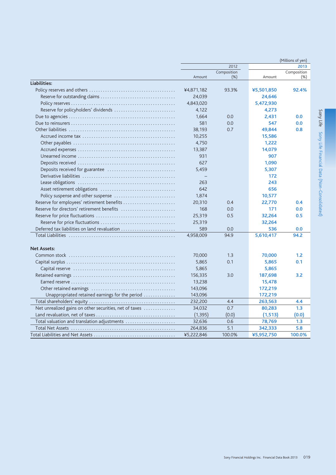|                                                                                                   |            |                       |            | (Millions of yen)     |
|---------------------------------------------------------------------------------------------------|------------|-----------------------|------------|-----------------------|
|                                                                                                   |            | 2012                  |            | 2013                  |
|                                                                                                   | Amount     | Composition<br>$(\%)$ | Amount     | Composition<br>$(\%)$ |
| Liabilities:                                                                                      |            |                       |            |                       |
|                                                                                                   | ¥4,871,182 | 93.3%                 | ¥5,501,850 | 92.4%                 |
|                                                                                                   | 24,039     |                       | 24,646     |                       |
|                                                                                                   | 4,843,020  |                       | 5,472,930  |                       |
| Reserve for policyholders' dividends                                                              | 4,122      |                       | 4,273      |                       |
|                                                                                                   | 1,664      | 0.0                   | 2,431      | 0.0                   |
|                                                                                                   | 581        | 0.0                   | 547        | 0.0                   |
|                                                                                                   | 38,193     | 0.7                   | 49,844     | 0.8                   |
|                                                                                                   | 10,255     |                       | 15,586     |                       |
|                                                                                                   | 4,750      |                       | 1,222      |                       |
|                                                                                                   | 13,387     |                       | 14,079     |                       |
|                                                                                                   | 931        |                       | 907        |                       |
|                                                                                                   | 627        |                       | 1,090      |                       |
|                                                                                                   | 5,459      |                       | 5,307      |                       |
|                                                                                                   |            |                       | 172        |                       |
|                                                                                                   | 263        |                       | 243        |                       |
|                                                                                                   | 642        |                       | 656        |                       |
| Policy suspense and other suspense                                                                | 1,874      |                       | 10,577     |                       |
| Reserve for employees' retirement benefits                                                        | 20,310     | 0.4                   | 22,770     | 0.4                   |
| Reserve for directors' retirement benefits                                                        | 168        | 0.0                   | 171        | 0.0                   |
|                                                                                                   | 25,319     | 0.5                   | 32,264     | 0.5                   |
|                                                                                                   | 25,319     |                       | 32,264     |                       |
| Deferred tax liabilities on land revaluation                                                      | 589        | 0.0                   | 536        | 0.0                   |
|                                                                                                   | 4,958,009  | 94.9                  | 5,610,417  | 94.2                  |
| <b>Net Assets:</b>                                                                                |            |                       |            |                       |
|                                                                                                   | 70,000     | 1.3                   | 70,000     | 1.2                   |
|                                                                                                   | 5,865      | 0.1                   | 5,865      | 0.1                   |
|                                                                                                   | 5,865      |                       | 5,865      |                       |
|                                                                                                   | 156,335    | 3.0                   | 187,698    | 3.2                   |
|                                                                                                   | 13,238     |                       | 15,478     |                       |
|                                                                                                   | 143,096    |                       | 172,219    |                       |
| Unappropriated retained earnings for the period                                                   | 143,096    |                       | 172,219    |                       |
|                                                                                                   | 232,200    | 4.4                   | 263,563    | 4.4                   |
| Net unrealized gains on other securities, net of taxes                                            | 34,032     | 0.7                   | 80,283     | 1.3                   |
|                                                                                                   | (1, 395)   | (0.0)                 | (1, 513)   | (0.0)                 |
| Total valuation and translation adjustments                                                       | 32,636     | 0.6                   | 78,769     | 1.3                   |
|                                                                                                   | 264,836    | 5.1                   | 342,333    | 5.8                   |
| Total Liabilities and Net Assets $\ldots \ldots \ldots \ldots \ldots \ldots \ldots \ldots \ldots$ | ¥5.222.846 | 100.0%                | ¥5.952.750 | 100.0%                |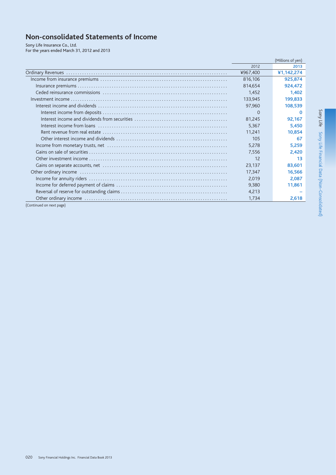# Non-consolidated Statements of Income

Sony Life Insurance Co., Ltd.<br>For the years ended March 31, 2012 and 2013

|                          |          | (Millions of yen) |
|--------------------------|----------|-------------------|
|                          | 2012     | 2013              |
|                          | ¥967,400 | ¥1,142,274        |
|                          | 816,106  | 925,874           |
|                          | 814,654  | 924,472           |
|                          | 1,452    | 1,402             |
|                          | 133,945  | 199,833           |
|                          | 97,960   | 108,539           |
|                          | $\Omega$ | n                 |
|                          | 81,245   | 92,167            |
|                          | 5,367    | 5,450             |
|                          | 11,241   | 10,854            |
|                          | 105      | 67                |
|                          | 5,278    | 5,259             |
|                          | 7,556    | 2,420             |
|                          | 12       | 13                |
|                          | 23,137   | 83,601            |
|                          | 17,347   | 16,566            |
|                          | 2,019    | 2,087             |
|                          | 9,380    | 11,861            |
|                          | 4,213    |                   |
|                          | 1,734    | 2,618             |
| (Continued on next page) |          |                   |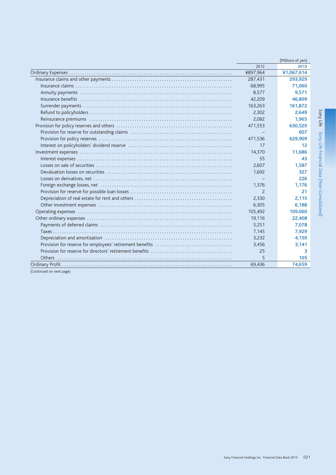|          | (Millions of yen) |
|----------|-------------------|
| 2012     | 2013              |
| ¥897,964 | ¥1,067,614        |
| 287,431  | 293,929           |
| 68,995   | 71,060            |
| 8,577    | 9,571             |
| 42,209   | 46,809            |
| 163,263  | 161,872           |
| 2,302    | 2,649             |
| 2,082    | 1,965             |
| 471,553  | 630,529           |
|          | 607               |
| 471,536  | 629,909           |
| 17       | 12                |
| 14,370   | 11,686            |
| 55       | 43                |
| 2,607    | 1,587             |
| 1,692    | 327               |
|          | 226               |
| 1,376    | 1.176             |
| 2        | 21                |
| 2,330    | 2,115             |
| 6,305    | 6,188             |
| 105,492  | 109,060           |
| 19,116   | 22,408            |
| 5,251    | 7,078             |
| 7,145    | 7,929             |
| 3,232    | 4,150             |
| 3,456    | 3,141             |
| 25       | 3                 |
|          | 105               |
| 69,436   | 74,659            |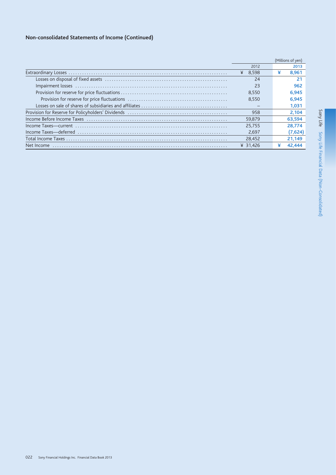# Non-consolidated Statements of Income (Continued)

|            |           |   | (Millions of yen) |
|------------|-----------|---|-------------------|
|            | 2012      |   | 2013              |
|            | ¥ $8.598$ | ¥ | 8.961             |
|            | 24        |   | 21                |
|            | 23        |   | 962               |
|            | 8.550     |   | 6.945             |
|            | 8.550     |   | 6.945             |
|            |           |   | 1.031             |
|            | 958       |   | 2.104             |
|            | 59.879    |   | 63,594            |
|            | 25.755    |   | 28.774            |
|            | 2.697     |   | (7,624)           |
|            | 28.452    |   | 21,149            |
| Net Income | ¥ 31.426  |   | 42.444            |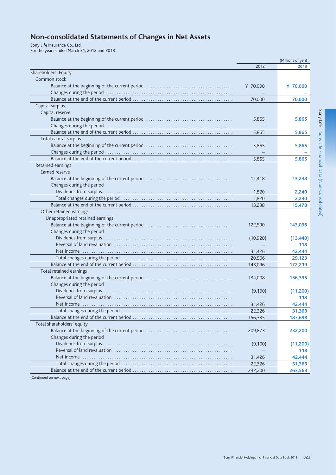# Non-consolidated Statements of Changes in Net Assets

Sony Life Insurance Co., Ltd.<br>For the years ended March 31, 2012 and 2013

|                                  |           | (Millions of yen) |
|----------------------------------|-----------|-------------------|
|                                  | 2012      | 2013              |
| Shareholders' Equity             |           |                   |
| Common stock                     |           |                   |
|                                  | ¥ 70,000  | ¥ 70,000          |
|                                  |           |                   |
|                                  | 70,000    | 70,000            |
| Capital surplus                  |           |                   |
| Capital reserve                  |           |                   |
|                                  | 5,865     | 5,865             |
|                                  |           |                   |
|                                  | 5,865     | 5,865             |
| Total capital surplus            |           |                   |
|                                  | 5,865     | 5,865             |
|                                  |           |                   |
|                                  | 5,865     | 5,865             |
| Retained earnings                |           |                   |
| Earned reserve                   |           |                   |
|                                  | 11,418    | 13,238            |
| Changes during the period        |           |                   |
|                                  | 1,820     | 2,240             |
|                                  | 1,820     | 2,240             |
|                                  | 13,238    | 15,478            |
| Other retained earnings          |           |                   |
| Unappropriated retained earnings |           |                   |
|                                  | 122,590   | 143,096           |
| Changes during the period        |           |                   |
|                                  | (10, 920) | (13, 440)         |
|                                  |           | 118               |
|                                  | 31,426    | 42,444            |
|                                  | 20,506    | 29,123            |
|                                  | 143,096   | 172,219           |
| Total retained earnings          |           |                   |
|                                  | 134,008   | 156,335           |
| Changes during the period        |           |                   |
|                                  | (9,100)   | (11,200)          |
|                                  |           | 118               |
|                                  | 31,426    | 42,444            |
|                                  | 22,326    | 31,363            |
|                                  | 156,335   | 187,698           |
| Total shareholders' equity       |           |                   |
|                                  | 209,873   | 232,200           |
| Changes during the period        |           |                   |
|                                  | (9,100)   | (11,200)          |
|                                  |           | 118               |
|                                  | 31,426    | 42,444            |
|                                  | 22,326    | 31,363            |
|                                  | 232,200   | 263,563           |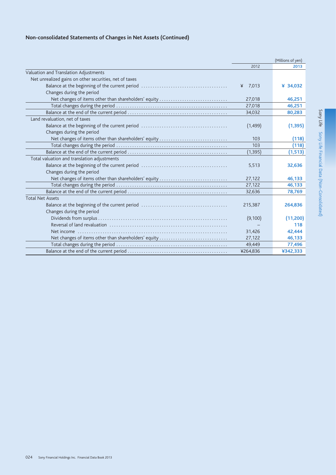# Non-consolidated Statements of Changes in Net Assets (Continued)

|                                                        |            | (Millions of yen) |
|--------------------------------------------------------|------------|-------------------|
|                                                        | 2012       | 2013              |
| Valuation and Translation Adjustments                  |            |                   |
| Net unrealized gains on other securities, net of taxes |            |                   |
|                                                        | 7,013<br>¥ | ¥ 34,032          |
| Changes during the period                              |            |                   |
| Net changes of items other than shareholders' equity   | 27,018     | 46,251            |
|                                                        | 27,018     | 46,251            |
|                                                        | 34,032     | 80,283            |
| Land revaluation, net of taxes                         |            |                   |
|                                                        | (1,499)    | (1, 395)          |
| Changes during the period                              |            |                   |
| Net changes of items other than shareholders' equity   | 103        | (118)             |
|                                                        | 103        | (118)             |
|                                                        | (1, 395)   | (1, 513)          |
| Total valuation and translation adjustments            |            |                   |
|                                                        | 5,513      | 32,636            |
| Changes during the period                              |            |                   |
| Net changes of items other than shareholders' equity   | 27,122     | 46,133            |
|                                                        | 27,122     | 46,133            |
|                                                        | 32,636     | 78,769            |
| <b>Total Net Assets</b>                                |            |                   |
|                                                        | 215,387    | 264,836           |
| Changes during the period                              |            |                   |
|                                                        | (9,100)    | (11,200)          |
|                                                        |            | 118               |
| Net income                                             | 31,426     | 42,444            |
| Net changes of items other than shareholders' equity   | 27,122     | 46,133            |
|                                                        | 49,449     | 77,496            |
|                                                        | ¥264,836   | ¥342,333          |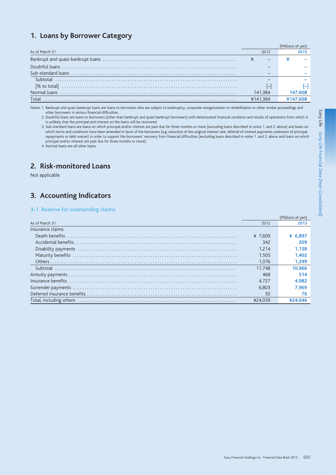# 1. Loans by Borrower Category

| As of March 31 | 2012                     |  |
|----------------|--------------------------|--|
|                |                          |  |
|                |                          |  |
|                |                          |  |
| Subtotal       |                          |  |
| [% to total]   | $\overline{\phantom{a}}$ |  |
|                | 141.384                  |  |
| Total          | ¥141.384                 |  |
|                |                          |  |

Notes: 1. Bankrupt and quasi-bankrupt loans are loans to borrowers who are subject to bankruptcy, corporate reorganization or rehabilitation or other similar proceedings and other borrowers in serious financial difficulties.

2. Doubtful loans are loans to borrowers (other than bankrupt and quasi-bankrupt borrowers) with deteriorated financial condition and results of operations from which it is unlikely that the principal and interest on the loans will be recovered.

3. Sub-standard loans are loans on which principal and/or interest are past due for three months or more (excluding loans described in notes 1. and 2. above) and loans on which terms and conditions have been amended in favor of the borrowers (e.g. reduction of the original interest rate, deferral of interest payments, extension of principal<br>repayments or debt waiver) in order to support the principal and/or interest are past due for three months or more).

4. Normal loans are all other loans.

# 2. Risk-monitored Loans

Not applicable

# 3. Accounting Indicators

### 3-1 Reserve for outstanding claims

|                  |         | (Millions of yen) |
|------------------|---------|-------------------|
| As of March 31   | 2012    | 2013              |
| Insurance claims |         |                   |
|                  | ¥ 7.609 | ¥ 6.89            |
|                  | 342     | 209               |
|                  | 1.214   | 1.158             |
|                  | 1.505   | 1.402             |
|                  | 1.076   | 1.299             |
|                  | 11.748  | 10.966            |
|                  | 468     |                   |
|                  | 4.727   | 4.982             |
|                  | 6.803   | 7.969             |
|                  | 50      |                   |
|                  | ¥24.039 |                   |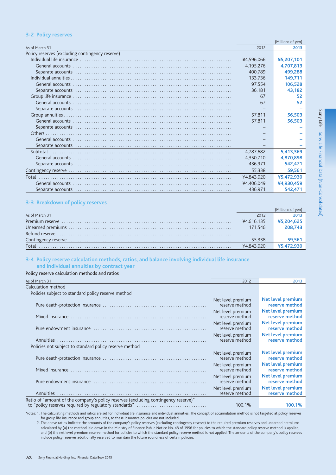### **3-2 Policy reserves**

|                                                 |            | (Millions of yen) |
|-------------------------------------------------|------------|-------------------|
| As of March 31                                  | 2012       | 2013              |
| Policy reserves (excluding contingency reserve) |            |                   |
|                                                 | ¥4,596,066 | ¥5,207,101        |
|                                                 | 4,195,276  | 4,707,813         |
|                                                 | 400.789    | 499,288           |
|                                                 | 133.736    | 149.711           |
|                                                 | 97,554     | 106,528           |
|                                                 | 36,181     | 43,182            |
|                                                 | 67         | 52                |
|                                                 | 67         | 52                |
|                                                 |            |                   |
|                                                 | 57,811     | 56,503            |
|                                                 | 57,811     | 56,503            |
|                                                 |            |                   |
|                                                 |            |                   |
|                                                 |            |                   |
|                                                 |            |                   |
|                                                 | 4,787,682  | 5,413,369         |
|                                                 | 4,350,710  | 4,870,898         |
|                                                 | 436.971    | 542,471           |
|                                                 | 55,338     | 59,561            |
|                                                 | ¥4,843,020 | ¥5,472,930        |
|                                                 | ¥4,406,049 | ¥4,930,459        |
|                                                 | 436,971    | 542,471           |
|                                                 |            |                   |

### 3-3 Breakdown of policy reserves

| As of March 31 | 2012       | 2013       |
|----------------|------------|------------|
|                | ¥4.616.135 | ¥5,204,625 |
|                | 171.546    | 208.743    |
|                |            |            |
|                | 55.338     | 59.561     |
| Total          | ¥4.843.020 | ¥5.472.930 |

### 3-4 Policy reserve calculation methods, ratios, and balance involving individual life insurance

# and individual annuities by contract year

# Policy reserve calculation methods and ratios

As of March 31  $\frac{1}{2012}$  $\frac{1}{2013}$ Calculation method Policies subject to standard policy reserve method Net level premium Net level premium reserve method reserve method Net level premium Net level premium reserve method reserve method Net level premium **Net level premium** Pure endowment insurance .......................... reserve method reserve method **Net level premium** Net level premium reserve method reserve method Policies not subject to standard policy reserve method Net level premium Net level premium reserve method reserve method Net level premium Net level premium reserve method reserve method Net level premium Net level premium Pure endowment insurance .................................. reserve method reserve method **Net level premium** Net level premium reserve method Annuities reserve method Ratio of "amount of the company's policy reserves (excluding contingency reserve)" to "policy reserves required by regulatory standards" 100.1% 100.1%

Notes: 1. The calculating methods and ratios are set for individual life insurance and individual annuities. The concept of accumulation method is not targeted at policy reserves for group life insurance and group annuities, so these insurance policies are not included.

2. The above ratios indicate the amounts of the company's policy reserves (excluding contingency reserve) to the required premium reserves and unearned premiums calculated by (a) the method laid down in the Ministry of Finance Public Notice No. 48 of 1996 for policies to which the standard policy reserve method is applied, and (b) the net level premium reserve method for policies to which the standard policy reserve method is not applied. The amounts of the company's policy reserves include policy reserves additionally reserved to maintain the future soundness of certain policies.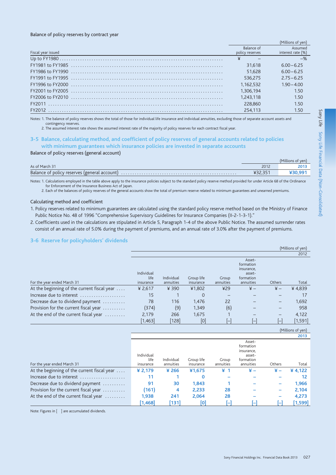### Balance of policy reserves by contract year

|                    |                               | Millions of veni             |
|--------------------|-------------------------------|------------------------------|
| Fiscal year issued | Balance of<br>policy reserves | Assumed<br>interest rate (%) |
|                    |                               |                              |
|                    | 31.618                        | $6.00 - 6.25$                |
|                    | 51.628                        | $6.00 - 6.25$                |
|                    | 536.275                       | $2.75 - 6.25$                |
|                    | 1.162.532                     | $1.90 - 4.00$                |
|                    | 1.306.194                     | 1.50                         |
|                    | 1.243.118                     | 1.50                         |
|                    | 228,860                       | 1.50                         |
|                    | 254.113                       | 1.50                         |
|                    |                               |                              |

Notes: 1. The balance of policy reserves shows the total of those for individual life insurance and individual annuities, excluding those of separate account assets and contingency reserves

2. The assumed interest rate shows the assumed interest rate of the majority of policy reserves for each contract fiscal year.

### 3-5 Balance, calculating method, and coefficient of policy reserves of general accounts related to policies with minimum guarantees which insurance policies are invested in separate accounts

### Balance of policy reserves (general account)

|                |      | (Millions of yen) |
|----------------|------|-------------------|
| As of March 31 | 2012 | 2013              |
|                |      |                   |

Notes: 1. Calculations employed in the table above apply to the insurance policies subject to the standard policy reserve method provided for under Article 68 of the Ordinance for Enforcement of the Insurance Business Act of Japan.

2. Each of the balances of policy reserves of the general accounts show the total of premium reserve related to minimum guarantees and unearned premiums.

### Calculating method and coefficient

1. Policy reserves related to minimum guarantees are calculated using the standard policy reserve method based on the Ministry of Finance Public Notice No. 48 of 1996 "Comprehensive Supervisory Guidelines for Insurance Companies (II-2-1-3-1)."

2. Coefficients used in the calculations are stipulated in Article 5, Paragraph 1-4 of the above Public Notice. The assumed surrender rates consist of an annual rate of 5.0% during the payment of premiums, and an annual rate of 3.0% after the payment of premiums.

### 3-6 Reserve for policyholders' dividends

|                                             |                    |            |            |           |                                                          |               | (Millions of yen) |
|---------------------------------------------|--------------------|------------|------------|-----------|----------------------------------------------------------|---------------|-------------------|
|                                             |                    |            |            |           |                                                          |               | 2012              |
|                                             | Individual<br>life | Individual | Group life | Group     | Asset-<br>formation<br>insurance,<br>asset-<br>formation |               |                   |
| For the year ended March 31                 | insurance          | annuities  | insurance  | annuities | annuities                                                | Others        | Total             |
| At the beginning of the current fiscal year | ¥ 2,617            | ¥ 390      | ¥1,802     | 429       | $\frac{1}{2}$                                            | $\frac{1}{2}$ | ¥4,839            |
| Increase due to interest                    | 15                 |            | 0          |           |                                                          |               |                   |
| Decrease due to dividend payment            | 78                 | 116        | 1.476      | 22        |                                                          |               | 1,692             |
| Provision for the current fiscal year       | (374)              | (9)        | 1,349      | (6)       |                                                          |               | 958               |
| At the end of the current fiscal year       | 2,179              | 266        | 1,675      |           |                                                          |               | 4,122             |
|                                             | [1,463]            | [128]      | [0]        | l-l       | $\mathsf{l}$                                             |               | [1,591]           |

|                                             |                                 |                         |                         |                    |                                                                       |        | 2013      |
|---------------------------------------------|---------------------------------|-------------------------|-------------------------|--------------------|-----------------------------------------------------------------------|--------|-----------|
| For the year ended March 31                 | Individual<br>life<br>insurance | Individual<br>annuities | Group life<br>insurance | Group<br>annuities | Asset-<br>formation<br>insurance,<br>asset-<br>formation<br>annuities | Others | Total     |
| At the beginning of the current fiscal year | ¥ $2,179$                       | ¥ 266                   | ¥1,675                  | ¥ 1                | ¥ –                                                                   | ¥ –    | ¥ 4,122   |
| Increase due to interest                    | 11                              |                         | 0                       |                    |                                                                       |        | 12        |
| Decrease due to dividend payment            | 91                              | 30                      | 1,843                   |                    |                                                                       |        | 1,966     |
| Provision for the current fiscal year       | (161)                           | 4                       | 2,233                   | 28                 |                                                                       |        | 2,104     |
| At the end of the current fiscal year       | 1,938                           | 241                     | 2,064                   | 28                 |                                                                       |        | 4,273     |
|                                             | 1,468                           | [131]                   | [0]                     |                    |                                                                       |        | $[1,599]$ |

Note: Figures in [ ] are accumulated dividends.

(Millions of yen)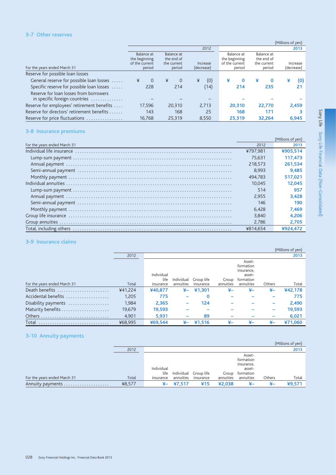### 3-7 Other reserves

|                                                                         |                                                                                                                                        |               |                                                         |                                                   |                        | (Millions of yen) |
|-------------------------------------------------------------------------|----------------------------------------------------------------------------------------------------------------------------------------|---------------|---------------------------------------------------------|---------------------------------------------------|------------------------|-------------------|
|                                                                         |                                                                                                                                        |               | 2012                                                    |                                                   |                        | 2013              |
| For the years ended March 31                                            | Balance at<br>Balance at<br>the beginning<br>the end of<br>of the current<br>the current<br>Increase<br>period<br>period<br>(decrease) |               | Balance at<br>the beginning<br>of the current<br>period | Balance at<br>the end of<br>the current<br>period | Increase<br>(decrease) |                   |
| Reserve for possible loan losses                                        |                                                                                                                                        |               |                                                         |                                                   |                        |                   |
| General reserve for possible loan losses                                | $\Omega$<br>¥                                                                                                                          | ¥<br>$\Omega$ | (0)<br>¥                                                | ¥<br>$\bf{0}$                                     | ¥<br>$\mathbf{0}$      | ¥<br>(0)          |
| Specific reserve for possible loan losses                               | 228                                                                                                                                    | 214           | (14)                                                    | 214                                               | 235                    | 21                |
| Reserve for loan losses from borrowers<br>in specific foreign countries |                                                                                                                                        |               |                                                         |                                                   |                        |                   |
| Reserve for employees' retirement benefits                              | 17.596                                                                                                                                 | 20,310        | 2.713                                                   | 20,310                                            | 22.770                 | 2,459             |
| Reserve for directors' retirement benefits                              | 143                                                                                                                                    | 168           | 25                                                      | 168                                               | 171                    | З                 |
| Reserve for price fluctuations                                          | 16.768                                                                                                                                 | 25,319        | 8,550                                                   | 25,319                                            | 32,264                 | 6,945             |

### 3-8 Insurance premiums

|                              |          | (Millions of yen) |
|------------------------------|----------|-------------------|
| For the years ended March 31 | 2012     | 2013              |
|                              | ¥797.981 | ¥905.514          |
|                              | 75.631   | 117,473           |
|                              | 218.573  | 261.534           |
|                              | 8.993    | 9.485             |
|                              | 494.783  | 517.021           |
|                              | 10.045   | 12.045            |
|                              | 514      | 957               |
|                              | 2.955    | 3.428             |
|                              | 146      | 190               |
|                              | 6.428    | 7.469             |
|                              | 3.840    | 4.206             |
|                              | 2.786    | 2.705             |
|                              | ¥814.654 |                   |

### 3-9 Insurance claims

|                              |         |                    |            |            |           |                                                          |        | (Millions of yen) |
|------------------------------|---------|--------------------|------------|------------|-----------|----------------------------------------------------------|--------|-------------------|
|                              | 2012    |                    |            |            |           |                                                          |        | 2013              |
|                              |         | Individual<br>life | Individual | Group life | Group     | Asset-<br>formation<br>insurance,<br>asset-<br>formation |        |                   |
| For the years ended March 31 | Total   | insurance          | annuities  | insurance  | annuities | annuities                                                | Others | Total             |
| Death benefits               | ¥41,224 | ¥40,877            | ¥–         | ¥1,301     |           | ¥–                                                       | ¥–     | ¥42,178           |
| Accidental benefits          | 1,205   | 775                |            | $\Omega$   |           |                                                          |        | 775               |
| Disability payments          | 1,984   | 2,365              |            | 124        |           |                                                          |        | 2,490             |
|                              | 19,679  | 19,593             |            |            |           |                                                          |        | 19,593            |
|                              | 4,901   | 5,931              |            | 89         |           |                                                          |        | 6,021             |
| Total                        | ¥68,995 | ¥69,544            | ¥–         | ¥1.516     | ¥–        | ¥–                                                       | ¥–     | ¥71,060           |

# 3-10 Annuity payments

|                              |        |                    |              |                       |           |                                                          |        | (Millions of yen) |
|------------------------------|--------|--------------------|--------------|-----------------------|-----------|----------------------------------------------------------|--------|-------------------|
|                              | 2012   |                    |              |                       |           |                                                          |        | 2013              |
|                              |        | Individual<br>life |              | Individual Group life | Group     | Asset-<br>formation<br>insurance,<br>asset-<br>formation |        |                   |
| For the years ended March 31 | Total  | insurance          | annuities    | insurance             | annuities | annuities                                                | Others | Total             |
|                              | ¥8,577 |                    | $4 - 47,517$ | 415                   | ¥2.038    |                                                          | ¥–     | 49.571            |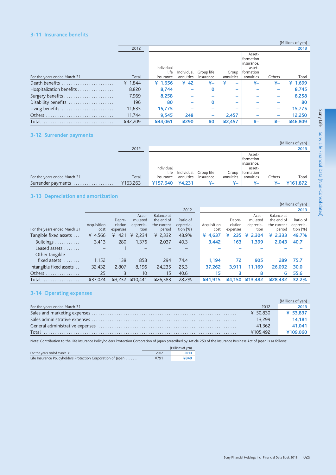### 3-11 Insurance benefits

|                              |           |                    |            |            |           |                                                          |                          | (Millions of yen) |
|------------------------------|-----------|--------------------|------------|------------|-----------|----------------------------------------------------------|--------------------------|-------------------|
|                              | 2012      |                    |            |            |           |                                                          |                          | 2013              |
|                              |           | Individual<br>life | Individual | Group life | Group     | Asset-<br>formation<br>insurance,<br>asset-<br>formation |                          |                   |
| For the years ended March 31 | Total     | insurance          | annuities  | insurance  | annuities | annuities                                                | Others                   | Total             |
| Death benefits               | ¥ $1,844$ | ¥ $1,656$          | 42         | ¥–         |           | ¥–                                                       | ¥–                       | ¥ $1,699$         |
| Hospitalization benefits     | 8,820     | 8,744              |            | $\Omega$   |           |                                                          | -                        | 8,745             |
|                              | 7,969     | 8,258              |            |            |           |                                                          | —                        | 8,258             |
| Disability benefits          | 196       | 80                 |            | $\Omega$   |           |                                                          |                          | 80                |
| Living benefits              | 11,635    | 15.775             |            |            |           |                                                          |                          | 15.775            |
|                              | 11,744    | 9.545              | 248        |            | 2,457     |                                                          | $\overline{\phantom{0}}$ | 12,250            |
| Total                        | ¥42,209   | ¥44.061            | ¥290       | ¥0         | ¥2,457    | ¥–                                                       | ¥–                       | ¥46,809           |

### 3-12 Surrender payments

|                              |          |                                 |                                    |           |                    |                                                                       |        | (Millions of yen) |
|------------------------------|----------|---------------------------------|------------------------------------|-----------|--------------------|-----------------------------------------------------------------------|--------|-------------------|
|                              | 2012     |                                 |                                    |           |                    |                                                                       |        | 2013              |
| For the years ended March 31 | Total    | Individual<br>life<br>insurance | Individual Group life<br>annuities | insurance | Group<br>annuities | Asset-<br>formation<br>insurance,<br>asset-<br>formation<br>annuities | Others | Total             |
| Surrender payments           | ¥163,263 | ¥157,640 ¥4,231                 |                                    | ¥–        | ¥–                 | ¥–                                                                    | ¥–     | ¥161,872          |

# 3-13 Depreciation and amortization

|                              |             |          |            |             |             |             |          |            |             | (Millions of yen) |
|------------------------------|-------------|----------|------------|-------------|-------------|-------------|----------|------------|-------------|-------------------|
|                              |             |          |            |             | 2012        |             |          |            |             | 2013              |
|                              |             |          | Accu-      | Balance at  |             |             |          | Accu-      | Balance at  |                   |
|                              |             | Depre-   | mulated    | the end of  | Ratio of    |             | Depre-   | mulated    | the end of  | Ratio of          |
|                              | Acquisition | ciation  | deprecia-  | the current | deprecia-   | Acquisition | ciation  | deprecia-  | the current | deprecia-         |
| For the years ended March 31 | cost        | expenses | tion       | period      | tion $(\%)$ | cost        | expenses | tion       | period      | tion $(\%)$       |
| Tangible fixed assets        | ¥ 4,566     | 421<br>¥ | 2,234<br>¥ | ¥ $2,332$   | 48.9%       | ¥ 4,637     | 235<br>¥ | 2.304<br>¥ | ¥ 2,333     | 49.7%             |
| Buildings                    | 3,413       | 280      | 1,376      | 2,037       | 40.3        | 3,442       | 163      | 1,399      | 2,043       | 40.7              |
| Leased assets                |             |          |            |             |             |             |          |            |             |                   |
| Other tangible               |             |          |            |             |             |             |          |            |             |                   |
| fixed assets                 | 1,152       | 138      | 858        | 294         | 74.4        | 1.194       | 72       | 905        | 289         | 75.7              |
| Intangible fixed assets      | 32,432      | 2.807    | 8,196      | 24,235      | 25.3        | 37,262      | 3.911    | 11.169     | 26,092      | 30.0              |
| Others                       | 25          | 3        | 10         | 15          | 40.6        | 15          | 3        | 8          | 6           | 55.6              |
| Total<br>.                   | ¥37.024     | 43.232   | ¥10.441    | ¥26.583     | 28.2%       | ¥41.915     | ¥4,150   | ¥13.482    | ¥28.432     | 32.2%             |

# 3-14 Operating expenses

|                              |          | (Millions of yen) |
|------------------------------|----------|-------------------|
| For the years ended March 31 | 2012     | 2013              |
|                              | ¥ 50.830 | ¥ 53,837          |
|                              | 13.299   | 14.181            |
|                              | 41.362   | 41.041            |
| Total                        | ¥105.492 | ¥109,060          |

Note: Contribution to the Life Insurance Policyholders Protection Corporation of Japan prescribed by Article 259 of the Insurance Business Act of Japan is as follows:

|                                                              | (Millions of yen) |      |  |
|--------------------------------------------------------------|-------------------|------|--|
| For the years ended March 31                                 | 2012              | 2013 |  |
| Life Insurance Policyholders Protection Corporation of Japan | ¥791              | ¥840 |  |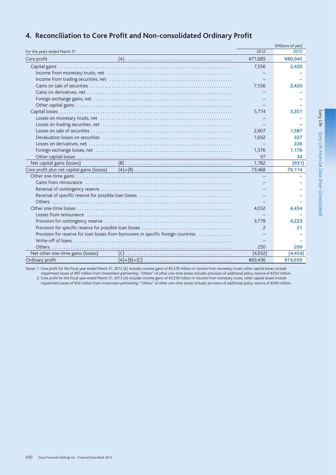|                                   |                                                                                                                |               | (Millions of yen) |
|-----------------------------------|----------------------------------------------------------------------------------------------------------------|---------------|-------------------|
| For the years ended March 31      |                                                                                                                | 2012          | 2013              |
| Core profit                       |                                                                                                                | ¥71,685       | ¥80,045           |
|                                   |                                                                                                                | 7,556         | 2,420             |
|                                   |                                                                                                                |               |                   |
|                                   |                                                                                                                |               |                   |
|                                   |                                                                                                                | 7,556         | 2,420             |
|                                   |                                                                                                                |               |                   |
|                                   |                                                                                                                |               |                   |
|                                   |                                                                                                                |               |                   |
|                                   |                                                                                                                | 5,774         | 3.351             |
|                                   | Losses on monetary trusts, net with the content of the content of the content of the content of the content of |               |                   |
|                                   |                                                                                                                |               |                   |
|                                   |                                                                                                                | 2,607         | 1,587             |
|                                   |                                                                                                                | 1,692         | 327               |
|                                   |                                                                                                                |               | 226               |
|                                   |                                                                                                                | 1,376         | 1,176             |
|                                   |                                                                                                                | 97            | 34                |
| Net capital gains (losses)        |                                                                                                                | 1,782         | (931)             |
|                                   |                                                                                                                | 73,468        | 79,114            |
|                                   |                                                                                                                |               |                   |
|                                   |                                                                                                                |               |                   |
|                                   |                                                                                                                |               |                   |
|                                   |                                                                                                                |               |                   |
|                                   |                                                                                                                |               |                   |
|                                   |                                                                                                                | 4.032         | 4.454             |
|                                   |                                                                                                                |               |                   |
|                                   |                                                                                                                | 3.778         | 4.223             |
|                                   |                                                                                                                | $\mathcal{P}$ | 21                |
|                                   | Provision for reserve for loan losses from borrowers in specific foreign countries                             |               |                   |
|                                   |                                                                                                                |               |                   |
|                                   |                                                                                                                | 250           | 209               |
| Net other one-time gains (losses) |                                                                                                                | (4,032)       | (4, 454)          |
| Ordinary profit                   |                                                                                                                | ¥69,436       | ¥74,659           |

# 4. Reconciliation to Core Profit and Non-consolidated Ordinary Profit

Notes: 1. Core profit for the fiscal year ended March 31, 2012 (A) includes income gains of ¥5,278 million in income from monetary trusts; other capital losses include

Expose to the losses of 497 million from investment partnership; "Others" of other one-time losses includes provision of additional policy reserve of 4250 million.<br>2. Core profit for the fiscal year ended March 31, 2013 (A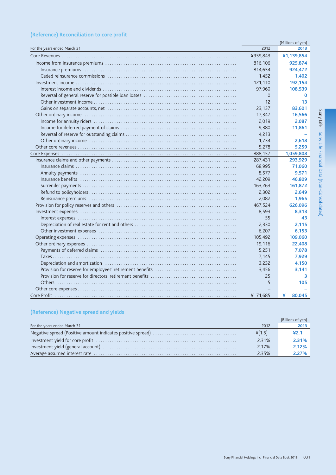# (Reference) Reconciliation to core profit

|                              |          | (Millions of yen) |
|------------------------------|----------|-------------------|
| For the years ended March 31 | 2012     | 2013              |
|                              | ¥959,843 | ¥1,139,854        |
|                              | 816,106  | 925,874           |
|                              | 814,654  | 924,472           |
|                              | 1,452    | 1,402             |
|                              | 121,110  | 192,154           |
|                              | 97,960   | 108,539           |
|                              | $\Omega$ | $\bf{0}$          |
|                              | 12       | 13                |
|                              | 23,137   | 83,601            |
|                              | 17,347   | 16,566            |
|                              | 2,019    | 2,087             |
|                              | 9,380    | 11,861            |
|                              | 4,213    |                   |
|                              | 1,734    | 2,618             |
|                              | 5,278    | 5,259             |
|                              | 888,157  | 1,059,808         |
|                              | 287,431  | 293,929           |
|                              | 68,995   | 71,060            |
|                              | 8,577    | 9,571             |
|                              | 42,209   | 46,809            |
|                              | 163,263  | 161,872           |
|                              | 2,302    | 2,649             |
|                              | 2,082    | 1,965             |
|                              | 467,524  | 626,096           |
|                              | 8,593    | 8,313             |
|                              | 55       | 43                |
|                              | 2,330    | 2,115             |
|                              | 6,207    | 6,153             |
|                              | 105,492  | 109,060           |
|                              | 19,116   | 22,408            |
|                              | 5,251    | 7,078             |
|                              | 7,145    | 7,929             |
|                              | 3,232    | 4,150             |
|                              | 3.456    | 3,141             |
|                              | 25       | 3                 |
|                              | 5        | 105               |
|                              |          |                   |
|                              | ¥ 71,685 | ¥<br>80,045       |

# (Reference) Negative spread and yields

|                              |                 | (Billions of yen) |
|------------------------------|-----------------|-------------------|
| For the years ended March 31 | 2012            | 2013              |
|                              | $\frac{4}{1.5}$ | 42.1              |
|                              | 2.31%           | $2.31\%$          |
|                              | 2.17%           | 2.12%             |
|                              | 2.35%           | $2.27\%$          |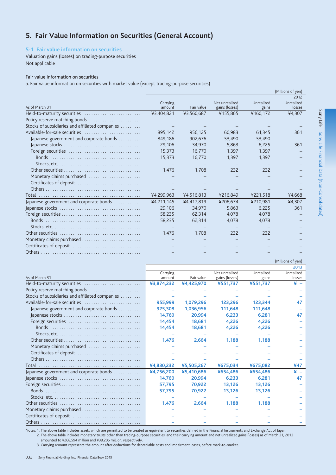# 5. Fair Value Information on Securities (General Account)

### 5-1 Fair value information on securities

Valuation gains (losses) on trading-purpose securities Not applicable

### Fair value information on securities

a. Fair value information on securities with market value (except trading-purpose securities)

|                                                                                            |            |            |                |            | (Millions of yen) |
|--------------------------------------------------------------------------------------------|------------|------------|----------------|------------|-------------------|
|                                                                                            |            |            |                |            | 2012              |
|                                                                                            | Carrying   |            | Net unrealized | Unrealized | Unrealized        |
| As of March 31                                                                             | amount     | Fair value | gains (losses) | gains      | losses            |
| Held-to-maturity securities                                                                | ¥3,404,821 | ¥3,560,687 | ¥155,865       | ¥160,172   | ¥4,307            |
| Policy reserve matching bonds                                                              |            |            |                |            |                   |
| Stocks of subsidiaries and affiliated companies                                            |            |            |                |            |                   |
| Available-for-sale securities                                                              | 895.142    | 956.125    | 60,983         | 61.345     | 361               |
| Japanese government and corporate bonds                                                    | 849,186    | 902,676    | 53,490         | 53,490     |                   |
|                                                                                            | 29,106     | 34,970     | 5.863          | 6,225      | 361               |
|                                                                                            | 15.373     | 16.770     | 1.397          | 1.397      |                   |
|                                                                                            | 15.373     | 16.770     | 1.397          | 1.397      |                   |
| Stocks, etc. $\dots\dots\dots\dots\dots\dots\dots\dots\dots\dots\dots\dots\dots\dots$      |            |            |                |            |                   |
|                                                                                            | 1.476      | 1.708      | 232            | 232        |                   |
| Monetary claims purchased                                                                  |            |            |                |            |                   |
| Certificates of deposit                                                                    |            |            |                |            |                   |
|                                                                                            |            |            |                |            |                   |
|                                                                                            | ¥4,299,963 | ¥4,516,813 | ¥216,849       | ¥221,518   | ¥4.668            |
| Japanese government and corporate bonds                                                    | ¥4,211,145 | ¥4,417,819 | ¥206,674       | ¥210,981   | ¥4,307            |
|                                                                                            | 29,106     | 34,970     | 5.863          | 6,225      | 361               |
|                                                                                            | 58,235     | 62.314     | 4.078          | 4.078      |                   |
|                                                                                            | 58.235     | 62,314     | 4.078          | 4.078      |                   |
| Stocks, etc. $\dots\dots\dots\dots\dots\dots\dots\dots\dots\dots\dots\dots\dots\dots\dots$ |            |            |                |            |                   |
|                                                                                            | 1.476      | 1.708      | 232            | 232        |                   |
| Monetary claims purchased                                                                  |            |            |                |            |                   |
| Certificates of deposit                                                                    |            |            |                |            |                   |
|                                                                                            |            |            |                |            |                   |

|                                                                                             |                    |            |                                  |                     | (Millions of yen)    |
|---------------------------------------------------------------------------------------------|--------------------|------------|----------------------------------|---------------------|----------------------|
|                                                                                             |                    |            |                                  |                     | 2013                 |
| As of March 31                                                                              | Carrying<br>amount | Fair value | Net unrealized<br>gains (losses) | Unrealized<br>gains | Unrealized<br>losses |
| Held-to-maturity securities                                                                 | ¥3,874,232         | ¥4,425,970 | ¥551,737                         | ¥551,737            | ¥ –                  |
| Policy reserve matching bonds                                                               |                    |            |                                  |                     |                      |
| Stocks of subsidiaries and affiliated companies                                             |                    |            |                                  |                     |                      |
| Available-for-sale securities                                                               | 955,999            | 1,079,296  | 123,296                          | 123,344             | 47                   |
| Japanese government and corporate bonds                                                     | 925,308            | 1,036,956  | 111,648                          | 111,648             |                      |
|                                                                                             | 14,760             | 20.994     | 6.233                            | 6,281               | 47                   |
| Foreign securities                                                                          | 14,454             | 18,681     | 4,226                            | 4,226               |                      |
|                                                                                             | 14,454             | 18,681     | 4,226                            | 4,226               |                      |
| Stocks, etc. $\dots\dots\dots\dots\dots\dots\dots\dots\dots\dots\dots\dots\dots\dots$       |                    |            |                                  |                     |                      |
|                                                                                             | 1,476              | 2,664      | 1,188                            | 1,188               |                      |
| Monetary claims purchased                                                                   |                    |            |                                  |                     |                      |
| Certificates of deposit                                                                     |                    |            |                                  |                     |                      |
|                                                                                             |                    |            |                                  |                     |                      |
|                                                                                             | ¥4,830,232         | ¥5,505,267 | ¥675,034                         | ¥675,082            | ¥47                  |
| Japanese government and corporate bonds                                                     | ¥4,756,200         | ¥5,410,686 | ¥654,486                         | ¥654,486            | ¥ –                  |
|                                                                                             | 14,760             | 20,994     | 6,233                            | 6,281               | 47                   |
|                                                                                             | 57,795             | 70,922     | 13,126                           | 13,126              |                      |
|                                                                                             | 57,795             | 70,922     | 13,126                           | 13,126              |                      |
| Stocks, etc. $\ldots \ldots \ldots \ldots \ldots \ldots \ldots \ldots \ldots \ldots \ldots$ |                    |            |                                  |                     |                      |
|                                                                                             | 1,476              | 2,664      | 1.188                            | 1,188               |                      |
| Monetary claims purchased                                                                   |                    |            |                                  |                     |                      |
| Certificates of deposit                                                                     |                    |            |                                  |                     |                      |
|                                                                                             |                    |            |                                  |                     |                      |

Notes: 1. The above table includes assets which are permitted to be treated as equivalent to securities defined in the Financial Instruments and Exchange Act of Japan. 2. The above table includes monetary trusts other than trading-purpose securities, and their carrying amount and net unrealized gains (losses) as of March 31, 2013 amounted to ¥268,594 million and ¥38,206 million, respectively.

3. Carrying amount represents the amount after deductions for depreciable costs and impairment losses, before mark-to-market.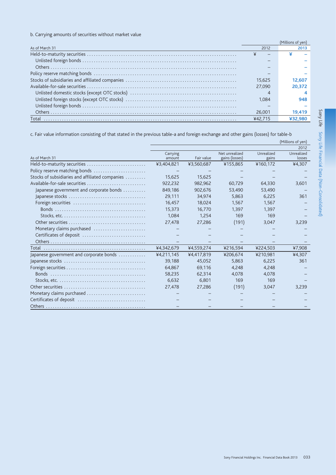b. Carrying amounts of securities without market value

|                |        | (Millions of ven) |
|----------------|--------|-------------------|
| As of March 31 | 2012   |                   |
|                |        |                   |
|                |        |                   |
|                |        |                   |
|                |        |                   |
|                | 15.625 | 12.607            |
|                | 27,090 | 20.372            |
|                |        |                   |
|                | 1.084  | 948               |
|                |        |                   |
|                | 26,001 | 19.419            |
| Total          |        | ¥32.980           |
|                |        |                   |

c. Fair value information consisting of that stated in the previous table-a and foreign exchange and other gains (losses) for table-b

|                                                                                             | (Millions of yen) |            |                |            |            |  |  |  |  |
|---------------------------------------------------------------------------------------------|-------------------|------------|----------------|------------|------------|--|--|--|--|
|                                                                                             |                   |            |                |            | 2012       |  |  |  |  |
|                                                                                             | Carrying          |            | Net unrealized | Unrealized | Unrealized |  |  |  |  |
| As of March 31                                                                              | amount            | Fair value | gains (losses) | gains      | losses     |  |  |  |  |
| Held-to-maturity securities                                                                 | ¥3,404,821        | ¥3,560,687 | ¥155,865       | ¥160,172   | ¥4,307     |  |  |  |  |
| Policy reserve matching bonds                                                               |                   |            |                |            |            |  |  |  |  |
| Stocks of subsidiaries and affiliated companies                                             | 15.625            | 15.625     |                |            |            |  |  |  |  |
| Available-for-sale securities                                                               | 922.232           | 982.962    | 60.729         | 64.330     | 3,601      |  |  |  |  |
| Japanese government and corporate bonds                                                     | 849,186           | 902,676    | 53,490         | 53,490     |            |  |  |  |  |
|                                                                                             | 29,111            | 34,974     | 5,863          | 6,225      | 361        |  |  |  |  |
| Foreign securities                                                                          | 16,457            | 18.024     | 1.567          | 1,567      |            |  |  |  |  |
|                                                                                             | 15,373            | 16.770     | 1,397          | 1,397      |            |  |  |  |  |
|                                                                                             | 1.084             | 1.254      | 169            | 169        |            |  |  |  |  |
|                                                                                             | 27.478            | 27,286     | (191)          | 3,047      | 3,239      |  |  |  |  |
| Monetary claims purchased                                                                   |                   |            |                |            |            |  |  |  |  |
| Certificates of deposit                                                                     |                   |            |                |            |            |  |  |  |  |
|                                                                                             |                   |            |                |            |            |  |  |  |  |
|                                                                                             | ¥4,342,679        | ¥4,559,274 | ¥216,594       | ¥224,503   | ¥7,908     |  |  |  |  |
| Japanese government and corporate bonds                                                     | ¥4,211,145        | ¥4,417,819 | ¥206,674       | ¥210,981   | ¥4,307     |  |  |  |  |
|                                                                                             | 39,188            | 45,052     | 5,863          | 6,225      | 361        |  |  |  |  |
|                                                                                             | 64,867            | 69,116     | 4,248          | 4,248      |            |  |  |  |  |
|                                                                                             | 58,235            | 62,314     | 4.078          | 4.078      |            |  |  |  |  |
| Stocks. etc. $\ldots \ldots \ldots \ldots \ldots \ldots \ldots \ldots \ldots \ldots \ldots$ | 6,632             | 6.801      | 169            | 169        |            |  |  |  |  |
|                                                                                             | 27,478            | 27,286     | (191)          | 3,047      | 3,239      |  |  |  |  |
| Monetary claims purchased                                                                   |                   |            |                |            |            |  |  |  |  |
|                                                                                             |                   |            |                |            |            |  |  |  |  |
|                                                                                             |                   |            |                |            |            |  |  |  |  |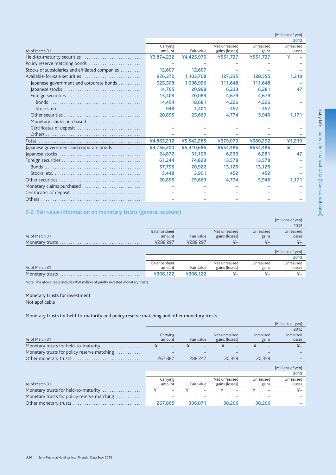|                                                                                             | (Millions of yen) |            |                |            |            |  |  |  |  |
|---------------------------------------------------------------------------------------------|-------------------|------------|----------------|------------|------------|--|--|--|--|
|                                                                                             | 2013              |            |                |            |            |  |  |  |  |
| As of March 31                                                                              | Carrying          |            | Net unrealized | Unrealized | Unrealized |  |  |  |  |
|                                                                                             | amount            | Fair value | gains (losses) | gains      | losses     |  |  |  |  |
| Held-to-maturity securities                                                                 | ¥3,874,232        | ¥4,425,970 | ¥551,737       | ¥551,737   | ¥          |  |  |  |  |
| Policy reserve matching bonds                                                               |                   |            |                |            |            |  |  |  |  |
| Stocks of subsidiaries and affiliated companies                                             | 12.607            | 12,607     |                |            |            |  |  |  |  |
| Available-for-sale securities                                                               | 976,372           | 1,103,708  | 127,335        | 128,555    | 1,219      |  |  |  |  |
| Japanese government and corporate bonds                                                     | 925,308           | 1,036,956  | 111,648        | 111,648    |            |  |  |  |  |
|                                                                                             | 14,765            | 20,998     | 6,233          | 6,281      | 47         |  |  |  |  |
| Foreign securities                                                                          | 15.403            | 20,083     | 4.679          | 4,679      |            |  |  |  |  |
|                                                                                             | 14,454            | 18,681     | 4.226          | 4,226      |            |  |  |  |  |
| Stocks, etc. $\dots\dots\dots\dots\dots\dots\dots\dots\dots\dots\dots\dots\dots\dots$       | 948               | 1.401      | 452            | 452        |            |  |  |  |  |
|                                                                                             | 20,895            | 25,669     | 4,774          | 5,946      | 1.171      |  |  |  |  |
| Monetary claims purchased                                                                   |                   |            |                |            |            |  |  |  |  |
| Certificates of deposit                                                                     |                   |            |                |            |            |  |  |  |  |
|                                                                                             |                   |            |                |            |            |  |  |  |  |
|                                                                                             | ¥4,863,212        | ¥5,542,285 | ¥679,073       | ¥680,292   | ¥1,219     |  |  |  |  |
| Japanese government and corporate bonds                                                     | ¥4,756,200        | ¥5,410,686 | ¥654,486       | ¥654,486   | ¥          |  |  |  |  |
|                                                                                             | 24,872            | 31,106     | 6.233          | 6,281      | 47         |  |  |  |  |
|                                                                                             | 61,244            | 74,823     | 13,578         | 13,578     |            |  |  |  |  |
|                                                                                             | 57,795            | 70,922     | 13.126         | 13,126     |            |  |  |  |  |
| Stocks, etc. $\ldots \ldots \ldots \ldots \ldots \ldots \ldots \ldots \ldots \ldots \ldots$ | 3,448             | 3,901      | 452            | 452        |            |  |  |  |  |
|                                                                                             | 20,895            | 25,669     | 4,774          | 5,946      | 1,171      |  |  |  |  |
| Monetary claims purchased                                                                   |                   |            |                |            |            |  |  |  |  |
| Certificates of deposit                                                                     |                   |            |                |            |            |  |  |  |  |
|                                                                                             |                   |            |                |            |            |  |  |  |  |

# 5-2 Fair value information on monetary trusts (general account)

|                 |                      |            |                |                   | (Millions of yen) |
|-----------------|----------------------|------------|----------------|-------------------|-------------------|
|                 |                      |            |                |                   | 2012              |
|                 | <b>Balance sheet</b> |            | Net unrealized | Unrealized        | Unrealized        |
| As of March 31  | amount               | Fair value | gains (losses) | gains             | losses            |
| Monetary trusts | ¥288.297             | ¥288,297   | $_{\nexists}$  | $\overline{X}-$   | $_{\nexists}$     |
|                 |                      |            |                | (Millions of yen) |                   |
|                 |                      |            |                |                   | 2013              |
|                 | Balance sheet        |            | Net unrealized | Unrealized        | Unrealized        |
| As of March 31  |                      |            |                |                   |                   |
|                 | amount               | Fair value | gains (losses) | gains             | losses            |

Note: The above table includes ¥50 million of jointly invested monetary trusts.

### Monetary trusts for investment

Not applicable

### Monetary trusts for held-to-maturity and policy reserve matching and other monetary trusts

|                                             |                    |                                  |            |                                                |                                  |        |                      |        | (Millions of yen)    |
|---------------------------------------------|--------------------|----------------------------------|------------|------------------------------------------------|----------------------------------|--------|----------------------|--------|----------------------|
|                                             |                    |                                  |            |                                                |                                  |        |                      |        | 2012                 |
| As of March 31                              | Carrying<br>amount |                                  | Fair value |                                                | Net unrealized<br>gains (losses) |        | Unrealized<br>gains  |        | Unrealized<br>losses |
| Monetary trusts for held-to-maturity        | ¥                  |                                  | ¥          |                                                |                                  |        |                      |        | ¥–                   |
| Monetary trusts for policy reserve matching |                    |                                  |            |                                                |                                  |        |                      |        |                      |
| Other monetary trusts                       |                    | 267.887                          |            | 288,247                                        | 20.359                           |        |                      | 20,359 |                      |
|                                             |                    |                                  |            |                                                |                                  |        |                      |        | (Millions of yen)    |
|                                             |                    |                                  |            |                                                |                                  |        |                      |        | 2013                 |
| As of March 31                              |                    | Carrying<br>Fair value<br>amount |            | Net unrealized<br>Unrealized<br>gains (losses) |                                  | gains  | Unrealized<br>losses |        |                      |
| Monetary trusts for held-to-maturity        | ¥                  |                                  |            |                                                |                                  |        |                      |        | ¥–                   |
| Monetary trusts for policy reserve matching |                    |                                  |            |                                                |                                  |        |                      |        |                      |
| Other monetary trusts                       |                    | 267.865                          |            | 306.071                                        |                                  | 38.206 |                      | 38,206 |                      |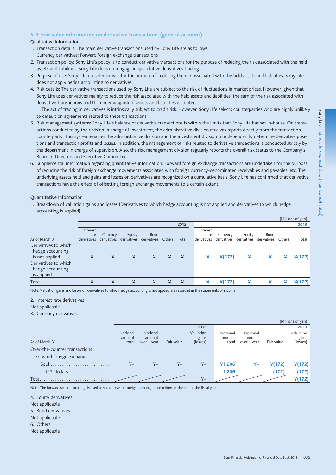### **5-3 Fair value information on derivative transactions (general account)**

#### Qualitative Information

- 1. Transaction details: The main derivative transactions used by Sony Life are as follows: Currency derivatives: Forward foreign exchange transactions
- 2. Transaction policy: Sony Life's policy is to conduct derivative transactions for the purpose of reducing the risk associated with the held assets and liabilities. Sony Life does not engage in speculative derivatives trading.
- 3. Purpose of use: Sony Life uses derivatives for the purpose of reducing the risk associated with the held assets and liabilities. Sony Life does not apply hedge accounting to derivatives.
- 4. Risk details: The derivative transactions used by Sony Life are subject to the risk of fluctuations in market prices. However, given that Sony Life uses derivatives mainly to reduce the risk associated with the held assets and liabilities, the sum of the risk associated with derivative transactions and the underlying risk of assets and liabilities is limited.

 The act of trading in derivatives is intrinsically subject to credit risk. However, Sony Life selects counterparties who are highly unlikely to default on agreements related to these transactions.

- 5. Risk management systems: Sony Life's balance of derivative transactions is within the limits that Sony Life has set in-house. On transactions conducted by the division in charge of investment, the administrative division receives reports directly from the transaction counterparty. This system enables the administrative division and the investment division to independently determine derivative positions and transaction profits and losses. In addition, the management of risks related to derivative transactions is conducted strictly by the department in charge of supervision. Also, the risk management division regularly reports the overall risk status to the Company's Board of Directors and Executive Committee.
- 6. Supplemental information regarding quantitative information: Forward foreign exchange transactions are undertaken for the purpose of reducing the risk of foreign exchange movements associated with foreign currency-denominated receivables and payables, etc. The underlying assets held and gains and losses on derivatives are recognized on a cumulative basis. Sony Life has confirmed that derivative transactions have the effect of offsetting foreign exchange movements to a certain extent.

#### Quantitative Information

1. Breakdown of valuation gains and losses (Derivatives to which hedge accounting is not applied and derivatives to which hedge accounting is applied)

|                                                                      |                                 |                         |                                   |             |        |               |                                 |                         |                       |                     |        | (Millions of yen) |
|----------------------------------------------------------------------|---------------------------------|-------------------------|-----------------------------------|-------------|--------|---------------|---------------------------------|-------------------------|-----------------------|---------------------|--------|-------------------|
|                                                                      |                                 |                         |                                   |             |        | 2012          |                                 |                         |                       |                     |        | 2013              |
| As of March 31                                                       | Interest<br>rate<br>derivatives | Currency<br>derivatives | Equity<br>derivatives derivatives | <b>Bond</b> | Others | Total         | Interest<br>rate<br>derivatives | Currency<br>derivatives | Equity<br>derivatives | Bond<br>derivatives | Others | <b>Total</b>      |
| Derivatives to which<br>hedge accounting<br>is not applied $\dots$ . | $\overline{X}-$                 | $\overline{X}-$         | ¥–                                | $x-$        |        | $_{\nexists}$ | ¥–                              | $*(172)$                | ¥–                    | ¥–                  | ¥–     | $*(172)$          |
| Derivatives to which<br>hedge accounting<br>is applied               |                                 |                         |                                   |             |        |               |                                 |                         |                       |                     |        |                   |
| Total<br>.                                                           | $\frac{1}{2}$                   | $x -$                   | $x-$                              | $Y -$       |        |               | ¥–                              | ¥(172)                  | ¥.                    | ¥–                  | ¥–     |                   |

Note: Valuation gains and losses on derivatives to which hedge accounting is not applied are recorded in the statements of income.

#### 2. Interest rate derivatives

Not applicable

3. Currency derivatives

|                               |          |              |                          |                          |          |                          |            | (Millions of yen) |
|-------------------------------|----------|--------------|--------------------------|--------------------------|----------|--------------------------|------------|-------------------|
|                               |          |              |                          | 2012                     |          |                          |            | 2013              |
|                               | Notional | Notional     |                          | Valuation                | Notional | Notional                 |            | Valuation         |
|                               | amount   | amount       |                          | gains                    | amount   | amount                   |            | gains             |
| As of March 31                | total    | over 1 year  | Fair value               | (losses)                 | total    | over 1 year              | Fair value | (losses)          |
| Over-the-counter transactions |          |              |                          |                          |          |                          |            |                   |
| Forward foreign exchanges     |          |              |                          |                          |          |                          |            |                   |
|                               |          | $_{\nvdash}$ | $\overline{\mathbf{x}}-$ | $\overline{+}$           | ¥1,206   | ¥–                       | $*(172)$   | $*(172)$          |
| U.S. dollars                  | -        |              |                          | $\overline{\phantom{0}}$ | 1,206    | $\overline{\phantom{0}}$ | (172)      | (172)             |
| Total                         |          |              |                          | $\overline{+}$           |          |                          |            | $*(172)$          |

Note: The forward rate of exchange is used to value forward foreign exchange transactions at the end of the fiscal year.

4. Equity derivatives

Not applicable

5. Bond derivatives

- Not applicable
- 6. Others
- Not applicable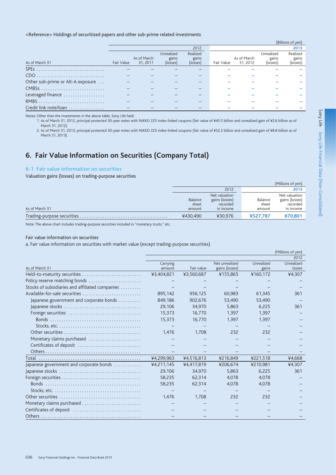### <Reference> Holdings of securitized papers and other sub-prime related investments

|                                   |            |             |            |          |            |             |            | (Billions of yen) |
|-----------------------------------|------------|-------------|------------|----------|------------|-------------|------------|-------------------|
|                                   |            |             |            | 2012     |            |             |            | 2013              |
|                                   |            |             | Unrealized | Realized |            |             | Unrealized | Realized          |
|                                   |            | As of March | gains      | gains    |            | As of March | gains      | gains             |
| As of March 31                    | Fair Value | 31, 2011    | (losses)   | (losses) | Fair Value | 31.2012     | (losses)   | (losses)          |
|                                   |            |             |            |          |            |             |            |                   |
|                                   |            |             |            |          |            |             |            |                   |
| Other sub-prime or Alt-A exposure |            |             |            |          |            |             |            |                   |
| CMBSs                             |            |             |            |          |            |             |            |                   |
| Leveraged finance                 |            |             |            |          |            |             |            |                   |
|                                   |            |             |            |          |            |             |            |                   |
| Credit link note/loan             |            |             |            |          |            |             |            |                   |

Notes: Other than the investments in the above table, Sony Life held:

1. As of March 31, 2012, principal protected 30-year notes with NIKKEI 225 index-linked coupons (fair value of ¥45.5 billion and unrealized gain of ¥2.6 billion as of March 31, 2012).

2. As of March 31, 2013, principal protected 30-year notes with NIKKEI 225 index-linked coupons (fair value of ¥52.2 billion and unrealized gain of ¥8.8 billion as of March 31, 2013).

# 6. Fair Value Information on Securities (Company Total)

#### 6-1 Fair value information on securities

Valuation gains (losses) on trading-purpose securities

|                |          |                |          | (Millions of yen) |
|----------------|----------|----------------|----------|-------------------|
|                |          | 2012           |          | 2013              |
|                |          | Net valuation  |          | Net valuation     |
|                | Balance  | gains (losses) | Balance  | gains (losses)    |
|                | sheet    | recorded       | sheet    | recorded          |
| As of March 31 | amount   | in income      | amount   | in income         |
|                | ¥430.490 | ¥30.976        | ¥527.787 | ¥70,801           |

Note: The above chart includes trading-purpose securities included in "monetary trusts," etc.

### Fair value information on securities

a. Fair value information on securities with market value (except trading-purpose securities)

|                                                                                             |            |            |                |            | (Millions of yen) |
|---------------------------------------------------------------------------------------------|------------|------------|----------------|------------|-------------------|
|                                                                                             |            |            |                |            | 2012              |
|                                                                                             | Carrying   |            | Net unrealized | Unrealized | Unrealized        |
| As of March 31                                                                              | amount     | Fair value | gains (losses) | gains      | losses            |
| Held-to-maturity securities                                                                 | ¥3,404,821 | ¥3,560,687 | ¥155,865       | ¥160,172   | ¥4,307            |
| Policy reserve matching bonds                                                               |            |            |                |            |                   |
| Stocks of subsidiaries and affiliated companies                                             |            |            |                |            |                   |
| Available-for-sale securities                                                               | 895,142    | 956,125    | 60,983         | 61,345     | 361               |
| Japanese government and corporate bonds                                                     | 849,186    | 902,676    | 53,490         | 53,490     |                   |
|                                                                                             | 29,106     | 34,970     | 5.863          | 6,225      | 361               |
| Foreign securities                                                                          | 15,373     | 16,770     | 1,397          | 1,397      |                   |
|                                                                                             | 15,373     | 16,770     | 1.397          | 1,397      |                   |
|                                                                                             |            |            |                |            |                   |
|                                                                                             | 1,476      | 1,708      | 232            | 232        |                   |
| Monetary claims purchased                                                                   |            |            |                |            |                   |
| Certificates of deposit                                                                     |            |            |                |            |                   |
|                                                                                             |            |            |                |            |                   |
|                                                                                             | ¥4,299,963 | ¥4,516,813 | ¥216,849       | ¥221,518   | ¥4,668            |
| Japanese government and corporate bonds                                                     | ¥4,211,145 | ¥4,417,819 | ¥206,674       | ¥210,981   | ¥4,307            |
|                                                                                             | 29,106     | 34,970     | 5,863          | 6,225      | 361               |
|                                                                                             | 58,235     | 62,314     | 4,078          | 4,078      |                   |
|                                                                                             | 58,235     | 62,314     | 4,078          | 4,078      |                   |
| Stocks, etc. $\ldots \ldots \ldots \ldots \ldots \ldots \ldots \ldots \ldots \ldots \ldots$ |            |            |                |            |                   |
|                                                                                             | 1,476      | 1,708      | 232            | 232        |                   |
| Monetary claims purchased                                                                   |            |            |                |            |                   |
| Certificates of deposit                                                                     |            |            |                |            |                   |
|                                                                                             |            |            |                |            |                   |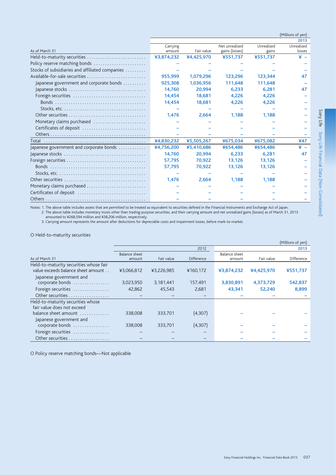|                                                                                            |                    |            |                                  |                     | (Millions of yen)    |
|--------------------------------------------------------------------------------------------|--------------------|------------|----------------------------------|---------------------|----------------------|
|                                                                                            |                    |            |                                  |                     | 2013                 |
| As of March 31                                                                             | Carrying<br>amount | Fair value | Net unrealized<br>gains (losses) | Unrealized<br>gains | Unrealized<br>losses |
| Held-to-maturity securities                                                                | ¥3,874,232         | ¥4,425,970 | ¥551,737                         | ¥551,737            | ¥.                   |
| Policy reserve matching bonds                                                              |                    |            |                                  |                     |                      |
| Stocks of subsidiaries and affiliated companies                                            |                    |            |                                  |                     |                      |
| Available-for-sale securities                                                              | 955.999            | 1.079.296  | 123.296                          | 123.344             |                      |
| Japanese government and corporate bonds                                                    | 925,308            | 1,036,956  | 111,648                          | 111,648             |                      |
|                                                                                            | 14,760             | 20,994     | 6.233                            | 6,281               | 47                   |
|                                                                                            | 14.454             | 18,681     | 4.226                            | 4.226               |                      |
|                                                                                            | 14,454             | 18,681     | 4.226                            | 4.226               |                      |
| Stocks, etc. $\dots\dots\dots\dots\dots\dots\dots\dots\dots\dots\dots\dots\dots\dots$      |                    |            |                                  |                     |                      |
|                                                                                            | 1.476              | 2,664      | 1,188                            | 1.188               |                      |
| Monetary claims purchased                                                                  |                    |            |                                  |                     |                      |
| Certificates of deposit                                                                    |                    |            |                                  |                     |                      |
|                                                                                            |                    |            |                                  |                     |                      |
|                                                                                            | ¥4,830,232         | ¥5,505,267 | ¥675,034                         | ¥675,082            | ¥47                  |
| Japanese government and corporate bonds                                                    | ¥4,756,200         | ¥5,410,686 | ¥654,486                         | ¥654,486            | ¥                    |
|                                                                                            | 14,760             | 20,994     | 6.233                            | 6,281               | 47                   |
|                                                                                            | 57.795             | 70,922     | 13,126                           | 13,126              |                      |
|                                                                                            | 57,795             | 70,922     | 13,126                           | 13,126              |                      |
| Stocks, etc. $\dots\dots\dots\dots\dots\dots\dots\dots\dots\dots\dots\dots\dots\dots\dots$ |                    |            |                                  |                     |                      |
|                                                                                            | 1.476              | 2.664      | 1,188                            | 1.188               |                      |
| Monetary claims purchased                                                                  |                    |            |                                  |                     |                      |
| Certificates of deposit                                                                    |                    |            |                                  |                     |                      |
|                                                                                            |                    |            |                                  |                     |                      |

Notes: 1. The above table includes assets that are permitted to be treated as equivalent to securities defined in the Financial Instruments and Exchange Act of Japan. 2. The above table includes monetary trusts other than trading-purpose securities, and their carrying amount and net unrealized gains (losses) as of March 31, 2013 Let necessary the subsequential of the set of the set of the set of the set of the set of the set of the set of the set of the set of the set of the set of the set of the set of the set of the set of the set of the set of

### O Held-to-maturity securities

|                                                                              |                                |            |                   |                         |            | (Millions of yen) |
|------------------------------------------------------------------------------|--------------------------------|------------|-------------------|-------------------------|------------|-------------------|
|                                                                              |                                |            | 2012              |                         |            | 2013              |
| As of March 31                                                               | <b>Balance sheet</b><br>amount | Fair value | <b>Difference</b> | Balance sheet<br>amount | Fair value | Difference        |
| Held-to-maturity securities whose fair<br>value exceeds balance sheet amount | ¥3,066,812                     | ¥3,226,985 | ¥160,172          | ¥3,874,232              | ¥4,425,970 | ¥551,737          |
| Japanese government and<br>corporate bonds                                   | 3,023,950                      | 3,181,441  | 157,491           | 3,830,891               | 4,373,729  | 542,837           |
| Foreign securities                                                           | 42,862                         | 45,543     | 2,681             | 43,341                  | 52,240     | 8,899             |
| Other securities                                                             |                                |            |                   |                         |            |                   |
| Held-to-maturity securities whose<br>fair value does not exceed              |                                |            |                   |                         |            |                   |
| balance sheet amount<br>Japanese government and                              | 338,008                        | 333,701    | (4,307)           |                         |            |                   |
| corporate bonds                                                              | 338,008                        | 333,701    | (4,307)           |                         |            |                   |
| Foreign securities                                                           |                                |            |                   |                         |            |                   |
| Other securities                                                             |                                |            |                   |                         |            |                   |

O Policy reserve matching bonds-Not applicable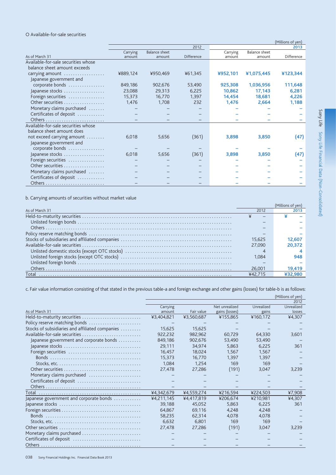# O Available-for-sale securities

|                                     | (Millions of yen) |                      |                   |          |                      |            |  |  |  |
|-------------------------------------|-------------------|----------------------|-------------------|----------|----------------------|------------|--|--|--|
|                                     |                   |                      | 2012              |          |                      | 2013       |  |  |  |
|                                     | Carrying          | <b>Balance sheet</b> |                   | Carrying | <b>Balance sheet</b> |            |  |  |  |
| As of March 31                      | amount            | amount               | <b>Difference</b> | amount   | amount               | Difference |  |  |  |
| Available-for-sale securities whose |                   |                      |                   |          |                      |            |  |  |  |
| balance sheet amount exceeds        |                   |                      |                   |          |                      |            |  |  |  |
| carrying amount                     | ¥889,124          | ¥950,469             | ¥61,345           | ¥952,101 | ¥1,075,445           | ¥123,344   |  |  |  |
| Japanese government and             |                   |                      |                   |          |                      |            |  |  |  |
| corporate bonds                     | 849,186           | 902,676              | 53,490            | 925,308  | 1,036,956            | 111,648    |  |  |  |
| Japanese stocks                     | 23,088            | 29,313               | 6,225             | 10,862   | 17,143               | 6,281      |  |  |  |
| Foreign securities                  | 15,373            | 16,770               | 1,397             | 14,454   | 18,681               | 4,226      |  |  |  |
| Other securities                    | 1,476             | 1,708                | 232               | 1,476    | 2,664                | 1,188      |  |  |  |
| Monetary claims purchased           |                   |                      |                   |          |                      |            |  |  |  |
| Certificates of deposit             |                   |                      |                   |          |                      |            |  |  |  |
|                                     |                   |                      |                   |          |                      |            |  |  |  |
| Available-for-sale securities whose |                   |                      |                   |          |                      |            |  |  |  |
| balance sheet amount does           |                   |                      |                   |          |                      |            |  |  |  |
| not exceed carrying amount          | 6,018             | 5,656                | (361)             | 3,898    | 3,850                | (47)       |  |  |  |
| Japanese government and             |                   |                      |                   |          |                      |            |  |  |  |
| corporate bonds                     |                   |                      |                   |          |                      |            |  |  |  |
| Japanese stocks                     | 6,018             | 5,656                | (361)             | 3,898    | 3,850                | (47)       |  |  |  |
| Foreign securities                  |                   |                      |                   |          |                      |            |  |  |  |
| Other securities                    |                   |                      |                   |          |                      |            |  |  |  |
| Monetary claims purchased           |                   |                      |                   |          |                      |            |  |  |  |
| Certificates of deposit             |                   |                      |                   |          |                      |            |  |  |  |
|                                     |                   |                      |                   |          |                      |            |  |  |  |

b. Carrying amounts of securities without market value

|                |        | (Millions of ven |
|----------------|--------|------------------|
| As of March 31 | 2012   |                  |
|                |        |                  |
|                |        |                  |
|                |        |                  |
|                |        |                  |
|                | 15.625 | 12.607           |
|                | 27,090 | 20.372           |
|                |        |                  |
|                | 1.084  | 948              |
|                |        |                  |
|                | 26.001 | 19.419           |
|                |        |                  |

c. Fair value information consisting of that stated in the previous table-a and foreign exchange and other gains (losses) for table-b is as follows:

|                                                                                                    |            |            |                |            | (Millions of yen) |
|----------------------------------------------------------------------------------------------------|------------|------------|----------------|------------|-------------------|
|                                                                                                    |            |            |                |            | 2012              |
|                                                                                                    | Carrying   |            | Net unrealized | Unrealized | Unrealized        |
| As of March 31                                                                                     | amount     | Fair value | gains (losses) | gains      | losses            |
| Held-to-maturity securities                                                                        | ¥3,404,821 | ¥3,560,687 | ¥155,865       | ¥160,172   | ¥4,307            |
| Policy reserve matching bonds                                                                      |            |            |                |            |                   |
| Stocks of subsidiaries and affiliated companies                                                    | 15,625     | 15,625     |                |            |                   |
| Available-for-sale securities                                                                      | 922,232    | 982.962    | 60,729         | 64,330     | 3,601             |
| Japanese government and corporate bonds                                                            | 849,186    | 902.676    | 53,490         | 53,490     |                   |
|                                                                                                    | 29,111     | 34,974     | 5,863          | 6,225      | 361               |
|                                                                                                    | 16.457     | 18,024     | 1,567          | 1,567      |                   |
|                                                                                                    | 15.373     | 16,770     | 1.397          | 1.397      |                   |
|                                                                                                    | 1,084      | 1,254      | 169            | 169        |                   |
|                                                                                                    | 27.478     | 27.286     | (191)          | 3,047      | 3,239             |
| Monetary claims purchased                                                                          |            |            |                |            |                   |
| Certificates of deposit                                                                            |            |            |                |            |                   |
|                                                                                                    |            |            |                |            |                   |
|                                                                                                    | ¥4,342,679 | ¥4,559,274 | ¥216,594       | ¥224,503   | ¥7,908            |
| Japanese government and corporate bonds                                                            | ¥4,211,145 | ¥4,417,819 | ¥206,674       | ¥210,981   | ¥4,307            |
|                                                                                                    | 39,188     | 45,052     | 5,863          | 6,225      | 361               |
|                                                                                                    | 64,867     | 69,116     | 4.248          | 4,248      |                   |
|                                                                                                    | 58,235     | 62,314     | 4,078          | 4,078      |                   |
| Stocks, etc. $\ldots \ldots \ldots \ldots \ldots \ldots \ldots \ldots \ldots \ldots \ldots \ldots$ | 6,632      | 6,801      | 169            | 169        |                   |
|                                                                                                    | 27,478     | 27,286     | (191)          | 3,047      | 3,239             |
| Monetary claims purchased                                                                          |            |            |                |            |                   |
| Certificates of deposit                                                                            |            |            |                |            |                   |
|                                                                                                    |            |            |                |            |                   |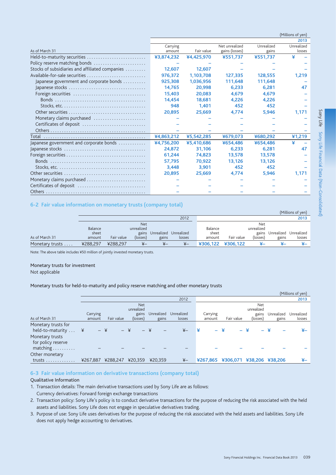|                                                                                            |                    |            |                                  |                     | 2013                 |
|--------------------------------------------------------------------------------------------|--------------------|------------|----------------------------------|---------------------|----------------------|
| As of March 31                                                                             | Carrying<br>amount | Fair value | Net unrealized<br>gains (losses) | Unrealized<br>gains | Unrealized<br>losses |
| Held-to-maturity securities                                                                | ¥3,874,232         | ¥4,425,970 | ¥551,737                         | ¥551,737            | ¥                    |
| Policy reserve matching bonds                                                              |                    |            |                                  |                     |                      |
| Stocks of subsidiaries and affiliated companies                                            | 12.607             | 12.607     |                                  |                     |                      |
| Available-for-sale securities                                                              | 976,372            | 1,103,708  | 127.335                          | 128,555             | 1,219                |
| Japanese government and corporate bonds                                                    | 925.308            | 1.036.956  | 111,648                          | 111,648             |                      |
|                                                                                            | 14.765             | 20.998     | 6.233                            | 6.281               | 47                   |
| Foreign securities                                                                         | 15.403             | 20,083     | 4.679                            | 4.679               |                      |
|                                                                                            | 14,454             | 18,681     | 4.226                            | 4,226               |                      |
|                                                                                            | 948                | 1,401      | 452                              | 452                 |                      |
|                                                                                            | 20,895             | 25,669     | 4,774                            | 5,946               | 1,171                |
| Monetary claims purchased                                                                  |                    |            |                                  |                     |                      |
| Certificates of deposit                                                                    |                    |            |                                  |                     |                      |
|                                                                                            |                    |            |                                  |                     |                      |
|                                                                                            | ¥4,863,212         | ¥5,542,285 | ¥679,073                         | ¥680,292            | 41,219               |
| Japanese government and corporate bonds                                                    | ¥4,756,200         | ¥5,410,686 | ¥654,486                         | ¥654,486            |                      |
|                                                                                            | 24.872             | 31.106     | 6.233                            | 6.281               | 47                   |
|                                                                                            | 61.244             | 74,823     | 13.578                           | 13,578              |                      |
|                                                                                            | 57,795             | 70,922     | 13,126                           | 13,126              |                      |
| Stocks, etc. $\dots\dots\dots\dots\dots\dots\dots\dots\dots\dots\dots\dots\dots\dots\dots$ | 3,448              | 3,901      | 452                              | 452                 |                      |
|                                                                                            | 20.895             | 25.669     | 4.774                            | 5.946               | 1.171                |
| Monetary claims purchased                                                                  |                    |            |                                  |                     |                      |
| Certificates of deposit                                                                    |                    |            |                                  |                     |                      |
|                                                                                            |                    |            |                                  |                     |                      |

# 6-2 Fair value information on monetary trusts (company total)

|                 |                |            |            |            |            |          |            |            |            | (Millions of Ven) |
|-----------------|----------------|------------|------------|------------|------------|----------|------------|------------|------------|-------------------|
|                 |                |            |            |            | 2012       |          |            |            |            | 2013              |
|                 |                |            | <b>Net</b> |            |            |          |            | Net        |            |                   |
|                 | <b>Balance</b> |            | unrealized |            |            | Balance  |            | unrealized |            |                   |
|                 | sheet          |            | gains      | Unrealized | Unrealized | sheet    |            | gains      | Unrealized | Unrealized        |
| As of March 31  | amount         | Fair value | (losses)   | gains      | losses     | amount   | Fair value | (losses)   | gains      | losses            |
| Monetary trusts | ¥288.297       | ¥288.297   | ¥–         | ¥–         | ¥–         | ¥306.122 | ¥306.122   |            |            | ¥–                |

Note: The above table includes ¥50 million of jointly invested monetary trusts.

#### Monetary trusts for investment

Not applicable

### Monetary trusts for held-to-maturity and policy reserve matching and other monetary trusts

|                                                   |          |                |                          |            |                |   |          |                   |                          |            | (Millions of yen) |
|---------------------------------------------------|----------|----------------|--------------------------|------------|----------------|---|----------|-------------------|--------------------------|------------|-------------------|
|                                                   |          |                |                          |            | 2012           |   |          |                   |                          |            | 2013              |
|                                                   |          |                | <b>Net</b><br>unrealized |            |                |   |          |                   | <b>Net</b><br>unrealized |            |                   |
|                                                   | Carrying |                | gains                    | Unrealized | Unrealized     |   | Carrying |                   | gains                    | Unrealized | Unrealized        |
| As of March 31                                    | amount   | Fair value     | (losses)                 | gains      | losses         |   | amount   | Fair value        | (losses)                 | gains      | losses            |
| Monetary trusts for<br>held-to-maturity $\dots$ ¥ |          | $-$ ¥<br>$-$ ¥ | $-$ ¥                    |            | $\overline{X}$ | ¥ |          | – ¥<br>÷.         | ิ¥                       | ⊻          | ¥–                |
| Monetary trusts<br>for policy reserve             |          |                |                          |            |                |   |          |                   |                          |            |                   |
| matching<br>Other monetary                        |          |                |                          |            |                |   |          |                   |                          |            |                   |
| $trusts$                                          | ¥267,887 | ¥288,247       | ¥20.359                  | ¥20.359    | $\overline{+}$ |   |          | ¥267,865 ¥306,071 | ¥38,206                  | ¥38,206    | ¥–                |

### 6-3 Fair value information on derivative transactions (company total)

# Qualitative Information

- 1. Transaction details: The main derivative transactions used by Sony Life are as follows: Currency derivatives: Forward foreign exchange transactions
- 2. Transaction policy: Sony Life's policy is to conduct derivative transactions for the purpose of reducing the risk associated with the held assets and liabilities. Sony Life does not engage in speculative derivatives trading.
- 3. Purpose of use: Sony Life uses derivatives for the purpose of reducing the risk associated with the held assets and liabilities. Sony Life does not apply hedge accounting to derivatives.

(Millions of yen)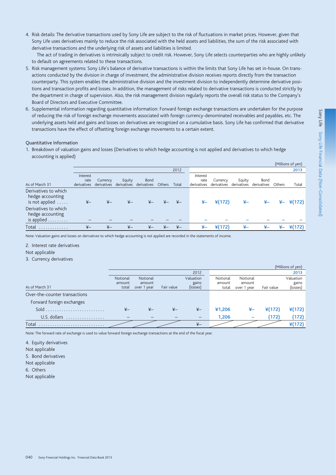4. Risk details: The derivative transactions used by Sony Life are subject to the risk of fluctuations in market prices. However, given that Sony Life uses derivatives mainly to reduce the risk associated with the held assets and liabilities, the sum of the risk associated with derivative transactions and the underlying risk of assets and liabilities is limited.

 The act of trading in derivatives is intrinsically subject to credit risk. However, Sony Life selects counterparties who are highly unlikely to default on agreements related to these transactions.

- 5. Risk management systems: Sony Life's balance of derivative transactions is within the limits that Sony Life has set in-house. On transactions conducted by the division in charge of investment, the administrative division receives reports directly from the transaction counterparty. This system enables the administrative division and the investment division to independently determine derivative positions and transaction profits and losses. In addition, the management of risks related to derivative transactions is conducted strictly by the department in charge of supervision. Also, the risk management division regularly reports the overall risk status to the Company's Board of Directors and Executive Committee.
- 6. Supplemental information regarding quantitative information: Forward foreign exchange transactions are undertaken for the purpose of reducing the risk of foreign exchange movements associated with foreign currency-denominated receivables and payables, etc. The underlying assets held and gains and losses on derivatives are recognized on a cumulative basis. Sony Life has confirmed that derivative transactions have the effect of offsetting foreign exchange movements to a certain extent.

#### Quantitative Information

1. Breakdown of valuation gains and losses (Derivatives to which hedge accounting is not applied and derivatives to which hedge accounting is applied)

|                          |                |                 |                |                 |               |                |             |             |             |               |        | (Millions of yen) |
|--------------------------|----------------|-----------------|----------------|-----------------|---------------|----------------|-------------|-------------|-------------|---------------|--------|-------------------|
|                          |                |                 |                |                 |               | 2012           |             |             |             |               |        | 2013              |
|                          | Interest       |                 |                |                 |               |                | Interest    |             |             |               |        |                   |
|                          | rate           | Currency        | Equity         | <b>Bond</b>     |               |                | rate        | Currency    | Equity      | Bond          |        |                   |
| As of March 31           | derivatives    | derivatives     | derivatives    | derivatives     | <b>Others</b> | Total          | derivatives | derivatives | derivatives | derivatives   | Others | Total             |
| Derivatives to which     |                |                 |                |                 |               |                |             |             |             |               |        |                   |
| hedge accounting         |                |                 |                |                 |               |                |             |             |             |               |        |                   |
| is not applied $\dots$ . | $\overline{X}$ | $\overline{X}-$ | $x -$          | $\overline{X}-$ |               | ¥–             | ¥–          | ¥(172)      | ¥–          | ¥–            | ¥–     | $*(172)$          |
| Derivatives to which     |                |                 |                |                 |               |                |             |             |             |               |        |                   |
| hedge accounting         |                |                 |                |                 |               |                |             |             |             |               |        |                   |
| is applied               |                |                 |                |                 |               |                |             |             |             |               |        |                   |
| Total                    | $\overline{X}$ | $\overline{X}$  | $\overline{f}$ | $\overline{X}$  | $_{\nvdash}$  | $\overline{f}$ | ¥–          | ¥(172)      | ¥–          | $\frac{1}{2}$ | ¥–     | $*(172)$          |
|                          |                |                 |                |                 |               |                |             |             |             |               |        |                   |

Note: Valuation gains and losses on derivatives to which hedge accounting is not applied are recorded in the statements of income.

2. Interest rate derivatives

Not applicable

3. Currency derivatives

|                               |                          |             |            |                   |          |                          |            | (Millions of yen) |
|-------------------------------|--------------------------|-------------|------------|-------------------|----------|--------------------------|------------|-------------------|
|                               |                          |             |            | 2012              |          |                          |            | 2013              |
|                               | Notional                 | Notional    |            | Valuation         | Notional | Notional                 |            | Valuation         |
|                               | amount                   | amount      |            | gains             | amount   | amount                   |            | gains             |
| As of March 31                | total                    | over 1 year | Fair value | (losses)          | total    | over 1 year              | Fair value | (losses)          |
| Over-the-counter transactions |                          |             |            |                   |          |                          |            |                   |
| Forward foreign exchanges     |                          |             |            |                   |          |                          |            |                   |
|                               |                          | ¥–          |            | $\overline{r}$    | ¥1.206   | ¥–                       | $*(172)$   | ¥(172)            |
| U.S. dollars<br>.             | $\overline{\phantom{a}}$ |             |            | $\qquad \qquad -$ | 1,206    | $\overline{\phantom{0}}$ | (172)      | (172)             |
| Total                         |                          |             |            | $\overline{r}$    |          |                          |            | $*(172)$          |

Note: The forward rate of exchange is used to value forward foreign exchange transactions at the end of the fiscal year.

4. Equity derivatives Not applicable 5. Bond derivatives Not applicable 6. Others

Not applicable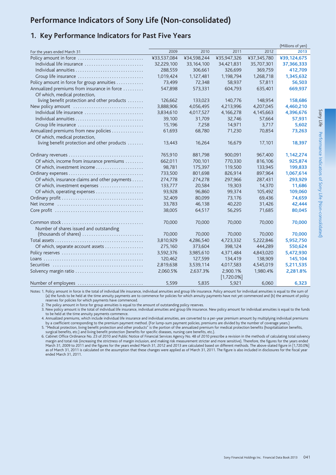# Performance Indicators of Sony Life (Non-consolidated)

# 1. Key Performance Indicators for Past Five Years

|                                               |             |              |                           |             | (Millions of yen) |
|-----------------------------------------------|-------------|--------------|---------------------------|-------------|-------------------|
| For the years ended March 31                  | 2009        | 2010         | 2011                      | 2012        | 2013              |
| Policy amount in force                        | ¥33,537,084 | ¥34,598,244  | ¥35,947,326               | ¥37,345,780 | ¥39,124,675       |
| Individual life insurance                     | 32,229,100  | 33, 164, 100 | 34,421,831                | 35,707,301  | 37,366,333        |
| Individual annuities                          | 288,559     | 306,661      | 326,699                   | 369,759     | 412,709           |
| Group life insurance                          | 1,019,424   | 1,127,481    | 1,198,794                 | 1,268,718   | 1,345,632         |
| Policy amount in force for group annuities    | 73,499      | 72,348       | 58,937                    | 57,811      | 56,503            |
| Annualized premiums from insurance in force   | 547,898     | 573,331      | 604,793                   | 635,401     | 669,937           |
| Of which, medical protection,                 |             |              |                           |             |                   |
| living benefit protection and other products  | 126,662     | 133.023      | 140.776                   | 148.954     | 158,686           |
| New policy amount                             | 3,888,906   | 4,056,495    | 4,213,996                 | 4,207,045   | 4,460,210         |
| Individual life insurance                     | 3,834,610   | 4,017,527    | 4,166,278                 | 4,145,663   | 4,396,676         |
|                                               | 39,100      | 31,709       | 32,746                    | 57,664      | 57,931            |
| Group life insurance                          | 15,196      | 7,258        | 14,971                    | 3,717       | 5,602             |
| Annualized premiums from new policies         | 61,693      | 68,780       | 71,230                    | 70,854      | 73,263            |
| Of which, medical protection,                 |             |              |                           |             |                   |
| living benefit protection and other products  | 13,443      | 16,264       | 16,679                    | 17,101      | 18,397            |
|                                               |             |              |                           |             |                   |
|                                               | 765,910     | 881.798      | 900.091                   | 967,400     | 1,142,274         |
| Of which, income from insurance premiums      | 662,011     | 700,101      | 770,330                   | 816,106     | 925,874           |
|                                               | 98,781      | 175,397      | 119,500                   | 133,945     | 199,833           |
|                                               | 733,500     | 801,698      | 826,914                   | 897,964     | 1,067,614         |
| Of which, insurance claims and other payments | 274,778     | 274,278      | 297,966                   | 287,431     | 293,929           |
| Of which, investment expenses                 | 133,777     | 20,584       | 19,303                    | 14,370      | 11,686            |
| Of which, operating expenses                  | 93,928      | 96,860       | 99,374                    | 105,492     | 109,060           |
|                                               | 32,409      | 80,099       | 73,176                    | 69,436      | 74,659            |
|                                               | 33,783      | 46,138       | 40,220                    | 31,426      | 42,444            |
|                                               | 38,005      | 64,517       | 56,295                    | 71,685      | 80,045            |
|                                               |             |              |                           |             |                   |
|                                               | 70,000      | 70,000       | 70,000                    | 70,000      | 70,000            |
| Number of shares issued and outstanding       | 70,000      | 70,000       | 70,000                    | 70,000      |                   |
| (thousands of shares)                         | 3,810,929   |              | 4,723,332                 |             | 70,000            |
|                                               |             | 4,286,540    |                           | 5,222,846   | 5,952,750         |
| Of which, separate account assets             | 275,160     | 373,604      | 398,124                   | 444,289     | 550,624           |
|                                               | 3,592,376   | 3,985,610    | 4,371,484                 | 4,843,020   | 5,472,930         |
|                                               | 120,462     | 127,599      | 134,419                   | 138,909     | 145,104           |
|                                               | 2,819,638   | 3,539,114    | 4,017,583                 | 4,545,019   | 5,211,535         |
| Solvency margin ratio                         | 2,060.5%    | 2,637.3%     | 2,900.1%<br>$[1,720.0\%]$ | 1,980.4%    | 2,281.8%          |
| Number of employees                           | 5500        | 5835         | 5921                      | 6050        | 6323              |

Notes: 1. Policy amount in force is the total of individual life insurance, individual annuities and group life insurance. Policy amount for individual annuities is equal to the sum of (a) the funds to be held at the time annuity payments are to commence for policies for which annuity payments have not yet commenced and (b) the amount of policy reserves for policies for which payments have commenced.

2. The policy amount in force for group annuities is equal to the amount of outstanding policy reserves.

3. New policy amount is the total of individual life insurance, individual annuities and group life insurance. New policy amount for individual annuities is equal to the funds to be held at the time annuity payments commence.

4. Annualized premiums, which include individual life insurance and individual annuities, are converted to a per-year premium amount by multiplying individual premiums by a coefficient corresponding to the premium payment method. (For lump-sum payment policies, premiums are divided by the number of coverage years.)

5. "Medical protection, living benefit protection and other products" is the portion of the annualized premium for medical protection benefits (hospitalization benefits, surgical benefits, etc.) and living benefit protection (benefits for specific diseases, nursing care benefits, etc.).

6. Cabinet Office Ordinance No. 23 of 2010 and Public Notice of Financial Services Agency No. 48 of 2010 prescribe a revision in the methods of calculating total solvency margin and total risk (increasing the strictness of margin inclusion, and making risk measurement stricter and more sensitive). Therefore, the figures for the years ended March 31, 2009 to 2011 and the figures for the years ended March 31, 2012 and 2013 are calculated based on different methods. The above-stated figure in [1,720.0%] as of March 31, 2011 is calculated on the assumption that these changes were applied as of March 31, 2011. The figure is also included in disclosures for the fiscal year ended March 31, 2011.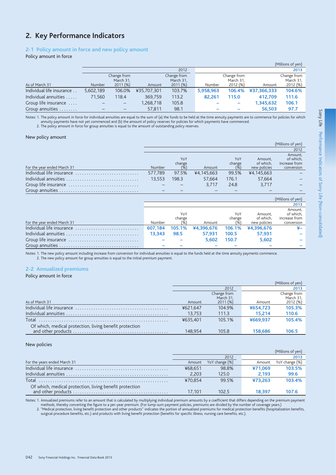# 2. Key Performance Indicators

## 2-1 Policy amount in force and new policy amount

Policy amount in force

| (Millions of yen)         |               |                   |             |             |           |             |             |             |
|---------------------------|---------------|-------------------|-------------|-------------|-----------|-------------|-------------|-------------|
|                           |               |                   |             | 2012        |           |             |             | 2013        |
|                           |               | Change from       |             | Change from |           | Change from |             | Change from |
|                           |               | March 31,         |             | March 31,   |           | March 31,   |             | March 31,   |
| As of March 31            | <b>Number</b> | 2011(%)           | Amount      | 2011(%)     | Number    | 2012 (%)    | Amount      | 2012 (%)    |
| Individual life insurance | 5,602,189     | 106.0%            | ¥35,707,301 | 103.7%      | 5,958,963 | 106.4%      | ¥37,366,333 | 104.6%      |
| Individual annuities      | 71,560        | 118.4             | 369,759     | 113.2       | 82.261    | 115.0       | 412.709     | 111.6       |
| Group life insurance      |               | $\qquad \qquad -$ | 1,268,718   | 105.8       |           |             | 1,345,632   | 106.1       |
| Group annuities           |               |                   | 57,811      | 98.1        |           |             | 56.503      | 97.7        |

Notes: 1. The policy amount in force for individual annuities are equal to the sum of (a) the funds to be held at the time annuity payments are to commence for policies for which annuity payments have not yet commenced and (b) the amount of policy reserves for policies for which payments have commenced.

2. The policy amount in force for group annuities is equal to the amount of outstanding policy reserves.

#### New policy amount

|                             |               |               |            |               |                      | (Millions of yen)                     |
|-----------------------------|---------------|---------------|------------|---------------|----------------------|---------------------------------------|
|                             |               |               |            |               |                      | 2012                                  |
|                             |               | YoY<br>change |            | YoY<br>change | Amount.<br>of which. | Amount,<br>of which.<br>increase from |
| For the year ended March 31 | <b>Number</b> | (96)          | Amount     | (% )          | new policies         | conversion                            |
| Individual life insurance   | 577.789       | 97.5%         | ¥4.145.663 | 99.5%         | ¥4.145.663           |                                       |
|                             | 13.553        | 198.3         | 57.664     | 176.1         | 57.664               |                                       |
|                             |               |               | 3.717      | 24.8          | 3.717                |                                       |
|                             |               |               |            |               |                      |                                       |

|                             |         |               |            |               |                      | (Millions of yen)                     |
|-----------------------------|---------|---------------|------------|---------------|----------------------|---------------------------------------|
|                             |         |               |            |               |                      | 2013                                  |
|                             |         | YoY<br>change |            | YoY<br>change | Amount,<br>of which. | Amount,<br>of which,<br>increase from |
| For the year ended March 31 | Number  | (%            | Amount     | (%            | new policies         | conversion                            |
| Individual life insurance   | 607.184 | 105.1%        | ¥4,396,676 | 106.1%        | ¥4,396,676           |                                       |
|                             | 13.343  | 98.5          | 57.931     | 100.5         | 57.931               |                                       |
|                             |         |               | 5.602      | 150.7         | 5,602                |                                       |
|                             |         |               |            |               |                      |                                       |

Notes: 1. The new policy amount including increase from conversion for individual annuities is equal to the funds held at the time annuity payments commence. 2. The new policy amount for group annuities is equal to the initial premium payment.

### 2-2 Annualized premiums

#### Policy amount in force

|                                                         |          |                          |          | (Millions of yen)        |
|---------------------------------------------------------|----------|--------------------------|----------|--------------------------|
|                                                         |          | 2012                     |          | 2013                     |
|                                                         |          | Change from<br>March 31. |          | Change from<br>March 31, |
| As of March 31                                          | Amount   | 2011(%)                  | Amount   | 2012 (%)                 |
|                                                         | ¥621.647 | 104.9%                   | ¥654.723 | 105.3%                   |
|                                                         | 13.753   | 111.3                    | 15.214   | 110.6                    |
| Total                                                   | ¥635.401 | 105.1%                   | ¥669.937 | 105.4%                   |
| Of which, medical protection, living benefit protection |          |                          |          |                          |
|                                                         | 148 954  | 105.8                    | 158,686  | 106.5                    |

#### New policies

|                                                         |         |                |         | (Millions of ven) |
|---------------------------------------------------------|---------|----------------|---------|-------------------|
|                                                         |         | 2012           |         | 2013              |
| For the years ended March 31                            | Amount  | YoY change (%) | Amount  | YoY change (%)    |
|                                                         | ¥68.651 | 98.8%          | ¥71.069 | 103.5%            |
|                                                         | 2.203   | 125.0          | 2.193   | 99.6              |
| Total                                                   | ¥70.854 | 99.5%          | ¥73.263 | 103.4%            |
| Of which, medical protection, living benefit protection |         |                |         |                   |
|                                                         | 17.101  | 102.5          | 18.397  |                   |

Notes: 1. Annualized premiums refer to an amount that is calculated by multiplying individual premium amounts by a coefficient that differs depending on the premium payment methods, thereby converting the figure to a per-year premium. (For lump-sum payment policies, premiums are divided by the number of coverage years.)

2. "Medical protection, living benefit protection and other products" indicates the portion of annualized premiums for medical protection benefits (hospitalization benefits, etc.)<br>2. "Medical protection, living benefit pro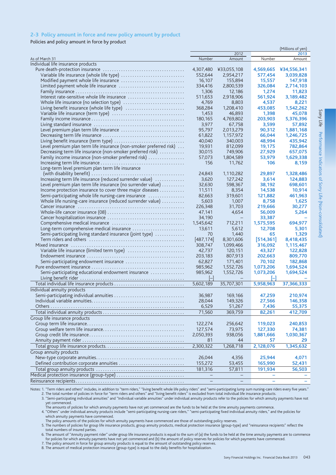### 2-3 Policy amount in force and new policy amount by product

Policies and policy amount in force by product

|                                                                                                                        |                          |                   |            | (Millions of yen) |
|------------------------------------------------------------------------------------------------------------------------|--------------------------|-------------------|------------|-------------------|
|                                                                                                                        |                          | 2012              |            | 2013              |
| As of March 31                                                                                                         | Number                   | Amount            | Number     | Amount            |
| Individual life insurance products                                                                                     |                          |                   |            |                   |
|                                                                                                                        | 4,307,480                | ¥33,055,108       | 4,569,665  | ¥34,556,341       |
| Variable life insurance (whole life type)                                                                              | 552,644                  | 2,954,217         | 577,454    | 3,039,828         |
|                                                                                                                        | 16,107                   | 155,894           | 15.557     | 147,918           |
| Limited payment whole life insurance                                                                                   | 334,416                  | 2,800,539         | 326,084    | 2,714,103         |
|                                                                                                                        | 1,306                    | 12,186            | 1,274      | 11,823            |
|                                                                                                                        | 511,653                  | 2,918,906         | 561,924    | 3,189,482         |
|                                                                                                                        | 4,769                    | 8,803             | 4,537      | 8,221             |
| Living benefit insurance (whole life type)                                                                             | 368,284                  | 1,208,410         | 453,085    | 1,542,262         |
|                                                                                                                        | 1,453                    | 46,893            | 1,398      | 45,078            |
|                                                                                                                        | 180,165                  | 4,769,802         | 203,903    | 5,376,396         |
|                                                                                                                        | 3,977                    | 67,758            | 3,599      | 57,892            |
|                                                                                                                        | 95,797                   | 2,013,279         | 90,312     | 1,881,168         |
|                                                                                                                        | 61,822                   | 1,157,972         | 66,044     | 1,246,725         |
|                                                                                                                        | 40,040                   | 340,003           | 48,994     | 435,942           |
| Level premium plan term life insurance (non-smoker preferred risk)                                                     | 19,931                   | 812,099           | 19,175     | 782,864           |
| Decreasing term life insurance (non-smoker preferred risk)                                                             | 30,015                   | 749,906           | 27,929     | 657,075           |
| Family income insurance (non-smoker preferred risk)                                                                    | 57,073                   | 1,804,589         | 53,979     | 1,629,338         |
|                                                                                                                        | 156                      | 11,762            | 106        | 8,159             |
| Long-term level premium plan term life insurance                                                                       |                          |                   |            |                   |
| (with disability benefit) $\ldots \ldots \ldots \ldots \ldots \ldots \ldots \ldots \ldots \ldots \ldots \ldots \ldots$ | 24,843                   | 1,110,282         | 29,897     | 1,328,486         |
| Increasing term life insurance (reduced surrender value)                                                               | 3,620                    | 127,242           | 3,614      | 124,883           |
| Level premium plan term life insurance (no surrender value)                                                            | 32,630                   | 598,367           | 38,192     | 698,601           |
| Income protection insurance to cover three major diseases                                                              | 11,511                   | 8,354             | 14,538     | 10,914            |
| Semi-participating whole life nursing-care insurance                                                                   | 82,663                   | 319.601           | 121,882    | 461,963           |
| Whole life nursing-care insurance (reduced surrender value)                                                            | 5,603                    | 1,007             | 8,758      | 1,625             |
|                                                                                                                        | 226,348                  | 31,703            | 219,666    | 30,277            |
|                                                                                                                        | 47,141                   | 4,654             | 56,009     | 5,264             |
|                                                                                                                        | 34,190                   |                   | 33,387     |                   |
|                                                                                                                        | 1,545,642                | 712,211           | 1,575,595  | 694,977           |
| Long-term comprehensive medical insurance                                                                              | 13,611                   | 5,612             | 12,708     | 5,301             |
| Semi-participating living standard insurance (joint type)                                                              | 70                       | 1,440             | 65         | 1,329             |
|                                                                                                                        | [487, 174]               | 8,301,606         | [514, 361] | 8,418,435         |
|                                                                                                                        | 308,747                  | 1,099,466         | 316,092    | 1,115,467         |
|                                                                                                                        | 42,737                   | 120,151           | 43,327     | 122,828           |
|                                                                                                                        | 203,183                  | 807,913           | 202,663    | 809,770           |
| Semi-participating endowment insurance                                                                                 | 62,827                   | 171,401           | 70,102     | 182,868           |
|                                                                                                                        | 985,962                  | 1,552,726         | 1,073,206  | 1,694,524         |
| Semi-participating educational endowment insurance                                                                     | 985,962                  | 1,552,726         | 1,073,206  | 1,694,524         |
|                                                                                                                        | $\overline{\phantom{a}}$ |                   | I–l        |                   |
|                                                                                                                        | 5,602,189                | 35,707,301        | 5,958,963  | 37,366,333        |
| Individual annuity products                                                                                            |                          |                   |            |                   |
| Semi-participating individual annuities                                                                                | 36,987                   | 169,166           | 47,259     | 210,974           |
|                                                                                                                        | 28,044                   | 149,326           | 27,566     | 146,358           |
| Others                                                                                                                 | 6,529                    | 51,267            | 7,436      | 55,375            |
|                                                                                                                        | 71,560                   | 369,759           | 82,261     | 412,709           |
| Group life insurance products                                                                                          |                          |                   |            |                   |
|                                                                                                                        | 122,274                  | 256,642           | 119,023    | 240,853           |
|                                                                                                                        | 127,574                  | 73,975            | 127,330    | 74,381            |
|                                                                                                                        | 2,050,393                | 938,056           | 1,881,666  | 1,030,367         |
|                                                                                                                        | 81                       | 44                | 57         | 29                |
|                                                                                                                        | 2,300,322                | 1,268,718         | 2,128,076  | 1,345,632         |
| Group annuity products                                                                                                 |                          |                   |            |                   |
|                                                                                                                        | 26,044                   | 4,356             | 25,944     | 4,071             |
| Defined contribution corporate annuities                                                                               | 155,272                  | 53,455            | 165,990    | 52,431            |
|                                                                                                                        | 181,316                  | 57,811            | 191,934    | 56,503            |
| Medical protection insurance (group-type)                                                                              | $\overline{\phantom{a}}$ | $\qquad \qquad -$ |            |                   |
|                                                                                                                        | $\qquad \qquad -$        |                   |            |                   |

"Notes: 1. "Term riders and others" includes, in addition to "term riders," "living benefit whole life policy riders" and "semi-participating lump sum nursing-care riders every five years."<br>2. The total number of policies

3. "Semi-participating individual annuities" and "Individual variable annuities" under individual annuity products refer to the policies for which annuity payments have not yet commenced.<br>The amounts of policies for which annuity payments have not yet commenced are the funds to be held at the time annuity payments commence.<br>The amounts of policies for which annuity products include "semi-part

which annuity payments have commenced.

The policy amounts of the policies for which annuity payments have commenced are those of outstanding policy reserves.

5. The numbers of policies for group life insurance products, group annuity products, medical protection insurance (group-type) and "reinsurance recipients" reflect the total numbers of insured parties.

6. The amount of "Annuity payment rider" under group life insurance products is equal to the sum of (a) the funds to be held at the time annuity payments are to commence for policies for which annuity payments have not yet commenced and (b) the amount of policy reserves for policies for which payments have commenced.

The policy amount in force for group annuity products is equal to the amount of outstanding policy reserves.<br>
7. The policy amount in force for group annuity products is equal to the amount of outstanding policy reserves.<br>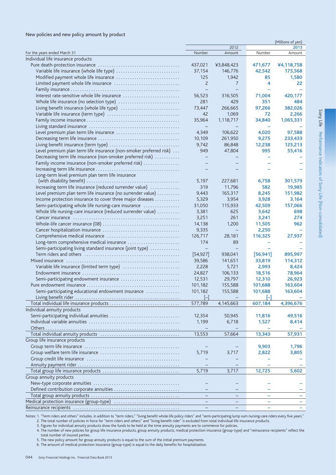#### New policies and new policy amount by product

|                                                                    |                          |            |           | (Millions of yen) |
|--------------------------------------------------------------------|--------------------------|------------|-----------|-------------------|
|                                                                    |                          | 2012       |           | 2013              |
| For the years ended March 31                                       | Number                   | Amount     | Number    | Amount            |
| Individual life insurance products                                 |                          |            |           |                   |
|                                                                    | 437,021                  | ¥3,848,423 | 471,677   | ¥4,118,758        |
| Variable life insurance (whole life type)                          | 37,154                   | 146,776    | 42,542    | 175,568           |
|                                                                    | 125                      | 1,942      | 85        | 1,580             |
|                                                                    | $\overline{c}$           | 7          | 4         | 22                |
|                                                                    | $\overline{\phantom{0}}$ |            |           |                   |
|                                                                    | 56,523                   | 316,505    | 71,004    | 420,177           |
|                                                                    | 281                      | 429        | 351       | 484               |
|                                                                    |                          |            |           |                   |
| Living benefit insurance (whole life type)                         | 73,447                   | 266,665    | 97.266    | 382,026           |
|                                                                    | 42                       | 1,069      | 72        | 2,266             |
|                                                                    | 35,964                   | 1,118,717  | 34,840    | 1,065,331         |
|                                                                    |                          |            |           |                   |
|                                                                    | 4,349                    | 106,622    | 4,020     | 97,588            |
|                                                                    | 10,109                   | 261,950    | 9,275     | 233,433           |
|                                                                    | 9,742                    | 86,848     | 12,238    | 125,213           |
| Level premium plan term life insurance (non-smoker preferred risk) | 949                      | 47,804     | 995       | 55,416            |
| Decreasing term life insurance (non-smoker preferred risk)         |                          |            |           |                   |
| Family income insurance (non-smoker preferred risk)                |                          |            |           |                   |
|                                                                    |                          |            |           |                   |
|                                                                    |                          |            |           |                   |
| Long-term level premium plan term life insurance                   |                          |            |           |                   |
|                                                                    | 5,197                    | 227,681    | 6,758     | 301,579           |
| Increasing term life insurance (reduced surrender value)           | 319                      | 11,796     | 582       | 19,985            |
| Level premium plan term life insurance (no surrender value)        | 9,443                    | 165,317    | 8,245     | 151,982           |
| Income protection insurance to cover three major diseases          | 5,329                    | 3,954      | 3,928     | 3,164             |
| Semi-participating whole life nursing-care insurance               | 31,050                   | 115,933    | 42,509    | 157,066           |
| Whole life nursing-care insurance (reduced surrender value)        | 3,381                    | 625        | 3,642     | 698               |
|                                                                    | 3,251                    | 261        | 3,241     | 274               |
|                                                                    | 14,138                   | 1,200      | 11,505    | 962               |
|                                                                    | 9,335                    | $-$        | 2,250     |                   |
|                                                                    |                          |            |           |                   |
|                                                                    | 126,717                  | 28,181     | 116,325   | 27,937            |
| Long-term comprehensive medical insurance                          | 174                      | 89         |           |                   |
| Semi-participating living standard insurance (joint type)          |                          |            |           |                   |
|                                                                    | [54, 927]                | 938,041    | [56, 941] | 895,997           |
|                                                                    | 39,586                   | 141,651    | 33,819    | 114,312           |
|                                                                    | 2,228                    | 5,721      | 2,993     | 8,424             |
|                                                                    | 24,827                   | 106,133    | 18,516    | 78,964            |
| Semi-participating endowment insurance                             | 12,531                   | 29,797     | 12,310    | 26,923            |
|                                                                    | 101,182                  | 155,588    | 101,688   | 163,604           |
| Semi-participating educational endowment insurance                 | 101,182                  | 155,588    | 101,688   | 163,604           |
|                                                                    |                          |            |           |                   |
|                                                                    |                          |            |           |                   |
|                                                                    | 577,789                  | 4,145,663  | 607,184   | 4,396,676         |
| Individual annuity products                                        |                          |            |           |                   |
| Semi-participating individual annuities                            | 12,354                   | 50,945     | 11,816    | 49,516            |
|                                                                    | 1,199                    | 6,718      | 1,527     | 8,414             |
|                                                                    |                          |            |           |                   |
|                                                                    | 13,553                   | 57,664     | 13,343    | 57,931            |
| Group life insurance products                                      |                          |            |           |                   |
|                                                                    |                          |            | 9,903     | 1,796             |
|                                                                    | 5,719                    | 3,717      | 2,822     | 3,805             |
|                                                                    |                          |            |           |                   |
|                                                                    |                          |            |           |                   |
|                                                                    |                          |            |           |                   |
|                                                                    | 5,719                    | 3,717      | 12,725    | 5,602             |
| Group annuity products                                             |                          |            |           |                   |
|                                                                    |                          |            |           |                   |
| Defined contribution corporate annuities                           |                          |            |           |                   |
|                                                                    |                          | -          | ÷         |                   |
| Medical protection insurance (group-type)                          |                          |            |           |                   |
|                                                                    |                          |            |           |                   |

"Notes: 1. "Term riders and others" includes, in addition to "term riders," "living benefit whole life policy riders" and "semi-participating lump sum nursing-care riders every five years."<br>2. The total number of policies

3. Figures for individual annuity products show the funds to be held at the time annuity payments are to commence for policies.

4. The number of new policies for group life insurance products, group annuity products, medical protection insurance (group-type) and "reinsurance recipients" reflect the total number of insured parties.

5. The new policy amount for group annuity products is equal to the sum of the initial premium payments.

6. The amount of medical protection insurance (group-type) is equal to the daily benefits for hospitalization.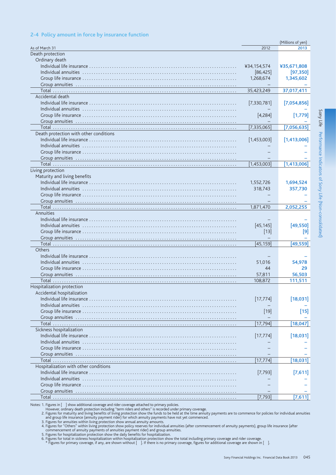#### 2-4 Policy amount in force by insurance function

|                                        |             | (Millions of yen) |
|----------------------------------------|-------------|-------------------|
| As of March 31                         | 2012        | 2013              |
| Death protection                       |             |                   |
| Ordinary death                         |             |                   |
|                                        | ¥34,154,574 | ¥35,671,808       |
|                                        | [86, 425]   | [97, 350]         |
|                                        | 1,268,674   | 1,345,602         |
|                                        |             |                   |
|                                        | 35,423,249  | 37,017,411        |
| Accidental death                       |             |                   |
|                                        | [7,330,781] | [7,054,856]       |
|                                        |             |                   |
|                                        | [4,284]     | $[1,779]$         |
|                                        |             |                   |
|                                        | [7,335,065] | [7,056,635]       |
| Death protection with other conditions |             |                   |
|                                        | [1,453,003] | [1,413,006]       |
|                                        |             |                   |
|                                        |             |                   |
|                                        |             |                   |
|                                        | [1,453,003] | [1,413,006]       |
| Living protection                      |             |                   |
| Maturity and living benefits           |             |                   |
|                                        | 1,552,726   | 1,694,524         |
|                                        | 318,743     | 357,730           |
|                                        |             |                   |
|                                        |             |                   |
|                                        | 1,871,470   | 2,052,255         |
| Annuities                              |             |                   |
|                                        |             |                   |
|                                        | [45, 145]   | [49, 550]         |
|                                        | $[13]$      | [9]               |
|                                        |             |                   |
|                                        | [45, 159]   | [49,559]          |
| Others                                 |             |                   |
|                                        |             |                   |
|                                        | 51.016      | 54.978            |
|                                        | 44          | 29                |
|                                        | 57,811      | 56,503            |
|                                        | 108,872     | 111,511           |
| Hospitalization protection             |             |                   |
| Accidental hospitalization             |             |                   |
|                                        | [17, 774]   | [18,031]          |
|                                        |             |                   |
|                                        | $[19]$      | $[15]$            |
|                                        |             |                   |
|                                        | [17, 794]   | [18, 047]         |
| Sickness hospitalization               |             |                   |
|                                        |             |                   |
|                                        | [17, 774]   | [18,031]          |
|                                        |             |                   |
|                                        |             |                   |
|                                        |             |                   |
|                                        | [17, 774]   | [18,031]          |
| Hospitalization with other conditions  |             |                   |
|                                        | $[7,793]$   | [7,611]           |
|                                        |             |                   |
|                                        |             |                   |
|                                        |             |                   |
| Total.                                 | $[7,793]$   | [7,611]           |

Sony Life Performance Indicators of Sony Life (Non-consolidated)

Notes: 1. Figures in [ ] show additional coverage and rider coverage attached to primary policies.<br>
2. Figures for maturity and living benefits of living protection show the funds to be held at the time annuity payments ar

4. Figures for Others within living protection show policy reserves for individual annities (after commencement of annitity), group in<br>Commencement of annuity payments of annuities payment rider and group annuities.<br>5. Fig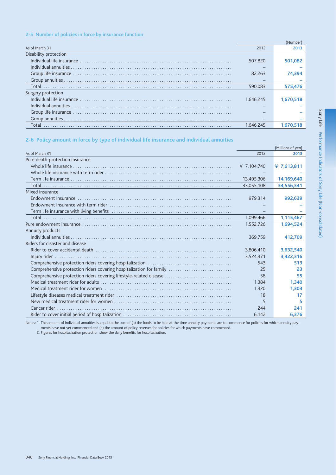### 2-5 Number of policies in force by insurance function

|                       |           | 'Number   |
|-----------------------|-----------|-----------|
| As of March 31        | 2012      | 2013      |
| Disability protection |           |           |
|                       | 507.820   | 501.082   |
|                       |           |           |
|                       | 82.263    | 74.394    |
|                       |           |           |
| Total                 | 590,083   | 575.476   |
| Surgery protection    |           |           |
|                       | 1.646.245 | 1.670.518 |
|                       |           |           |
|                       |           |           |
|                       |           |           |
|                       | 1.646.245 |           |

# 2-6 Policy amount in force by type of individual life insurance and individual annuities

|                                                                     |             | (Millions of yen) |
|---------------------------------------------------------------------|-------------|-------------------|
| As of March 31                                                      | 2012        | 2013              |
| Pure death-protection insurance                                     |             |                   |
|                                                                     | ¥ 7,104,740 | ¥ $7,613,811$     |
|                                                                     |             |                   |
|                                                                     | 13,495,306  | 14,169,640        |
|                                                                     | 33,055,108  | 34,556,341        |
| Mixed insurance                                                     |             |                   |
|                                                                     | 979,314     | 992,639           |
|                                                                     |             |                   |
|                                                                     |             |                   |
|                                                                     | 1,099,466   | 1,115,467         |
|                                                                     | 1,552,726   | 1,694,524         |
| Annuity products                                                    |             |                   |
|                                                                     | 369,759     | 412,709           |
| Riders for disaster and disease                                     |             |                   |
|                                                                     | 3,806,410   | 3,632,540         |
|                                                                     | 3,524,371   | 3,422,316         |
|                                                                     | 543         | 513               |
| Comprehensive protection riders covering hospitalization for family | 25          | 23                |
| Comprehensive protection riders covering lifestyle-related disease  | 58          | 55                |
|                                                                     | 1.384       | 1,340             |
|                                                                     | 1,320       | 1,303             |
|                                                                     | 18          | 17                |
|                                                                     | 5           | 5                 |
|                                                                     | 244         | 241               |
|                                                                     | 6,142       | 6,376             |

Notes: 1. The amount of individual annuities is equal to the sum of (a) the funds to be held at the time annuity payments are to commence for policies for which annuity payments have not yet commenced and (b) the amount of policy reserves for policies for which payments have commenced.<br>2. Figures for hospitalization protection show the daily benefits for hospitalization.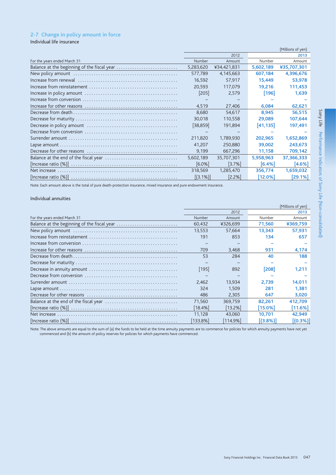# 2-7 Change in policy amount in force

Individual life insurance

|                              |             |             |           | (Millions of yen) |
|------------------------------|-------------|-------------|-----------|-------------------|
|                              |             | 2012        |           | 2013              |
| For the years ended March 31 | Number      | Amount      | Number    | Amount            |
|                              | 5,283,620   | ¥34,421,831 | 5,602,189 | ¥35,707,301       |
|                              | 577.789     | 4,145,663   | 607.184   | 4,396,676         |
|                              | 16,592      | 57,917      | 15,449    | 53,978            |
|                              | 20.593      | 117.079     | 19.216    | 111.453           |
|                              | [205]       | 2,579       | [196]     | 1,639             |
|                              |             |             |           |                   |
|                              | 4,519       | 27,406      | 6,084     | 62,621            |
|                              | 8.680       | 54.617      | 8.945     | 56.515            |
|                              | 30,018      | 110,558     | 29,089    | 107,644           |
|                              | $[38, 859]$ | 191,894     | [41, 135] | 197,491           |
|                              |             |             |           |                   |
|                              | 211.820     | 1.789.930   | 202.965   | 1,652,869         |
|                              | 41,207      | 250,880     | 39,002    | 243,673           |
|                              | 9,199       | 667,296     | 11,158    | 709,142           |
|                              | 5.602.189   | 35.707.301  | 5.958.963 | 37,366,333        |
|                              | [6.0%]      | $[3.7\%]$   | [6.4%]    | [4.6%]            |
|                              | 318,569     | 1,285,470   | 356,774   | 1,659,032         |
|                              | $[(3.1\%)]$ | $[2.2\%]$   | [12.0%]   | [29.1%]           |

Note: Each amount above is the total of pure death-protection insurance, mixed insurance and pure endowment insurance.

### Individual annuities

|                                             |          |             |             | (Millions of yen) |
|---------------------------------------------|----------|-------------|-------------|-------------------|
|                                             |          | 2012        |             | 2013              |
| For the years ended March 31                | Number   | Amount      | Number      | Amount            |
| Balance at the beginning of the fiscal year | 60,432   | ¥326,699    | 71,560      | ¥369.759          |
|                                             | 13,553   | 57.664      | 13.343      | 57,931            |
|                                             | 191      | 853         | 134         | 657               |
|                                             |          |             |             |                   |
|                                             | 709      | 3.468       | 931         | 4.174             |
|                                             | 53       | 284         | 40          | 188               |
|                                             |          |             |             |                   |
|                                             | $[195]$  | 892         | [208]       | 1,211             |
|                                             |          |             |             |                   |
|                                             | 2.462    | 13.934      | 2.739       | 14.011            |
|                                             | 324      | 1.509       | 281         | 1.381             |
|                                             | 486      | 2.305       | 647         | 3,020             |
|                                             | 71.560   | 369.759     | 82.261      | 412,709           |
|                                             | 18.4%    | [13.2%]     | [15.0%]     | [11.6%]           |
|                                             | 11.128   | 43,060      | 10.701      | 42.949            |
|                                             | [133.8%] | $[114.9\%]$ | $[(3.8\%)]$ | $[(0.3\%)$        |

Note: The above amounts are equal to the sum of (a) the funds to be held at the time annuity payments are to commence for policies for which annuity payments have not yet commenced and (b) the amount of policy reserves for policies for which payments have commenced.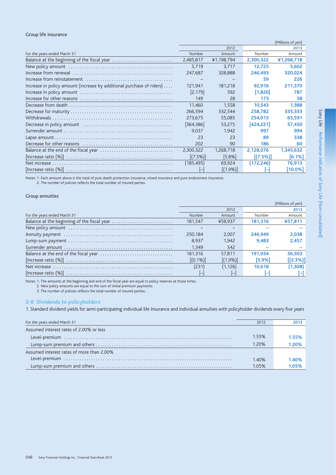#### Group life insurance

|                                                                       |             |             |             | (Millions of yen) |
|-----------------------------------------------------------------------|-------------|-------------|-------------|-------------------|
|                                                                       |             | 2012        |             | 2013              |
| For the years ended March 31                                          | Number      | Amount      | Number      | Amount            |
| Balance at the beginning of the fiscal year                           | 2,485,817   | ¥1,198,794  | 2,300,322   | ¥1,268,718        |
|                                                                       | 5,719       | 3,717       | 12,725      | 5,602             |
|                                                                       | 247,687     | 328,888     | 246,493     | 320.024           |
|                                                                       | -           |             | 59          | 226               |
| Increase in policy amount (increase by additional purchase of riders) | 121,941     | 181,218     | 92,916      | 211,370           |
|                                                                       | [2, 179]    | 592         | $[1,826]$   | 787               |
|                                                                       | 149         | 28          | 173         | 58                |
|                                                                       | 11.460      | 1.558       | 10.543      | 1.388             |
|                                                                       | 266,594     | 332.544     | 258,782     | 335,333           |
|                                                                       | 273,675     | 55,085      | 254,015     | 65,591            |
|                                                                       | [364, 386]  | 53,275      | [424, 221]  | 57,450            |
|                                                                       | 9.037       | 1.942       | 997         | 994               |
|                                                                       | 23          | 23          | 89          | 338               |
|                                                                       | 202         | 90          | 186         | 60                |
|                                                                       | 2,300,322   | 1,268,718   | 2,128,076   | 1,345,632         |
|                                                                       | $[(7.5\%)]$ | $[5.8\%]$   | $[(7.5\%)]$ | $[6.1\%]$         |
|                                                                       | (185,495)   | 69,924      | (172, 246)  | 76,913            |
|                                                                       |             | $[(1.9\%)]$ |             | $[10.0\%]$        |

Notes: 1. Each amount above is the total of pure death-protection insurance, mixed insurance and pure endowment insurance.<br>2. The number of policies reflects the total number of insured parties.

# Group annuities

|                              |             |             |         | (Millions of yen) |
|------------------------------|-------------|-------------|---------|-------------------|
|                              |             | 2012        |         | 2013              |
| For the years ended March 31 | Number      | Amount      | Number  | Amount            |
|                              | 181.547     | ¥58.937     | 181.316 | ¥57,811           |
|                              |             |             |         |                   |
|                              | 250.184     | 2.007       | 246.949 | 2,038             |
|                              | 8.937       | 1.942       | 9.483   | 2,457             |
|                              | 1.349       | 542         |         |                   |
|                              | 181.316     | 57.811      | 191.934 | 56.503            |
|                              | $[(0.1\%)]$ | $[(1.9\%)]$ | [5.9%]  | $[(2.3\%)]$       |
|                              | (231)       | (1, 126)    | 10.618  | (1,308)           |
|                              |             |             |         |                   |

Notes: 1. The amounts at the beginning and end of the fiscal year are equal to policy reserves at those times.

2. New policy amounts are equal to the sum of initial premium payments.

3. The number of policies reflects the total number of insured parties.

#### 2-8 Dividends to policyholders

1. Standard dividend yields for semi-participating individual life Insurance and individual annuities with policyholder dividends every five years

| For the years ended March 31              | 2012  | 2013  |
|-------------------------------------------|-------|-------|
| Assumed interest rates of 2,00% or less   |       |       |
|                                           | 1.55% | 1.55% |
|                                           | 1.20% | 1 20% |
| Assumed interest rates of more than 2.00% |       |       |
|                                           | 1.40% | 1.40% |
|                                           | 1.05% | 1.05% |
|                                           |       |       |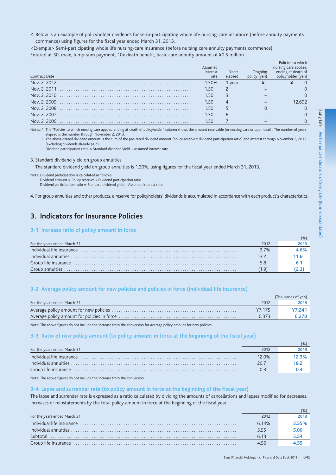2. Below is an example of policyholder dividends for semi-participating whole life nursing-care insurance (before annuity payments commence) using figures for the fiscal year ended March 31, 2013.

<Example> Semi-participating whole life nursing-care insurance (before nursing care annuity payments commence) Entered at 30, male, lump-sum payment, 10x death benefit, basic care annuity amount of ¥0.5 million

|                      | Assumed          |                  |               | Policies to which<br>nursing care applies, |
|----------------------|------------------|------------------|---------------|--------------------------------------------|
| <b>Contract Date</b> | interest<br>rate | Years<br>elapsed | policy (ven). | ending at death of<br>policyholder (yen)   |
|                      | 1.50%            | 1 year           |               |                                            |
|                      | 1.50             |                  |               |                                            |
|                      | 1.50             |                  |               |                                            |
|                      | 1.50             |                  |               | 2.692                                      |
|                      | 1.50             |                  |               |                                            |
|                      | 1.50             | $\mathsf{h}$     |               |                                            |
| Nov. 2, 2006         | 1.50             |                  |               |                                            |

Notes: 1. The "Policies to which nursing care applies, ending at death of policyholder" column shows the amount receivable for nursing care or upon death. The number of years elapsed is the number through November 2, 2013

2. The above-stated dividend amount is the sum of the pro-rated dividend amount (policy reserve x dividend participation ratio) and interest through November 2, 2013 (excluding dividends already paid).

Dividend participation ratio = Standard dividend yield - Assumed interest rate

3. Standard dividend yield on group annuities

The standard dividend yield on group annuities is 1.30%, using figures for the fiscal year ended March 31, 2013.

Note: Dividend participation is calculated as follows: Dividend amount = Policy reserves x Dividend participation ratio Dividend participation ratio = Standard dividend yield - Assumed interest rate

4. For group annuities and other products, a reserve for policyholders' dividends is accumulated in accordance with each product's characteristics.

# 3. Indicators for Insurance Policies

### 3-1 Increase ratio of policy amount in force

| For the years ended March 31 | 2012 | 2013 |
|------------------------------|------|------|
|                              | 3.7% | 1.6% |
|                              |      | 11.6 |
|                              | 5.8  |      |
|                              |      |      |

### 3-2 Average policy amount for new policies and policies in force (individual life insurance)

|                              |        | (Thousands of yen) |
|------------------------------|--------|--------------------|
| For the years ended March 31 | 2012   | 2013               |
|                              | 47.175 | ¥7.241             |
|                              | 6.373  | 6,270              |
|                              |        |                    |

Note: The above figures do not include the increase from the conversion for average policy amount for new policies.

## 3-3 Ratio of new policy amount (to policy amount in force at the beginning of the fiscal year)

| For the years ended March 31 | 2012  |         |
|------------------------------|-------|---------|
|                              | 12.0% | 12.3% I |
|                              | 20.7  |         |
|                              |       |         |

Note: The above figures do not include the increase from the conversion.

#### 3-4 Lapse and surrender rate (to policy amount in force at the beginning of the fiscal year)

The lapse and surrender rate is expressed as a ratio calculated by dividing the amounts of cancellations and lapses modified for decreases, increases or reinstatements by the total policy amount in force at the beginning of the fiscal year.

| For the years ended March 31 | 2012  | <b>2013</b> |
|------------------------------|-------|-------------|
|                              | 6.14% |             |
|                              | 5.55  | 5.00        |
|                              | 6.13  |             |
|                              | 4.56  |             |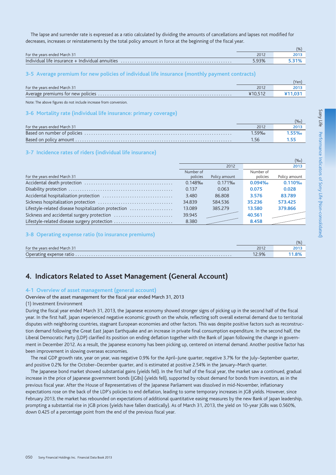The lapse and surrender rate is expressed as a ratio calculated by dividing the amounts of cancellations and lapses not modified for decreases, increases or reinstatements by the total policy amount in force at the beginning of the fiscal year.

|                                                  |       | (9/6) |
|--------------------------------------------------|-------|-------|
| For the years ended March 31                     | 2012  | 2013  |
| Individual life insurance + Individual annuities | 5.93% |       |

### 3-5 Average premium for new policies of individual life insurance (monthly payment contracts)

|                              |       | Yen. |
|------------------------------|-------|------|
| For the years ended March 31 | 2012  |      |
|                              | 410.7 |      |

Note: The above figures do not include increase from conversion.

#### 3-6 Mortality rate (individual life insurance: primary coverage)

|                              |      | (‰  |
|------------------------------|------|-----|
| For the years ended March 31 | 2012 |     |
|                              | 159% | 55‰ |
|                              |      |     |

### 3-7 Incidence rates of riders (individual life insurance)

|                                                      |           |               |           | (700)         |
|------------------------------------------------------|-----------|---------------|-----------|---------------|
|                                                      |           | 2012          |           | 2013          |
|                                                      | Number of |               | Number of |               |
| For the years ended March 31                         | policies  | Policy amount | policies  | Policy amount |
|                                                      | 0.148%    | 0.171%        | 0.094%    | 0.110%        |
|                                                      | 0.137     | 0.063         | 0.075     | 0.028         |
|                                                      | 3.480     | 86,808        | 3.576     | 83.789        |
|                                                      | 34.839    | 584.536       | 35.236    | 573.425       |
| Lifestyle-related disease hospitalization protection | 13.089    | 385,279       | 13.580    | 379.866       |
| Sickness and accidental surgery protection           | 39.945    |               | 40.561    |               |
| Lifestyle-related disease surgery protection         | 8.380     |               | 8.458     |               |

### 3-8 Operating expense ratio (to insurance premiums)

|                              |       | (9/6) |
|------------------------------|-------|-------|
| For the years ended March 31 | 2012  |       |
|                              | 12.9% |       |

# 4. Indicators Related to Asset Management (General Account)

#### 4-1 Overview of asset management (general account)

### Overview of the asset management for the fiscal year ended March 31, 2013

#### (1) Investment Environment

During the fiscal year ended March 31, 2013, the Japanese economy showed stronger signs of picking up in the second half of the fiscal year. In the first half, Japan experienced negative economic growth on the whole, reflecting soft overall external demand due to territorial disputes with neighboring countries, stagnant European economies and other factors. This was despite positive factors such as reconstruction demand following the Great East Japan Earthguake and an increase in private final consumption expenditure. In the second half, the Liberal Democratic Party (LDP) clarified its position on ending deflation together with the Bank of Japan following the change in government in December 2012. As a result, the Japanese economy has been picking up, centered on internal demand. Another positive factor has been improvement in slowing overseas economies.

The real GDP growth rate, year on year, was negative 0.9% for the April-June quarter, negative 3.7% for the July-September quarter, and positive 0.2% for the October–December quarter, and is estimated at positive 2.54% in the January–March quarter.

The Japanese bond market showed substantial gains (yields fell). In the first half of the fiscal year, the market saw a continued, gradual increase in the price of Japanese government bonds (JGBs) (yields fell), supported by robust demand for bonds from investors, as in the previous fiscal year. After the House of Representatives of the Japanese Parliament was dissolved in mid-November, inflationary expectations rose on the back of the LDP's policies to end deflation, leading to some temporary increases in JGB yields. However, since February 2013, the market has rebounded on expectations of additional quantitative easing measures by the new Bank of Japan leadership, prompting a substantial rise in IGB prices (vields have fallen drastically). As of March 31, 2013, the vield on 10-year IGBs was 0.560%. down 0.425 of a percentage point from the end of the previous fiscal year.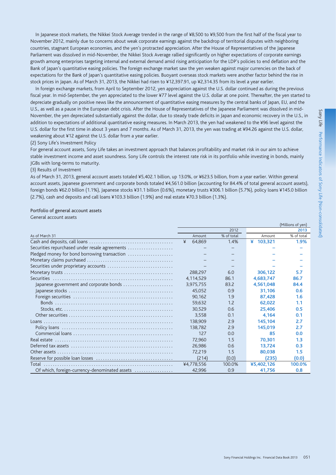In Japanese stock markets, the Nikkei Stock Average trended in the range of ¥8,500 to ¥9,500 from the first half of the fiscal year to November 2012, mainly due to concerns about weak corporate earnings against the backdrop of territorial disputes with neighboring countries, stagnant European economies, and the yen's protracted appreciation. After the House of Representatives of the Japanese Parliament was dissolved in mid-November, the Nikkei Stock Average rallied significantly on higher expectations of corporate earnings growth among enterprises targeting internal and external demand amid rising anticipation for the LDP's policies to end deflation and the Bank of Japan's quantitative easing policies. The foreign exchange market saw the yen weaken against major currencies on the back of expectations for the Bank of Japan's quantitative easing policies. Buoyant overseas stock markets were another factor behind the rise in stock prices in Japan. As of March 31, 2013, the Nikkei had risen to ¥12,397.91, up ¥2,314.35 from its level a year earlier.

In foreign exchange markets, from April to September 2012, yen appreciation against the U.S. dollar continued as during the previous fiscal year. In mid-September, the yen appreciated to the lower ¥77 level against the U.S. dollar at one point. Thereafter, the yen started to depreciate gradually on positive news like the announcement of quantitative easing measures by the central banks of Japan, EU, and the U.S., as well as a pause in the European debt crisis. After the House of Representatives of the Japanese Parliament was dissolved in mid-November, the yen depreciated substantially against the dollar, due to steady trade deficits in Japan and economic recovery in the U.S., in addition to expectations of additional quantitative easing measures. In March 2013, the yen had weakened to the ¥96 level against the U.S. dollar for the first time in about 3 years and 7 months. As of March 31, 2013, the yen was trading at ¥94.26 against the U.S. dollar, weakening about ¥12 against the U.S. dollar from a year earlier.

#### (2) Sony Life's Investment Policy

For general account assets, Sony Life takes an investment approach that balances profitability and market risk in our aim to achieve stable investment income and asset soundness. Sony Life controls the interest rate risk in its portfolio while investing in bonds, mainly JGBs with long-terms to maturity.

### (3) Results of Investment

As of March 31, 2013, general account assets totaled ¥5,402.1 billion, up 13.0%, or ¥623.5 billion, from a year earlier. Within general account assets, Japanese government and corporate bonds totaled ¥4,561.0 billion (accounting for 84.4% of total general account assets), foreign bonds ¥62.0 billion (1.1%), Japanese stocks ¥31.1 billion (0.6%), monetary trusts ¥306.1 billion (5.7%), policy loans ¥145.0 billion (2.7%), cash and deposits and call loans ¥103.3 billion (1.9%) and real estate ¥70.3 billion (1.3%).

#### Portfolio of general account assets

General account assets

|                                                |             |            |            | (Millions of yen) |
|------------------------------------------------|-------------|------------|------------|-------------------|
|                                                |             | 2012       |            | 2013              |
| As of March 31                                 | Amount      | % of total | Amount     | % of total        |
|                                                | 64,869<br>¥ | 1.4%       | ¥ 103,321  | 1.9%              |
| Securities repurchased under resale agreements |             |            |            |                   |
| Pledged money for bond borrowing transaction   |             |            |            |                   |
|                                                |             |            |            |                   |
| Securities under proprietary accounts          |             |            |            |                   |
|                                                | 288.297     | 6.0        | 306.122    | 5.7               |
|                                                | 4,114,529   | 86.1       | 4,683,747  | 86.7              |
| Japanese government and corporate bonds        | 3,975,755   | 83.2       | 4,561,048  | 84.4              |
|                                                | 45,052      | 0.9        | 31,106     | 0.6               |
|                                                | 90.162      | 1.9        | 87.428     | 1.6               |
|                                                | 59,632      | 1.2        | 62,022     | 1.1               |
|                                                | 30,529      | 0.6        | 25.406     | 0.5               |
|                                                | 3.558       | 0.1        | 4,164      | 0.1               |
|                                                | 138,909     | 2.9        | 145.104    | 2.7               |
|                                                | 138,782     | 2.9        | 145,019    | 2.7               |
|                                                | 127         | 0.0        | 85         | 0.0               |
|                                                | 72,960      | 1.5        | 70.301     | 1.3               |
|                                                | 26,986      | 0.6        | 13.724     | 0.3               |
|                                                | 72.219      | 1.5        | 80,038     | 1.5               |
|                                                | (214)       | (0.0)      | (235)      | (0.0)             |
|                                                | ¥4,778,556  | 100.0%     | ¥5,402,126 | 100.0%            |
| Of which, foreign-currency-denominated assets  | 42.996      | 0.9        | 41.756     | 0.8               |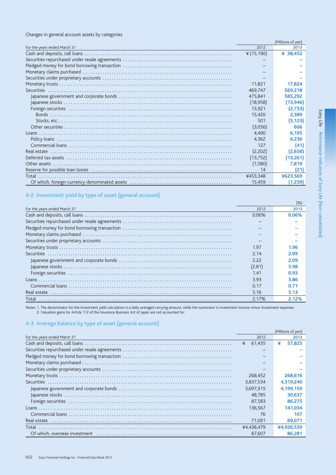### Changes in general account assets by categories

|                              |               | (Millions of yen) |
|------------------------------|---------------|-------------------|
| For the years ended March 31 | 2012          | 2013              |
|                              | ¥ $(15, 190)$ | ¥ 38,452          |
|                              |               |                   |
|                              |               |                   |
|                              |               |                   |
|                              |               |                   |
|                              | 11.821        | 17,824            |
|                              | 469.747       | 569,218           |
|                              | 475.841       | 585,292           |
|                              | (18,958)      | (13, 946)         |
|                              | 15.921        | (2,733)           |
|                              | 15,420        | 2,389             |
|                              | 501           | (5, 123)          |
|                              | (3,056)       | 606               |
|                              | 4.490         | 6,195             |
|                              | 4.362         | 6.236             |
|                              | 127           | (41)              |
|                              | (2,202)       | (2,658)           |
|                              | (13, 752)     | (13,261)          |
|                              | (1,580)       | 7,819             |
|                              | 14            | (21)              |
|                              | ¥453,348      | ¥623,569          |
|                              | 15,459        | (1,239)           |

# 4-2 Investment yield by type of asset (general account)

| For the years ended March 31 | 2012   | 2013  |
|------------------------------|--------|-------|
|                              | 0.06%  | 0.06% |
|                              |        |       |
|                              |        |       |
|                              |        |       |
|                              |        |       |
|                              | 1.97   | 1.96  |
|                              | 2.14   | 2.09  |
|                              | 2.22   | 2.09  |
|                              | (2.81) | 5.98  |
|                              | 1.41   | 0.93  |
|                              | 3.93   | 3.86  |
|                              | 0.17   | 0.71  |
|                              | 5.16   | 5.13  |
| Total                        | 2.17%  |       |

Notes: 1. The denominator for the investment yield calculation is a daily averaged carrying amount, while the numerator is investment income minus investment expenses.<br>2. Valuation gains for Article 112 of the Insurance Bu

### 4-3 Average balance by type of asset (general account)

|                              |             | (Millions of yen) |
|------------------------------|-------------|-------------------|
| For the years ended March 31 | 2012        | 2013              |
|                              | ¥<br>61.435 | ¥<br>57.825       |
|                              |             |                   |
|                              |             |                   |
|                              |             |                   |
|                              |             |                   |
|                              | 268,452     | 268,616           |
|                              | 3.837.534   | 4.319.240         |
|                              | 3.697.915   | 4.199.159         |
|                              | 48.785      | 30.637            |
|                              | 87.583      | 86,275            |
|                              | 136.567     | 141.034           |
|                              | 76          | 107               |
|                              | 71,091      | 69,071            |
| Total                        | ¥4.438.479  | ¥4.926.539        |
|                              | 87.607      | 86.281            |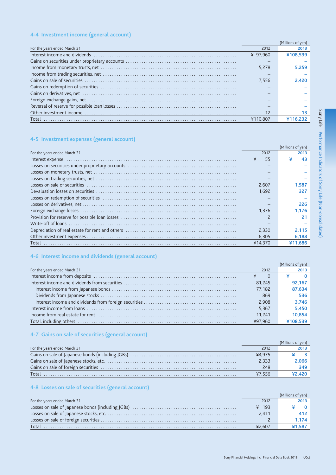# 4-4 Investment income (general account)

|                              |          | (Millions of yen) |
|------------------------------|----------|-------------------|
| For the years ended March 31 | 2012     | 2013              |
|                              | ¥ 97.960 | ¥108.539          |
|                              |          |                   |
|                              | 5.278    | 5.259             |
|                              |          |                   |
|                              | 7.556    | 2.420             |
|                              |          |                   |
|                              |          |                   |
|                              |          |                   |
|                              |          |                   |
|                              | 12       |                   |
|                              | ¥110.807 |                   |
|                              |          |                   |

# 4-5 Investment expenses (general account)

|                              |         | (Millions of yen) |
|------------------------------|---------|-------------------|
| For the years ended March 31 | 2012    | 2013              |
|                              | 55<br>¥ | 43                |
|                              |         |                   |
|                              |         |                   |
|                              |         |                   |
|                              | 2.607   | 1.587             |
|                              | 1.692   | 327               |
|                              |         |                   |
|                              |         | 226               |
|                              | 1.376   | 1.176             |
|                              |         | 21                |
|                              |         |                   |
|                              | 2.330   | 2.115             |
|                              | 6.305   | 6,188             |
| Total                        | ¥14.370 | ¥11.686           |

# 4-6 Interest income and dividends (general account)

|                              |         | (Millions of yen) |
|------------------------------|---------|-------------------|
| For the years ended March 31 | 2012    | 2013              |
|                              |         |                   |
|                              | 81.245  | 92.167            |
|                              | 77.182  | 87.634            |
|                              | 869     | 536               |
|                              | 2.908   | 3,746             |
|                              | 5.367   | 5.450             |
|                              | 11.241  | 10,854            |
|                              | ¥97.960 | ¥108539           |

# 4-7 Gains on sale of securities (general account)

|                              |        | (Millions of yen) |
|------------------------------|--------|-------------------|
| For the years ended March 31 | 2012   | 2013              |
|                              | ¥4.975 | 3 I               |
|                              | 2.333  | $2.066$           |
|                              | 248    | 349               |
|                              | ¥7.556 | 42.420            |

# 4-8 Losses on sale of securities (general account)

|                              |         | Millions of ven) |
|------------------------------|---------|------------------|
| For the years ended March 31 | 2012    | 2013             |
|                              | $¥$ 193 |                  |
|                              | 2.411   | 412              |
|                              |         | 1.174            |
| Total                        | ¥2.607  | ¥1.587           |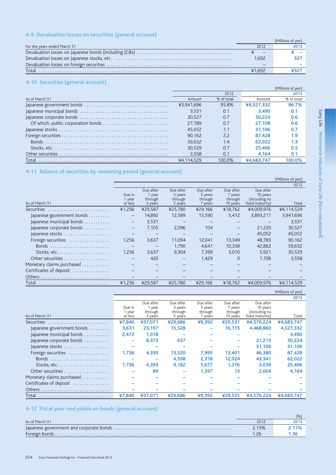# 4-9 Devaluation losses on securities (general account)

|                              |        | (Millions of ven) |
|------------------------------|--------|-------------------|
| For the years ended March 31 | 2012   | 2013              |
|                              |        |                   |
|                              | 1.692  |                   |
|                              |        |                   |
|                              | ¥1.692 |                   |

# 4-10 Securities (general account)

|                |            |            |            | (Millions of yen) |
|----------------|------------|------------|------------|-------------------|
|                |            | 2012       |            | 2013              |
| As of March 31 | Amount     | % of total | Amount     | % of total        |
|                | ¥3.941.696 | 95.8%      | ¥4.527.332 | 96.7%             |
|                | 3.531      | 0.1        | 3.490      | 0.1               |
|                | 30.527     | 0.7        | 30.224     | 0.6               |
|                | 27.189     | 0.7        | 27.108     | 0.6               |
|                | 45.052     | 1.1        | 31.106     | 0.7               |
|                | 90.162     | 2.2        | 87.428     | 1.9               |
|                | 59.632     | 1.4        | 62.022     | 1.3               |
|                | 30.529     | 0.7        | 25.406     | 0.5               |
|                | 3.558      | 0.1        | 4.164      | 0.1               |
| Total          | ¥4.114.529 | IOO O%     | ¥4.683.747 |                   |

# 4-11 Balance of securities by remaining period (general account)

|                           |                   |           |                   |           |           |                 | (Millions of yen) |
|---------------------------|-------------------|-----------|-------------------|-----------|-----------|-----------------|-------------------|
|                           |                   |           |                   |           |           |                 | 2012              |
|                           |                   | Due after | Due after         | Due after | Due after | Due after       |                   |
|                           | Due in            | 1 year    | 3 years           | 5 years   | 7 years   | 10 years        |                   |
|                           | 1 year            | through   | through           | through   | through   | (including no   |                   |
| As of March 31            | or less           | 3 years   | 5 years           | 7 years   | 10 years  | fixed maturity) | Total             |
| Securities                | ¥1,256            | ¥29.587   | ¥25,780           | ¥29.166   | ¥18,762   | ¥4,009,976      | ¥4,114,529        |
| Japanese government bonds | $\qquad \qquad -$ | 14.892    | 12.589            | 15,590    | 5.412     | 3,893,211       | 3,941,696         |
| Japanese municipal bonds  | $\qquad \qquad -$ | 3,531     | $\qquad \qquad -$ |           |           |                 | 3,531             |
| Japanese corporate bonds  | $\qquad \qquad -$ | 7,105     | 2,096             | 104       |           | 21.220          | 30,527            |
| Japanese stocks           |                   |           |                   |           |           | 45.052          | 45,052            |
| Foreign securities        | 1.256             | 3,637     | 11.094            | 12,041    | 13,349    | 48.783          | 90,162            |
| Bonds                     |                   |           | 1.790             | 4.641     | 10.338    | 42.862          | 59,632            |
|                           | 1.256             | 3.637     | 9.304             | 7.399     | 3.010     | 5.921           | 30,529            |
|                           |                   | 420       |                   | 1,429     | 0         | 1.708           | 3,558             |
| Monetary claims purchased |                   |           |                   |           |           |                 |                   |
| Certificates of deposit   |                   |           |                   |           |           |                 |                   |
| <b>Others</b>             |                   |           |                   |           |           |                 |                   |
| Total                     | ¥1,256            | ¥29,587   | ¥25.780           | ¥29.166   | ¥18.762   | ¥4,009,976      | ¥4.114.529        |

|                                                              |         |           |           |           |           |                 | (Millions of yen) |
|--------------------------------------------------------------|---------|-----------|-----------|-----------|-----------|-----------------|-------------------|
|                                                              |         |           |           |           |           |                 | 2013              |
|                                                              |         | Due after | Due after | Due after | Due after | Due after       |                   |
|                                                              | Due in  | 1 year    | 3 years   | 5 years   | 7 years   | 10 years        |                   |
|                                                              | 1 year  | through   | through   | through   | through   | (including no   |                   |
| As of March 31                                               | or less | 3 years   | 5 years   | 7 years   | 10 years  | fixed maturity) | Total             |
| Securities                                                   | ¥7,840  | ¥37.071   | ¥29,686   | ¥9,392    | ¥29.531   | ¥4,570,224      | ¥4,683,747        |
| Japanese government bonds                                    | 3.631   | 23.197    | 15,528    |           | 16.115    | 4,468,860       | 4,527,332         |
| Japanese municipal bonds                                     | 2,472   | 1,018     |           |           |           |                 | 3,490             |
| Japanese corporate bonds                                     |         | 8,373     | 637       |           |           | 21,213          | 30,224            |
| Japanese stocks                                              |         |           |           |           |           | 31,106          | 31,106            |
| Foreign securities                                           | 1.736   | 4,393     | 13,520    | 7,995     | 13,401    | 46,380          | 87,428            |
|                                                              |         |           | 4.338     | 2,318     | 12,024    | 43.341          | 62,022            |
| Stocks, etc. $\dots\dots\dots\dots\dots\dots\dots\dots\dots$ | 1,736   | 4,393     | 9,182     | 5,677     | 1.376     | 3.039           | 25,406            |
|                                                              |         | 89        |           | 1.397     | 13        | 2.664           | 4,164             |
| Monetary claims purchased                                    |         |           |           |           |           |                 |                   |
| Certificates of deposit                                      |         |           |           |           |           |                 |                   |
|                                                              |         |           |           |           |           |                 |                   |
| Total                                                        | ¥7.840  | ¥37.071   | ¥29.686   | 49.392    | ¥29.531   | ¥4.570.224      | ¥4,683,747        |

# 4-12 Fiscal year-end yields on bonds (general account)

| As of March 31 | 2012  |  |
|----------------|-------|--|
|                | 2.13% |  |
|                |       |  |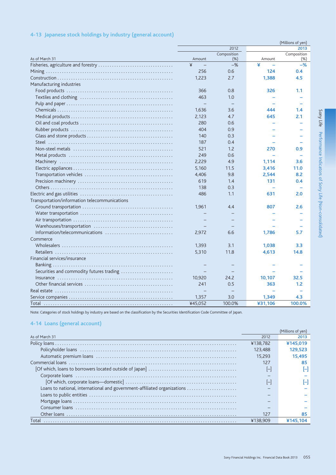|                                               | (Millions of yen) |                    |         |                     |  |  |
|-----------------------------------------------|-------------------|--------------------|---------|---------------------|--|--|
|                                               |                   | 2012               |         | 2013                |  |  |
| As of March 31                                | Amount            | Composition<br>(%) | Amount  | Composition<br>(% ) |  |  |
|                                               | ¥                 | $-$ %              | ¥       | $-$ %               |  |  |
|                                               | 256               | 0.6                | 124     | 0.4                 |  |  |
|                                               | 1,223             | 2.7                | 1,388   | 4.5                 |  |  |
| Manufacturing industries                      |                   |                    |         |                     |  |  |
|                                               | 366               | 0.8                | 326     | 1.1                 |  |  |
|                                               | 463               | 1.0                |         |                     |  |  |
|                                               |                   |                    |         |                     |  |  |
|                                               | 1,636             | 3.6                | 444     | 1.4                 |  |  |
|                                               | 2,123             | 4.7                | 645     | 2.1                 |  |  |
|                                               | 280               | 0.6                |         |                     |  |  |
|                                               | 404               | 0.9                |         |                     |  |  |
|                                               | 140               | 0.3                |         |                     |  |  |
|                                               | 187               | 0.4                |         |                     |  |  |
|                                               | 521               | 1.2                | 270     | 0.9                 |  |  |
|                                               | 249               | 0.6                |         |                     |  |  |
|                                               | 2,229             | 4.9                | 1,114   | 3.6                 |  |  |
|                                               | 5,160             | 11.5               | 3,416   | 11.0                |  |  |
|                                               | 4,406             | 9.8                | 2,544   | 8.2                 |  |  |
|                                               | 619               | 1.4                | 131     | 0.4                 |  |  |
|                                               | 138               | 0.3                |         |                     |  |  |
|                                               | 486               | 1.1                | 631     | 2.0                 |  |  |
| Transportation/information telecommunications |                   |                    |         |                     |  |  |
|                                               | 1.961             | 4.4                | 807     | 2.6                 |  |  |
|                                               |                   |                    |         |                     |  |  |
|                                               |                   |                    |         |                     |  |  |
|                                               |                   |                    |         |                     |  |  |
|                                               | 2,972             | 6.6                | 1,786   | 5.7                 |  |  |
| Commerce                                      |                   |                    |         |                     |  |  |
|                                               | 1,393             | 3.1                | 1,038   | 3.3                 |  |  |
|                                               | 5,310             | 11.8               | 4,613   | 14.8                |  |  |
| Financial services/insurance                  |                   |                    |         |                     |  |  |
|                                               |                   |                    |         |                     |  |  |
| Securities and commodity futures trading      |                   |                    |         |                     |  |  |
|                                               | 10,920            | 24.2               | 10,107  | 32.5                |  |  |
|                                               | 241               | 0.5                | 363     | 1.2                 |  |  |
|                                               |                   |                    |         |                     |  |  |
|                                               | 1,357             | 3.0                | 1,349   | 4.3                 |  |  |
|                                               | ¥45,052           | 100.0%             | ¥31,106 | 100.0%              |  |  |
|                                               |                   |                    |         |                     |  |  |

# 4-13 Japanese stock holdings by industry (general account)

Note: Categories of stock holdings by industry are based on the classification by the Securities Identification Code Committee of Japan.

# 4-14 Loans (general account)

|                                                                          |          | [Millions of yen] |
|--------------------------------------------------------------------------|----------|-------------------|
| As of March 31                                                           | 2012     | 2013              |
|                                                                          | ¥138.782 | ¥145.019          |
|                                                                          | 123.488  | 129.523           |
|                                                                          | 15.293   | 15.495            |
|                                                                          | 127      |                   |
|                                                                          |          |                   |
|                                                                          |          |                   |
|                                                                          |          |                   |
| Loans to national, international and government-affiliated organizations |          |                   |
|                                                                          |          |                   |
|                                                                          |          |                   |
|                                                                          |          |                   |
|                                                                          | 127      |                   |
|                                                                          | ¥138.909 |                   |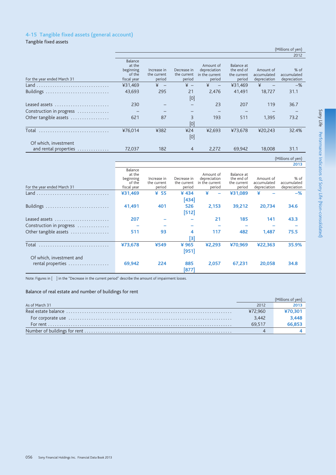# 4-15 Tangible fixed assets (general account)

Tangible fixed assets

|                                               |                                                         |                                      |                                      |                                                       |                                                   |                                          | 2012                                  |
|-----------------------------------------------|---------------------------------------------------------|--------------------------------------|--------------------------------------|-------------------------------------------------------|---------------------------------------------------|------------------------------------------|---------------------------------------|
| For the year ended March 31                   | Balance<br>at the<br>beginning<br>of the<br>fiscal year | Increase in<br>the current<br>period | Decrease in<br>the current<br>period | Amount of<br>depreciation<br>in the current<br>period | Balance at<br>the end of<br>the current<br>period | Amount of<br>accumulated<br>depreciation | $%$ of<br>accumulated<br>depreciation |
|                                               | ¥31.469                                                 | ¥<br>$\overline{\phantom{a}}$        | $\angle$ +                           | ¥<br>$\qquad \qquad -$                                | ¥31,469                                           | ¥                                        | $-$ %                                 |
| Buildings                                     | 43.693                                                  | 295                                  | 21<br>[0]                            | 2.476                                                 | 41.491                                            | 18.727                                   | 31.1                                  |
| Leased assets                                 | 230                                                     |                                      |                                      | 23                                                    | 207                                               | 119                                      | 36.7                                  |
| Construction in progress                      |                                                         |                                      |                                      |                                                       |                                                   |                                          |                                       |
| Other tangible assets                         | 621                                                     | 87                                   | 3<br>[0]                             | 193                                                   | 511                                               | 1.395                                    | 73.2                                  |
| Total                                         | ¥76,014                                                 | ¥382                                 | ¥24<br>[0]                           | ¥2.693                                                | ¥73.678                                           | ¥20,243                                  | 32.4%                                 |
| Of which, investment<br>and rental properties | 72,037                                                  | 182                                  | $\overline{4}$                       | 2,272                                                 | 69,942                                            | 18,008                                   | 31.1                                  |

#### (Millions of yen)  $\frac{1}{2013}$

(Millions of yen)

| For the year ended March 31 | Balance<br>at the<br>beginning<br>of the<br>fiscal year | Increase in<br>the current<br>period | Decrease in<br>the current<br>period | Amount of<br>depreciation<br>in the current<br>period | Balance at<br>the end of<br>the current<br>period | Amount of<br>accumulated<br>depreciation | % of<br>accumulated<br>depreciation |
|-----------------------------|---------------------------------------------------------|--------------------------------------|--------------------------------------|-------------------------------------------------------|---------------------------------------------------|------------------------------------------|-------------------------------------|
|                             | ¥31.469                                                 | ¥ 55                                 | ¥434                                 | ¥                                                     | ¥31.089                                           | ¥                                        | $-$ %                               |
|                             |                                                         |                                      | [434]                                |                                                       |                                                   |                                          |                                     |
| Buildings                   | 41,491                                                  | 401                                  | 526                                  | 2,153                                                 | 39,212                                            | 20,734                                   | 34.6                                |
|                             |                                                         |                                      | [512]                                |                                                       |                                                   |                                          |                                     |
| Leased assets               | 207                                                     |                                      |                                      | 21                                                    | 185                                               | 141                                      | 43.3                                |
| Construction in progress    |                                                         |                                      |                                      |                                                       |                                                   |                                          |                                     |
| Other tangible assets       | 511                                                     | 93                                   | 4                                    | 117                                                   | 482                                               | 1.487                                    | 75.5                                |
|                             |                                                         |                                      | [3]                                  |                                                       |                                                   |                                          |                                     |
| Total                       | ¥73,678                                                 | ¥549                                 | ¥ 965                                | 42.293                                                | ¥70.969                                           | ¥22,363                                  | 35.9%                               |
|                             |                                                         |                                      | $[951]$                              |                                                       |                                                   |                                          |                                     |
| Of which, investment and    |                                                         |                                      |                                      |                                                       |                                                   |                                          |                                     |
| rental properties           | 69,942                                                  | 224                                  | 885                                  | 2,057                                                 | 67.231                                            | 20,058                                   | 34.8                                |
|                             |                                                         |                                      | [877]                                |                                                       |                                                   |                                          |                                     |

Note: Figures in [ ] in the "Decrease in the current period" describe the amount of impairment losses.

# Balance of real estate and number of buildings for rent

| As of March 31                                                                                                                                                                                                                 | 2012    |        |
|--------------------------------------------------------------------------------------------------------------------------------------------------------------------------------------------------------------------------------|---------|--------|
|                                                                                                                                                                                                                                | ¥72.960 | 70.301 |
| For corporate use encourance entertainment and the use of the corporate use of the corporate use of the corporation of the corporation of the corporation of the corporation of the corporation of the corporation of the corp | 3.442   | 3.448  |
|                                                                                                                                                                                                                                | 69.517  | 66.853 |
|                                                                                                                                                                                                                                |         |        |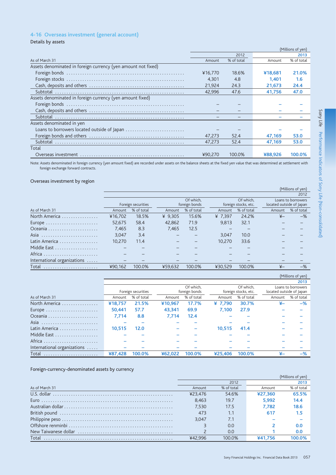# 4-16 Overseas investment (general account)

Details by assets

|                                                               |         |            |         | (Millions of yen) |
|---------------------------------------------------------------|---------|------------|---------|-------------------|
|                                                               |         | 2012       |         | 2013              |
| As of March 31                                                | Amount  | % of total | Amount  | % of total        |
| Assets denominated in foreign currency (yen amount not fixed) |         |            |         |                   |
|                                                               | ¥16.770 | 18.6%      | ¥18,681 | 21.0%             |
|                                                               | 4.301   | 4.8        | 1.401   | 1.6               |
|                                                               | 21.924  | 24.3       | 21,673  | 24.4              |
|                                                               | 42.996  | 47.6       | 41.756  | 47.0              |
| Assets denominated in foreign currency (yen amount fixed)     |         |            |         |                   |
|                                                               |         |            |         |                   |
|                                                               |         |            |         |                   |
|                                                               |         |            |         |                   |
| Assets denominated in yen                                     |         |            |         |                   |
| Loans to borrowers located outside of Japan                   |         |            |         |                   |
|                                                               | 47,273  | 52.4       | 47,169  | 53.0              |
| Subtotal                                                      | 47.273  | 52.4       | 47.169  | 53.0              |
| Total                                                         |         |            |         |                   |
|                                                               | ¥90.270 | 100.0%     | ¥88,926 | 100.0%            |

Note: Assets denominated in foreign currency (yen amount fixed) are recorded under assets on the balance sheets at the fixed yen value that was determined at settlement with foreign exchange forward contracts.

### Overseas investment by region

|                             |         |                    |         |                            |         |                                   |                          | (Millions of yen)                       |
|-----------------------------|---------|--------------------|---------|----------------------------|---------|-----------------------------------|--------------------------|-----------------------------------------|
|                             |         |                    |         |                            |         |                                   |                          | 2012                                    |
|                             |         | Foreign securities |         | Of which.<br>foreign bonds |         | Of which.<br>foreign stocks, etc. | located outside of Japan | Loans to borrowers                      |
| As of March 31              | Amount  | % of total         | Amount  | % of total                 | Amount  | % of total                        | Amount                   | % of total                              |
| North America               | ¥16.702 | 18.5%              | ¥ 9.305 | 15.6%                      | ¥ 7.397 | 24.2%                             | $\overline{f}$           | $-$ %                                   |
|                             | 52.675  | 58.4               | 42.862  | 71.9                       | 9.813   | 32.1                              |                          |                                         |
|                             | 7.465   | 8.3                | 7.465   | 12.5                       |         |                                   |                          |                                         |
|                             | 3.047   | 3.4                |         |                            | 3.047   | 10.0                              |                          |                                         |
| Latin America               | 10.270  | 11.4               |         |                            | 10.270  | 33.6                              |                          |                                         |
| Middle East                 |         |                    |         |                            |         |                                   |                          |                                         |
| Africa                      |         |                    |         |                            |         |                                   |                          |                                         |
| International organizations |         |                    |         |                            |         |                                   |                          |                                         |
| Total                       | ¥90,162 | 100.0%             | ¥59.632 | 100.0%                     | ¥30.529 | 100.0%                            | $\overline{X}$           | $-$ %                                   |
|                             |         |                    |         |                            |         |                                   |                          | $\lambda$ $\lambda$ $\lambda$ $\lambda$ |

|                             |         |                        |         |               |         |                      |                          | (Millions of yen)  |
|-----------------------------|---------|------------------------|---------|---------------|---------|----------------------|--------------------------|--------------------|
|                             |         |                        |         |               |         |                      |                          | 2013               |
|                             |         | Of which.<br>Of which. |         |               |         |                      |                          | Loans to borrowers |
|                             |         | Foreign securities     |         | foreign bonds |         | foreign stocks, etc. | located outside of Japan |                    |
| As of March 31              | Amount  | % of total             | Amount  | % of total    | Amount  | % of total           | Amount                   | % of total         |
| North America               | ¥18.757 | 21.5%                  | ¥10.967 | 17.7%         | ¥ 7.790 | 30.7%                |                          | $-$ %              |
|                             | 50.441  | 57.7                   | 43.341  | 69.9          | 7.100   | 27.9                 |                          |                    |
|                             | 7.714   | 8.8                    | 7.714   | 12.4          |         |                      |                          |                    |
| Asia                        |         |                        |         |               |         |                      |                          |                    |
| Latin America               | 10.515  | 12.0                   |         |               | 10.515  | 41.4                 |                          |                    |
| Middle East                 |         |                        |         |               |         |                      |                          |                    |
| Africa                      |         |                        |         |               |         |                      |                          |                    |
| International organizations |         |                        |         |               |         |                      |                          |                    |
| Total                       | ¥87.428 | 100.0%                 | ¥62.022 | 100.0%        | ¥25.406 | 100.0%               | ¥–                       | $-$ %              |

## Foreign-currency-denominated assets by currency

|                | (Millions of yen) |            |         |            |  |  |
|----------------|-------------------|------------|---------|------------|--|--|
|                |                   | 2012       |         | 2013       |  |  |
| As of March 31 | Amount            | % of total | Amount  | % of total |  |  |
|                | ¥23.476           | 54.6%      | ¥27.360 | 65.5%      |  |  |
|                | 8.463             | 19.7       | 5.992   | 14.4       |  |  |
|                | 7.530             | 17.5       | 7.782   | 18.6       |  |  |
|                | 473               | 1.1        | 617     | 1.5        |  |  |
|                | 3.047             | 7.1        |         |            |  |  |
|                |                   | 0.O        |         | 0.0        |  |  |
|                |                   | 0.0        |         | 0.0        |  |  |
|                | ¥42.996           | 100.0%     | ¥41.756 | 100.0%     |  |  |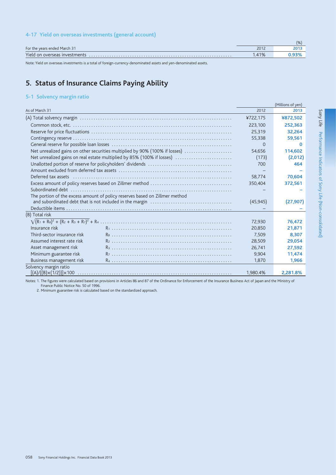# 4-17 Yield on overseas investments (general account)

|                               |       | $\frac{1}{6}$ |
|-------------------------------|-------|---------------|
| For the years ended March 31  | 2012  | 201'          |
| Yield on overseas investments | 1.41% |               |

Note: Yield on overseas investments is a total of foreign-currency-denominated assets and yen-denominated assets.

# 5. Status of Insurance Claims Paying Ability

# 5-1 Solvency margin ratio

|                             |                                                                             |           | (Millions of yen) |
|-----------------------------|-----------------------------------------------------------------------------|-----------|-------------------|
| As of March 31              |                                                                             | 2012      | 2013              |
|                             |                                                                             | ¥722,175  | ¥872,502          |
|                             |                                                                             | 223,100   | 252.363           |
|                             |                                                                             | 25,319    | 32,264            |
|                             |                                                                             | 55,338    | 59,561            |
|                             |                                                                             | $\Omega$  | 0                 |
|                             | Net unrealized gains on other securities multiplied by 90% (100% if losses) | 54,656    | 114,602           |
|                             | Net unrealized gains on real estate multiplied by 85% (100% if losses)      | (173)     | (2,012)           |
|                             |                                                                             | 700       | 464               |
|                             |                                                                             |           |                   |
|                             |                                                                             | 58,774    | 70,604            |
|                             |                                                                             | 350,404   | 372,561           |
|                             |                                                                             |           |                   |
|                             | The portion of the excess amount of policy reserves based on Zillmer method | (45, 945) | (27, 907)         |
|                             |                                                                             |           |                   |
| (B) Total risk              |                                                                             |           |                   |
|                             |                                                                             | 72,930    | 76.472            |
| Insurance risk              |                                                                             | 20,850    | 21,871            |
| Third-sector insurance risk |                                                                             | 7,509     | 8.307             |
| Assumed interest rate risk  |                                                                             | 28,509    | 29.054            |
| Asset management risk       |                                                                             | 26,741    | 27,592            |
| Minimum guarantee risk      |                                                                             | 9,904     | 11,474            |
| Business management risk    |                                                                             | 1.870     | 1,966             |
| Solvency margin ratio       |                                                                             | 1,980.4%  | 2,281.8%          |

Notes: 1. The figures were calculated based on provisions in Articles 86 and 87 of the Ordinance for Enforcement of the Insurance Business Act of Japan and the Ministry of<br>Finance Public Notice No. 50 of 1996.<br>2. Minimum g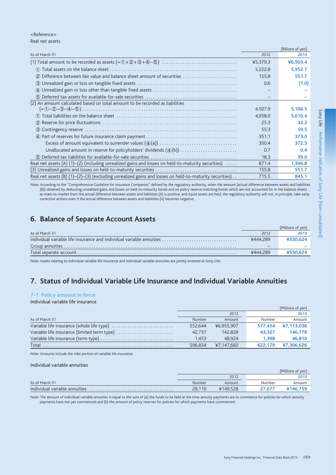#### <Reference> Real net assets

|                                                                                                          |          | (DILIUIIS UI YEII) |
|----------------------------------------------------------------------------------------------------------|----------|--------------------|
| As of March 31                                                                                           | 2012     | 2013               |
|                                                                                                          | ¥5,379.3 | ¥6,503.4           |
|                                                                                                          | 5,222.8  | 5,952.7            |
| Difference between fair value and balance sheet amount of securities<br>(2)                              | 155.8    | 551.7              |
|                                                                                                          | 0.6      | (1.0)              |
|                                                                                                          |          |                    |
|                                                                                                          |          |                    |
| (2) An amount calculated based on total amount to be recorded as liabilities                             |          |                    |
|                                                                                                          | 4,507.9  | 5,106.5            |
|                                                                                                          | 4,958.0  | 5.610.4            |
|                                                                                                          | 25.3     | 32.2               |
|                                                                                                          | 55.3     | 59.5               |
|                                                                                                          | 351.1    | 373.0              |
|                                                                                                          | 350.4    | 372.5              |
|                                                                                                          | 0.7      | 0.4                |
|                                                                                                          | 18.3     | 39.0               |
| Real net assets (A) $(1)$ – $(2)$ (including unrealized gains and losses on held-to-maturity securities) | 871.4    | 1,396.8            |
|                                                                                                          | 155.8    | 551.7              |
| Real net assets $(B)$ (1)–(2)–(3) (excluding unrealized gains and losses on held-to-maturity securities) | 715.5    | 845.1              |

Note: According to the "Comprehensive Guideline for Insurance Companies" defined by the regulatory authority, when the amount (actual difference between assets and liabilities (B)) obtained by deducting unrealized gains and losses on held-to-maturity bonds and on policy reserve matching bonds which are not accounted for in the balance sheets as mark-to-market from the actual difference between assets and liabilities (A) is positive, and liquid assets are held, the regulatory authority will not, in principle, take early corrective actions even if the actual difference between assets and liabilities (A) becomes negative.

# 6. Balance of Separate Account Assets

|                |          | (Millions of ven) |
|----------------|----------|-------------------|
| As of March 31 | 2012     | 2013              |
|                | ¥444.289 | ¥550.624          |
|                |          |                   |
|                | ¥444.289 | ¥550.624          |
|                |          |                   |

Note: Assets relating to individual variable life insurance and individual variable annuities are jointly invested at Sony Life.

# 7. Status of Individual Variable Life Insurance and Individual Variable Annuities

## 7-1 Policy amount in force

### Individual variable life insurance

|                                             |               |            |         | (Millions of yen) |
|---------------------------------------------|---------------|------------|---------|-------------------|
|                                             |               | 2012       |         | 2013              |
| As of March 31                              | <b>Number</b> | Amount     | Number  | Amount            |
|                                             | 552.644       | ¥6,955,907 | 577.454 | ¥7,113,036        |
| Variable life insurance (limited term type) | 42.737        | 142.828    | 43.327  | 146.778           |
|                                             | 1.453         | 48.924     | 1.398   | 46.810            |
| Total                                       | 596.834       | ¥7,147,660 | 622.179 | ¥7.306.626        |

Note: Amounts include the rider portion of variable life insurance.

#### Individual variable annuities

|                               |        |          |               | (Millions of yen) |
|-------------------------------|--------|----------|---------------|-------------------|
|                               |        | 2012     |               | 2013              |
| As of March 31                | Number | Amount   | Number        | Amount            |
| Individual variable annuities | 28,110 | ¥149.528 | <b>27.672</b> |                   |

Note: The amount of individual variable annuities is equal to the sum of (a) the funds to be held at the time annuity payments are to commence for policies for which annuity payments have not yet commenced and (b) the amount of policy reserves for policies for which payments have commenced.

 $(D:II)$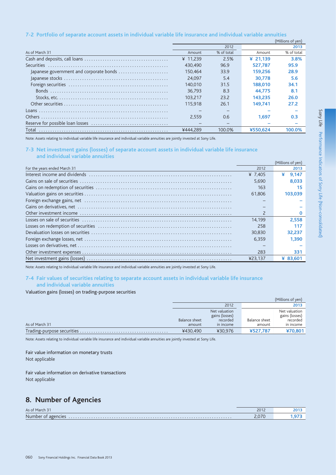### 7-2 Portfolio of separate account assets in individual variable life insurance and individual variable annuities

|                                         |          |            |            | (Millions of yen) |
|-----------------------------------------|----------|------------|------------|-------------------|
|                                         |          | 2012       |            | 2013              |
| As of March 31                          | Amount   | % of total | Amount     | % of total        |
|                                         | ¥ 11.239 | 2.5%       | ¥ $21.139$ | 3.8%              |
|                                         | 430.490  | 96.9       | 527.787    | 95.9              |
| Japanese government and corporate bonds | 150.464  | 33.9       | 159.256    | 28.9              |
|                                         | 24.097   | 5.4        | 30.778     | 5.6               |
|                                         | 140,010  | 31.5       | 188,010    | 34.1              |
|                                         | 36.793   | 8.3        | 44.775     | 8.1               |
|                                         | 103.217  | 23.2       | 143.235    | 26.0              |
|                                         | 115.918  | 26.1       | 149.741    | 27.2              |
|                                         |          |            |            |                   |
|                                         | 2.559    | 0.6        | 1.697      | 0.3               |
|                                         |          |            |            |                   |
|                                         | ¥444.289 | 100.0%     | ¥550.624   | 100.0%            |
|                                         |          |            |            |                   |

Note: Assets relating to individual variable life insurance and individual variable annuities are jointly invested at Sony Life.

### 7-3 Net investment gains (losses) of separate account assets in individual variable life insurance and individual variable annuities

|                              |                          | (Millions of yen) |
|------------------------------|--------------------------|-------------------|
| For the years ended March 31 | 2012                     | 2013              |
|                              | ¥ 7.405                  | ¥<br>9.147        |
|                              | 5.690                    | 8.033             |
|                              | 163                      |                   |
|                              | 61.806                   | 103.039           |
|                              |                          |                   |
|                              |                          |                   |
|                              | $\overline{\phantom{0}}$ |                   |
|                              | 14.199                   | 2.558             |
|                              | 258                      | 117               |
|                              | 30,830                   | 32.237            |
|                              | 6.359                    | 1.390             |
|                              |                          |                   |
|                              | 283                      | 331               |
|                              | ¥23.137                  | ¥ 83.60           |

Note: Assets relating to individual variable life insurance and individual variable annuities are jointly invested at Sony Life.

### 7-4 Fair values of securities relating to separate account assets in individual variable life insurance and individual variable annuities

### Valuation gains (losses) on trading-purpose securities

|                |               |                                 |               | (Millions of yen)               |
|----------------|---------------|---------------------------------|---------------|---------------------------------|
|                |               | 2012                            |               | 2013                            |
|                |               | Net valuation<br>gains (losses) |               | Net valuation<br>gains (losses) |
|                | Balance sheet | recorded                        | Balance sheet | recorded                        |
| As of March 31 | amount        | in income                       | amount        | in income                       |
|                | ¥430.490      | ¥30.976                         | ¥527.787      | ¥70.801                         |

Note: Assets relating to individual variable life insurance and individual variable annuities are jointly invested at Sony Life.

# Fair value information on monetary trusts

Not applicable

# Fair value information on derivative transactions

Not applicable

# 8. Number of Agencies

| As of March 31        | 2012                      |  |
|-----------------------|---------------------------|--|
| Number of<br>agencies | 2070<br>2.01 <sub>0</sub> |  |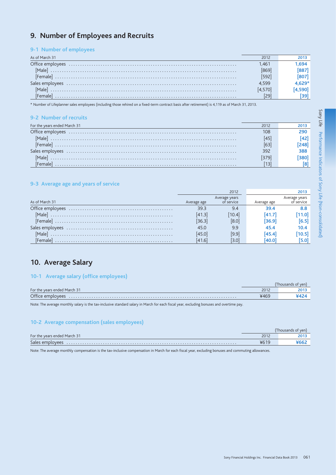# 9. Number of Employees and Recruits

# 9-1 Number of employees

| As of March 31 | 2012  |  |
|----------------|-------|--|
|                | 1.461 |  |
|                |       |  |
|                |       |  |
|                | 4.599 |  |
|                |       |  |
|                |       |  |

\* Number of Lifeplanner sales employees (including those rehired on a fixed-term contract basis after retirement) is 4,119 as of March 31, 2013.

### 9-2 Number of recruits

| For the years ended March 31 | 2012 |  |
|------------------------------|------|--|
| Office employees             | 108  |  |
|                              |      |  |
|                              |      |  |
|                              | 392  |  |
|                              |      |  |
|                              |      |  |

# 9-3 Average age and years of service

|                                                                                                                                                                                                                                                                                                                                                                         |             | 2012                        |             | 2013                        |
|-------------------------------------------------------------------------------------------------------------------------------------------------------------------------------------------------------------------------------------------------------------------------------------------------------------------------------------------------------------------------|-------------|-----------------------------|-------------|-----------------------------|
| As of March 31                                                                                                                                                                                                                                                                                                                                                          | Average age | Average years<br>of service | Average age | Average years<br>of service |
|                                                                                                                                                                                                                                                                                                                                                                         | 39.3        | 9.4                         | 39.4        | 8.8                         |
|                                                                                                                                                                                                                                                                                                                                                                         | [41.3]      | [10.4]                      | [41.7]      |                             |
| $[Female] \begin{picture}(150,10) \put(0,0){\vector(1,0){100}} \put(15,0){\vector(1,0){100}} \put(15,0){\vector(1,0){100}} \put(15,0){\vector(1,0){100}} \put(15,0){\vector(1,0){100}} \put(15,0){\vector(1,0){100}} \put(15,0){\vector(1,0){100}} \put(15,0){\vector(1,0){100}} \put(15,0){\vector(1,0){100}} \put(15,0){\vector(1,0){100}} \put(15,0){\vector(1,0){1$ | [36.3]      | [8.0]                       | [36.9]      | 6.5                         |
| Sales employees                                                                                                                                                                                                                                                                                                                                                         | 45.0        | 9.9                         | 45.4        | 10.4                        |
|                                                                                                                                                                                                                                                                                                                                                                         | 45.0        | [9.9]                       | [45.4]      | 10.5                        |
| Female                                                                                                                                                                                                                                                                                                                                                                  | [41.6]      | 3.0                         | 140.0       |                             |

# 10. Average Salary

# 10-1 Average salary (office employees)

| For the years ended March 31 | 2012 |  |
|------------------------------|------|--|
| Office employees             |      |  |
|                              |      |  |

Note: The average monthly salary is the tax-inclusive standard salary in March for each fiscal year, excluding bonuses and overtime pay.

### 10-2 Average compensation (sales employees)

|                              |      | Thousands of yen! |
|------------------------------|------|-------------------|
| For the years ended March 31 | 2012 |                   |
| Sales employees              |      |                   |

Note: The average monthly compensation is the tax-inclusive compensation in March for each fiscal year, excluding bonuses and commuting allowances.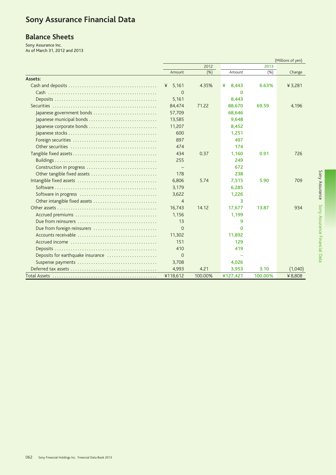# **Sony Assurance Financial Data**

# **Balance Sheets**

Sony Assurance Inc.<br>As of March 31, 2012 and 2013

|                                   |                |         |            |         | (Millions of yen) |
|-----------------------------------|----------------|---------|------------|---------|-------------------|
|                                   | 2012           |         |            | 2013    |                   |
|                                   | Amount         | (% )    | Amount     | (% )    | Change            |
| Assets:                           |                |         |            |         |                   |
|                                   | 5,161<br>¥     | 4.35%   | ¥<br>8,443 | 6.63%   | ¥ 3,281           |
|                                   | $\Omega$       |         | 0          |         |                   |
|                                   | 5,161          |         | 8,443      |         |                   |
|                                   | 84.474         | 71.22   | 88,670     | 69.59   | 4,196             |
| Japanese government bonds         | 57,709         |         | 68,646     |         |                   |
| Japanese municipal bonds          | 13,585         |         | 9,648      |         |                   |
| Japanese corporate bonds          | 11,207         |         | 8,452      |         |                   |
|                                   | 600            |         | 1,251      |         |                   |
|                                   | 897            |         | 497        |         |                   |
|                                   | 474            |         | 174        |         |                   |
|                                   | 434            | 0.37    | 1,160      | 0.91    | 726               |
|                                   | 255            |         | 249        |         |                   |
| Construction in progress          |                |         | 672        |         |                   |
|                                   | 178            |         | 238        |         |                   |
|                                   | 6,806          | 5.74    | 7,515      | 5.90    | 709               |
|                                   | 3,179          |         | 6,285      |         |                   |
|                                   | 3,622          |         | 1,226      |         |                   |
| Other intangible fixed assets     | $\overline{4}$ |         | 3          |         |                   |
|                                   | 16,743         | 14.12   | 17,677     | 13.87   | 934               |
|                                   | 1,156          |         | 1,199      |         |                   |
|                                   | 13             |         | 9          |         |                   |
| Due from foreign reinsurers       | $\Omega$       |         | $\Omega$   |         |                   |
|                                   | 11,302         |         | 11,892     |         |                   |
|                                   | 151            |         | 129        |         |                   |
|                                   | 410            |         | 419        |         |                   |
| Deposits for earthquake insurance | $\Omega$       |         |            |         |                   |
|                                   | 3,708          |         | 4,026      |         |                   |
|                                   | 4,993          | 4.21    | 3,953      | 3.10    | (1,040)           |
|                                   | ¥118,612       | 100.00% | ¥127,421   | 100.00% | ¥8,808            |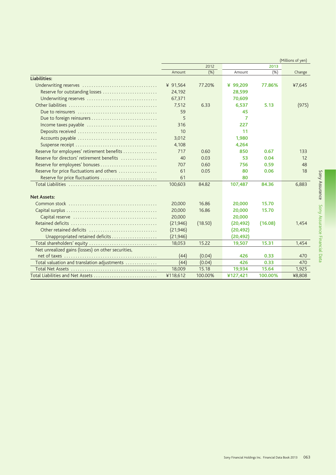|                                                    |           |         |           |         | (Millions of yen) |
|----------------------------------------------------|-----------|---------|-----------|---------|-------------------|
|                                                    | 2012      |         | 2013      |         |                   |
|                                                    | Amount    | (% )    | Amount    | (% )    | Change            |
| Liabilities:                                       |           |         |           |         |                   |
| Underwriting reserves                              | ¥ 91,564  | 77.20%  | ¥ 99,209  | 77.86%  | ¥7,645            |
| Reserve for outstanding losses                     | 24,192    |         | 28,599    |         |                   |
| Underwriting reserves                              | 67,371    |         | 70,609    |         |                   |
|                                                    | 7,512     | 6.33    | 6,537     | 5.13    | (975)             |
|                                                    | 59        |         | 45        |         |                   |
| Due to foreign reinsurers                          | 5         |         | 7         |         |                   |
| Income taxes payable                               | 316       |         | 227       |         |                   |
|                                                    | 10        |         | 11        |         |                   |
|                                                    | 3,012     |         | 1,980     |         |                   |
|                                                    | 4,108     |         | 4,264     |         |                   |
| Reserve for employees' retirement benefits         | 717       | 0.60    | 850       | 0.67    | 133               |
| Reserve for directors' retirement benefits         | 40        | 0.03    | 53        | 0.04    | 12                |
|                                                    | 707       | 0.60    | 756       | 0.59    | 48                |
| Reserve for price fluctuations and others          | 61        | 0.05    | 80        | 0.06    | 18                |
| Reserve for price fluctuations                     | 61        |         | 80        |         |                   |
|                                                    | 100,603   | 84.82   | 107,487   | 84.36   | 6,883             |
| <b>Net Assets:</b>                                 |           |         |           |         |                   |
|                                                    | 20,000    | 16.86   | 20,000    | 15.70   |                   |
|                                                    | 20,000    | 16.86   | 20,000    | 15.70   |                   |
|                                                    | 20,000    |         | 20,000    |         |                   |
|                                                    | (21, 946) | (18.50) | (20, 492) | (16.08) | 1,454             |
| Other retained deficits                            | (21, 946) |         | (20, 492) |         |                   |
| Unappropriated retained deficits                   | (21, 946) |         | (20,492)  |         |                   |
| Total shareholders' equity                         | 18,053    | 15.22   | 19,507    | 15.31   | 1,454             |
| Net unrealized gains (losses) on other securities, |           |         |           |         |                   |
|                                                    | (44)      | (0.04)  | 426       | 0.33    | 470               |
| Total valuation and translation adjustments        | (44)      | (0.04)  | 426       | 0.33    | 470               |
|                                                    | 18,009    | 15.18   | 19,934    | 15.64   | 1,925             |
| Total Liabilities and Net Assets                   | ¥118,612  | 100.00% | ¥127,421  | 100.00% | ¥8,808            |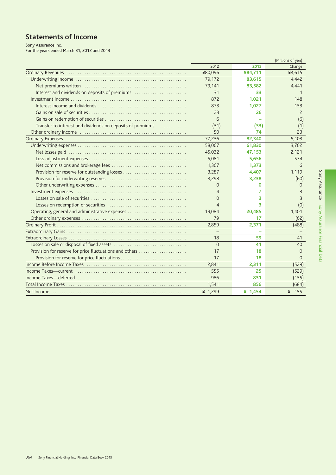# **Statements of Income**

Sony Assurance Inc.<br>For the years ended March 31, 2012 and 2013

|                                                            | (Millions of yen) |           |                |
|------------------------------------------------------------|-------------------|-----------|----------------|
|                                                            | 2012              | 2013      | Change         |
|                                                            | ¥80,096           | ¥84,711   | ¥4,615         |
|                                                            | 79,172            | 83,615    | 4,442          |
|                                                            | 79,141            | 83,582    | 4,441          |
| Interest and dividends on deposits of premiums             | 31                | 33        | 1              |
|                                                            | 872               | 1,021     | 148            |
|                                                            | 873               | 1,027     | 153            |
|                                                            | 23                | 26        | $\overline{2}$ |
|                                                            | 6                 |           | (6)            |
| Transfer to interest and dividends on deposits of premiums | (31)              | (33)      | (1)            |
|                                                            | 50                | 74        | 23             |
|                                                            | 77,236            | 82,340    | 5,103          |
|                                                            | 58,067            | 61,830    | 3,762          |
|                                                            | 45,032            | 47,153    | 2.121          |
|                                                            | 5,081             | 5,656     | 574            |
|                                                            | 1,367             | 1,373     | 6              |
|                                                            | 3,287             | 4,407     | 1.119          |
|                                                            | 3,298             | 3,238     | (60)           |
|                                                            | 0                 | 0         | $\Omega$       |
|                                                            | 4                 | 7         | 3              |
|                                                            | $\Omega$          | з         | 3              |
|                                                            | $\overline{4}$    | 3         | (0)            |
| Operating, general and administrative expenses             | 19,084            | 20,485    | 1.401          |
|                                                            | 79                | 17        | (62)           |
|                                                            | 2,859             | 2,371     | (488)          |
|                                                            | $\qquad \qquad -$ |           |                |
|                                                            | 18                | 59        | 41             |
|                                                            | $\Omega$          | 41        | 40             |
| Provision for reserve for price fluctuations and others    | 17                | 18        | $\Omega$       |
| Provision for reserve for price fluctuations               | 17                | 18        | $\Omega$       |
|                                                            | 2,841             | 2,311     | (529)          |
|                                                            | 555               | 25        | (529)          |
|                                                            | 986               | 831       | (155)          |
|                                                            | 1,541             | 856       | (684)          |
|                                                            | ¥ 1,299           | ¥ $1,454$ | ¥ 155          |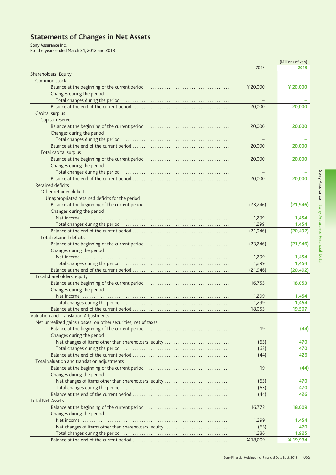# **Statements of Changes in Net Assets**

Sony Assurance Inc.<br>For the years ended March 31, 2012 and 2013

|                                                                 |           | (Millions of yen) |
|-----------------------------------------------------------------|-----------|-------------------|
|                                                                 | 2012      | 2013              |
| Shareholders' Equity                                            |           |                   |
| Common stock                                                    |           |                   |
|                                                                 | ¥20,000   | ¥20,000           |
| Changes during the period                                       |           |                   |
|                                                                 |           |                   |
|                                                                 | 20,000    | 20,000            |
| Capital surplus                                                 |           |                   |
| Capital reserve                                                 |           |                   |
|                                                                 | 20,000    | 20,000            |
| Changes during the period                                       |           |                   |
|                                                                 |           |                   |
|                                                                 | 20,000    | 20,000            |
| Total capital surplus                                           |           |                   |
|                                                                 |           |                   |
|                                                                 | 20,000    | 20,000            |
| Changes during the period                                       |           |                   |
|                                                                 |           |                   |
|                                                                 | 20,000    | 20,000            |
| <b>Retained deficits</b>                                        |           |                   |
| Other retained deficits                                         |           |                   |
| Unappropriated retained deficits for the period                 |           |                   |
|                                                                 | (23, 246) | (21, 946)         |
| Changes during the period                                       |           |                   |
|                                                                 | 1,299     | 1,454             |
|                                                                 | 1,299     | 1,454             |
|                                                                 | (21, 946) | (20,492)          |
| Total retained deficits                                         |           |                   |
|                                                                 | (23, 246) | (21, 946)         |
| Changes during the period                                       |           |                   |
|                                                                 | 1,299     | 1,454             |
|                                                                 | 1,299     | 1,454             |
|                                                                 | (21, 946) | (20,492)          |
| Total shareholders' equity                                      |           |                   |
|                                                                 | 16,753    | 18,053            |
| Changes during the period                                       |           |                   |
|                                                                 |           |                   |
|                                                                 | 1,299     | 1,454             |
|                                                                 | 1,299     | 1,454             |
|                                                                 | 18,053    | 19,507            |
| Valuation and Translation Adjustments                           |           |                   |
| Net unrealized gains (losses) on other securities, net of taxes |           |                   |
|                                                                 | 19        | (44)              |
| Changes during the period                                       |           |                   |
| Net changes of items other than shareholders' equity            | (63)      | 470               |
|                                                                 | (63)      | 470               |
|                                                                 | (44)      | 426               |
| Total valuation and translation adjustments                     |           |                   |
|                                                                 | 19        | (44)              |
| Changes during the period                                       |           |                   |
| Net changes of items other than shareholders' equity            | (63)      | 470               |
|                                                                 | (63)      | 470               |
|                                                                 | (44)      | 426               |
| <b>Total Net Assets</b>                                         |           |                   |
|                                                                 | 16,772    | 18,009            |
|                                                                 |           |                   |
| Changes during the period                                       |           |                   |
| Net income $\dots\dots$                                         | 1,299     | 1,454             |
| Net changes of items other than shareholders' equity            | (63)      | 470               |
|                                                                 | 1,236     | 1,925             |
|                                                                 | ¥18,009   | ¥19,934           |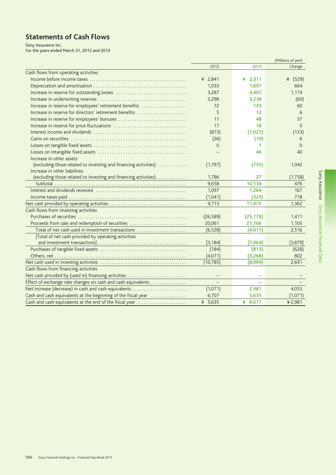# **Statements of Cash Flows**

Sony Assurance Inc.<br>For the years ended March 31, 2012 and 2013

|                                                                 | (Millions of yen) |            |            |
|-----------------------------------------------------------------|-------------------|------------|------------|
|                                                                 | 2012              | 2013       | Change     |
| Cash flows from operating activities                            |                   |            |            |
|                                                                 | ¥ $2,841$         | 2,311<br>¥ | (529)<br>¥ |
|                                                                 | 1,033             | 1,697      | 664        |
|                                                                 | 3,287             | 4.407      | 1.119      |
|                                                                 | 3,298             | 3,238      | (60)       |
| Increase in reserve for employees' retirement benefits          | 72                | 133        | 60         |
| Increase in reserve for directors' retirement benefits          | 5                 | 12         | 6          |
|                                                                 | 11                | 48         | 37         |
|                                                                 | 17                | 18         | $\Omega$   |
|                                                                 | (873)             | (1,027)    | (153)      |
|                                                                 | (26)              | (19)       | 6          |
|                                                                 | $\mathbf{O}$      | 1          | $\Omega$   |
|                                                                 |                   | 40         | 40         |
| Increase in other assets                                        |                   |            |            |
| (excluding those related to investing and financing activities) | (1,797)           | (755)      | 1,042      |
| Increase in other liabilities                                   |                   |            |            |
| (excluding those related to investing and financing activities) | 1,786             | 27         | (1,758)    |
|                                                                 | 9,658             | 10,134     | 476        |
|                                                                 | 1,097             | 1,264      | 167        |
|                                                                 | (1,041)           | (323)      | 718        |
|                                                                 | 9,713             | 11,075     | 1,362      |
| Cash flows from investing activities                            |                   |            |            |
|                                                                 | (26, 589)         | (25, 178)  | 1,411      |
| Proceeds from sale and redemption of securities                 | 20,061            | 21,166     | 1,105      |
| Total of net cash used in investment transactions               | (6, 528)          | (4,011)    | 2,516      |
| [Total of net cash provided by operating activities             |                   |            |            |
|                                                                 | [3, 184]          | [7,064]    | [3,879]    |
|                                                                 | (184)             | (813)      | (628)      |
|                                                                 | (4,071)           | (3,268)    | 802        |
|                                                                 | (10, 785)         | (8,094)    | 2,691      |
| Cash flows from financing activities                            |                   |            |            |
| Net cash provided by (used in) financing activities             |                   |            |            |
| Effect of exchange rate changes on cash and cash equivalents    |                   |            |            |
| Net increase (decrease) in cash and cash equivalents            | (1,071)           | 2,981      | 4,053      |
| Cash and cash equivalents at the beginning of the fiscal year   | 6,707             | 5,635      | (1,071)    |
| Cash and cash equivalents at the end of the fiscal year         | ¥ 5,635           | ¥ $8,617$  | ¥ 2,981    |
|                                                                 |                   |            |            |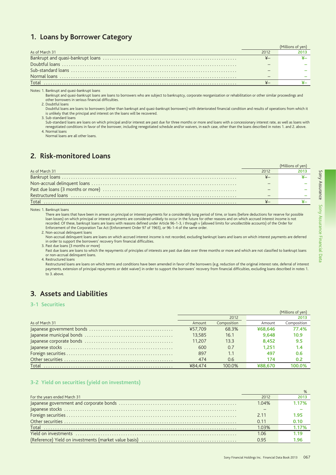# 1. Loans by Borrower Category

| As of March 31 | 2012 |  |
|----------------|------|--|
|                |      |  |
|                |      |  |
|                |      |  |
|                |      |  |
| Total          |      |  |

Notes: 1. Bankrupt and quasi-bankrupt loans

sum and push and push and the same of the set of the set of the set of the set of the set of the set of the set of the set of the set of the similar proceedings and Bankrupt and quasi-bankrupt loans are loans to borrowers other borrowers in serious financial difficulties.

2. Doubtful loans

Doubtful loans are loans to borrowers (other than bankrupt and quasi-bankrupt borrowers) with deteriorated financial condition and results of operations from which it is unlikely that the principal and interest on the loans will be recovered.

3 Sub-standard loans

Sub-standard loans are loans on which principal and/or interest are past due for three months or more and loans with a concessionary interest rate, as well as loans with renegotiated conditions in favor of the borrower, including renegotiated schedule and/or waivers, in each case, other than the loans described in notes 1. and 2. above. 4. Normal loans

Normal loans are all other loans

# 2. Risk-monitored Loans

|                |      | (Millions of yen) |
|----------------|------|-------------------|
| As of March 31 | 2012 | 2013              |
|                |      |                   |
|                |      |                   |
|                |      |                   |
|                |      |                   |
| Total.         |      |                   |

Notes: 1. Bankrupt loans

There are loans that have been in arrears on principal or interest payments for a considerably long period of time, or loans (before deductions for reserve for possible loan losses) on which principal or interest payments are considered unlikely to occur in the future for other reasons and on which accrued interest income is not<br>recorded. Of these, bankrupt loans are loans with reasons de Enforcement of the Corporation Tax Act (Enforcement Order 97 of 1965), or 96-1-4 of the same order.

2. Non-accrual delinquent loans

Non-accrual delinquent loans are loans on which accrued interest income is not recorded, excluding bankrupt loans and loans on which interest payments are deferred in order to support the borrowers' recovery from financial difficulties.

3. Past due loans (3 months or more)

Past due loans are loans to which the repayments of principles of interests are past due date over three months or more and which are not classified to bankrupt loans or non-accrual delinquent loans.

4. Restructured loans

Restructured loans are loans on which terms and conditions have been amended in favor of the borrowers (e.g. reduction of the original interest rate, deferral of interest payments, extension of principal repayments or debt waiver) in order to support the borrowers' recovery from financial difficulties, excluding loans described in notes 1. to 3. above

# 3. Assets and Liabilities

### 3-1 Securities

|                | (Millions of ven) |             |         |                   |  |
|----------------|-------------------|-------------|---------|-------------------|--|
|                |                   | 2012        |         | 2013              |  |
| As of March 31 | Amount            | Composition | Amount  | Composition       |  |
|                | ¥57.709           | 68.3%       | ¥68,646 | 77.4%             |  |
|                | 13.585            | 16.1        | 9.648   | 10.9 <sup>°</sup> |  |
|                | 11.207            | 13.3        | 8.452   | 9.5               |  |
|                | 600               | 0.7         | 1.251   | 1.4               |  |
|                | 897               | 1.1         | 497     | 0.6               |  |
|                | 474               | 0.6         | 174     | 0.2               |  |
| Total          | ¥84.474           | 100.0%      |         | פח חחו            |  |

#### 3-2 Yield on securities (yield on investments)

| For the years ended March 31 | 2012  | 2013  |
|------------------------------|-------|-------|
|                              | 1.04% | 1.17% |
|                              |       |       |
|                              | 2.11  | 1.95  |
|                              | 0.11  | 0.10  |
|                              | 103%  | 1.17% |
|                              | 1.06  | 1.19  |
|                              | N 95  | । 96  |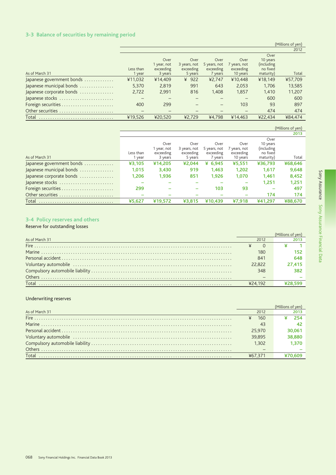# 3-3 Balance of securities by remaining period

|                                                  |                          |             |              |              |              |             | 2012    |
|--------------------------------------------------|--------------------------|-------------|--------------|--------------|--------------|-------------|---------|
|                                                  |                          |             |              |              |              | Over        |         |
|                                                  |                          | Over        | Over         | Over         | Over         | 10 years    |         |
|                                                  |                          | 1 year, not | 3 years, not | 5 years, not | 7 years, not | (including) |         |
|                                                  | Less than                | exceeding   | exceeding    | exceeding    | exceeding    | no fixed    |         |
| As of March 31                                   | 1 year                   | 3 years     | 5 years      | 7 years      | 10 years     | maturity)   | Total   |
| Japanese government bonds $\ldots \ldots \ldots$ | ¥11,032                  | ¥14,409     | $¥$ 922      | 42,747       | ¥10.448      | ¥18,149     | ¥57,709 |
| Japanese municipal bonds                         | 5,370                    | 2,819       | 991          | 643          | 2,053        | 1.706       | 13,585  |
| Japanese corporate bonds                         | 2,722                    | 2.991       | 816          | 1.408        | 1.857        | 1.410       | 11,207  |
| Japanese stocks                                  |                          |             |              |              |              | 600         | 600     |
|                                                  | 400                      | 299         |              |              | 103          | 93          | 897     |
| Other securities                                 | $\overline{\phantom{0}}$ |             |              |              |              | 474         | 474     |
| Total                                            | ¥19.526                  | ¥20.520     | ¥2.729       | ¥4.798       | ¥14,463      | ¥22.434     | ¥84.474 |

|                           |           |             |              |              |              |            | 2013    |
|---------------------------|-----------|-------------|--------------|--------------|--------------|------------|---------|
|                           |           |             |              |              |              | Over       |         |
|                           |           | Over        | Over         | Over         | Over         | 10 years   |         |
|                           |           | 1 year, not | 3 years, not | 5 years, not | 7 years, not | (including |         |
|                           | Less than | exceeding   | exceeding    | exceeding    | exceeding    | no fixed   |         |
| As of March 31            | 1 year    | 3 years     | 5 years      | 7 years      | 10 years     | maturity)  | Total   |
| Japanese government bonds | ¥3,105    | ¥14,205     | ¥2,044       | ¥ $6,945$    | ¥5,551       | ¥36,793    | ¥68,646 |
| Japanese municipal bonds  | 1,015     | 3,430       | 919          | 1.463        | 1,202        | 1.617      | 9,648   |
| Japanese corporate bonds  | 1,206     | 1,936       | 851          | 1.926        | 1,070        | 1.461      | 8,452   |
| Japanese stocks           |           |             |              |              |              | 1.251      | 1,251   |
|                           | 299       |             |              | 103          | 93           | -          | 497     |
| Other securities          |           |             |              |              |              | 174        | 174     |
| Total                     | ¥5,627    | ¥19,572     | ¥3,815       | ¥10.439      | ¥7.918       | ¥41.297    | ¥88,670 |

# 3-4 Policy reserves and others

# Reserve for outstanding losses

|                |         | (Millions of yen) |
|----------------|---------|-------------------|
| As of March 31 | 2012    |                   |
|                |         |                   |
|                | 180     |                   |
|                | 841     |                   |
|                | 22,822  | 27,415            |
|                | 348     |                   |
|                |         |                   |
| Total          | 624 192 |                   |

# Underwriting reserves

| As of March 31 | 2012    |  |
|----------------|---------|--|
| Fire           | 160     |  |
|                | 43      |  |
|                | 25,970  |  |
|                | 39.895  |  |
|                | 1.302   |  |
| Others .       |         |  |
| Total          | ¥67 37′ |  |
|                |         |  |

(Millions of yen)

(Millions of yen)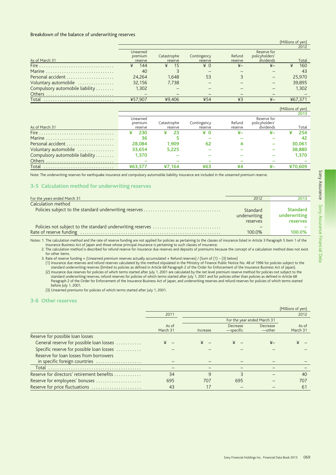#### Breakdown of the balance of underwriting reserves

|                                 |          |             |             |                |                | 2012   |
|---------------------------------|----------|-------------|-------------|----------------|----------------|--------|
|                                 | Unearned |             |             |                | Reserve for    |        |
|                                 | premium  | Catastrophe | Contingency | Refund         | policyholders' |        |
| As of March 31                  | reserve  | reserve     | reserve     | reserve        | dividends      | Total  |
|                                 | 144      | -15<br>¥    | $*$ 0       | $\overline{+}$ | $x-$           | 160    |
| Marine                          | 40       |             |             |                |                | 43     |
|                                 | 24.264   | 1.648       | 53          |                |                | 25,970 |
| Voluntary automobile            | 32.156   | 7.738       |             |                |                | 39,895 |
| Compulsory automobile liability | 1.302    |             |             |                |                | 1.302  |
|                                 |          |             |             |                |                |        |
| Total                           | ¥57.907  | ¥9.406      | ¥54         | $*3$           |                | 46/371 |

|                                 |          |             |             |         |                | (Millions of yen) |
|---------------------------------|----------|-------------|-------------|---------|----------------|-------------------|
|                                 |          |             |             |         |                | 2013              |
|                                 | Unearned |             |             |         | Reserve for    |                   |
|                                 | premium  | Catastrophe | Contingency | Refund  | policyholders' |                   |
| As of March 31                  | reserve  | reserve     | reserve     | reserve | dividends      | Total             |
|                                 | 230      | 23          | ¥0          |         |                | 254               |
| Marine                          | 36       |             |             |         |                | 42                |
|                                 | 28,084   | 1.909       | 62          |         |                | 30.061            |
| Voluntary automobile            | 33.654   | 5.225       |             |         |                | 38,880            |
| Compulsory automobile liability | 1,370    |             |             |         |                | 1,370             |
|                                 |          |             |             |         |                |                   |
| Total                           | ¥63.377  | ¥7.164      | ¥63         | ¥4      |                | ¥70.609           |

Note: The underwriting reserves for earthquake insurance and compulsory automobile liability insurance are included in the unearned premium reserve.

### 3-5 Calculation method for underwriting reserves

| For the years ended March 31 | 2012                                 | 2013                                        |
|------------------------------|--------------------------------------|---------------------------------------------|
| Calculation method           |                                      |                                             |
|                              | Standard<br>underwriting<br>reserves | <b>Standard</b><br>underwriting<br>reserves |
|                              |                                      |                                             |
|                              | 100.0%                               | 100.0%                                      |

Notes: 1. The calculation method and the rate of reserve funding are not applied for policies as pertaining to the classes of insurance listed in Article 3 Paragraph 5 Item 1 of the Insurance Business Act of Japan and those whose principal insurance is pertaining to such classes of insurance.

2. The calculation method is described for refund reserve for insurance due reserves and deposits of premiums because the concept of a calculation method does not exist for other items.

3. Rate of reserve funding = (Unearned premium reserves actually accumulated + Refund reserves) / (Sum of (1) - (3) below)

A care of reserver unimity and refund reserves calculated by the method stipulated in the Ministry of Finance Public Notice No. 48 of 1996 for policies subject to the standard underwriting reserves and refund reserves cal (2) Insurance due reserves for policies of which terms started after July 1, 2001 are calculated by the net level premium reserve method for policies not subject to the standard underwriting reserves, refund reserves for policies of which terms started after July 1, 2001 and for policies other than policies as defined in Article 68<br>Paragraph 2 of the Order for Enforcement of the Insurance

before July 1, 2001. (3) Unearned premiums for policies of which terms started after July 1, 2001.

#### 3-6 Other reserves

|                                                                         |                   |              |                       |                             | (Millions of yen) |
|-------------------------------------------------------------------------|-------------------|--------------|-----------------------|-----------------------------|-------------------|
|                                                                         | 2011              |              |                       |                             | 2012              |
|                                                                         |                   |              |                       | For the year ended March 31 |                   |
|                                                                         | As of<br>March 31 | Increase     | Decrease<br>-specific | Decrease<br>—other          | As of<br>March 31 |
| Reserve for possible loan losses                                        |                   |              |                       |                             |                   |
| General reserve for possible loan losses                                | ¥                 | $\angle$ $=$ | ¥                     | $_{\nexists}$               |                   |
| Specific reserve for possible loan losses                               |                   |              |                       |                             |                   |
| Reserve for loan losses from borrowers<br>in specific foreign countries |                   |              |                       |                             |                   |
|                                                                         |                   |              |                       |                             |                   |
| Reserve for directors' retirement benefits                              | 34                | $\mathsf{Q}$ | ς                     |                             | 40                |
| Reserve for employees' bonuses                                          | 695               | 707          | 695                   |                             | 707               |
| Reserve for price fluctuations                                          | 43                | 17           |                       |                             | 61                |

(Millions of ven)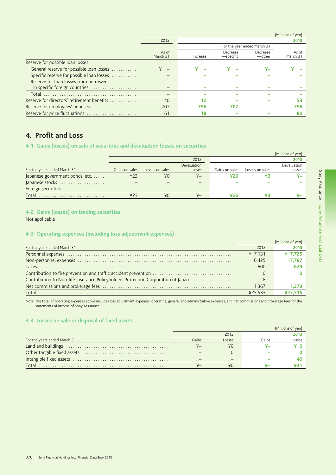|                                            |                          |                             |                       |                    | $I$ . IIIIIIOIIII OI YEIII |
|--------------------------------------------|--------------------------|-----------------------------|-----------------------|--------------------|----------------------------|
|                                            | 2012                     |                             |                       |                    | 2013                       |
|                                            |                          | For the year ended March 31 |                       |                    |                            |
|                                            | As of<br>March 31        | Increase                    | Decrease<br>-specific | Decrease<br>—other | As of<br>March 31          |
| Reserve for possible loan losses           |                          |                             |                       |                    |                            |
| General reserve for possible loan losses   | $\overline{\phantom{0}}$ |                             | ¥                     |                    |                            |
| Specific reserve for possible loan losses  |                          |                             |                       |                    |                            |
| Reserve for loan losses from borrowers     |                          |                             |                       |                    |                            |
| in specific foreign countries              |                          |                             |                       |                    |                            |
|                                            |                          |                             |                       |                    |                            |
| Reserve for directors' retirement benefits | 40                       | 12                          |                       |                    | 53                         |
| Reserve for employees' bonuses             | 707                      | 756.                        | 707                   |                    | 756.                       |
| Reserve for price fluctuations             | 61                       | 18                          |                       |                    | 80                         |

# 4. Profit and Loss

# 4-1 Gains (losses) on sale of securities and devaluation losses on securities

|                                 |                |                 |                |                |                 | (Millions of yen) |
|---------------------------------|----------------|-----------------|----------------|----------------|-----------------|-------------------|
|                                 |                |                 | 2012           |                |                 | 2013              |
|                                 |                |                 | Devaluation    |                |                 | Devaluation       |
| For the years ended March 31    | Gains on sales | Losses on sales | losses         | Gains on sales | Losses on sales | losses            |
| Japanese government bonds, etc. | 423            | ¥0              | $\overline{X}$ | ¥26            |                 |                   |
| Japanese stocks                 |                |                 |                |                |                 |                   |
| Foreign securities              |                |                 |                |                |                 |                   |
| Total                           | 423            | ¥0              | $_{\nexists}$  |                |                 |                   |

# 4-2 Gains (losses) on trading securities

Not applicable

# 4-3 Operating expenses (including loss adjustment expenses)

|                                                                                  |           | (Millions of ven) |
|----------------------------------------------------------------------------------|-----------|-------------------|
| For the years ended March 31                                                     | 2012      | 201               |
|                                                                                  | ¥ $7.131$ | ¥ 7.725           |
|                                                                                  | 16.425    | 17.787            |
|                                                                                  | 600       | 629               |
| Contribution to fire prevention and traffic accident prevention                  |           |                   |
| Contribution to Non-life Insurance Policyholders Protection Corporation of Japan | 8         |                   |
|                                                                                  | 1.367     | 1.373             |
|                                                                                  | ¥25533    | ¥27.515           |

Note: The total of operating expenses above includes loss adjustment expenses, operating, general and administrative expenses, and net commissions and brokerage fees for the statements of income of Sony Assurance.

# 4-4 Losses on sale or disposal of fixed assets

|                              | (Millions of yen) |        |       |        |
|------------------------------|-------------------|--------|-------|--------|
|                              |                   | 2012   |       | 2013   |
| For the years ended March 31 | Gains             | Losses | Gains | Losses |
|                              |                   | ¥0     |       |        |
|                              |                   |        |       |        |
|                              |                   | -      |       |        |
| Total.                       |                   | ¥О     |       |        |

 $(Milliance of yn)$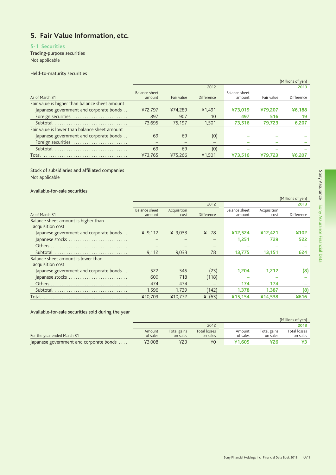## 5. Fair Value Information, etc.

## 5-1 Securities

Trading-purpose securities Not applicable

### Held-to-maturity securities

|                                                |               |            |                   |               |            | (Millions of yen) |
|------------------------------------------------|---------------|------------|-------------------|---------------|------------|-------------------|
|                                                |               |            | 2012              |               |            | 2013              |
|                                                | Balance sheet |            |                   | Balance sheet |            |                   |
| As of March 31                                 | amount        | Fair value | <b>Difference</b> | amount        | Fair value | Difference        |
| Fair value is higher than balance sheet amount |               |            |                   |               |            |                   |
| Japanese government and corporate bonds        | ¥72.797       | ¥74.289    | ¥1,491            | ¥73,019       | ¥79.207    | ¥6.188            |
| Foreign securities                             | 897           | 907        | 10                | 497           | 516        | 19                |
| Subtotal                                       | 73.695        | 75.197     | 1.501             | 73,516        | 79,723     | 6,207             |
| Fair value is lower than balance sheet amount  |               |            |                   |               |            |                   |
| Japanese government and corporate bonds        | 69            | 69         | (0)               |               |            |                   |
| Foreign securities                             |               |            | -                 |               |            |                   |
| Subtotal                                       | 69            | 69         | (O)               |               |            |                   |
| Total                                          | ¥73,765       | ¥75,266    | ¥1,501            | ¥73.516       | ¥79.723    | ¥6.207            |
|                                                |               |            |                   |               |            |                   |

## Stock of subsidiaries and affiliated companies

Not applicable

### Available-for-sale securities

|                                         |                      |             |            |               |             | (Millions of yen) |
|-----------------------------------------|----------------------|-------------|------------|---------------|-------------|-------------------|
|                                         |                      |             | 2012       |               |             | 2013              |
|                                         | <b>Balance sheet</b> | Acquisition |            | Balance sheet | Acquisition |                   |
| As of March 31                          | amount               | cost        | Difference | amount        | cost        | <b>Difference</b> |
| Balance sheet amount is higher than     |                      |             |            |               |             |                   |
| acquisition cost                        |                      |             |            |               |             |                   |
| Japanese government and corporate bonds | ¥ $9.112$            | ¥ $9.033$   | ¥ 78       | ¥12,524       | ¥12.421     | ¥102              |
| Japanese stocks                         |                      |             |            | 1.251         | 729         | 522               |
|                                         |                      |             |            |               |             |                   |
| Subtotal                                | 9.112                | 9.033       | 78         | 13.775        | 13,151      | 624               |
| Balance sheet amount is lower than      |                      |             |            |               |             |                   |
| acquisition cost                        |                      |             |            |               |             |                   |
| Japanese government and corporate bonds | 522                  | 545         | (23)       | 1.204         | 1.212       | (8)               |
| Japanese stocks                         | 600                  | 718         | (118)      |               |             |                   |
|                                         | 474                  | 474         | -          | 174           | 174         |                   |
|                                         | 1,596                | 1.739       | (142)      | 1.378         | 1,387       | (8)               |
| Total                                   | ¥10,709              | ¥10,772     | (63)<br>¥  | ¥15,154       | ¥14,538     | ¥616              |

Available-for-sale securities sold during the year

|                                         |                    |                         |                          |                    |                         | (Millions of yen)        |
|-----------------------------------------|--------------------|-------------------------|--------------------------|--------------------|-------------------------|--------------------------|
|                                         |                    |                         | 2012                     |                    |                         | 2013                     |
| For the year ended March 31             | Amount<br>of sales | Total gains<br>on sales | Total losses<br>on sales | Amount<br>of sales | Total gains<br>on sales | Total losses<br>on sales |
| Japanese government and corporate bonds | ¥3.008             | ¥23                     | ¥0                       | ¥1.605             | ¥26                     |                          |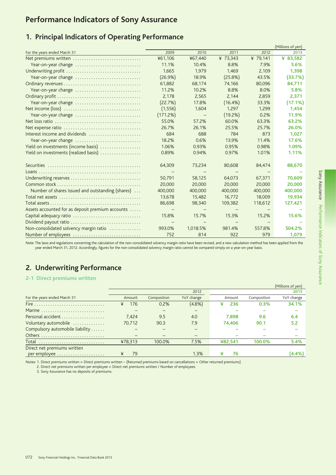# **Performance Indicators of Sony Assurance**

## 1. Principal Indicators of Operating Performance

|                                                  |          |                          |                          |                   | (Millions of yen) |
|--------------------------------------------------|----------|--------------------------|--------------------------|-------------------|-------------------|
| For the years ended March 31                     | 2009     | 2010                     | 2011                     | 2012              | 2013              |
| Net premiums written                             | ¥61,106  | ¥67,440                  | ¥ 73,343                 | ¥ 79,141          | ¥ 83,582          |
| Year-on-year change                              | 11.1%    | 10.4%                    | 8.8%                     | 7.9%              | 5.6%              |
|                                                  | 1,665    | 1.979                    | 1.469                    | 2,109             | 1,398             |
| Year-on-year change                              | (26.9%)  | 18.9%                    | (25.8%)                  | 43.5%             | (33.7%            |
|                                                  | 61,882   | 68,174                   | 74,166                   | 80,096            | 84,711            |
| Year-on-year change                              | 11.2%    | 10.2%                    | 8.8%                     | 8.0%              | 5.8%              |
|                                                  | 2.178    | 2,565                    | 2,144                    | 2,859             | 2,371             |
| Year-on-year change                              | (22.7%)  | 17.8%                    | $(16.4\%)$               | 33.3%             | (17.1%            |
|                                                  | (1, 556) | 1,604                    | 1,297                    | 1,299             | 1,454             |
| Year-on-year change                              | (171.2%) | $\qquad \qquad -$        | (19.2%)                  | 0.2%              | 11.9%             |
|                                                  | 55.0%    | 57.2%                    | 60.0%                    | 63.3%             | 63.2%             |
|                                                  | 26.7%    | 26.1%                    | 25.5%                    | 25.7%             | 26.0%             |
| Interest income and dividends                    | 684      | 688                      | 784                      | 873               | 1,027             |
| Year-on-year change                              | 18.2%    | 0.6%                     | 13.9%                    | 11.4%             | 17.6%             |
| Yield on investments (income basis)              | 1.06%    | 0.93%                    | 0.95%                    | 0.98%             | 1.09%             |
| Yield on investments (realized basis)            | 0.89%    | 0.94%                    | 0.97%                    | 1.01%             | 1.11%             |
|                                                  | 64,309   | 73,234                   | 80,608                   | 84,474            | 88,670            |
|                                                  |          |                          |                          |                   |                   |
| Underwriting reserves                            | 50.791   | 58.125                   | 64.073                   | 67.371            | 70,609            |
|                                                  | 20,000   | 20,000                   | 20,000                   | 20,000            | 20,000            |
| Number of shares issued and outstanding (shares) | 400,000  | 400,000                  | 400,000                  | 400,000           | 400,000           |
|                                                  | 13,678   | 15,482                   | 16,772                   | 18,009            | 19,934            |
|                                                  | 86,698   | 98,340                   | 109,382                  | 118,612           | 127,421           |
| Assets accounted for as deposit premium accounts |          | $\overline{\phantom{m}}$ | $\overline{\phantom{m}}$ | $\qquad \qquad -$ |                   |
| Capital adequacy ratio                           | 15.8%    | 15.7%                    | 15.3%                    | 15.2%             | 15.6%             |
| Dividend payout ratio                            |          |                          |                          |                   |                   |
| Non-consolidated solvency margin ratio           | 993.0%   | 1,018.5%                 | 981.4%                   | 557.8%            | 504.2%            |
| Number of employees                              | 752      | 814                      | 922                      | 979               | 1,079             |

Note: The laws and regulations concerning the calculation of the non-consolidated solvency margin ratio have been revised, and a new calculation method has been applied from the year ended March 31, 2012. Accordingly, figures for the non-consolidated solvency margin ratio cannot be compared simply on a year-on-year basis.

## 2. Underwriting Performance

## 2-1 Direct premiums written

|                                 |          |             |            |          |             | (Millions of yen) |
|---------------------------------|----------|-------------|------------|----------|-------------|-------------------|
|                                 |          |             | 2012       |          |             | 2013              |
| For the years ended March 31    | Amount   | Composition | YoY change | Amount   | Composition | YoY change        |
| Fire                            | 176<br>¥ | 0.2%        | $(4.8\%)$  | 236<br>¥ | 0.3%        | 34.1%             |
| Marine                          |          |             |            |          |             |                   |
|                                 | 7.424    | 9.5         | 4.0        | 7.898    | 9.6         | 6.4               |
| Voluntary automobile            | 70.712   | 90.3        | 7.9        | 74.406   | 90.1        | 5.2               |
| Compulsory automobile liability |          |             |            |          |             |                   |
|                                 |          |             |            |          |             |                   |
| Total                           | ¥78,313  | 100.0%      | 7.5%       | ¥82,541  | 100.0%      | 5.4%              |
| Direct net premiums written     |          |             |            |          |             |                   |
| per employee                    | ¥<br>79  |             | 1.3%       | ¥<br>76  |             | (4.4%)            |
|                                 |          |             |            |          |             |                   |

Notes: 1. Direct premiums written = Direct premiums written - (Returned premiums based on cancellations + Other returned premiums)

2. Direct net premiums written per employee = Direct net premiums written / Number of employees

3. Sony Assurance has no deposits of premiums.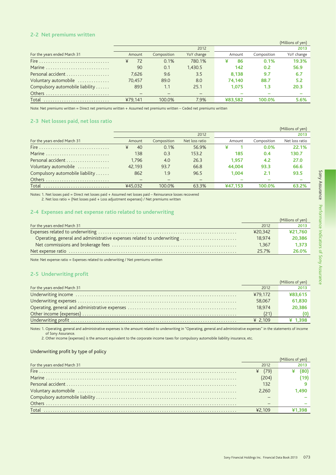#### 2-2 Net premiums written

|                                 |         |             |            |         |             | (Millions of yen) |
|---------------------------------|---------|-------------|------------|---------|-------------|-------------------|
|                                 |         |             | 2012       |         |             | 2013              |
| For the years ended March 31    | Amount  | Composition | YoY change | Amount  | Composition | YoY change        |
| Fire                            | 72<br>¥ | 0.1%        | 780.1%     | 86<br>¥ | 0.1%        | 19.3%             |
| Marine                          | 90      | 0.1         | 1.430.5    | 142     | 0.2         | 56.9              |
|                                 | 7.626   | 9.6         | 3.5        | 8.138   | 9.7         | 6.7               |
| Voluntary automobile            | 70.457  | 89.0        | 8.0        | 74.140  | 88.7        | 5.2               |
| Compulsory automobile liability | 893     | 1.1         | 25.1       | 1.075   | 1.3         | 20.3              |
|                                 |         |             |            |         |             |                   |
| Total                           | ¥79.141 | 100.0%      | 7.9%       | ¥83.582 | 100.0%      | 5.6%              |
|                                 |         |             |            |         |             |                   |

Note: Net premiums written = Direct net premiums written + Assumed net premiums written - Ceded net premiums written

## 2-3 Net losses paid, net loss ratio

|                                 |         |             |                |         |             | (Millions of yen) |
|---------------------------------|---------|-------------|----------------|---------|-------------|-------------------|
|                                 |         |             | 2012           |         |             | 2013              |
| For the years ended March 31    | Amount  | Composition | Net loss ratio | Amount  | Composition | Net loss ratio    |
|                                 | ¥<br>40 | 0.1%        | 56.9%          | ¥       | $0.0\%$     | 22.1%             |
| Marine                          | 138     | 0.3         | 153.2          | 185     | 0.4         | 130.7             |
| Personal accident               | 1.796   | 4.0         | 26.3           | 1.957   | 4.2         | 27.0              |
| Voluntary automobile            | 42.193  | 93.7        | 66.8           | 44.004  | 93.3        | 66.6              |
| Compulsory automobile liability | 862     | 1.9         | 96.5           | 1.004   | 2.1         | 93.5              |
|                                 |         |             |                |         |             |                   |
| Total                           | ¥45.032 | 100.0%      | 63.3%          | ¥47.153 | 100.0%      | 63.2%             |

Notes: 1. Net losses paid = Direct net losses paid + Assumed net losses paid - Reinsurance losses recovered

2. Net loss ratio = (Net losses paid + Loss adjustment expenses) / Net premiums written

#### 2-4 Expenses and net expense ratio related to underwriting

|                                                                        |         | (Millions of yen) |
|------------------------------------------------------------------------|---------|-------------------|
| For the years ended March 31                                           | 2012    | 2013              |
|                                                                        | ¥20.342 | ¥21.760           |
| Operating, general and administrative expenses related to underwriting | 18.974  | 20,386            |
|                                                                        | 1.367   | 1.373             |
|                                                                        | 25.7%   | 26.0%             |
|                                                                        |         |                   |

Note: Net expense ratio = Expenses related to underwriting / Net premiums written

### 2-5 Underwriting profit

|                              |         | (Millions of yen) |
|------------------------------|---------|-------------------|
| For the years ended March 31 | 2012    | <b>2013</b>       |
|                              | ¥79.172 | ¥83,615           |
|                              | 58.067  | 61,830            |
|                              | 18.974  | 20,386            |
|                              |         |                   |
|                              | ¥ 2.109 | ¥ 1398            |

Notes: 1. Operating, general and administrative expenses is the amount related to underwriting in "Operating, general and administrative expenses" in the statements of income of Sony Assurance.

2. Other income (expenses) is the amount equivalent to the corporate income taxes for compulsory automobile liability insurance, etc.

#### Underwriting profit by type of policy

| For the years ended March 31 | 2012   |      |
|------------------------------|--------|------|
|                              | (79)   |      |
|                              |        |      |
|                              | 132    |      |
|                              | 2.260  | -490 |
|                              |        |      |
|                              |        |      |
|                              | 42.109 |      |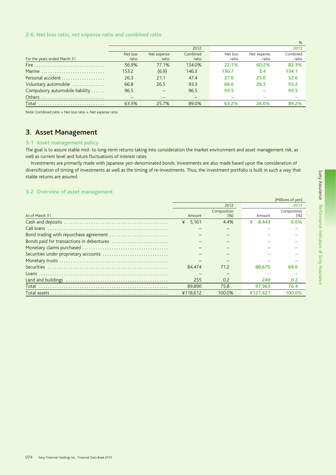### 2-6 Net loss ratio, net expense ratio and combined ratio

|                                                                       |                          |             |          |          |             | %        |
|-----------------------------------------------------------------------|--------------------------|-------------|----------|----------|-------------|----------|
|                                                                       |                          |             | 2012     |          |             | 2013     |
|                                                                       | Net loss                 | Net expense | Combined | Net loss | Net expense | Combined |
| For the years ended March 31                                          | ratio                    | ratio       | ratio    | ratio    | ratio       | ratio    |
| Fire $\ldots \ldots \ldots \ldots \ldots \ldots \ldots \ldots \ldots$ | 56.9%                    | 77.1%       | 134.0%   | 22.1%    | 60.2%       | 82.3%    |
| Marine                                                                | 153.2                    | (6.9)       | 146.3    | 130.7    | 3.4         | 134.1    |
| Personal accident                                                     | 26.3                     | 21.1        | 47.4     | 27.0     | 25.0        | 52.0     |
| Voluntary automobile                                                  | 66.8                     | 26.5        | 93.3     | 66.6     | 26.5        | 93.2     |
| Compulsory automobile liability                                       | 96.5                     |             | 96.5     | 93.5     |             | 93.5     |
|                                                                       | $\overline{\phantom{m}}$ |             |          |          |             |          |
| Total                                                                 | 63.3%                    | 25.7%       | 89.0%    | 63.2%    | 26.0%       | 89.2%    |

Note: Combined ratio = Net loss ratio + Net expense ratio

## 3. Asset Management

#### 3-1 Asset management policy

The goal is to assure stable mid- to long-term returns taking into consideration the market environment and asset management risk, as well as current level and future fluctuations of interest rates.

Investments are primarily made with Japanese yen-denominated bonds. Investments are also made based upon the consideration of diversification of timing of investments as well as the timing of re-investments. Thus, the investment portfolio is built in such a way that stable returns are assured.

#### 3-2 Overview of asset management

|                                        |            |             |            | (Millions of yen) |
|----------------------------------------|------------|-------------|------------|-------------------|
|                                        |            | 2012        |            | 2013              |
|                                        |            | Composition |            | Composition       |
| As of March 31                         | Amount     | (% )        | Amount     | (% )              |
|                                        | 5.161<br>¥ | 4.4%        | 8.443<br>¥ | 6.6%              |
|                                        |            |             |            |                   |
| Bond trading with repurchase agreement |            |             |            |                   |
|                                        |            |             |            |                   |
|                                        |            |             |            |                   |
|                                        |            |             |            |                   |
|                                        |            |             |            |                   |
|                                        | 84.474     | 71.2        | 88,670     | 69.6              |
|                                        |            |             |            |                   |
|                                        | 255        | 0.2         | 249        | 0.2               |
| Total                                  | 89,890     | 75.8        | 97.363     | 76.4              |
|                                        | ¥118.612   | 100.0%      | ¥127.421   | 100.0%            |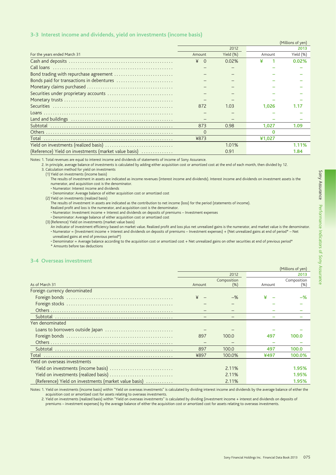### 3-3 Interest income and dividends, yield on investments (income basis)

|                                                       |                     |              |        | (Millions of yen) |
|-------------------------------------------------------|---------------------|--------------|--------|-------------------|
|                                                       |                     | 2012         |        | 2013              |
| For the years ended March 31                          | Amount              | Yield $(\%)$ | Amount | Yield (%)         |
|                                                       | ¥<br>$\overline{0}$ | 0.02%        |        | 0.02%             |
|                                                       |                     |              |        |                   |
|                                                       |                     |              |        |                   |
| Bonds paid for transactions in debentures             |                     |              |        |                   |
|                                                       |                     |              |        |                   |
| Securities under proprietary accounts                 |                     |              |        |                   |
|                                                       |                     |              |        |                   |
| Securities                                            | 872                 | 1.03         | 1.026  | 1.17              |
|                                                       |                     |              |        |                   |
|                                                       |                     |              |        |                   |
|                                                       | 873                 | 0.98         | 1.027  | 1.09              |
|                                                       | $\Omega$            |              | n      |                   |
|                                                       | ¥873                |              | ¥1,027 |                   |
|                                                       |                     | 1.01%        |        | 1.11%             |
| (Reference) Yield on investments (market value basis) |                     | 0.91         |        | 1.84              |

Notes: 1. Total revenues are equal to interest income and dividends of statements of income of Sony Assurance.

2. In principle, average balance of investments is calculated by adding either acquisition cost or amortized cost at the end of each month, then divided by 12. 3. Calculation method for yield on investments

(1) Yield on investments (income basis)

The results of investment in assets are indicated as income revenues (interest income and dividends). Interest income and dividends on investment assets is the numerator, and acquisition cost is the denominator.

· Numerator: Interest income and dividends

• Denominator: Average balance of either acquisition cost or amortized cost

(2) Yield on investments (realized basis)

The results of investment in assets are indicated as the contribution to net income (loss) for the period (statements of income).

Realized profit and loss is the numerator, and acquisition cost is the denominator.

• Numerator: Investment income + Interest and dividends on deposits of premiums - Investment expenses

• Denominator: Average balance of either acquisition cost or amortized cost

(3) (Reference) Yield on investments (market value basis)

An indicator of investment efficiency based on market value. Realized profit and loss plus net unrealized gains is the numerator, and market value is the denominator. · Numerator = (Investment income + Interest and dividends on deposits of premiums - Investment expenses) + (Net unrealized gains at end of period\* - Net unrealized gains at end of previous period\*)

• Denominator = Average balance according to the acquisition cost or amortized cost + Net unrealized gains on other securities at end of previous period\* \* Amounts before tax deductions

#### 3-4 Overseas investment

|                                                       |        |                     |        | (Millions of yen)   |
|-------------------------------------------------------|--------|---------------------|--------|---------------------|
|                                                       |        | 2012                |        | 2013                |
| As of March 31                                        | Amount | Composition<br>(% ) | Amount | Composition<br>(% ) |
| Foreign currency denominated                          |        |                     |        |                     |
|                                                       |        | $-$ %               |        | $-$ %               |
|                                                       |        |                     |        |                     |
|                                                       |        |                     |        |                     |
|                                                       |        |                     |        |                     |
| Yen denominated                                       |        |                     |        |                     |
|                                                       |        |                     |        |                     |
|                                                       | 897    | 100.0               | 497    | 100.0               |
|                                                       |        |                     |        |                     |
|                                                       | 897    | 100.0               | 497    | 100.0               |
| Total                                                 | ¥897   | 100.0%              | ¥497   | 100.0%              |
| Yield on overseas investments                         |        |                     |        |                     |
|                                                       |        | 2.11%               |        | 1.95%               |
|                                                       |        | 2.11%               |        | 1.95%               |
| (Reference) Yield on investments (market value basis) |        | 2.11%               |        | 1.95%               |

Notes: 1. Yield on investments (income basis) within "Yield on overseas investments" is calculated by dividing interest income and dividends by the average balance of either the acquisition cost or amortized cost for assets relating to overseas investments.

2. Yield on investments (realized basis) within "Yield on overseas investments" is calculated by dividing (investment income + interest and dividends on deposits of premiums – investment expenses) by the average balance of either the acquisition cost or amortized cost for assets relating to overseas investments.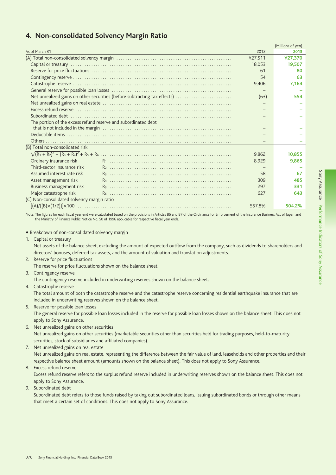|                                            |                                                                           |         | (Millions of yen) |
|--------------------------------------------|---------------------------------------------------------------------------|---------|-------------------|
| As of March 31                             |                                                                           | 2012    | 2013              |
|                                            |                                                                           | ¥27,511 | ¥27.370           |
|                                            |                                                                           | 18.053  | 19.507            |
|                                            |                                                                           | 61      | 80                |
|                                            |                                                                           | 54      | 63                |
|                                            |                                                                           | 9,406   | 7,164             |
|                                            |                                                                           |         |                   |
|                                            | Net unrealized gains on other securities (before subtracting tax effects) | (63)    | 554               |
|                                            |                                                                           |         |                   |
|                                            |                                                                           |         |                   |
|                                            |                                                                           |         |                   |
|                                            | The portion of the excess refund reserve and subordinated debt            |         |                   |
|                                            |                                                                           |         |                   |
|                                            |                                                                           |         |                   |
|                                            |                                                                           |         |                   |
| (B) Total non-consolidated risk            |                                                                           |         |                   |
|                                            |                                                                           | 9.862   | 10.855            |
| Ordinary insurance risk                    |                                                                           | 8.929   | 9.865             |
| Third-sector insurance risk                |                                                                           |         |                   |
| Assumed interest rate risk                 |                                                                           | 58      | 67                |
| Asset management risk                      |                                                                           | 309     | 485               |
| Business management risk                   |                                                                           | 297     | 331               |
| Major catastrophe risk                     |                                                                           | 627     | 643               |
| (C) Non-consolidated solvency margin ratio |                                                                           |         |                   |
|                                            |                                                                           | 557.8%  | 504.2%            |

## 4. Non-consolidated Solvency Margin Ratio

Note: The figures for each fiscal year end were calculated based on the provisions in Articles 86 and 87 of the Ordinance for Enforcement of the Insurance Business Act of Japan and the Ministry of Finance Public Notice No. 50 of 1996 applicable for respective fiscal year ends.

• Breakdown of non-consolidated solvency margin

1. Capital or treasury

Net assets of the balance sheet, excluding the amount of expected outflow from the company, such as dividends to shareholders and directors' bonuses, deferred tax assets, and the amount of valuation and translation adjustments.

- 2. Reserve for price fluctuations
- The reserve for price fluctuations shown on the balance sheet.
- 3. Contingency reserve

The contingency reserve included in underwriting reserves shown on the balance sheet.

- 4. Catastrophe reserve The total amount of both the catastrophe reserve and the catastrophe reserve concerning residential earthquake insurance that are included in underwriting reserves shown on the balance sheet.
- 5. Reserve for possible loan losses The general reserve for possible loan losses included in the reserve for possible loan losses shown on the balance sheet. This does not apply to Sony Assurance.
- 6. Net unrealized gains on other securities Net unrealized gains on other securities (marketable securities other than securities held for trading purposes, held-to-maturity securities, stock of subsidiaries and affiliated companies).
- 7. Net unrealized gains on real estate

Net unrealized gains on real estate, representing the difference between the fair value of land, leaseholds and other properties and their respective balance sheet amount (amounts shown on the balance sheet). This does not apply to Sony Assurance.

8. Excess refund reserve

Excess refund reserve refers to the surplus refund reserve included in underwriting reserves shown on the balance sheet. This does not apply to Sony Assurance.

9. Subordinated debt

Subordinated debt refers to those funds raised by taking out subordinated loans, issuing subordinated bonds or through other means that meet a certain set of conditions. This does not apply to Sony Assurance.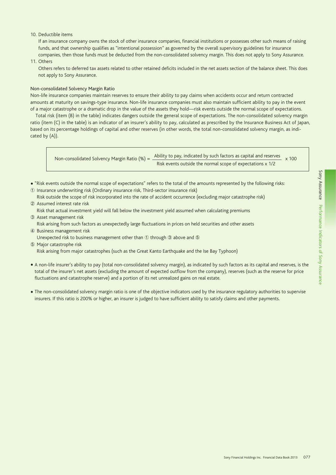#### 10. Deductible items

 If an insurance company owns the stock of other insurance companies, financial institutions or possesses other such means of raising funds, and that ownership qualifies as "intentional possession" as governed by the overall supervisory guidelines for insurance companies, then those funds must be deducted from the non-consolidated solvency margin. This does not apply to Sony Assurance.

11. Others

 Others refers to deferred tax assets related to other retained deficits included in the net assets section of the balance sheet. This does not apply to Sony Assurance.

#### Non-consolidated Solvency Margin Ratio

Non-life insurance companies maintain reserves to ensure their ability to pay claims when accidents occur and return contracted amounts at maturity on savings-type insurance. Non-life insurance companies must also maintain sufficient ability to pay in the event of a major catastrophe or a dramatic drop in the value of the assets they hold—risk events outside the normal scope of expectations.

Total risk (item (B) in the table) indicates dangers outside the general scope of expectations. The non-consolidated solvency margin ratio (item (C) in the table) is an indicator of an insurer's ability to pay, calculated as prescribed by the Insurance Business Act of Japan, based on its percentage holdings of capital and other reserves (in other words, the total non-consolidated solvency margin, as indicated by (A)).

Non-consolidated Solvency Margin Ratio (%) =  $\frac{\text{Ablity to pay, indicated by such factors as capital and reserves}}{100} \times 100$ Risk events outside the normal scope of expectations x 1/2

- "Risk events outside the normal scope of expectations" refers to the total of the amounts represented by the following risks:
- 1 Insurance underwriting risk (Ordinary insurance risk, Third-sector insurance risk)
- Risk outside the scope of risk incorporated into the rate of accident occurrence (excluding major catastrophe risk) 2 Assumed interest rate risk
- Risk that actual investment yield will fall below the investment yield assumed when calculating premiums
- 3 Asset management risk Risk arising from such factors as unexpectedly large fluctuations in prices on held securities and other assets
- 4 Business management risk

Unexpected risk to business management other than  $\oplus$  through  $\oplus$  above and  $\oplus$ 

- 5 Major catastrophe risk Risk arising from major catastrophes (such as the Great Kanto Earthquake and the Ise Bay Typhoon)
- A non-life insurer's ability to pay (total non-consolidated solvency margin), as indicated by such factors as its capital and reserves, is the total of the insurer's net assets (excluding the amount of expected outflow from the company), reserves (such as the reserve for price fluctuations and catastrophe reserve) and a portion of its net unrealized gains on real estate.
- The non-consolidated solvency margin ratio is one of the objective indicators used by the insurance regulatory authorities to supervise insurers. If this ratio is 200% or higher, an insurer is judged to have sufficient ability to satisfy claims and other payments.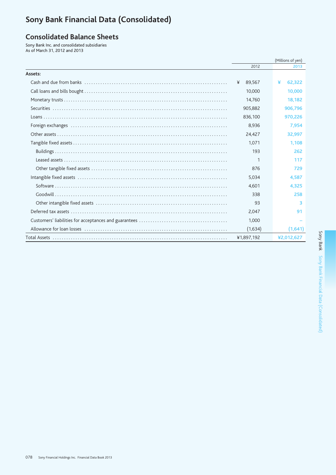# Sony Bank Financial Data (Consolidated)

## **Consolidated Balance Sheets**

Sony Bank Inc. and consolidated subsidiaries As of March 31, 2012 and 2013

|         | (Millions of yen) |             |
|---------|-------------------|-------------|
|         | 2012              | 2013        |
| Assets: |                   |             |
|         | 89,567<br>¥       | ¥<br>62.322 |
|         | 10,000            | 10,000      |
|         | 14,760            | 18.182      |
|         | 905,882           | 906,796     |
|         | 836,100           | 970,226     |
|         | 8,936             | 7.954       |
|         | 24.427            | 32.997      |
|         | 1,071             | 1.108       |
|         | 193               | 262         |
|         | 1                 | 117         |
|         | 876               | 729         |
|         | 5,034             | 4,587       |
|         | 4.601             | 4.325       |
|         | 338               | 258         |
|         | 93                | 3           |
|         | 2,047             | 91          |
|         | 1,000             |             |
|         | (1,634)           | (1,641)     |
|         | ¥1,897,192        | ¥2,012,627  |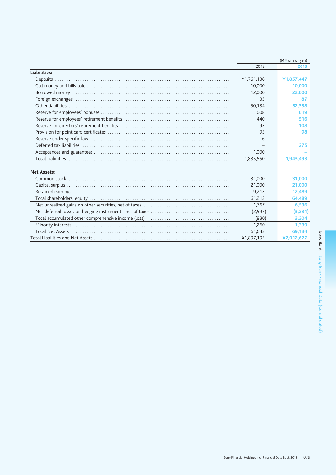|                    |            | (Millions of yen) |
|--------------------|------------|-------------------|
|                    | 2012       | 2013              |
| Liabilities:       |            |                   |
|                    | ¥1,761,136 | ¥1,857,447        |
|                    | 10,000     | 10,000            |
|                    | 12,000     | 22,000            |
|                    | 35         | 87                |
|                    | 50,134     | 52,338            |
|                    | 608        | 619               |
|                    | 440        | 516               |
|                    | 92         | 108               |
|                    | 95         | 98                |
|                    | 6          |                   |
|                    |            | 275               |
|                    | 1,000      |                   |
|                    | 1,835,550  | 1,943,493         |
| <b>Net Assets:</b> |            |                   |
|                    | 31,000     | 31,000            |
|                    | 21,000     | 21,000            |
|                    | 9,212      | 12,489            |
|                    | 61,212     | 64,489            |
|                    | 1.767      | 6,536             |
|                    | (2, 597)   | (3,231)           |
|                    | (830)      | 3,304             |
|                    | 1.260      | 1,339             |
|                    | 61,642     | 69,134            |
|                    | ¥1,897,192 | ¥2,012,627        |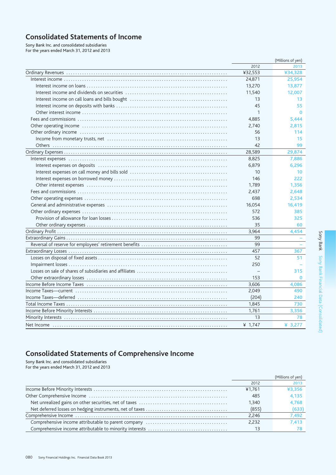## **Consolidated Statements of Income**

Sony Bank Inc. and consolidated subsidiaries For the years ended March 31, 2012 and 2013

|                          | (Millions of yen) |
|--------------------------|-------------------|
| 2012                     | 2013              |
| ¥32,553                  | ¥34,328           |
| 24,871                   | 25,954            |
| 13,270                   | 13,877            |
| 11,540                   | 12,007            |
| 13                       | 13                |
| 45                       | 55                |
| $\mathbf{1}$             | $\bf{0}$          |
| 4,885                    | 5.444             |
| 2,740                    | 2,815             |
| 56                       | 114               |
| 13                       | 15                |
| 42                       | 99                |
| 28,589                   | 29,874            |
| 8,825                    | 7,886             |
| 6,879                    | 6.296             |
| 10                       | 10                |
| 146                      | 222               |
| 1,789                    | 1.356             |
| 2,437                    | 2.648             |
| 698                      | 2.534             |
| 16.054                   | 16,419            |
| 572                      | 385               |
| 536                      | 325               |
| 35                       | 60                |
| 3,964                    | 4,454             |
| 99                       |                   |
| 99                       |                   |
| 457                      | 367               |
| 52                       | 51                |
| 250                      |                   |
| $\overline{\phantom{0}}$ | 315               |
| 153                      | $\Omega$          |
| 3,606                    | 4,086             |
| 2,049                    | 490               |
| (204)                    | 240               |
| 1,845                    | 730               |
| 1,761                    | 3,356             |
| 13                       | 78                |
| ¥ 1,747                  | ¥ 3,277           |

## **Consolidated Statements of Comprehensive Income**

Sony Bank Inc. and consolidated subsidiaries<br>For the years ended March 31, 2012 and 2013

|        | (Millions of yen) |
|--------|-------------------|
| 2012   | 2013              |
| ¥1.761 | ¥3.356            |
| 485    | 4.135             |
| 1.340  | 4.768             |
| (855)  | (633)             |
| 2.246  | 7.492             |
| 2.232  | 7.413             |
| 13     |                   |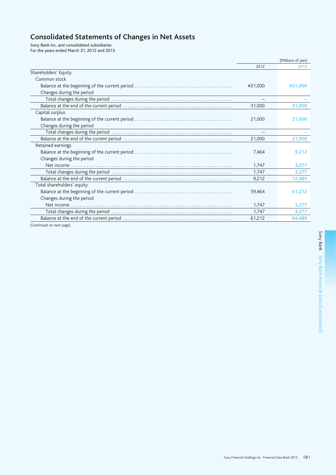# **Consolidated Statements of Changes in Net Assets**

Sony Bank Inc. and consolidated subsidiaries

| For the years ended March 31, 2012 and 2013 |  |
|---------------------------------------------|--|
|---------------------------------------------|--|

|                            |         | (Millions of yen) |
|----------------------------|---------|-------------------|
|                            | 2012    | 2013              |
| Shareholders' Equity       |         |                   |
| Common stock               |         |                   |
|                            | ¥31.000 | ¥31.000           |
| Changes during the period  |         |                   |
|                            |         |                   |
|                            | 31.000  | 31,000            |
| Capital surplus            |         |                   |
|                            | 21,000  | 21,000            |
| Changes during the period  |         |                   |
|                            |         |                   |
|                            | 21,000  | 21,000            |
| Retained earnings          |         |                   |
|                            | 7,464   | 9,212             |
| Changes during the period  |         |                   |
|                            | 1.747   | 3,277             |
|                            | 1.747   | 3,277             |
|                            | 9,212   | 12,489            |
| Total shareholders' equity |         |                   |
|                            | 59,464  | 61,212            |
| Changes during the period  |         |                   |
|                            | 1,747   | 3,277             |
|                            | 1,747   | 3,277             |
|                            | 61,212  | 64,489            |

(Continued on next page)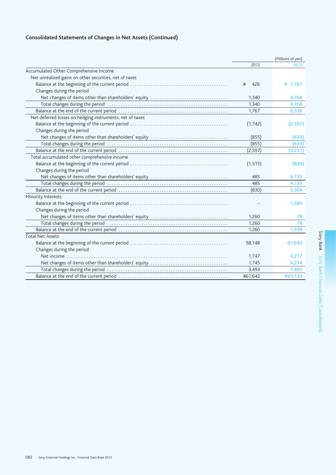## **Consolidated Statements of Changes in Net Assets (Continued)**

|                                                          | (Millions of yen) |           |
|----------------------------------------------------------|-------------------|-----------|
|                                                          | 2012              | 2013      |
| Accumulated Other Comprehensive Income                   |                   |           |
| Net unrealized gains on other securities, net of taxes   |                   |           |
|                                                          | 426<br>¥          | ¥ $1,767$ |
| Changes during the period                                |                   |           |
| Net changes of items other than shareholders' equity     | 1,340             | 4,768     |
|                                                          | 1,340             | 4,768     |
|                                                          | 1,767             | 6,536     |
| Net deferred losses on hedging instruments, net of taxes |                   |           |
|                                                          | (1, 742)          | (2,597)   |
| Changes during the period                                |                   |           |
|                                                          | (855)             | (633)     |
|                                                          | (855)             | (633)     |
|                                                          | (2, 597)          | (3,231)   |
| Total accumulated other comprehensive income             |                   |           |
|                                                          | (1, 315)          | (830)     |
| Changes during the period                                |                   |           |
|                                                          | 485               | 4,135     |
|                                                          | 485               | 4,135     |
|                                                          | (830)             | 3,304     |
| Minority Interests                                       |                   |           |
|                                                          |                   | 1,260     |
| Changes during the period                                |                   |           |
|                                                          | 1,260             | 78        |
|                                                          | 1,260             | 78        |
|                                                          | 1,260             | 1,339     |
| <b>Total Net Assets</b>                                  |                   |           |
|                                                          | 58,148            | 61,642    |
| Changes during the period                                |                   |           |
| Net income                                               | 1,747             | 3,277     |
| Net changes of items other than shareholders' equity     | 1,745             | 4,214     |
|                                                          | 3,493             | 7,492     |
|                                                          | ¥61,642           | ¥69,134   |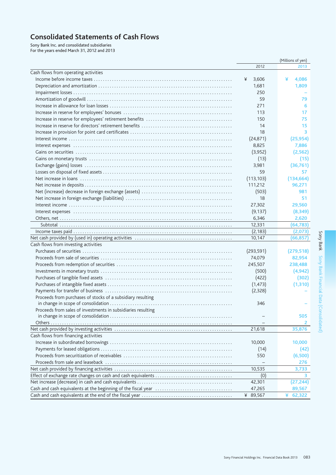## **Consolidated Statements of Cash Flows**

Sony Bank Inc. and consolidated subsidiaries<br>For the years ended March 31, 2012 and 2013

|                                                              |            | (Millions of yen) |
|--------------------------------------------------------------|------------|-------------------|
|                                                              | 2012       | 2013              |
| Cash flows from operating activities                         |            |                   |
|                                                              | 3,606<br>¥ | ¥<br>4,086        |
|                                                              | 1,681      | 1,809             |
|                                                              | 250        |                   |
|                                                              | 59         | 79                |
|                                                              | 271        | 6                 |
|                                                              | 113        | 17                |
|                                                              | 150        | 75                |
|                                                              | 14         | 15                |
|                                                              | 18         | 3                 |
|                                                              | (24, 871)  | (25, 954)         |
|                                                              | 8,825      | 7,886             |
|                                                              | (3,952)    | (2, 562)          |
|                                                              | (13)       | (15)              |
|                                                              | 3,981      | (36, 761)         |
|                                                              | 59         | 57                |
|                                                              | (113, 103) | (134, 664)        |
|                                                              | 111,212    | 96,271            |
|                                                              | (503)      | 981               |
|                                                              | 18         | 51                |
|                                                              | 27,302     | 29,560            |
|                                                              | (9, 137)   | (8, 349)          |
|                                                              | 6,346      | 2,620             |
|                                                              | 12,331     | (64, 783)         |
|                                                              | (2, 183)   | (2,073)           |
|                                                              | 10,147     |                   |
|                                                              |            | (66,857)          |
| Cash flows from investing activities                         |            |                   |
|                                                              | (293, 591) | (279, 518)        |
|                                                              | 74,079     | 82,954            |
|                                                              | 245,507    | 238,488           |
|                                                              | (500)      | (4,942)           |
|                                                              | (422)      | (302)             |
|                                                              | (1, 473)   | (1, 310)          |
|                                                              | (2,328)    |                   |
| Proceeds from purchases of stocks of a subsidiary resulting  |            |                   |
|                                                              | 346        |                   |
| Proceeds from sales of investments in subsidiaries resulting |            | 505               |
|                                                              |            | 2                 |
|                                                              |            |                   |
|                                                              | 21,618     | 35,876            |
| Cash flows from financing activities                         |            |                   |
|                                                              | 10,000     | 10,000            |
|                                                              | (14)       | (42)              |
|                                                              | 550        | (6,500)           |
|                                                              |            | 276               |
|                                                              | 10,535     | 3,733             |
|                                                              | (0)        | 3.                |
|                                                              | 42,301     | (27, 244)         |
|                                                              | 47,265     | 89,567            |
|                                                              | ¥ 89,567   | ¥<br>62,322       |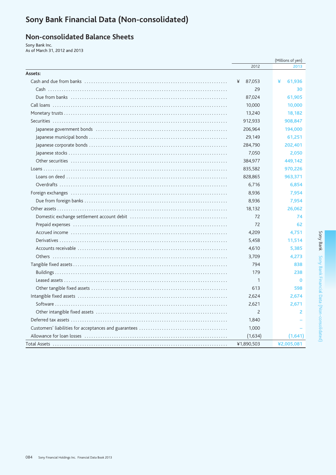# Sony Bank Financial Data (Non-consolidated)

## **Non-consolidated Balance Sheets**

Sony Bank Inc. As of March 31, 2012 and 2013

|         |                | (Millions of yen) |
|---------|----------------|-------------------|
|         | 2012           | 2013              |
| Assets: |                |                   |
|         | 87,053<br>¥    | ¥<br>61,936       |
|         | 29             | 30                |
|         | 87,024         | 61,905            |
|         | 10,000         | 10,000            |
|         | 13,240         | 18,182            |
|         | 912,933        | 908,847           |
|         | 206,964        | 194,000           |
|         | 29,149         | 61,251            |
|         | 284,790        | 202,401           |
|         | 7,050          | 2,050             |
|         | 384,977        | 449,142           |
|         | 835,582        | 970,226           |
|         | 828,865        | 963,371           |
|         | 6,716          | 6,854             |
|         | 8,936          | 7,954             |
|         | 8,936          | 7,954             |
|         | 18,132         | 26,062            |
|         | 72             | 74                |
|         | 72             | 62                |
|         | 4,209          | 4,751             |
|         | 5,458          | 11,514            |
|         | 4,610          | 5,385             |
|         | 3,709          | 4,273             |
|         | 794            | 838               |
|         | 179            | 238               |
|         | 1              | $\bf{0}$          |
|         | 613            | 598               |
|         | 2,624          | 2,674             |
|         | 2,621          | 2,671             |
|         | $\overline{c}$ | 2                 |
|         | 1,840          |                   |
|         | 1,000          |                   |
|         | (1,634)        | (1,641)           |
|         | ¥1.890.503     | ¥2.005.081        |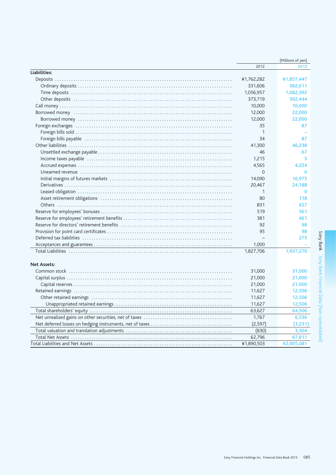|                    | (Millions of yen) |            |  |
|--------------------|-------------------|------------|--|
|                    | 2012              | 2013       |  |
| Liabilities:       |                   |            |  |
|                    | ¥1,762,282        | ¥1,857,447 |  |
|                    | 331,606           | 382,611    |  |
|                    | 1,056,957         | 1,082,392  |  |
|                    | 373,719           | 392,444    |  |
|                    | 10,000            | 10,000     |  |
|                    | 12,000            | 22,000     |  |
|                    | 12,000            | 22,000     |  |
|                    | 35                | 87         |  |
|                    | $\mathbf{1}$      |            |  |
|                    | 34                | 87         |  |
|                    | 41,300            | 46,238     |  |
|                    | 46                | 67         |  |
|                    | 1,215             | 5          |  |
|                    | 4,565             | 4.224      |  |
|                    | $\Omega$          | $\Omega$   |  |
|                    | 14,090            | 16,975     |  |
|                    | 20,467            | 24,188     |  |
|                    | 1                 | $\bf{0}$   |  |
|                    | 80                | 118        |  |
|                    | 831               | 657        |  |
|                    | 519               | 561        |  |
|                    | 381               | 461        |  |
|                    | 92                | 98         |  |
|                    | 95                | 98         |  |
|                    |                   | 275        |  |
|                    | 1,000             |            |  |
|                    | 1,827,706         | 1,937,270  |  |
|                    |                   |            |  |
| <b>Net Assets:</b> |                   |            |  |
|                    | 31,000            | 31,000     |  |
|                    | 21,000            | 21,000     |  |
|                    | 21,000            | 21,000     |  |
|                    | 11,627            | 12,506     |  |
|                    | 11,627            | 12,506     |  |
|                    | 11,627            | 12,506     |  |
|                    | 63,627            | 64,506     |  |
|                    | 1,767             | 6,536      |  |
|                    | (2, 597)          | (3,231)    |  |
|                    | (830)             | 3,304      |  |
|                    | 62,796            | 67,811     |  |
|                    | ¥1,890,503        | ¥2,005,081 |  |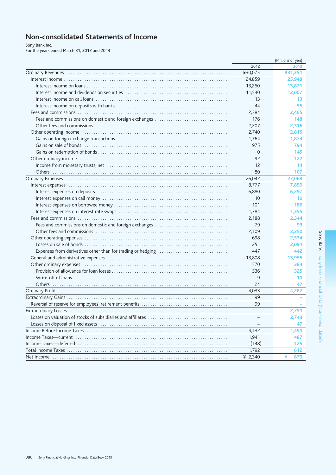## Non-consolidated Statements of Income

Sony Bank Inc.<br>For the years ended March 31, 2012 and 2013

|                                                             |             | (Millions of yen) |
|-------------------------------------------------------------|-------------|-------------------|
|                                                             | 2012        | 2013              |
|                                                             | ¥30,075     | ¥31,351           |
|                                                             | 24,859      | 25,948            |
|                                                             | 13,260      | 13,871            |
|                                                             | 11,540      | 12,007            |
|                                                             | 13          | 13                |
|                                                             | 44          | 55                |
|                                                             | 2,384       | 2,465             |
| Fees and commissions on domestic and foreign exchanges      | 176         | 148               |
|                                                             | 2,207       | 2,316             |
|                                                             | 2,740       | 2,815             |
|                                                             | 1,764       | 1,874             |
|                                                             | 975         | 794               |
|                                                             | $\mathbf 0$ | 145               |
|                                                             | 92          | 122               |
|                                                             | 12          | 14                |
|                                                             | 80          | 107               |
|                                                             | 26,042      | 27,068            |
|                                                             | 8,777       | 7,850             |
|                                                             | 6,880       | 6,297             |
|                                                             | 10          | 10                |
|                                                             | 101         | 186               |
|                                                             | 1,784       | 1,355             |
|                                                             | 2,188       | 2,344             |
| Fees and commissions on domestic and foreign exchanges      | 79          | 93                |
|                                                             | 2,109       | 2,250             |
|                                                             | 698         | 2,534             |
|                                                             | 251         | 2,091             |
| Expenses from derivatives other than for trading or hedging | 447         | 442               |
|                                                             | 13,808      | 13,955            |
|                                                             | 570         | 384               |
|                                                             | 536         | 325               |
|                                                             | 9           | 11                |
|                                                             | 24          | 47                |
|                                                             | 4,033       | 4,282             |
|                                                             | 99          |                   |
|                                                             | 99          |                   |
|                                                             |             | 2,791             |
|                                                             |             | 2,743             |
|                                                             |             | 47                |
|                                                             | 4,132       | 1,491             |
|                                                             | 1,941       | 487               |
|                                                             | (148)       | 125               |
|                                                             | 1,792       | 612               |
|                                                             | ¥ $2,340$   | 879               |
|                                                             |             |                   |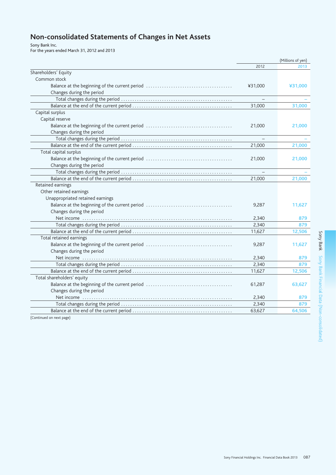# Non-consolidated Statements of Changes in Net Assets

Sony Bank Inc.<br>For the years ended March 31, 2012 and 2013

|                                  | (Millions of yen)        |         |
|----------------------------------|--------------------------|---------|
|                                  | 2012                     | 2013    |
| Shareholders' Equity             |                          |         |
| Common stock                     |                          |         |
|                                  | ¥31,000                  | ¥31,000 |
| Changes during the period        |                          |         |
|                                  |                          |         |
|                                  | 31,000                   | 31,000  |
| Capital surplus                  |                          |         |
| Capital reserve                  |                          |         |
|                                  | 21,000                   | 21,000  |
| Changes during the period        |                          |         |
|                                  | $\overline{\phantom{m}}$ |         |
|                                  | 21,000                   | 21,000  |
| Total capital surplus            |                          |         |
|                                  | 21,000                   | 21,000  |
| Changes during the period        |                          |         |
|                                  |                          |         |
|                                  | 21,000                   | 21,000  |
| Retained earnings                |                          |         |
| Other retained earnings          |                          |         |
| Unappropriated retained earnings |                          |         |
|                                  | 9,287                    | 11,627  |
| Changes during the period        |                          |         |
|                                  | 2,340                    | 879     |
|                                  | 2,340                    | 879     |
|                                  | 11,627                   | 12,506  |
| Total retained earnings          |                          |         |
|                                  | 9,287                    | 11,627  |
| Changes during the period        |                          |         |
|                                  | 2,340                    | 879     |
|                                  | 2.340                    | 879     |
|                                  | 11,627                   | 12,506  |
| Total shareholders' equity       |                          |         |
|                                  | 61,287                   | 63,627  |
| Changes during the period        |                          |         |
|                                  | 2,340                    | 879     |
|                                  | 2,340                    | 879     |
|                                  | 63,627                   | 64,506  |
| (Continued on next page)         |                          |         |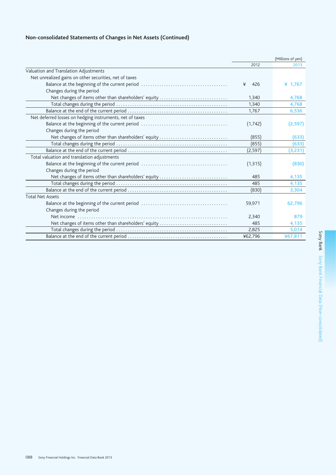## Non-consolidated Statements of Changes in Net Assets (Continued)

|                                                          |          | (Millions of yen) |
|----------------------------------------------------------|----------|-------------------|
|                                                          | 2012     | 2013              |
| Valuation and Translation Adjustments                    |          |                   |
| Net unrealized gains on other securities, net of taxes   |          |                   |
|                                                          | ¥<br>426 | ¥ $1,767$         |
| Changes during the period                                |          |                   |
| Net changes of items other than shareholders' equity     | 1,340    | 4,768             |
|                                                          | 1,340    | 4,768             |
|                                                          | 1,767    | 6,536             |
| Net deferred losses on hedging instruments, net of taxes |          |                   |
|                                                          | (1, 742) | (2,597)           |
| Changes during the period                                |          |                   |
| Net changes of items other than shareholders' equity     | (855)    | (633)             |
|                                                          | (855)    | (633)             |
|                                                          | (2, 597) | (3,231)           |
| Total valuation and translation adjustments              |          |                   |
|                                                          | (1, 315) | (830)             |
| Changes during the period                                |          |                   |
| Net changes of items other than shareholders' equity     | 485      | 4,135             |
|                                                          | 485      | 4,135             |
|                                                          | (830)    | 3,304             |
| <b>Total Net Assets</b>                                  |          |                   |
|                                                          | 59,971   | 62,796            |
| Changes during the period                                |          |                   |
|                                                          | 2,340    | 879               |
| Net changes of items other than shareholders' equity     | 485      | 4,135             |
|                                                          | 2,825    | 5,014             |
|                                                          | ¥62,796  | ¥67,811           |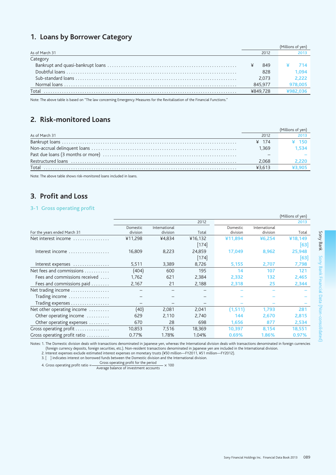## 1. Loans by Borrower Category

| As of March 31 | 2012     |       |
|----------------|----------|-------|
| Category       |          |       |
|                | 849      |       |
|                | 828      | 1.094 |
|                | 2.073    | 2.222 |
| Normal loans   | 845.977  |       |
| Total          | ¥849.728 |       |
|                |          |       |

Note: The above table is based on "The law concerning Emergency Measures for the Revitalization of the Financial Functions."

## 2. Risk-monitored Loans

| As of March 31 | 2012              |       |
|----------------|-------------------|-------|
|                | $\frac{1}{2}$ 174 |       |
|                | 1.369             | 1.534 |
|                |                   |       |
|                | 2.068             |       |
| Total          | ¥3.613            |       |
|                |                   |       |

Note: The above table shows risk-monitored loans included in loans.

## 3. Profit and Loss

## 3-1 Gross operating profit

|                                                      |                             |                           |                    |                      |                           | (Millions of yen) |
|------------------------------------------------------|-----------------------------|---------------------------|--------------------|----------------------|---------------------------|-------------------|
|                                                      |                             |                           | 2012               |                      |                           | 2013              |
| For the years ended March 31                         | <b>Domestic</b><br>division | International<br>division | Total              | Domestic<br>division | International<br>division | Total             |
| Net interest income<br>.                             | ¥11,298                     | ¥4.834                    | ¥16,132<br>$[174]$ | ¥11,894              | ¥6.254                    | ¥18,149<br>[63]   |
| Interest income $\ldots \ldots \ldots \ldots \ldots$ | 16,809                      | 8,223                     | 24,859<br>$[174]$  | 17,049               | 8,962                     | 25,948<br>[63]    |
| Interest expenses                                    | 5,511                       | 3,389                     | 8,726              | 5,155                | 2,707                     | 7,798             |
| Net fees and commissions                             | (404)                       | 600                       | 195                | 14                   | 107                       | 121               |
| Fees and commissions received                        | 1,762                       | 621                       | 2,384              | 2,332                | 132                       | 2,465             |
| Fees and commissions paid $\ldots \ldots$            | 2,167                       | 21                        | 2,188              | 2,318                | 25                        | 2,344             |
| Net trading income                                   |                             |                           |                    |                      |                           |                   |
| Trading income                                       |                             |                           |                    |                      |                           |                   |
| Trading expenses                                     |                             |                           |                    |                      |                           |                   |
| Net other operating income $\dots\dots\dots$         | (40)                        | 2,081                     | 2,041              | (1,511)              | 1,793                     | 281               |
| Other operating income $\dots\dots\dots$             | 629                         | 2.110                     | 2,740              | 144                  | 2,670                     | 2,815             |
| Other operating expenses $\dots\dots\dots$           | 670                         | 28                        | 698                | 1,656                | 877                       | 2,534             |
| Gross operating profit                               | 10,853                      | 7,516                     | 18,369             | 10,397               | 8,154                     | 18,551            |
| Gross operating profit ratio                         | 0.77%                       | 1.78%                     | 1.04%              | 0.69%                | 1.86%                     | 0.97%             |

Notes: 1. The Domestic division deals with transactions denominated in Japanese yen, whereas the International division deals with transactions denominated in foreign currencies (foreign currency deposits, foreign securities, etc.). Non-resident transactions denominated in Japanese yen are included in the International division. 2. Interest expenses exclude estimated interest expenses on monetary trusts (¥50 million—FY2011, ¥51 million—FY2012).

3. [ ] indicates interest on borrowed funds between the Domestic division and the International division.

4. Gross operating profit ratio  $=$  Gross operating profit for the period  $- \times 100$ Average balance of investment accounts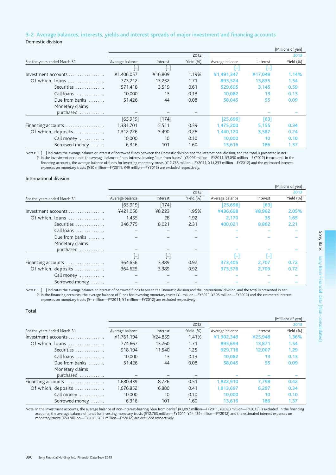### 3-2 Average balances, interests, yields and interest spreads of major investment and financing accounts Domestic division

|                              |                 |          |           |                 |          | (Millions of yen) |
|------------------------------|-----------------|----------|-----------|-----------------|----------|-------------------|
|                              |                 |          | 2012      |                 |          | 2013              |
| For the years ended March 31 | Average balance | Interest | Yield (%) | Average balance | Interest | Yield (%)         |
|                              | $\mathsf{H}$    | IН       |           | н               | l-       |                   |
| Investment accounts          | ¥1,406,057      | ¥16,809  | 1.19%     | ¥1,491,347      | ¥17.049  | 1.14%             |
| Of which, loans              | 773,212         | 13,232   | 1.71      | 893,524         | 13,835   | 1.54              |
| Securities                   | 571,418         | 3.519    | 0.61      | 529,695         | 3.145    | 0.59              |
| Call loans                   | 10,000          | 13       | 0.13      | 10,082          | 13       | 0.13              |
| Due from banks               | 51,426          | 44       | 0.08      | 58,045          | 55       | 0.09              |
| Monetary claims              |                 |          |           |                 |          |                   |
| purchased                    |                 |          |           |                 |          |                   |
|                              | [65, 919]       | $[174]$  |           | [25,696]        | [63]     |                   |
| Financing accounts           | 1,381,701       | 5,511    | 0.39      | 1,475,200       | 5,155    | 0.34              |
| Of which, deposits           | 1,312,226       | 3,490    | 0.26      | 1,440,120       | 3.587    | 0.24              |
| Call money                   | 10,000          | 10       | 0.10      | 10,000          | 10       | 0.10              |
| Borrowed money               | 6,316           | 101      | 1.60      | 13,616          | 186      | 1.37              |

Notes: 1. [ ] indicates the average balance or interest of borrowed funds between the Domestic division and the International division, and the total is presented in net. 2. In the investment accounts, the average balance of non-interest-bearing "due from banks" (¥3,097 million-FY2011, ¥3,090 million-FY2012) is excluded. In the financing accounts, the average balance of funds for investing monetary trusts (¥12,763 million-FY2011, ¥14,233 million-FY2012) and the estimated interest expenses on monetary trusts (¥50 million-FY2011, ¥49 million-FY2012) are excluded respectively.

#### International division

|                              |                 |          |           |                 |          | (Millions of yen) |
|------------------------------|-----------------|----------|-----------|-----------------|----------|-------------------|
|                              |                 |          | 2012      |                 |          | 2013              |
| For the years ended March 31 | Average balance | Interest | Yield (%) | Average balance | Interest | Yield (%)         |
|                              | [65, 919]       | $[174]$  |           | [25, 696]       | [63]     |                   |
| Investment accounts          | ¥421,056        | ¥8,223   | 1.95%     | ¥436,698        | ¥8,962   | 2.05%             |
| Of which, loans              | 1,455           | 28       | 1.92      | 2,170           | 35       | 1.65              |
| Securities                   | 346.775         | 8,021    | 2.31      | 400.021         | 8.862    | 2.21              |
| Call loans                   |                 |          |           |                 |          |                   |
| Due from banks $\dots$       |                 |          |           |                 |          |                   |
| Monetary claims              |                 |          |           |                 |          |                   |
| purchased                    |                 |          |           |                 |          |                   |
|                              |                 | l-       |           |                 |          |                   |
| Financing accounts           | 364,656         | 3,389    | 0.92      | 373,405         | 2,707    | 0.72              |
| Of which, deposits           | 364.625         | 3,389    | 0.92      | 373.576         | 2.709    | 0.72              |
| Call money                   |                 |          |           |                 |          |                   |
| Borrowed money               |                 |          |           |                 |          |                   |

Notes: 1. [ ] indicates the average balance or interest of borrowed funds between the Domestic division and the International division, and the total is presented in net. 2. In the financing accounts, the average balance of funds for investing monetary trusts (¥– million—FY2011, ¥206 million—FY2012) and the estimated interest expenses on monetary trusts (¥- million-FY2011, ¥1 million-FY2012) are excluded respectively.

#### Total

|                              |                 |          |           |                 |          | (Millions of yen) |
|------------------------------|-----------------|----------|-----------|-----------------|----------|-------------------|
|                              |                 |          | 2012      |                 |          | 2013              |
| For the years ended March 31 | Average balance | Interest | Yield (%) | Average balance | Interest | Yield (%)         |
| Investment accounts          | ¥1,761,194      | ¥24,859  | 1.41%     | ¥1,902,349      | ¥25,948  | 1.36%             |
| Of which, loans              | 774.667         | 13.260   | 1.71      | 895.694         | 13,871   | 1.54              |
| Securities                   | 918.194         | 11.540   | 1.25      | 929.716         | 12.007   | 1.29              |
| Call loans                   | 10,000          | 13       | 0.13      | 10,082          | 13       | 0.13              |
| Due from banks $\ldots$      | 51,426          | 44       | 0.08      | 58,045          | 55       | 0.09              |
| Monetary claims              |                 |          |           |                 |          |                   |
| purchased                    |                 |          |           |                 |          |                   |
| Financing accounts           | 1,680,439       | 8,726    | 0.51      | 1,822,910       | 7.798    | 0.42              |
| Of which, deposits           | 1,676,852       | 6,880    | 0.41      | 1,813,697       | 6.297    | 0.34              |
| Call money                   | 10,000          | 10       | 0.10      | 10,000          | 10       | 0.10              |
| Borrowed money               | 6.316           | 101      | 1.60      | 13,616          | 186      | 1.37              |

Note: In the investment accounts, the average balance of non-interest-bearing "due from banks" (¥3,097 million—FY2011, ¥3,090 million—FY2012) is excluded. In the financing accounts, the average balance of funds for investi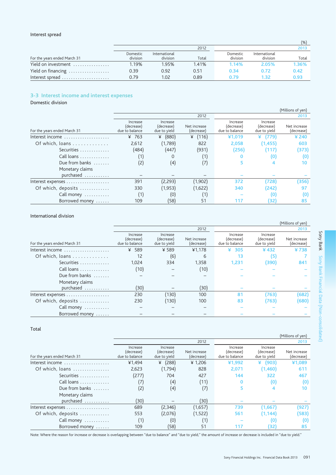#### Interest spread

|                              |                      |                           |       |                      |                           | (%)   |
|------------------------------|----------------------|---------------------------|-------|----------------------|---------------------------|-------|
|                              |                      |                           | 2012  |                      |                           | 2013  |
| For the years ended March 31 | Domestic<br>division | International<br>division | Total | Domestic<br>division | International<br>division | Total |
| Yield on investment          | 1.19%                | 1.95%                     | 1.41% | 1.14%                | 2.05%                     | 1.36% |
| Yield on financing           | 0.39                 | 0.92                      | 0.51  | 0.34                 | 0.72                      | 0.42  |
| Interest spread              | 0.79                 | 1.02                      | 0.89  | Ი 79                 | 1.32                      | 0.93  |

### 3-3 Interest income and interest expenses

Domestic division

|                              |                                          |                                        |                            |                                          |                                        | (Millions of yen)          |
|------------------------------|------------------------------------------|----------------------------------------|----------------------------|------------------------------------------|----------------------------------------|----------------------------|
|                              |                                          |                                        | 2012                       |                                          |                                        | 2013                       |
| For the years ended March 31 | Increase<br>(decrease)<br>due to balance | Increase<br>(decrease)<br>due to yield | Net increase<br>(decrease) | Increase<br>(decrease)<br>due to balance | Increase<br>(decrease)<br>due to yield | Net increase<br>(decrease) |
| Interest income              | ¥ 763                                    | (880)<br>¥                             | ¥<br>(116)                 | ¥1,019                                   | ¥<br>(779)                             | ¥ 240                      |
| Of which, loans              | 2,612                                    | (1,789)                                | 822                        | 2,058                                    | (1, 455)                               | 603                        |
| Securities                   | (484)                                    | (447)                                  | (931)                      | (256)                                    | (117)                                  | (373)                      |
| Call loans                   |                                          | 0                                      | (1)                        | O                                        | (0)                                    | $\left( 0 \right)$         |
| Due from banks $\dots$       | (2)                                      | (4)                                    | (7)                        |                                          |                                        | 10                         |
| Monetary claims<br>purchased |                                          |                                        |                            |                                          |                                        |                            |
|                              | 391                                      | (2,293)                                | (1,902)                    | 372                                      | (728)                                  | (356)                      |
| Of which, deposits           | 330                                      | (1,953)                                | (1,622)                    | 340                                      | (242)                                  | 97                         |
| Call money                   | (1)                                      | (0)                                    | (1)                        |                                          | (0)                                    | $\left( 0 \right)$         |
| Borrowed money               | 109                                      | (58)                                   | 51                         | 117                                      | (32)                                   | 85                         |
|                              |                                          |                                        |                            |                                          |                                        |                            |

### International division

|                              |                                          |                                        |                            |                                          |                                        | (Millions of yen)          |
|------------------------------|------------------------------------------|----------------------------------------|----------------------------|------------------------------------------|----------------------------------------|----------------------------|
|                              |                                          |                                        | 2012                       |                                          |                                        | 2013                       |
| For the years ended March 31 | Increase<br>(decrease)<br>due to balance | Increase<br>(decrease)<br>due to yield | Net increase<br>(decrease) | Increase<br>(decrease)<br>due to balance | Increase<br>(decrease)<br>due to yield | Net increase<br>(decrease) |
| Interest income              | ¥ 589                                    | ¥ 589                                  | ¥1.178                     | 305<br>¥                                 | ¥432                                   | ¥738                       |
| Of which, loans              | 12                                       | (6)                                    | 6                          | 13                                       | (5)                                    |                            |
| Securities                   | 1.024                                    | 334                                    | 1,358                      | 1,231                                    | (390)                                  | 841                        |
| Call loans                   | (10)                                     |                                        | (10)                       |                                          |                                        |                            |
| Due from banks               |                                          |                                        |                            |                                          |                                        |                            |
| Monetary claims              |                                          |                                        |                            |                                          |                                        |                            |
| purchased                    | (30)                                     |                                        | (30)                       |                                          |                                        |                            |
|                              | 230                                      | (130)                                  | 100                        | 81                                       | (763)                                  | (682)                      |
| Of which, deposits           | 230                                      | (130)                                  | 100                        | 83                                       | (763)                                  | (680)                      |
| Call money                   |                                          |                                        |                            |                                          |                                        |                            |
| Borrowed money               |                                          |                                        |                            |                                          |                                        |                            |

#### Total

|                              |                                          |                                        |                            |                                          |                                        | (Phillions of yen)         |
|------------------------------|------------------------------------------|----------------------------------------|----------------------------|------------------------------------------|----------------------------------------|----------------------------|
|                              |                                          |                                        | 2012                       |                                          |                                        | 2013                       |
| For the years ended March 31 | Increase<br>(decrease)<br>due to balance | Increase<br>(decrease)<br>due to yield | Net increase<br>(decrease) | Increase<br>(decrease)<br>due to balance | Increase<br>(decrease)<br>due to yield | Net increase<br>(decrease) |
| Interest income              | ¥1,494                                   | (288)<br>¥                             | ¥1.206                     | ¥1,992                                   | (903)<br>¥                             | ¥1,089                     |
| Of which, loans              | 2,623                                    | (1,794)                                | 828                        | 2,071                                    | (1,460)                                | 611                        |
| Securities                   | (277)                                    | 704                                    | 427                        | 144                                      | 322                                    | 467                        |
| Call loans                   |                                          | $\left( 4\right)$                      | (11)                       | o                                        | (0)                                    | (0)                        |
| Due from banks               | (2)                                      | (4)                                    | (7)                        |                                          |                                        | 10                         |
| Monetary claims<br>purchased | 30)                                      |                                        | (30)                       |                                          |                                        |                            |
|                              | 689                                      | (2,346)                                | (1,657)                    | 739                                      | (1,667)                                | (927)                      |
| Of which, deposits           | 553                                      | (2,076)                                | (1,522)                    | 561                                      | (1, 144)                               | (583)                      |
| Call money                   |                                          | (0)                                    |                            |                                          | 0)                                     | (0)                        |
| Borrowed money               | 109                                      | (58)                                   | 51                         | 117                                      | (32)                                   | 85                         |

Note: Where the reason for increase or decrease is overlapping between "due to balance" and "due to yield," the amount of increase or decrease is included in "due to yield."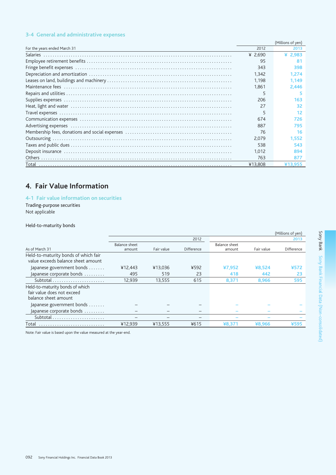### 3-4 General and administrative expenses

|                              |           | (Millions of yen) |
|------------------------------|-----------|-------------------|
| For the years ended March 31 | 2012      | 2013              |
|                              | ¥ $2.690$ | ¥ 2,983           |
|                              | 95        | 81                |
|                              | 343       | 398               |
|                              | 1,342     | 1.274             |
|                              | 1.198     | 1.149             |
|                              | 1.861     | 2.446             |
|                              | 5         |                   |
|                              | 206       | 163               |
|                              | 27        | 32                |
|                              | 5         | 12                |
|                              | 674       | 726               |
|                              | 887       | 795               |
|                              | 76        | 16                |
|                              | 2,079     | 1.552             |
|                              | 538       | 543               |
|                              | 1.012     | 894               |
|                              | 763       | 877               |
|                              | ¥13,808   | ¥13.955           |

## 4. Fair Value Information

### 4-1 Fair value information on securities

Trading-purpose securities Not applicable

### Held-to-maturity bonds

|               |         |            |               |        | (Millions of yen) |
|---------------|---------|------------|---------------|--------|-------------------|
|               |         | 2012       |               |        | 2013              |
| Balance sheet |         |            | Balance sheet |        |                   |
|               |         |            |               |        | Difference        |
|               |         |            |               |        |                   |
| ¥12,443       | ¥13,036 | ¥592       | ¥7,952        | ¥8,524 | ¥572              |
| 495           | 519     | 23         | 418           | 442    | 23                |
| 12.939        | 13.555  | 615        | 8,371         | 8.966  | 595               |
|               |         |            |               |        |                   |
|               |         |            |               |        |                   |
|               |         |            |               |        |                   |
|               |         |            |               |        |                   |
|               |         |            |               |        |                   |
|               |         |            |               |        |                   |
| ¥12.939       | ¥13,555 | ¥615       | ¥8,371        | ¥8,966 | ¥595              |
|               | amount  | Fair value | Difference    | amount | Fair value        |

Note: Fair value is based upon the value measured at the year-end.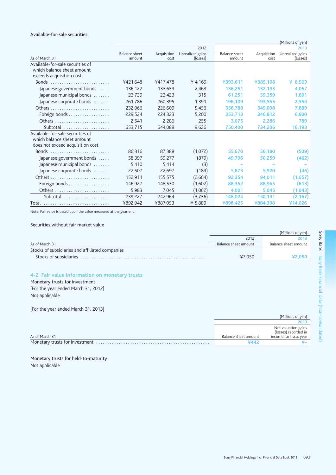#### Available-for-sale securities

|                                                                                                    |                         |                     |                              |                         |                     | (Millions of yen)            |
|----------------------------------------------------------------------------------------------------|-------------------------|---------------------|------------------------------|-------------------------|---------------------|------------------------------|
|                                                                                                    |                         |                     | 2012                         |                         |                     | 2013                         |
| As of March 31                                                                                     | Balance sheet<br>amount | Acquisition<br>cost | Unrealized gains<br>(losses) | Balance sheet<br>amount | Acquisition<br>cost | Unrealized gains<br>(losses) |
| Available-for-sale securities of<br>which balance sheet amount<br>exceeds acquisition cost         |                         |                     |                              |                         |                     |                              |
|                                                                                                    | ¥421,648                | ¥417,478            | ¥ 4,169                      | ¥393,611                | ¥385,108            | ¥ 8,503                      |
| Japanese government bonds                                                                          | 136,122                 | 133,659             | 2.463                        | 136,251                 | 132,193             | 4,057                        |
| Japanese municipal bonds                                                                           | 23.739                  | 23.423              | 315                          | 61.251                  | 59,359              | 1,891                        |
| Japanese corporate bonds                                                                           | 261,786                 | 260,395             | 1.391                        | 196,109                 | 193.555             | 2,554                        |
|                                                                                                    | 232,066                 | 226,609             | 5.456                        | 356,788                 | 349,098             | 7,689                        |
| Foreign bonds                                                                                      | 229,524                 | 224,323             | 5.200                        | 353,713                 | 346,812             | 6,900                        |
|                                                                                                    | 2,541                   | 2,286               | 255                          | 3,075                   | 2,286               | 789                          |
| Subtotal                                                                                           | 653,715                 | 644,088             | 9,626                        | 750,400                 | 734,206             | 16,193                       |
| Available-for-sale securities of<br>which balance sheet amount<br>does not exceed acquisition cost |                         |                     |                              |                         |                     |                              |
|                                                                                                    | 86,316                  | 87,388              | (1,072)                      | 55,670                  | 56,180              | (509)                        |
| Japanese government bonds                                                                          | 58,397                  | 59,277              | (879)                        | 49,796                  | 50,259              | (462)                        |
| Japanese municipal bonds                                                                           | 5,410                   | 5,414               | (3)                          |                         |                     |                              |
| Japanese corporate bonds                                                                           | 22,507                  | 22,697              | (189)                        | 5,873                   | 5,920               | (46)                         |
|                                                                                                    | 152,911                 | 155,575             | (2,664)                      | 92,354                  | 94,011              | (1,657)                      |
| Foreign bonds                                                                                      | 146,927                 | 148,530             | (1,602)                      | 88,352                  | 88,965              | (613)                        |
|                                                                                                    | 5,983                   | 7.045               | (1,062)                      | 4,001                   | 5,045               | (1,043)                      |
| Subtotal                                                                                           | 239,227                 | 242,964             | (3,736)                      | 148,024                 | 150,191             | (2,167)                      |
| Total                                                                                              | ¥892,942                | ¥887,053            | ¥ 5,889                      | ¥898,425                | ¥884,398            | ¥14,026                      |
|                                                                                                    |                         |                     |                              |                         |                     |                              |

Note: Fair value is based upon the value measured at the year-end.

#### Securities without fair market value

|                                                 | (Millions of yen)    |                      |
|-------------------------------------------------|----------------------|----------------------|
|                                                 | 2012                 | 2013                 |
| As of March 31                                  | Balance sheet amount | Balance sheet amount |
| Stocks of subsidiaries and affiliated companies |                      |                      |
|                                                 | ¥7.050               |                      |
|                                                 |                      |                      |

## 4-2 Fair value information on monetary trusts

Monetary trusts for investment [For the year ended March 31, 2012] Not applicable

[For the year ended March 31, 2013]

|                |                      | (Millions of yen)                           |
|----------------|----------------------|---------------------------------------------|
|                |                      | 2013                                        |
|                |                      | Net valuation gains<br>(losses) recorded in |
| As of March 31 | Balance sheet amount | income for fiscal year                      |
|                | Ұ∆∆                  |                                             |

Monetary trusts for held-to-maturity Not applicable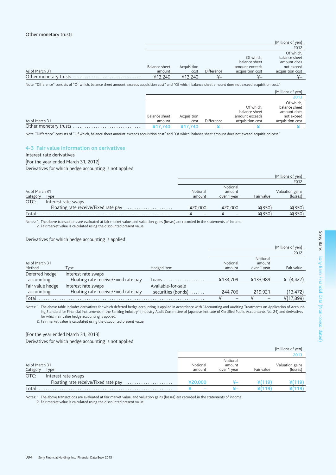|               |             |            |                  | (Millions of yen) |
|---------------|-------------|------------|------------------|-------------------|
|               |             |            |                  | 2012              |
|               |             |            |                  | Of which,         |
|               |             |            | Of which.        | balance sheet     |
|               |             |            | balance sheet    | amount does       |
| Balance sheet | Acquisition |            | amount exceeds   | not exceed        |
| amount        | cost        | Difference | acquisition cost | acquisition cost  |
| ¥13.240       | ¥13,240     | ¥–         | ¥—               |                   |
|               |             |            |                  |                   |

Note: "Difference" consists of "Of which, balance sheet amount exceeds acquisition cost" and "Of which, balance sheet amount does not exceed acquisition cost."

|                |                         |                     |            |                                                                  | (Millions of yen)                                                           |
|----------------|-------------------------|---------------------|------------|------------------------------------------------------------------|-----------------------------------------------------------------------------|
|                |                         |                     |            |                                                                  | 2013                                                                        |
| As of March 31 | Balance sheet<br>amount | Acquisition<br>cost | Difference | Of which.<br>balance sheet<br>amount exceeds<br>acquisition cost | Of which,<br>balance sheet<br>amount does<br>not exceed<br>acquisition cost |
|                | ¥17.740                 | 740                 |            | --                                                               |                                                                             |

Note: "Difference" consists of "Of which, balance sheet amount exceeds acquisition cost" and "Of which, balance sheet amount does not exceed acquisition cost."

### 4-3 Fair value information on derivatives

#### Interest rate derivatives

[For the year ended March 31, 2012]

Derivatives for which hedge accounting is not applied

|                |                                      |          |             |            | (Millions of yen) |
|----------------|--------------------------------------|----------|-------------|------------|-------------------|
|                |                                      |          |             |            | 2012              |
|                |                                      |          | Notional    |            |                   |
| As of March 31 |                                      | Notional | amount      |            | Valuation gains   |
| Category       | Type                                 | amount   | over 1 year | Fair value | (losses)          |
| OTC:           | Interest rate swaps                  |          |             |            |                   |
|                | Floating rate receive/Fixed rate pay | ¥20,000  | ¥20,000     | ¥(350)     | ¥(350)            |
| Total          |                                      |          |             | $*(350)$   | $*(350)$          |

Notes: 1. The above transactions are evaluated at fair market value, and valuation gains (losses) are recorded in the statements of income.

2. Fair market value is calculated using the discounted present value.

Derivatives for which hedge accounting is applied

|                  |                                      |                         |          |             | (Millions of yen) |
|------------------|--------------------------------------|-------------------------|----------|-------------|-------------------|
|                  |                                      |                         |          |             | 2012              |
|                  |                                      |                         |          | Notional    |                   |
| As of March 31   |                                      |                         | Notional | amount      |                   |
| Method           | Type                                 | Hedged item             | amount   | over 1 year | Fair value        |
| Deferred hedge   | Interest rate swaps                  |                         |          |             |                   |
| accounting       | Floating rate receive/Fixed rate pay | Loans                   | ¥134.709 | ¥133.989    | ¥ $(4, 427)$      |
| Fair value hedge | Interest rate swaps                  | Available-for-sale      |          |             |                   |
| accounting       | Floating rate receive/Fixed rate pay | securities (bonds)<br>. | 244.706  | 219.921     | (13, 472)         |
| Total            |                                      |                         | ¥        | ¥           | $*(17,899)$       |

Notes: 1. The above table includes derivatives for which deferred hedge accounting is applied in accordance with "Accounting and Auditing Treatments on Application of Accounting Standard for Financial Instruments in the Banking Industry" (Industry Audit Committee of Japanese Institute of Certified Public Accountants No. 24) and derivatives for which fair value hedge accounting is applied.

2. Fair market value is calculated using the discounted present value.

#### [For the year ended March 31, 2013]

Derivatives for which hedge accounting is not applied

|                |                                      |          |                    |            | (Millions of yen) |
|----------------|--------------------------------------|----------|--------------------|------------|-------------------|
|                |                                      |          |                    |            | 2013              |
| As of March 31 |                                      | Notional | Notional<br>amount |            | Valuation gains   |
| Category       | Type                                 | amount   | over 1 year        | Fair value | (losses)          |
| OTC:           | Interest rate swaps                  |          |                    |            |                   |
|                | Floating rate receive/Fixed rate pay | ¥20.000  |                    | ¥(119)     | FI 1191           |
| Total          |                                      |          |                    | 119        | ¥(119)            |

Notes: 1. The above transactions are evaluated at fair market value, and valuation gains (losses) are recorded in the statements of income.

2. Fair market value is calculated using the discounted present value.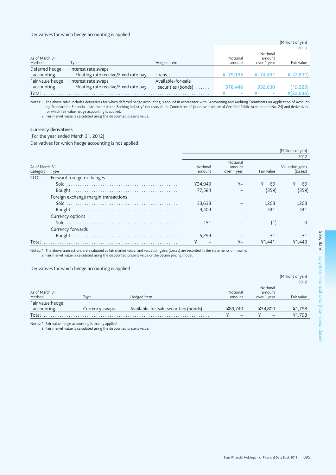#### Derivatives for which hedge accounting is applied

|                  |                                      |                         |          |             | (Millions of yen) |
|------------------|--------------------------------------|-------------------------|----------|-------------|-------------------|
|                  |                                      |                         |          |             | 2013              |
|                  |                                      |                         |          | Notional    |                   |
| As of March 31   |                                      |                         | Notional | amount      |                   |
| Method           | Type                                 | Hedged item             | amount   | over 1 year | Fair value        |
| Deferred hedge   | Interest rate swaps                  |                         |          |             |                   |
| accounting       | Floating rate receive/Fixed rate pay | Loans                   | ¥ 79,195 | ¥ 74.491    | ¥ $(2,811)$       |
| Fair value hedge | Interest rate swaps                  | Available-for-sale      |          |             |                   |
| accounting       | Floating rate receive/Fixed rate pay | securities (bonds)<br>. | 378,446  | 332.030     | (19,225)          |
|                  |                                      |                         |          |             | ¥(22.036)         |

Notes: 1. The above table includes derivatives for which deferred hedge accounting is applied in accordance with "Accounting and Auditing Treatments on Application of Account-<br>Ing Stanking Industry (Industry Audit Committe for which fair value hedge accounting is applied.<br>2. Fair market value is calculated using the discounted present value.

#### Currency derivatives

#### [For the year ended March 31, 2012]

Derivatives for which hedge accounting is not applied

|                            |                                      |                    |                                   |            | (Millions of yen)           |
|----------------------------|--------------------------------------|--------------------|-----------------------------------|------------|-----------------------------|
|                            |                                      |                    |                                   |            | 2012                        |
| As of March 31<br>Category | Type                                 | Notional<br>amount | Notional<br>amount<br>over 1 year | Fair value | Valuation gains<br>(losses) |
| OTC:                       | Forward foreign exchanges            |                    |                                   |            |                             |
|                            |                                      | ¥34,949            | ¥–                                | ¥<br>60    | ¥<br>60                     |
|                            |                                      | 77.584             |                                   | (359)      | (359)                       |
|                            | Foreign exchange margin transactions |                    |                                   |            |                             |
|                            |                                      | 33.638             |                                   | 1.268      | 1.268                       |
|                            |                                      | 9.409              |                                   | 441        | 441                         |
|                            | Currency options                     |                    |                                   |            |                             |
|                            |                                      | 151                |                                   | (1)        |                             |
|                            | Currency forwards                    |                    |                                   |            |                             |
|                            |                                      | 5.299              |                                   | 31         | 31                          |
| Total                      |                                      | ¥                  | ¥–                                | ¥1,441     | ¥1,443                      |

Notes: 1. The above transactions are evaluated at fair market value, and valuation gains (losses) are recorded in the statements of income. 2. Fair market value is calculated using the discounted present value or the option pricing model.

#### Derivatives for which hedge accounting is applied

|                  |                |                                       |          |             | (Millions of yen) |
|------------------|----------------|---------------------------------------|----------|-------------|-------------------|
|                  |                |                                       |          |             | 2012              |
|                  |                |                                       |          | Notional    |                   |
| As of March 31   |                |                                       | Notional | amount      |                   |
| Method           | Type           | Hedged item                           | amount   | over 1 year | Fair value        |
| Fair value hedge |                |                                       |          |             |                   |
| accounting       | Currency swaps | Available-for-sale securities (bonds) | ¥89.740  | ¥34.800     | ¥1,798            |
|                  |                |                                       |          |             | ¥1.798            |

Notes: 1. Fair value hedge accounting is mainly applied.

2. Fair market value is calculated using the discounted present value.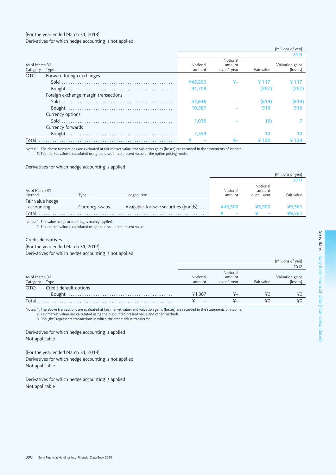#### [For the year ended March 31, 2013] Derivatives for which hedge accounting is not applied

#### (Millions of yen) 2013 Notional As of March 31 Notional Valuation gains amount Fair value Category Type amount over 1 year (losses) OTC: Forward foreign exchanges ¥45,200  $\mathbf{x}$ ¥117 ¥117 91,703  $(297)$  $(297)$ Foreign exchange margin transactions 47,646  $(619)$  $(619)$ 10,587 916 916 Currency options Sold  $\dots\dots\dots$  $\overline{7}$ 1,036  $(6)$ Currency forwards Bought ......................... 7.559  $10$  $10<sup>10</sup>$  $\overline{\text{4}120}$ ¥134 Total ¥.

Notes: 1. The above transactions are evaluated at fair market value, and valuation gains (losses) are recorded in the statements of income.

2. Fair market value is calculated using the discounted present value or the option pricing model.

#### Derivatives for which hedge accounting is applied

|                                |                |                                       |                          |                                   | (Millions of yen) |
|--------------------------------|----------------|---------------------------------------|--------------------------|-----------------------------------|-------------------|
|                                |                |                                       |                          |                                   | 2013              |
| As of March 31<br>Method       | Type           | Hedged item                           | Notional<br>amount       | Notional<br>amount<br>over 1 year | Fair value        |
| Fair value hedge<br>accounting | Currency swaps | Available-for-sale securities (bonds) | ¥45.300                  | ¥3.500                            | ¥9,361            |
| Total                          |                |                                       | $\overline{\phantom{a}}$ |                                   |                   |

Notes: 1. Fair value hedge accounting is mainly applied.

2. Fair market value is calculated using the discounted present value.

#### Credit derivatives

[For the year ended March 31, 2012] Derivatives for which hedge accounting is not applied

|                |                        |          |             |            | (Millions of yen) |
|----------------|------------------------|----------|-------------|------------|-------------------|
|                |                        |          |             |            | 2012              |
|                |                        |          | Notional    |            |                   |
| As of March 31 |                        | Notional | amount      |            | Valuation gains   |
| Category       | Type                   | amount   | over 1 year | Fair value | (losses)          |
| OTC:           | Credit default options |          |             |            |                   |
|                |                        | ¥1.367   | ¥–          | ¥C         | ¥0                |
|                |                        |          |             | ¥0         | ¥0                |

Notes: 1. The above transactions are evaluated at fair market value, and valuation gains (losses) are recorded in the statements of income.

2. Fair market values are calculated using the discounted present value and other methods.<br>3. "Bought" represents transactions in which the credit risk is transferred.

Derivatives for which hedge accounting is applied Not applicable

[For the year ended March 31, 2013] Derivatives for which hedge accounting is not applied Not applicable

Derivatives for which hedge accounting is applied Not applicable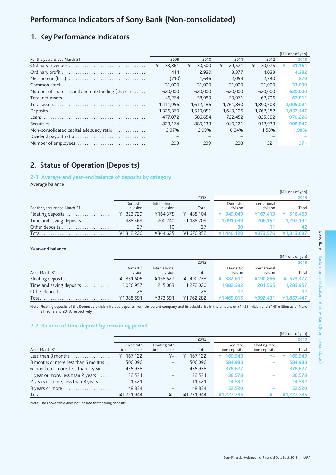# Performance Indicators of Sony Bank (Non-consolidated)

## 1. Key Performance Indicators

|                                                  |             |             |             |             | (Millions of yen) |
|--------------------------------------------------|-------------|-------------|-------------|-------------|-------------------|
| For the years ended March 31                     | 2009        | 2010        | 2011        | 2012        | 2013              |
|                                                  | ¥<br>33.361 | ¥<br>30,500 | ¥<br>29.521 | ¥<br>30,075 | 31,151<br>¥       |
|                                                  | 414         | 2.930       | 3.377       | 4.033       | 4.282             |
|                                                  | (710)       | 1.646       | 2.054       | 2.340       | 879               |
|                                                  | 31,000      | 31,000      | 31.000      | 31,000      | 31,000            |
| Number of shares issued and outstanding (shares) | 620,000     | 620,000     | 620,000     | 620,000     | 620,000           |
|                                                  | 46.264      | 58,989      | 59.971      | 62.796      | 67.811            |
|                                                  | 1,411,956   | 1.612.186   | 1.761.830   | 1.890.503   | 2,005,081         |
|                                                  | 1,326,360   | 1.510.051   | 1.649.106   | 1.762.282   | 1,857,447         |
|                                                  | 477.072     | 586.654     | 722.452     | 835,582     | 970.226           |
|                                                  | 823.174     | 880.133     | 940.121     | 912.933     | 908.847           |
| Non-consolidated capital adequacy ratio          | 13.37%      | 12.09%      | 10.84%      | 11.58%      | 11.98%            |
| Dividend payout ratio                            |             |             |             |             |                   |
| Number of employees                              | 203         | 239         | 288         | 321         | 371               |

## 2. Status of Operation (Deposits)

2-1 Average and year-end balance of deposits by category

Average balance

|                              |                      |                           |              |                      |                           | (Millions of yen) |
|------------------------------|----------------------|---------------------------|--------------|----------------------|---------------------------|-------------------|
|                              |                      |                           | 2012         |                      |                           | 2013              |
| For the years ended March 31 | Domestic<br>division | International<br>division | Total        | Domestic<br>division | International<br>division | Total             |
| Floating deposits            | ¥ 323.729            | ¥164.375                  | 488.104<br>¥ | ¥ 349.049            | ¥167.413                  | ¥ $516.463$       |
| Time and saving deposits     | 988,469              | 200,240                   | 1,188,709    | 1.091.039            | 206.151                   | 1.297.191         |
| Other deposits               |                      | 10                        | 37           | 30                   |                           |                   |
| Total                        | ¥1,312,226           | ¥364.625                  | ¥1,676,852   | ¥1.440.120           | ¥373.576                  | ¥1,813,697        |

Year-end balance

|                          |                      |                           |              |                      |                           | (Millions of yen) |
|--------------------------|----------------------|---------------------------|--------------|----------------------|---------------------------|-------------------|
|                          |                      |                           | 2012         |                      |                           | 2013              |
| As of March 31           | Domestic<br>division | International<br>division | Total        | Domestic<br>division | International<br>division | Total             |
| Floating deposits        | ¥ 331,606            | ¥158.627                  | 490.233<br>¥ | ¥ 382.611            | ¥190,866                  | ¥ 573.477         |
| Time and saving deposits | 1,056,957            | 215,063                   | 1,272,020    | 1,082,392            | 201.565                   | 1,283,957         |
| Other deposits           | -28                  |                           | 28           |                      |                           |                   |
| Total                    | ¥1,388,591           | ¥373.691                  | ¥1,762,282   | ¥1.465.015           | ¥392,431                  | ¥1.857.447        |

Note: Floating deposits of the Domestic division include deposits from the parent company and its subsidiaries in the amount of ¥1,428 million and ¥145 million as of March 31, 2012 and 2013, respectively.

### 2-2 Balance of time deposit by remaining period

|                                      |               |                |              |               |               | (Millions of yen) |
|--------------------------------------|---------------|----------------|--------------|---------------|---------------|-------------------|
|                                      |               |                | 2012         |               |               | 2013              |
|                                      | Fixed rate    | Floating rate  |              | Fixed rate    | Floating rate |                   |
| As of March 31                       | time deposits | time deposits  | Total        | time deposits | time deposits | Total             |
|                                      | 167,122<br>¥  | $_{\nexists}$  | 167.122<br>¥ | 160,543<br>¥  | ¥–            | 160,543           |
| 3 months or more, less than 6 months | 506,096       |                | 506,096      | 584,983       |               | 584,983           |
| 6 months or more, less than 1 year   | 455,938       | -              | 455.938      | 378,627       |               | 378,627           |
| 1 year or more, less than 2 years    | 32,531        | —              | 32,531       | 36,578        |               | 36,578            |
| 2 years or more, less than 3 years   | 11,421        | -              | 11.421       | 14,532        |               | 14,532            |
| 3 years or more                      | 48,834        |                | 48,834       | 52,520        |               | 52,520            |
| Total                                | ¥1.221.944    | $\overline{r}$ | ¥1.221.944   | ¥1.227.785    | ¥–            | ¥1,227,785        |

Note: The above table does not include thrift saving deposits.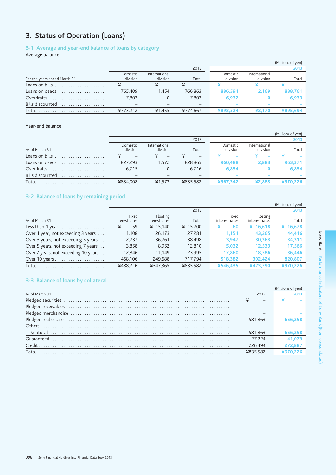# 3. Status of Operation (Loans)

## 3-1 Average and year-end balance of loans by category

Average balance

|                                                 |                      |                           |          |                      |                           | (Millions of yen) |
|-------------------------------------------------|----------------------|---------------------------|----------|----------------------|---------------------------|-------------------|
|                                                 |                      |                           | 2012     |                      |                           | 2013              |
| For the years ended March 31                    | Domestic<br>division | International<br>division | Total    | Domestic<br>division | International<br>division | Total             |
| Loans on bills                                  |                      |                           |          |                      |                           |                   |
| Loans on deeds $\dots\dots\dots\dots\dots\dots$ | 765.409              | 1.454                     | 766.863  | 886.591              | 2.169                     | 888,761           |
| Overdrafts                                      | 7.803                | 0                         | 7.803    | 6.932                |                           | 6.933             |
| Bills discounted                                |                      |                           |          |                      |                           |                   |
| Total                                           | ¥773.212             | ¥1,455                    | ¥774.667 | ¥893.524             | ¥2.170                    | ¥895,694          |

### Year-end balance

|                  |          |               |          |          |               | (Millions of yen) |
|------------------|----------|---------------|----------|----------|---------------|-------------------|
|                  |          |               | 2012     |          |               | 2013              |
|                  | Domestic | International |          | Domestic | International |                   |
| As of March 31   | division | division      | Total    | division | division      | Total             |
|                  |          |               |          |          |               |                   |
| Loans on deeds   | 827.293  | 1.572         | 828.865  | 960,488  | 2.883         | 963.371           |
| Overdrafts       | 6.715    | $\Omega$      | 6,716    | 6.854    |               | 6,854             |
| Bills discounted |          |               |          |          |               |                   |
| Total            | ¥834,008 | ¥1,573        | ¥835.582 | ¥967.342 | ¥2,883        | ¥970.226          |

## 3-2 Balance of loans by remaining period

|                                                        |                |                |          |                |                | (Millions of yen) |
|--------------------------------------------------------|----------------|----------------|----------|----------------|----------------|-------------------|
|                                                        |                |                | 2012     |                |                | 2013              |
|                                                        | Fixed          | Floating       |          | Fixed          | Floating       |                   |
| As of March 31                                         | interest rates | interest rates | Total    | interest rates | interest rates | Total             |
| Less than 1 year $\dots\dots\dots\dots\dots\dots\dots$ | 59<br>¥        | ¥ $15.140$     | ¥ 15,200 | 60             | ¥ $16,618$     | ¥ $16,678$        |
| Over 1 year, not exceeding 3 years                     | 1,108          | 26.173         | 27,281   | 1.151          | 43,265         | 44,416            |
| Over 3 years, not exceeding 5 years                    | 2.237          | 36.261         | 38.498   | 3.947          | 30.363         | 34,311            |
| Over 5 years, not exceeding 7 years                    | 3,858          | 8,952          | 12,810   | 5,032          | 12,533         | 17,566            |
| Over 7 years, not exceeding 10 years                   | 12.846         | 11.149         | 23.995   | 17.860         | 18.586         | 36.446            |
| Over 10 years                                          | 468,106        | 249,688        | 717.794  | 518,382        | 302.424        | 820,807           |
| Total                                                  | ¥488.216       | ¥347.365       | ¥835.582 | ¥546.435       | ¥423.790       | ¥970.226          |

## 3-3 Balance of loans by collateral

|                                                                                                                                                                                                                                    |          | (Millions of yen) |
|------------------------------------------------------------------------------------------------------------------------------------------------------------------------------------------------------------------------------------|----------|-------------------|
| As of March 31                                                                                                                                                                                                                     | 2012     |                   |
|                                                                                                                                                                                                                                    |          |                   |
|                                                                                                                                                                                                                                    |          |                   |
|                                                                                                                                                                                                                                    |          |                   |
| Pledged real estate <i>with a construction of the construction</i> and construction of the construction of the construction of the construction of the construction of the construction of the construction of the construction of | 581.863  | 656.258           |
|                                                                                                                                                                                                                                    |          |                   |
|                                                                                                                                                                                                                                    | 581.863  | 656,258           |
|                                                                                                                                                                                                                                    | 27.224   | 41.079            |
| Credit.                                                                                                                                                                                                                            | 226.494  | 272.887           |
| Total                                                                                                                                                                                                                              | ¥835.582 |                   |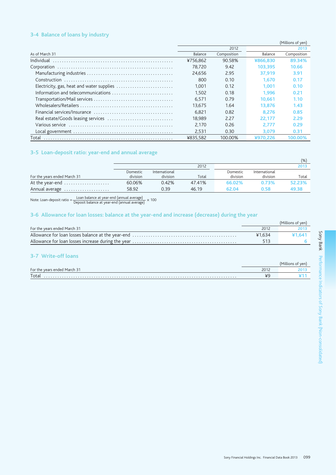## 3-4 Balance of loans by industry

|                                                                                                                                                                                                                                |          |             |          | (Millions of yen) |
|--------------------------------------------------------------------------------------------------------------------------------------------------------------------------------------------------------------------------------|----------|-------------|----------|-------------------|
|                                                                                                                                                                                                                                |          | 2012        |          | 2013              |
| As of March 31                                                                                                                                                                                                                 | Balance  | Composition | Balance  | Composition       |
|                                                                                                                                                                                                                                | ¥756.862 | 90.58%      | ¥866,830 | 89.34%            |
|                                                                                                                                                                                                                                | 78.720   | 9.42        | 103.395  | 10.66             |
|                                                                                                                                                                                                                                | 24.656   | 2.95        | 37.919   | 3.91              |
| Construction                                                                                                                                                                                                                   | 800      | 0.10        | 1.670    | 0.17              |
| Electricity, gas, heat and water supplies                                                                                                                                                                                      | 1.001    | 0.12        | 1.001    | 0.10              |
|                                                                                                                                                                                                                                | 1.502    | 0.18        | 1.996    | 0.21              |
|                                                                                                                                                                                                                                | 6.571    | 0.79        | 10.661   | 1.10              |
|                                                                                                                                                                                                                                | 13.675   | 1.64        | 13.876   | 1.43              |
|                                                                                                                                                                                                                                | 6.821    | 0.82        | 8.276    | 0.85              |
|                                                                                                                                                                                                                                | 18.989   | 2.27        | 22.177   | 2.29              |
| Various service entrance entertainment of various contractors and various contractors of various contractors of various services of various services of various services of various services of various services of various se | 2.170    | 0.26        | 2.777    | 0.29              |
|                                                                                                                                                                                                                                | 2.531    | 0.30        | 3.079    | 0.31              |
| Total                                                                                                                                                                                                                          | ¥835.582 | 100.00%     | ¥970.226 | 100.00%           |

### 3-5 Loan-deposit ratio: year-end and annual average

|                              |          |               |        |          |               | (96)   |
|------------------------------|----------|---------------|--------|----------|---------------|--------|
|                              |          |               | 2012   |          |               | 2013   |
|                              | Domestic | International |        | Domestic | International |        |
| For the years ended March 31 | division | division      | Total  | division | division      | Total  |
| At the year-end              | 60.06%   | 0.42%         | 47.41% | 66.02%   | 0.73%         | 52.23% |
| Annual average               | 58.92    | 0.39          | 46.19  | 62.04    | 0.58          | 49.38  |

Note: Loan-deposit ratio =  $\frac{\text{Loan balance at year-end (annual average)}}{\text{Deposit balance at year-end (annual average)}} \times 100$ 

## 3-6 Allowance for loan losses: balance at the year-end and increase (decrease) during the year

|                              |        | (Millions of Ven) |
|------------------------------|--------|-------------------|
| For the years ended March 31 | 2012   | 2013              |
|                              | ¥1.634 | ¥1.641            |
|                              | 513    |                   |
|                              |        |                   |

## 3-7 Write-off loans

|                              |                          | 110r<br>iittioi |
|------------------------------|--------------------------|-----------------|
| For the years ended March 31 | 2012<br>ZU IZ            |                 |
| Total                        | $\overline{\phantom{a}}$ |                 |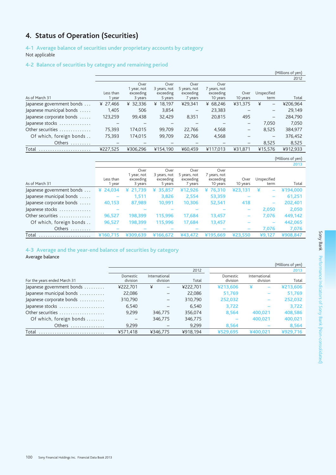# 4. Status of Operation (Securities)

## 4-1 Average balance of securities under proprietary accounts by category Not applicable

### 4-2 Balance of securities by category and remaining period

|                           |           |             |              |                          |              |                          |                              | (Millions of yen) |
|---------------------------|-----------|-------------|--------------|--------------------------|--------------|--------------------------|------------------------------|-------------------|
|                           |           |             |              |                          |              |                          |                              | 2012              |
|                           |           | Over        | Over         | Over                     | Over         |                          |                              |                   |
|                           |           | 1 year, not | 3 years, not | 5 years, not             | 7 years, not |                          |                              |                   |
|                           | Less than | exceeding   | exceeding    | exceeding                | exceeding    | Over                     | Unspecified                  |                   |
| As of March 31            | l year    | 3 years     | 5 years      | 7 years                  | 10 years     | 10 years                 | term                         | Total             |
| Japanese government bonds | ¥ 27,466  | ¥ 32,336    | 18.197<br>¥  | ¥29,341                  | ¥ 68,246     | ¥31,375                  | ¥<br>$\qquad \qquad -$       | ¥206,964          |
| Japanese municipal bonds  | 1,405     | 506         | 3,854        | $\overline{\phantom{0}}$ | 23,383       |                          | $\qquad \qquad \blacksquare$ | 29.149            |
| Japanese corporate bonds  | 123,259   | 99,438      | 32,429       | 8,351                    | 20,815       | 495                      | $\overline{\phantom{0}}$     | 284,790           |
| Japanese stocks           |           |             |              |                          |              | -                        | 7.050                        | 7.050             |
| Other securities          | 75,393    | 174,015     | 99,709       | 22,766                   | 4,568        | $\overline{\phantom{m}}$ | 8,525                        | 384,977           |
| Of which, foreign bonds   | 75,393    | 174.015     | 99.709       | 22.766                   | 4,568        |                          | $\overline{\phantom{0}}$     | 376,452           |
| Others                    |           |             |              |                          |              |                          | 8,525                        | 8.525             |
| Total                     | ¥227,525  | ¥306.296    | ¥154.190     | ¥60.459                  | ¥117,013     | ¥31,871                  | ¥15.576                      | ¥912,933          |
|                           |           |             |              |                          |              |                          |                              |                   |

## (Millions of yen)

|                           |           |             |              |              |              |          |                              | 2013     |
|---------------------------|-----------|-------------|--------------|--------------|--------------|----------|------------------------------|----------|
|                           |           | Over        | Over         | Over         | Over         |          |                              |          |
|                           |           | 1 year, not | 3 years, not | 5 years, not | 7 years, not |          |                              |          |
|                           | Less than | exceeding   | exceeding    | exceeding    | exceeding    | Over     | Unspecified                  |          |
| As of March 31            | year      | 3 years     | 5 years      | 7 years      | 10 years     | 10 years | term                         | Total    |
| Japanese government bonds | ¥ 24,034  | 21,739<br>¥ | ¥ 35,857     | ¥12,926      | 76,310<br>¥  | ¥23,131  | ¥<br>-                       | ¥194,000 |
| Japanese municipal bonds  |           | 1,511       | 3,826        | 2,554        | 53,359       |          | $\qquad \qquad$              | 61,251   |
| Japanese corporate bonds  | 40,153    | 87,989      | 10,991       | 10,306       | 52,541       | 418      | $\qquad \qquad \blacksquare$ | 202,401  |
| Japanese stocks           |           |             |              |              |              |          | 2,050                        | 2,050    |
| Other securities          | 96,527    | 198,399     | 115,996      | 17,684       | 13,457       | -        | 7,076                        | 449,142  |
| Of which, foreign bonds   | 96,527    | 198,399     | 115,996      | 17,684       | 13,457       |          | $\qquad \qquad \blacksquare$ | 442,065  |
| Others                    |           |             |              |              |              |          | 7,076                        | 7,076    |
| Total                     | ¥160.715  | ¥309.639    | ¥166,672     | ¥43.472      | ¥195,669     | ¥23.550  | ¥9.127                       | ¥908.847 |

### 4-3 Average and the year-end balance of securities by category

## Average balance

|                              |          |               |          |          |               | (Millions of yen) |
|------------------------------|----------|---------------|----------|----------|---------------|-------------------|
|                              |          |               | 2012     |          |               | 2013              |
|                              | Domestic | International |          | Domestic | International |                   |
| For the years ended March 31 | division | division      | Total    | division | division      | Total             |
| Japanese government bonds    | ¥222,701 | ¥<br>—        | ¥222,701 | ¥213,606 | ¥             | ¥213,606          |
| Japanese municipal bonds     | 22,086   |               | 22.086   | 51.769   |               | 51,769            |
| Japanese corporate bonds     | 310,790  |               | 310,790  | 252,032  |               | 252,032           |
| Japanese stocks              | 6.540    |               | 6.540    | 3.722    |               | 3,722             |
| Other securities             | 9.299    | 346.775       | 356,074  | 8,564    | 400,021       | 408,586           |
| Of which, foreign bonds      |          | 346,775       | 346,775  |          | 400,021       | 400,021           |
| Others                       | 9,299    |               | 9.299    | 8,564    |               | 8,564             |
| Total                        | ¥571.418 | ¥346.775      | ¥918.194 | ¥529.695 | ¥400.021      | ¥929.716          |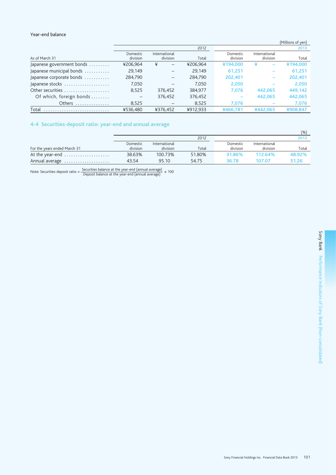### Year-end balance

|                                           |                      |                           |          |                      |                           | (Millions of yen) |
|-------------------------------------------|----------------------|---------------------------|----------|----------------------|---------------------------|-------------------|
|                                           |                      |                           | 2012     |                      |                           | 2013              |
| As of March 31                            | Domestic<br>division | International<br>division | Total    | Domestic<br>division | International<br>division | Total             |
| Japanese government bonds $\ldots \ldots$ | ¥206,964             | ¥<br>$\qquad \qquad -$    | ¥206.964 | ¥194,000             | ¥                         | ¥194,000          |
| Japanese municipal bonds                  | 29.149               | $\qquad \qquad -$         | 29,149   | 61.251               |                           | 61,251            |
| Japanese corporate bonds                  | 284,790              | $\overline{\phantom{0}}$  | 284.790  | 202.401              |                           | 202,401           |
| Japanese stocks                           | 7,050                |                           | 7.050    | 2,050                |                           | 2,050             |
| Other securities                          | 8.525                | 376.452                   | 384.977  | 7.076                | 442,065                   | 449.142           |
| Of which, foreign bonds                   |                      | 376.452                   | 376,452  |                      | 442,065                   | 442,065           |
| Others                                    | 8,525                |                           | 8,525    | 7,076                |                           | 7,076             |
| Total                                     | ¥536.480             | ¥376.452                  | ¥912.933 | ¥466.781             | ¥442.065                  | ¥908.847          |

## 4-4 Securities-deposit ratio: year-end and annual average

|                              |                      |                           |        |                      |                           | (%)    |
|------------------------------|----------------------|---------------------------|--------|----------------------|---------------------------|--------|
|                              |                      |                           | 2012   |                      |                           | 2013   |
| For the years ended March 31 | Domestic<br>division | International<br>division | Total  | Domestic<br>division | International<br>division | Total  |
| At the year-end              | 38.63%               | 100.73%                   | 51.80% | 31.86%               | 112.64%                   | 48.92% |
| Annual average               | 43.54                | 95.10                     | 54.75  | 36.78                | 107.07                    | 51.26  |

Note: Securities-deposit ratio =  $\frac{\text{Securities balance at the year-end (annual average)}}{\text{Deposit balance at the year-end (annual average)}} \times 100$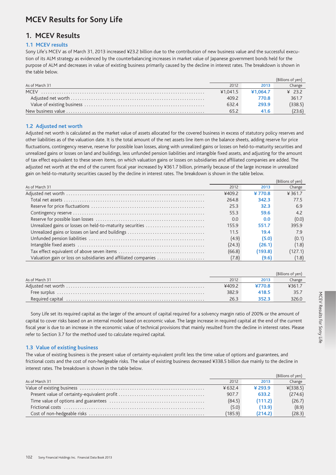# **MCEV Results for Sony Life**

## 1. MCEV Results

#### 1.1 MCEV results

Sony Life's MCEV as of March 31, 2013 increased ¥23.2 billion due to the contribution of new business value and the successful execution of its ALM strategy as evidenced by the counterbalancing increases in market value of Japanese government bonds held for the purpose of ALM and decreases in value of existing business primarily caused by the decline in interest rates. The breakdown is shown in the table below.

|                |          |          | Billions of ven) |
|----------------|----------|----------|------------------|
| As of March 31 | 2012     | 2013     | Change           |
|                | ¥1.041.5 | ¥1.064.7 | $\angle$ 232     |
|                | 409.2    | 770.8    | 361.7            |
|                | 632.4    | 293.9    | (338.5)          |
|                |          | 41.6     | (23.6)           |

#### 1.2 Adjusted net worth

Adjusted net worth is calculated as the market value of assets allocated for the covered business in excess of statutory policy reserves and other liabilities as of the valuation date. It is the total amount of the net assets line item on the balance sheets, adding reserve for price fluctuations, contingency reserve, reserve for possible loan losses, along with unrealized gains or losses on held-to-maturity securities and unrealized gains or losses on land and buildings, less unfunded pension liabilities and intangible fixed assets, and adjusting for the amount of tax effect equivalent to these seven items, on which valuation gains or losses on subsidiaries and affiliated companies are added. The adjusted net worth at the end of the current fiscal year increased by ¥361.7 billion, primarily because of the large increase in unrealized gain on held-to-maturity securities caused by the decline in interest rates. The breakdown is shown in the table below.

|                                                                 |        |         | (Billions of yen) |
|-----------------------------------------------------------------|--------|---------|-------------------|
| As of March 31                                                  | 2012   | 2013    | Change            |
|                                                                 | ¥409.2 | ¥770.8  | ¥ 361.7           |
|                                                                 | 264.8  | 342.3   | 77.5              |
|                                                                 | 25.3   | 32.3    | 6.9               |
|                                                                 | 55.3   | 59.6    | 4.2               |
|                                                                 | 0.0    | 0.0     | (0.0)             |
| Unrealized gains or losses on held-to-maturity securities       | 155.9  | 551.7   | 395.9             |
|                                                                 | 11.5   | 19.4    | 7.9               |
|                                                                 | (4.9)  | (5.0)   | (0.1)             |
|                                                                 | (24.3) | (26.1)  | (1.8)             |
|                                                                 | (66.8) | (193.8) | (127.1)           |
| Valuation gain or loss on subsidiaries and affiliated companies | (7.8)  | (9.6)   | (1.8)             |

|                |       |        | (Billions of yen) |
|----------------|-------|--------|-------------------|
| As of March 31 | 2012  | 2013   | Change            |
|                |       | ¥770.8 | 4361.7            |
|                | 382.9 | 418.5  | -35.7             |
|                | 26.3  |        | 326.C             |

Sony Life set its required capital as the larger of the amount of capital required for a solvency margin ratio of 200% or the amount of capital to cover risks based on an internal model based on economic value. The large increase in required capital at the end of the current fiscal year is due to an increase in the economic value of technical provisions that mainly resulted from the decline in interest rates. Please refer to Section 3.7 for the method used to calculate required capital.

#### 1.3 Value of existing business

The value of existing business is the present value of certainty-equivalent profit less the time value of options and guarantees, and frictional costs and the cost of non-hedgeable risks. The value of existing business decreased ¥338.5 billion due mainly to the decline in interest rates. The breakdown is shown in the table below.

|                |         |         | (Billions of yen) |
|----------------|---------|---------|-------------------|
| As of March 31 | 2012    | 2013    | Change            |
|                | ¥ 632.4 | ¥ 293.9 | $*(338.5)$        |
|                | 907.7   | 633.2   | (274.6)           |
|                | (84.5)  | (111.2) | (26.7)            |
|                | (5.0)   | (13.9)  | (8.9)             |
|                | (185.9) | (214.2) | (28.3)            |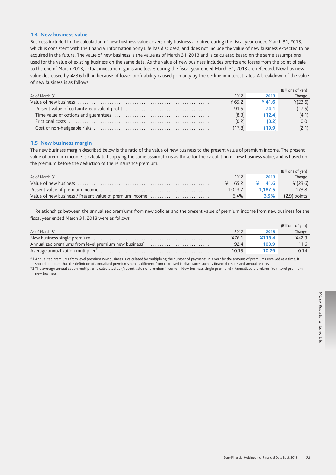#### 1.4 New business value

Business included in the calculation of new business value covers only business acquired during the fiscal year ended March 31, 2013, which is consistent with the financial information Sony Life has disclosed, and does not include the value of new business expected to be acquired in the future. The value of new business is the value as of March 31, 2013 and is calculated based on the same assumptions used for the value of existing business on the same date. As the value of new business includes profits and losses from the point of sale to the end of March 2013, actual investment gains and losses during the fiscal year ended March 31, 2013 are reflected. New business value decreased by ¥23.6 billion because of lower profitability caused primarily by the decline in interest rates. A breakdown of the value of new business is as follows:

|                |        |        | (Billions of ven) |
|----------------|--------|--------|-------------------|
| As of March 31 | 2012   | 2013   | Change            |
|                | ¥65.2  | ¥ 41.6 | $*(23.6)$         |
|                | 91.5   | 74.1   | (17.5)            |
|                | (8.3)  | (12.4) | (4.1)             |
|                | (0.2)  | (0.2)  | 0.0               |
|                | (17.8) | 19.9   | (2.1)             |

#### 1.5 New business margin

The new business margin described below is the ratio of the value of new business to the present value of premium income. The present value of premium income is calculated applying the same assumptions as those for the calculation of new business value, and is based on the premium before the deduction of the reinsurance premium.

|                                                         |         |         | (Billions of yen) |
|---------------------------------------------------------|---------|---------|-------------------|
| As of March 31                                          | 2012    | 2013    | Change            |
|                                                         | 65.2    | 41.6    | ¥ (23.6)          |
|                                                         | 1.013.7 | 1.187.5 | 173.8             |
| Value of new business / Present value of premium income | 6.4%    | 3.5%    | $(2.9)$ points    |

Relationships between the annualized premiums from new policies and the present value of premium income from new business for the fiscal year ended March 31, 2013 were as follows:

|                                                                   |       |        | (Billions of yen) |
|-------------------------------------------------------------------|-------|--------|-------------------|
| As of March 31                                                    | 2012  | 2013   | Change            |
|                                                                   | ¥76.1 | ¥118.4 | 442.3             |
| Annualized premiums from level premium new business <sup>*1</sup> | 92.4  |        |                   |
|                                                                   | 10.15 | 10.29  | በ 14              |

\*1 Annualized premiums from level premium new business is calculated by multiplying the number of payments in a year by the amount of premiums received at a time. It

should be noted that the definition of annualized premiums here is different from that used in disclosures such as financial results and annual reports. \*2 The average annualization multiplier is calculated as (Present value of premium income - New business single premium) / Annualized premiums from level premium new business.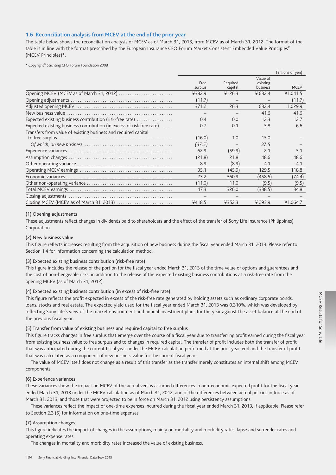### 1.6 Reconciliation analysis from MCEV at the end of the prior year

The table below shows the reconciliation analysis of MCEV as of March 31, 2013, from MCEV as of March 31, 2012. The format of the table is in line with the format prescribed by the European Insurance CFO Forum Market Consistent Embedded Value Principles<sup>©</sup> (MCEV Principles)\*.

\* Copyright<sup>®</sup> Stichting CFO Forum Foundation 2008

| Value of<br>Required<br>existing<br>Free<br><b>MCEV</b><br>capital<br>business<br>surplus<br>Opening MCEV (MCEV as of March 31, 2012)<br>¥ 26.3<br>¥ 632.4<br>¥382.9<br>¥1,041.5<br>(11.7)<br>(11.7)<br>1,029.9<br>371.2<br>26.3<br>632.4<br>41.6<br>41.6<br>Expected existing business contribution (risk-free rate)<br>0.4<br>12.3<br>0.0<br>12.7<br>Expected existing business contribution (in excess of risk free rate)<br>0.7<br>5.8<br>6.6<br>0.1<br>Transfers from value of existing business and required capital<br>(16.0)<br>1.0<br>15.0<br>(37.5)<br>37.5<br>(59.9)<br>2.1<br>5.1<br>62.9<br>(21.8)<br>21.8<br>48.6<br>48.6<br>(8.9)<br>8.9<br>4.1<br>4.1<br>35.1<br>(45.9)<br>129.5<br>118.8<br>(458.5)<br>23.2<br>360.9<br>(74.4)<br>11.0<br>(9.5)<br>(11.0)<br>(9.5)<br>47.3<br>326.0<br>(338.5)<br>34.8<br>-<br>Closing MCEV (MCEV as of March 31, 2013)<br>¥418.5<br>¥352.3<br>¥293.9<br>¥1,064.7 |  |  | (Billions of yen) |
|--------------------------------------------------------------------------------------------------------------------------------------------------------------------------------------------------------------------------------------------------------------------------------------------------------------------------------------------------------------------------------------------------------------------------------------------------------------------------------------------------------------------------------------------------------------------------------------------------------------------------------------------------------------------------------------------------------------------------------------------------------------------------------------------------------------------------------------------------------------------------------------------------------------------|--|--|-------------------|
|                                                                                                                                                                                                                                                                                                                                                                                                                                                                                                                                                                                                                                                                                                                                                                                                                                                                                                                    |  |  |                   |
|                                                                                                                                                                                                                                                                                                                                                                                                                                                                                                                                                                                                                                                                                                                                                                                                                                                                                                                    |  |  |                   |
|                                                                                                                                                                                                                                                                                                                                                                                                                                                                                                                                                                                                                                                                                                                                                                                                                                                                                                                    |  |  |                   |
|                                                                                                                                                                                                                                                                                                                                                                                                                                                                                                                                                                                                                                                                                                                                                                                                                                                                                                                    |  |  |                   |
|                                                                                                                                                                                                                                                                                                                                                                                                                                                                                                                                                                                                                                                                                                                                                                                                                                                                                                                    |  |  |                   |
|                                                                                                                                                                                                                                                                                                                                                                                                                                                                                                                                                                                                                                                                                                                                                                                                                                                                                                                    |  |  |                   |
|                                                                                                                                                                                                                                                                                                                                                                                                                                                                                                                                                                                                                                                                                                                                                                                                                                                                                                                    |  |  |                   |
|                                                                                                                                                                                                                                                                                                                                                                                                                                                                                                                                                                                                                                                                                                                                                                                                                                                                                                                    |  |  |                   |
|                                                                                                                                                                                                                                                                                                                                                                                                                                                                                                                                                                                                                                                                                                                                                                                                                                                                                                                    |  |  |                   |
|                                                                                                                                                                                                                                                                                                                                                                                                                                                                                                                                                                                                                                                                                                                                                                                                                                                                                                                    |  |  |                   |
|                                                                                                                                                                                                                                                                                                                                                                                                                                                                                                                                                                                                                                                                                                                                                                                                                                                                                                                    |  |  |                   |
|                                                                                                                                                                                                                                                                                                                                                                                                                                                                                                                                                                                                                                                                                                                                                                                                                                                                                                                    |  |  |                   |
|                                                                                                                                                                                                                                                                                                                                                                                                                                                                                                                                                                                                                                                                                                                                                                                                                                                                                                                    |  |  |                   |
|                                                                                                                                                                                                                                                                                                                                                                                                                                                                                                                                                                                                                                                                                                                                                                                                                                                                                                                    |  |  |                   |
|                                                                                                                                                                                                                                                                                                                                                                                                                                                                                                                                                                                                                                                                                                                                                                                                                                                                                                                    |  |  |                   |
|                                                                                                                                                                                                                                                                                                                                                                                                                                                                                                                                                                                                                                                                                                                                                                                                                                                                                                                    |  |  |                   |
|                                                                                                                                                                                                                                                                                                                                                                                                                                                                                                                                                                                                                                                                                                                                                                                                                                                                                                                    |  |  |                   |
|                                                                                                                                                                                                                                                                                                                                                                                                                                                                                                                                                                                                                                                                                                                                                                                                                                                                                                                    |  |  |                   |
|                                                                                                                                                                                                                                                                                                                                                                                                                                                                                                                                                                                                                                                                                                                                                                                                                                                                                                                    |  |  |                   |
|                                                                                                                                                                                                                                                                                                                                                                                                                                                                                                                                                                                                                                                                                                                                                                                                                                                                                                                    |  |  |                   |

#### (1) Opening adjustments

These adjustments reflect changes in dividends paid to shareholders and the effect of the transfer of Sony Life Insurance (Philippines) Corporation.

#### (2) New business value

This figure reflects increases resulting from the acquisition of new business during the fiscal year ended March 31, 2013. Please refer to Section 1.4 for information concerning the calculation method.

#### (3) Expected existing business contribution (risk-free rate)

This figure includes the release of the portion for the fiscal year ended March 31, 2013 of the time value of options and guarantees and the cost of non-hedgeable risks, in addition to the release of the expected existing business contributions at a risk-free rate from the opening MCEV (as of March 31, 2012).

#### (4) Expected existing business contribution (in excess of risk-free rate)

This figure reflects the profit expected in excess of the risk-free rate generated by holding assets such as ordinary corporate bonds, loans, stocks and real estate. The expected yield used for the fiscal year ended March 31, 2013 was 0.310%, which was developed by reflecting Sony Life's view of the market environment and annual investment plans for the year against the asset balance at the end of the previous fiscal year.

#### (5) Transfer from value of existing business and required capital to free surplus

This figure tracks changes in free surplus that emerge over the course of a fiscal year due to transferring profit earned during the fiscal year from existing business value to free surplus and to changes in required capital. The transfer of profit includes both the transfer of profit that was anticipated during the current fiscal year under the MCEV calculation performed at the prior year-end and the transfer of profit that was calculated as a component of new business value for the current fiscal year.

The value of MCEV itself does not change as a result of this transfer as the transfer merely constitutes an internal shift among MCEV components.

#### (6) Experience variances

These variances show the impact on MCEV of the actual versus assumed differences in non-economic expected profit for the fiscal year ended March 31, 2013 under the MCEV calculation as of March 31, 2012, and of the differences between actual policies in force as of March 31, 2013, and those that were projected to be in force on March 31, 2012 using persistency assumptions.

These variances reflect the impact of one-time expenses incurred during the fiscal year ended March 31, 2013, if applicable. Please refer to Section 2.3 (5) for information on one-time expenses.

### (7) Assumption changes

This figure indicates the impact of changes in the assumptions, mainly on mortality and morbidity rates, lapse and surrender rates and operating expense rates.

The changes in mortality and morbidity rates increased the value of existing business.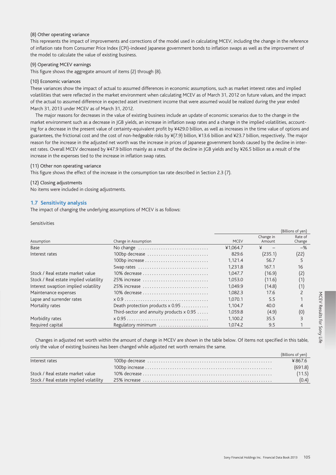#### (8) Other operating variance

This represents the impact of improvements and corrections of the model used in calculating MCEV, including the change in the reference of inflation rate from Consumer Price Index (CPI)-indexed Japanese government bonds to inflation swaps as well as the improvement of the model to calculate the value of existing business.

#### (9) Operating MCEV earnings

This figure shows the aggregate amount of items (2) through (8).

#### (10) Economic variances

These variances show the impact of actual to assumed differences in economic assumptions, such as market interest rates and implied volatilities that were reflected in the market environment when calculating MCEV as of March 31, 2012 on future values, and the impact of the actual to assumed difference in expected asset investment income that were assumed would be realized during the year ended March 31, 2013 under MCEV as of March 31, 2012.

The major reasons for decreases in the value of existing business include an update of economic scenarios due to the change in the market environment such as a decrease in JGB yields, an increase in inflation swap rates and a change in the implied volatilities, accounting for a decrease in the present value of certainty-equivalent profit by ¥429.0 billion, as well as increases in the time value of options and guarantees, the frictional cost and the cost of non-hedgeable risks by ¥(7.9) billion, ¥13.6 billion and ¥23.7 billion, respectively. The major reason for the increase in the adjusted net worth was the increase in prices of Japanese government bonds caused by the decline in interest rates. Overall MCEV decreased by ¥47.9 billion mainly as a result of the decline in JGB yields and by ¥26.5 billion as a result of the increase in the expenses tied to the increase in inflation swap rates.

#### (11) Other non operating variance

This figure shows the effect of the increase in the consumption tax rate described in Section 2.3 (7).

#### (12) Closing adjustments

No items were included in closing adjustments.

### 1.7 Sensitivity analysis

The impact of changing the underlying assumptions of MCEV is as follows:

Sensitivities

|                                        |                                          |             |                     | (Billions of yen) |
|----------------------------------------|------------------------------------------|-------------|---------------------|-------------------|
| Assumption                             | Change in Assumption                     | <b>MCEV</b> | Change in<br>Amount | Rate of<br>Change |
| <b>Base</b>                            | No change                                | ¥1.064.7    | ¥                   | $-$ %             |
| Interest rates                         | 100bp decrease                           | 829.6       | (235.1)             | (22)              |
|                                        |                                          | 1.121.4     | 56.7                | 5                 |
|                                        | Swap rates                               | 1.231.8     | 167.1               | 16                |
| Stock / Real estate market value       | 10% decrease                             | 1.047.7     | (16.9)              | (2)               |
| Stock / Real estate implied volatility | 25% increase                             | 1.053.0     | (11.6)              | (1)               |
| Interest swaption implied volatility   | 25% increase                             | 1.049.9     | (14.8)              | (1)               |
| Maintenance expenses                   | 10% decrease                             | 1.082.3     | 17.6                |                   |
| Lapse and surrender rates              |                                          | 1.070.1     | 5.5                 |                   |
| Mortality rates                        | Death protection products x 0.95         | 1.104.7     | 40.0                |                   |
|                                        | Third-sector and annuity products x 0.95 | 1.059.8     | (4.9)               | (0)               |
| Morbidity rates                        |                                          | 1.100.2     | 35.5                | 3                 |
| Required capital                       | Regulatory minimum                       | 1.074.2     | 9.5                 |                   |

Changes in adjusted net worth within the amount of change in MCEV are shown in the table below. Of items not specified in this table, only the value of existing business has been changed while adjusted net worth remains the same.

|                                        | (Billions of yen) |
|----------------------------------------|-------------------|
| Interest rates                         | ¥ 867.6           |
|                                        | (691.8)           |
| Stock / Real estate market value       | (11.5)            |
| Stock / Real estate implied volatility | (0.4)             |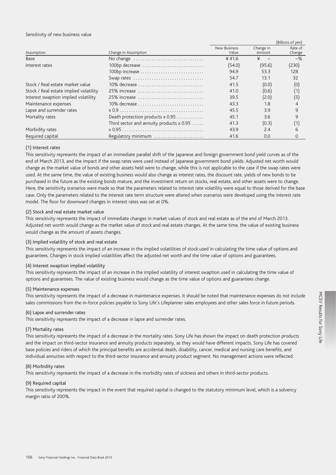#### Sensitivity of new business value

|                                        |                                            |              |           | (Billions of yen) |
|----------------------------------------|--------------------------------------------|--------------|-----------|-------------------|
|                                        |                                            | New Business | Change in | Rate of           |
| Assumption                             | Change in Assumption                       | Value        | Amount    | Change            |
| Base                                   | No change                                  | ¥ 41.6       | ¥         | $-$ %             |
| Interest rates                         | 100bp decrease                             | (54.0)       | (95.6)    | (230)             |
|                                        |                                            | 94.9         | 53.3      | 128               |
|                                        | Swap rates                                 | 54.7         | 13.1      | 32                |
| Stock / Real estate market value       | 10% decrease                               | 41.5         | (0.0)     | (0)               |
| Stock / Real estate implied volatility | 25% increase                               | 41.0         | (0.6)     | (1)               |
| Interest swaption implied volatility   | 25% increase                               | 39.5         | (2.0)     | (5)               |
| Maintenance expenses                   | 10% decrease                               | 43.3         | 1.8       | $\overline{4}$    |
| Lapse and surrender rates              |                                            | 45.5         | 3.9       | 9                 |
| Mortality rates                        | Death protection products x 0.95           | 45.1         | 3.6       | 9                 |
|                                        | Third sector and annuity products $x$ 0.95 | 41.3         | (0.3)     | (1)               |
| Morbidity rates                        |                                            | 43.9         | 2.4       | 6                 |
| Required capital                       | Regulatory minimum                         | 41.6         | 0.0       | $\Omega$          |

#### (1) Interest rates

This sensitivity represents the impact of an immediate parallel shift of the Japanese and foreign government bond yield curves as of the end of March 2013, and the impact if the swap rates were used instead of Japanese government bond yields. Adjusted net worth would change as the market value of bonds and other assets held were to change, while this is not applicable to the case if the swap rates were used. At the same time, the value of existing business would also change as interest rates, the discount rate, yields of new bonds to be purchased in the future as the existing bonds mature, and the investment return on stocks, real estate, and other assets were to change. Here, the sensitivity scenarios were made so that the parameters related to interest rate volatility were equal to those derived for the base case. Only the parameters related to the interest rate term structure were altered when scenarios were developed using the interest rate model. The floor for downward changes in interest rates was set at 0%.

#### (2) Stock and real estate market value

This sensitivity represents the impact of immediate changes in market values of stock and real estate as of the end of March 2013. Adjusted net worth would change as the market value of stock and real estate changes. At the same time, the value of existing business would change as the amount of assets changes.

#### (3) Implied volatility of stock and real estate

This sensitivity represents the impact of an increase in the implied volatilities of stock used in calculating the time value of options and guarantees. Changes in stock implied volatilities affect the adjusted net worth and the time value of options and guarantees.

#### (4) Interest swaption implied volatility

This sensitivity represents the impact of an increase in the implied volatility of interest swaption used in calculating the time value of options and guarantees. The value of existing business would change as the time value of options and guarantees change.

#### (5) Maintenance expenses

This sensitivity represents the impact of a decrease in maintenance expenses. It should be noted that maintenance expenses do not include sales commissions from the in-force policies payable to Sony Life's Lifeplanner sales employees and other sales force in future periods.

#### (6) Lapse and surrender rates

This sensitivity represents the impact of a decrease in lapse and surrender rates.

#### (7) Mortality rates

This sensitivity represents the impact of a decrease in the mortality rates. Sony Life has shown the impact on death protection products and the impact on third-sector insurance and annuity products separately, as they would have different impacts. Sony Life has covered base policies and riders of which the principal benefits are accidental death, disability, cancer, medical and nursing care benefits, and individual annuities with respect to the third-sector insurance and annuity product segment. No management actions were reflected.

#### (8) Morbidity rates

This sensitivity represents the impact of a decrease in the morbidity rates of sickness and others in third-sector products.

#### (9) Required capital

This sensitivity represents the impact in the event that required capital is changed to the statutory minimum level, which is a solvency margin ratio of 200%.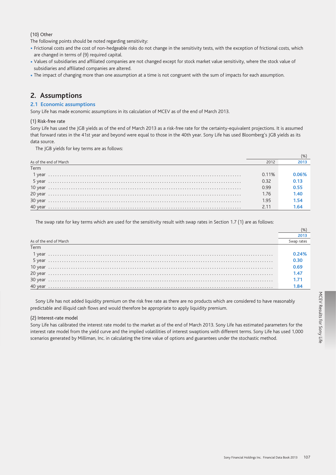$(10)$  Other

The following points should be noted regarding sensitivity:

- · Frictional costs and the cost of non-hedgeable risks do not change in the sensitivity tests, with the exception of frictional costs, which are changed in terms of (9) required capital.
- Values of subsidiaries and affiliated companies are not changed except for stock market value sensitivity, where the stock value of subsidiaries and affiliated companies are altered.
- . The impact of changing more than one assumption at a time is not congruent with the sum of impacts for each assumption.

# 2. Assumptions

# 2.1 Economic assumptions

Sony Life has made economic assumptions in its calculation of MCEV as of the end of March 2013.

# (1) Risk-free rate

Sony Life has used the IGB yields as of the end of March 2013 as a risk-free rate for the certainty-equivalent projections. It is assumed that forward rates in the 41st year and beyond were equal to those in the 40th year. Sony Life has used Bloomberg's JGB yields as its data source.

The JGB yields for key terms are as follows:

| As of the end of March | 2012  |       |
|------------------------|-------|-------|
| Term                   |       |       |
| 1 vear                 | 0.11% | 0.06% |
|                        | 0.32  | 0.13  |
|                        | 0.99  | 0.55  |
|                        | 1.76  | 1.40  |
|                        | 1.95  | 1.54  |
|                        | 2.11  | 1.64  |

The swap rate for key terms which are used for the sensitivity result with swap rates in Section 1.7 (1) are as follows:

| As of the end of March | Swap rates |
|------------------------|------------|
| Term                   |            |
|                        | 0.24%      |
|                        | 0.30       |
|                        | 0.69       |
|                        | 1.47       |
|                        | 1.71       |
|                        | 1.84       |

Sony Life has not added liquidity premium on the risk free rate as there are no products which are considered to have reasonably predictable and illiquid cash flows and would therefore be appropriate to apply liquidity premium.

# (2) Interest-rate model

Sony Life has calibrated the interest rate model to the market as of the end of March 2013. Sony Life has estimated parameters for the interest rate model from the yield curve and the implied volatilities of interest swaptions with different terms. Sony Life has used 1,000 scenarios generated by Milliman, Inc. in calculating the time value of options and guarantees under the stochastic method.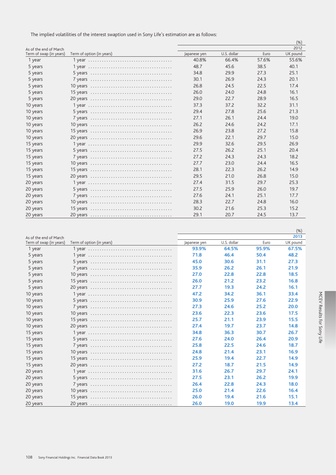The implied volatilities of the interest swaption used in Sony Life's estimation are as follows:

|                         |                           |              |             |       | (% )     |
|-------------------------|---------------------------|--------------|-------------|-------|----------|
| As of the end of March  |                           |              |             |       | 2012     |
| Term of swap (in years) | Term of option (in years) | Japanese yen | U.S. dollar | Euro  | UK pound |
| 1 year                  |                           | 40.8%        | 66.4%       | 57.6% | 55.6%    |
| 5 years                 |                           | 48.7         | 45.6        | 38.5  | 40.1     |
| 5 years                 |                           | 34.8         | 29.9        | 27.3  | 25.1     |
| 5 years                 |                           | 30.1         | 26.9        | 24.3  | 20.1     |
| 5 years                 |                           | 26.8         | 24.5        | 22.5  | 17.4     |
| 5 years                 |                           | 26.0         | 24.0        | 24.8  | 16.1     |
| 5 years                 |                           | 29.0         | 22.7        | 28.9  | 16.5     |
| 10 years                |                           | 37.3         | 37.2        | 32.2  | 31.1     |
| 10 years                |                           | 29.4         | 27.8        | 25.6  | 21.3     |
| 10 years                |                           | 27.1         | 26.1        | 24.4  | 19.0     |
| 10 years                |                           | 26.2         | 24.6        | 24.2  | 17.1     |
| 10 years                |                           | 26.9         | 23.8        | 27.2  | 15.8     |
| 10 years                |                           | 29.6         | 22.1        | 29.7  | 15.0     |
| 15 years                |                           | 29.9         | 32.6        | 29.5  | 26.9     |
| 15 years                |                           | 27.5         | 26.2        | 25.1  | 20.4     |
| 15 years                |                           | 27.2         | 24.3        | 24.3  | 18.2     |
| 15 years                |                           | 27.7         | 23.0        | 24.4  | 16.5     |
| 15 years                |                           | 28.1         | 22.3        | 26.2  | 14.9     |
| 15 years                |                           | 29.5         | 21.0        | 26.8  | 15.0     |
| 20 years                |                           | 27.4         | 31.5        | 29.7  | 25.3     |
| 20 years                |                           | 27.5         | 25.9        | 26.0  | 19.7     |
| 20 years                |                           | 27.6         | 24.1        | 25.1  | 17.7     |
| 20 years                |                           | 28.3         | 22.7        | 24.8  | 16.0     |
| 20 years                |                           | 30.2         | 21.6        | 25.3  | 15.2     |
| 20 years                |                           | 29.1         | 20.7        | 24.5  | 13.7     |

|                         |                                                                                        |              |             |       | $(\%)$      |
|-------------------------|----------------------------------------------------------------------------------------|--------------|-------------|-------|-------------|
| As of the end of March  |                                                                                        |              |             |       | 2013        |
| Term of swap (in years) | Term of option (in years)                                                              | Japanese yen | U.S. dollar | Euro  | UK pound    |
| 1 year                  |                                                                                        | 93.9%        | 64.5%       | 95.9% | 67.5%       |
| 5 years                 |                                                                                        | 71.8         | 46.4        | 50.4  | 48.2        |
| 5 years                 | $5$ years $\ldots \ldots \ldots \ldots \ldots \ldots \ldots \ldots \ldots \ldots$      | 45.0         | 30.6        | 31.1  | 27.3        |
| 5 years                 |                                                                                        | 35.9         | 26.2        | 26.1  | 21.9        |
| 5 years                 |                                                                                        | 27.0         | 22.8        | 22.8  | 18.5        |
| 5 years                 |                                                                                        | 26.0         | 21.2        | 23.2  | 16.8        |
| 5 years                 |                                                                                        | 27.7         | 19.3        | 24.2  | 16.1        |
| 10 years                |                                                                                        | 47.2         | 34.2        | 36.1  | 33.4        |
| 10 years                |                                                                                        | 30.9         | 25.9        | 27.6  | 22.9        |
| 10 years                |                                                                                        | 27.3         | 24.6        | 25.2  | <b>20.0</b> |
| 10 years                |                                                                                        | 23.6         | 22.3        | 23.6  | 17.5        |
| 10 years                |                                                                                        | 25.7         | 21.1        | 23.9  | 15.5        |
| 10 years                |                                                                                        | 27.4         | 19.7        | 23.7  | 14.8        |
| 15 years                |                                                                                        | 34.8         | 36.3        | 30.7  | 26.7        |
| 15 years                | $5$ years $\ldots \ldots \ldots \ldots \ldots \ldots \ldots \ldots \ldots \ldots$      | 27.6         | 24.0        | 26.4  | 20.9        |
| 15 years                | / years $\ldots \ldots \ldots \ldots \ldots \ldots \ldots \ldots \ldots \ldots \ldots$ | 25.8         | 22.5        | 24.6  | 18.7        |
| 15 years                |                                                                                        | 24.8         | 21.4        | 23.1  | 16.9        |
| 15 years                |                                                                                        | 25.9         | 19.4        | 22.7  | 14.9        |
| 15 years                |                                                                                        | 27.2         | 18.7        | 21.5  | 14.9        |
| 20 years                |                                                                                        | 31.6         | 26.7        | 29.7  | 24.1        |
| 20 years                |                                                                                        | 27.5         | 23.1        | 26.2  | 19.9        |
| 20 years                |                                                                                        | 26.4         | 22.8        | 24.3  | 18.0        |
| 20 years                |                                                                                        | 25.0         | 21.4        | 22.6  | 16.4        |
| 20 years                |                                                                                        | 26.0         | 19.4        | 21.6  | 15.1        |
| 20 years                |                                                                                        | 26.0         | 19.0        | 19.9  | 13.4        |

MCEV Results for Sony Life

 $\mathbf{r}$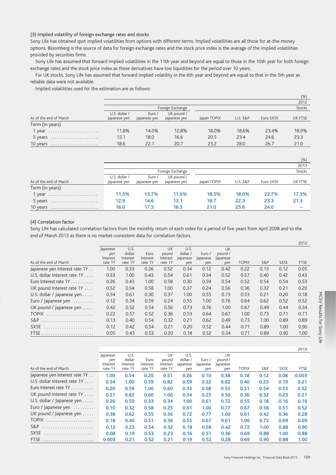# (3) Implied volatility of foreign exchange rates and stocks

Sony Life has obtained spot implied volatilities from options with different terms. Implied volatilities are all those for at-the-money options. Bloomberg is the source of data for foreign exchange rates and the stock price index is the average of the implied volatilities provided by securities firms.

Sony Life has assumed that forward implied volatilities in the 11th year and beyond are equal to those in the 10th year for both foreign exchange rates and the stock price index as these derivatives have low liquidities for the period over 10 years.

For UK stocks, Sony Life has assumed that forward implied volatility in the 6th year and beyond are equal to that in the 5th year as reliable data were not available.

Implied volatilities used for the estimation are as follows:

|                        |               |             |                  |             |                     |           | (%)           |
|------------------------|---------------|-------------|------------------|-------------|---------------------|-----------|---------------|
|                        |               |             |                  |             |                     |           | 2012          |
|                        |               |             | Foreign Exchange |             |                     |           | <b>Stocks</b> |
|                        | U.S. dollar / | Euro /      | UK pound /       |             |                     |           |               |
| As of the end of March | Japanese yen  | apanese yen | apanese yen      | Japan TOPIX | <b>U.S. S&amp;P</b> | Euro SX5E | UK FTSE       |
| Term (in years)        |               |             |                  |             |                     |           |               |
| $1$ year               | 11.8%         | 14.0%       | 12.8%            | 18.0%       | 18.6%               | 23.4%     | 18.9%         |
| 5 years                | 15.1          | 18.0        | 16.6             | 20.5        | 23.4                | 24.6      | 23.3          |
| 10 years               | 18.6          | 22.1        | 20.7             | 23.2        | 28.0                | 26.7      | 21.0          |

|                        |               |             |                  |             |                     |           | (%)           |
|------------------------|---------------|-------------|------------------|-------------|---------------------|-----------|---------------|
|                        |               |             |                  |             |                     |           | 2013          |
|                        |               |             | Foreign Exchange |             |                     |           | <b>Stocks</b> |
|                        | U.S. dollar / | Euro /      | UK pound /       |             |                     |           |               |
| As of the end of March | Japanese yen  | apanese yen | Japanese yen     | Japan TOPIX | <b>U.S. S&amp;P</b> | Euro SX5E | UK FTSE       |
| Term (in years)        |               |             |                  |             |                     |           |               |
| 1 year                 | 11.5%         | 13.7%       | 11.6%            | 18.5%       | 18.0%               | 22.7%     | 17.3%         |
| 5 years                | 12.9          | 14.6        | 13.1             | 18.7        | 22.3                | 23.3      | 21.3          |
| 10 years               | 16.0          | 17.5        | 16.3             | 21.0        | 25.6                | 24.0      |               |

# (4) Correlation factor

Sony Life has calculated correlation factors from the monthly return of each index for a period of five years from April 2008 and to the end of March 2013 as there is no market-consistent data for correlation factors.

|                                   |          |          |          |          |          |         |         |              |      |      | ZU IZ       |
|-----------------------------------|----------|----------|----------|----------|----------|---------|---------|--------------|------|------|-------------|
|                                   | Japanese | U.S.     |          | UK       | U.S.     |         | UK      |              |      |      |             |
|                                   | yen      | dollar   | Euro     | pound    | dollar / | Euro /  | pound / |              |      |      |             |
|                                   | Interest | Interest | Interest | Interest | Japanese | apanese | apanese |              |      |      |             |
| As of the end of March            | rate 1Y  | rate 1Y  | rate 1Y  | rate 1Y  | yen      | yen     | yen     | <b>TOPIX</b> | S&P  | SX5E | <b>FTSE</b> |
| Japanese yen Interest rate 1Y     | 1.00     | 0.33     | 0.26     | 0.52     | 0.34     | 0.12    | 0.42    | 0.22         | 0.13 | 0.12 | 0.05        |
| U.S. dollar Interest rate 1Y      | 0.33     | 1.00     | 0.43     | 0.54     | 0.61     | 0.34    | 0.52    | 0.57         | 0.40 | 0.42 | 0.43        |
| Euro Interest rate $1Y$           | 0.26     | 0.43     | 1.00     | 0.58     | 0.30     | 0.59    | 0.54    | 0.52         | 0.54 | 0.54 | 0.53        |
| UK pound Interest rate 1Y         | 0.52     | 0.54     | 0.58     | 1.00     | 0.37     | 0.24    | 0.56    | 0.36         | 0.32 | 0.21 | 0.20        |
| U.S. dollar / Japanese yen        | 0.34     | 0.61     | 0.30     | 0.37     | 1.00     | 0.55    | 0.73    | 0.53         | 0.21 | 0.20 | 0.18        |
| Euro / Japanese yen               | 0.12     | 0.34     | 0.59     | 0.24     | 0.55     | 1.00    | 0.76    | 0.64         | 0.62 | 0.52 | 0.52        |
| UK pound / Japanese yen $\dots$ . | 0.42     | 0.52     | 0.54     | 0.56     | 0.73     | 0.76    | 1.00    | 0.67         | 0.49 | 0.44 | 0.34        |
| <b>TOPIX</b>                      | 0.22     | 0.57     | 0.52     | 0.36     | 0.53     | 0.64    | 0.67    | 1.00         | 0.73 | 0.71 | 0.71        |
| S&P                               | 0.13     | 0.40     | 0.54     | 0.32     | 0.21     | 0.62    | 0.49    | 0.73         | 1.00 | 0.89 | 0.89        |
| SX <sub>5E</sub>                  | 0.12     | 0.42     | 0.54     | 0.21     | 0.20     | 0.52    | 0.44    | 0.71         | 0.89 | 1.00 | 0.90        |
| <b>FTSE</b>                       | 0.05     | 0.43     | 0.53     | 0.20     | 0.18     | 0.52    | 0.34    | 0.71         | 0.89 | 0.90 | 1.00        |

|                                       |          |          |          |          |          |         |          |              |      |      | 2013  |
|---------------------------------------|----------|----------|----------|----------|----------|---------|----------|--------------|------|------|-------|
|                                       | Japanese | U.S.     |          | UK       | U.S.     |         | UK       |              |      |      |       |
|                                       | yen      | dollar   | Euro     | pound    | dollar / | Euro /  | pound /  |              |      |      |       |
|                                       | Interest | Interest | Interest | Interest | lapanese | apanese | Japanese |              |      |      |       |
| As of the end of March                | rate 1Y  | rate 1Y  | rate 1Y  | rate 1Y  | yen      | yen     | yen      | <b>TOPIX</b> | S&P  | SX5E | FTSE  |
| Japanese yen Interest rate 1Y         | 1.00     | 0.54     | 0.20     | 0.51     | 0.26     | 0.10    | 0.38     | 0.18         | 0.12 | 0.08 | 0.003 |
| U.S. dollar Interest rate 1Y          | 0.54     | 1.00     | 0.59     | 0.82     | 0.59     | 0.32    | 0.62     | 0.40         | 0.23 | 0.19 | 0.21  |
| Euro Interest rate $1Y$               | 0.20     | 0.59     | 1.00     | 0.60     | 0.33     | 0.58    | 0.55     | 0.51         | 0.54 | 0.53 | 0.52  |
| UK pound Interest rate 1Y             | 0.51     | 0.82     | 0.60     | 1.00     | 0.34     | 0.25    | 0.56     | 0.36         | 0.32 | 0.23 | 0.21  |
| U.S. dollar / Japanese yen $\dots$ .  | 0.26     | 0.59     | 0.33     | 0.34     | 1.00     | 0.61    | 0.72     | 0.55         | 0.18 | 0.16 | 0.19  |
| Euro / Japanese yen $\dots\dots\dots$ | 0.10     | 0.32     | 0.58     | 0.25     | 0.61     | 1.00    | 0.77     | 0.67         | 0.58 | 0.51 | 0.52  |
| UK pound / Japanese yen               | 0.38     | 0.62     | 0.55     | 0.56     | 0.72     | 0.77    | 1.00     | 0.61         | 0.42 | 0.36 | 0.28  |
| TOPIX                                 | 0.18     | 0.40     | 0.51     | 0.36     | 0.55     | 0.67    | 0.61     | 1.00         | 0.72 | 0.69 | 0.69  |
| S&P                                   | 0.12     | 0.23     | 0.54     | 0.32     | 0.18     | 0.58    | 0.42     | 0.72         | 1.00 | 0.88 | 0.90  |
| SX <sub>5E</sub>                      | 0.08     | 0.19     | 0.53     | 0.23     | 0.16     | 0.51    | 0.36     | 0.69         | 0.88 | 1.00 | 0.88  |
| <b>FTSE</b>                           | 0.003    | 0.21     | 0.52     | 0.21     | 0.19     | 0.52    | 0.28     | 0.69         | 0.90 | 0.88 | 1.00  |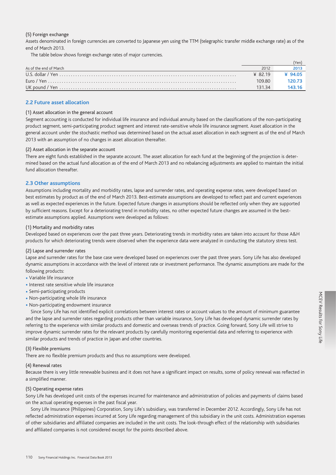## (5) Foreign exchange

Assets denominated in foreign currencies are converted to Japanese yen using the TTM (telegraphic transfer middle exchange rate) as of the end of March 2013.

The table below shows foreign exchange rates of major currencies.

|                        |         | Yen    |
|------------------------|---------|--------|
| As of the end of March | 2012    |        |
|                        | ¥ 82.19 | ¥9405  |
|                        | 109.80  | 120.73 |
|                        | 131.34  |        |
|                        |         |        |

# 2.2 Future asset allocation

#### (1) Asset allocation in the general account

Segment accounting is conducted for individual life insurance and individual annuity based on the classifications of the non-participating product segment, semi-participating product segment and interest rate-sensitive whole life insurance segment. Asset allocation in the general account under the stochastic method was determined based on the actual asset allocation in each segment as of the end of March 2013 with an assumption of no changes in asset allocation thereafter.

#### (2) Asset allocation in the separate account

There are eight funds established in the separate account. The asset allocation for each fund at the beginning of the projection is determined based on the actual fund allocation as of the end of March 2013 and no rebalancing adjustments are applied to maintain the initial fund allocation thereafter.

## 2.3 Other assumptions

Assumptions including mortality and morbidity rates, lapse and surrender rates, and operating expense rates, were developed based on best estimates by product as of the end of March 2013. Best-estimate assumptions are developed to reflect past and current experiences as well as expected experiences in the future. Expected future changes in assumptions should be reflected only when they are supported by sufficient reasons. Except for a deteriorating trend in morbidity rates, no other expected future changes are assumed in the bestestimate assumptions applied. Assumptions were developed as follows:

#### (1) Mortality and morbidity rates

Developed based on experiences over the past three years. Deteriorating trends in morbidity rates are taken into account for those A&H products for which deteriorating trends were observed when the experience data were analyzed in conducting the statutory stress test.

## (2) Lapse and surrender rates

Lapse and surrender rates for the base case were developed based on experiences over the past three years. Sony Life has also developed dynamic assumptions in accordance with the level of interest rate or investment performance. The dynamic assumptions are made for the following products:

- · Variable life insurance
- · Interest rate sensitive whole life insurance
- Semi-participating products
- Non-participating whole life insurance
- Non-participating endowment insurance

Since Sony Life has not identified explicit correlations between interest rates or account values to the amount of minimum guarantee and the lapse and surrender rates regarding products other than variable insurance, Sony Life has developed dynamic surrender rates by referring to the experience with similar products and domestic and overseas trends of practice. Going forward, Sony Life will strive to improve dynamic surrender rates for the relevant products by carefully monitoring experiential data and referring to experience with similar products and trends of practice in Japan and other countries.

#### (3) Flexible premiums

There are no flexible premium products and thus no assumptions were developed.

#### (4) Renewal rates

Because there is very little renewable business and it does not have a significant impact on results, some of policy renewal was reflected in a simplified manner.

## (5) Operating expense rates

Sony Life has developed unit costs of the expenses incurred for maintenance and administration of policies and payments of claims based on the actual operating expenses in the past fiscal year.

Sony Life Insurance (Philippines) Corporation, Sony Life's subsidiary, was transferred in December 2012. Accordingly, Sony Life has not reflected administration expenses incurred at Sony Life regarding management of this subsidiary in the unit costs. Administration expenses of other subsidiaries and affiliated companies are included in the unit costs. The look-through effect of the relationship with subsidiaries and affiliated companies is not considered except for the points described above.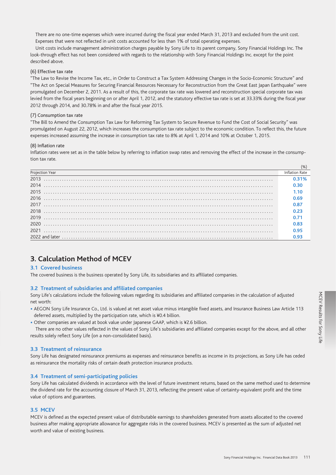There are no one-time expenses which were incurred during the fiscal year ended March 31, 2013 and excluded from the unit cost. Expenses that were not reflected in unit costs accounted for less than 1% of total operating expenses.

Unit costs include management administration charges payable by Sony Life to its parent company, Sony Financial Holdings Inc. The look-through effect has not been considered with regards to the relationship with Sony Financial Holdings Inc. except for the point described above.

# (6) Effective tax rate

"The Law to Revise the Income Tax, etc., in Order to Construct a Tax System Addressing Changes in the Socio-Economic Structure" and "The Act on Special Measures for Securing Financial Resources Necessary for Reconstruction from the Great East Japan Earthquake" were promulgated on December 2, 2011. As a result of this, the corporate tax rate was lowered and reconstruction special corporate tax was levied from the fiscal years beginning on or after April 1, 2012, and the statutory effective tax rate is set at 33.33% during the fiscal year 2012 through 2014, and 30.78% in and after the fiscal year 2015.

## (7) Consumption tax rate

"The Bill to Amend the Consumption Tax Law for Reforming Tax System to Secure Revenue to Fund the Cost of Social Security" was promulgated on August 22, 2012, which increases the consumption tax rate subject to the economic condition. To reflect this, the future expenses increased assuming the increase in consumption tax rate to 8% at April 1, 2014 and 10% at October 1, 2015.

## (8) Inflation rate

Inflation rates were set as in the table below by referring to inflation swap rates and removing the effect of the increase in the consumption tax rate

| Projection Year<br><u> 1990 - Johann Stoff, deutscher Stoff, der Stoff, der Stoff, der Stoff, der Stoff, der Stoff, der Stoff, der S</u> | Inflation Rate |
|------------------------------------------------------------------------------------------------------------------------------------------|----------------|
| 2013                                                                                                                                     |                |
| 2014                                                                                                                                     | 0.30           |
| 2015                                                                                                                                     | 1.10           |
|                                                                                                                                          | 0 69           |
| 2017                                                                                                                                     | 0.87           |
| 2018                                                                                                                                     | 0.23           |
|                                                                                                                                          |                |
| 2020                                                                                                                                     | 0.83           |
| 2021                                                                                                                                     | N 95           |
|                                                                                                                                          |                |

# 3. Calculation Method of MCEV

#### **3.1 Covered business**

The covered business is the business operated by Sony Life, its subsidiaries and its affiliated companies.

## 3.2 Treatment of subsidiaries and affiliated companies

Sony Life's calculations include the following values regarding its subsidiaries and affiliated companies in the calculation of adjusted net worth:

- . AEGON Sony Life Insurance Co., Ltd. is valued at net asset value minus intangible fixed assets, and Insurance Business Law Article 113 deferred assets, multiplied by the participation rate, which is ¥0.4 billion.
- Other companies are valued at book value under Japanese GAAP, which is ¥2.6 billion.

There are no other values reflected in the values of Sony Life's subsidiaries and affiliated companies except for the above, and all other results solely reflect Sony Life (on a non-consolidated basis).

## 3.3 Treatment of reinsurance

Sony Life has designated reinsurance premiums as expenses and reinsurance benefits as income in its projections, as Sony Life has ceded as reinsurance the mortality risks of certain death protection insurance products.

# 3.4 Treatment of semi-participating policies

Sony Life has calculated dividends in accordance with the level of future investment returns, based on the same method used to determine the dividend rate for the accounting closure of March 31, 2013, reflecting the present value of certainty-equivalent profit and the time value of options and guarantees.

# 3.5 MCEV

MCEV is defined as the expected present value of distributable earnings to shareholders generated from assets allocated to the covered business after making appropriate allowance for aggregate risks in the covered business. MCEV is presented as the sum of adjusted net worth and value of existing business.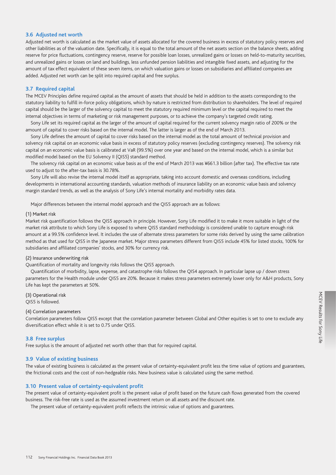# **3.6 Adjusted net worth**

Adjusted net worth is calculated as the market value of assets allocated for the covered business in excess of statutory policy reserves and other liabilities as of the valuation date. Specifically, it is equal to the total amount of the net assets section on the balance sheets, adding reserve for price fluctuations, contingency reserve, reserve for possible loan losses, unrealized gains or losses on held-to-maturity securities, and unrealized gains or losses on land and buildings, less unfunded pension liabilities and intangible fixed assets, and adjusting for the amount of tax effect equivalent of these seven items, on which valuation gains or losses on subsidiaries and affiliated companies are added. Adjusted net worth can be split into required capital and free surplus.

# **3.7 Required capital**

The MCEV Principles define required capital as the amount of assets that should be held in addition to the assets corresponding to the statutory liability to fulfill in-force policy obligations, which by nature is restricted from distribution to shareholders. The level of required capital should be the larger of the solvency capital to meet the statutory required minimum level or the capital required to meet the internal objectives in terms of marketing or risk management purposes, or to achieve the company's targeted credit rating.

Sony Life set its required capital as the larger of the amount of capital required for the current solvency margin ratio of 200% or the amount of capital to cover risks based on the internal model. The latter is larger as of the end of March 2013.

Sony Life defines the amount of capital to cover risks based on the internal model as the total amount of technical provision and solvency risk capital on an economic value basis in excess of statutory policy reserves (excluding contingency reserves). The solvency risk capital on an economic value basis is calibrated at VaR (99.5%) over one year and based on the internal model, which is a similar but modified model based on the EU Solvency II (QIS5) standard method.

The solvency risk capital on an economic value basis as of the end of March 2013 was ¥661.3 billion (after tax). The effective tax rate used to adjust to the after-tax basis is 30.78%.

Sony Life will also revise the internal model itself as appropriate, taking into account domestic and overseas conditions, including developments in international accounting standards, valuation methods of insurance liability on an economic value basis and solvency margin standard trends, as well as the analysis of Sony Life's internal mortality and morbidity rates data.

Major differences between the internal model approach and the QIS5 approach are as follows:

#### (1) Market risk

Market risk quantification follows the QIS5 approach in principle. However, Sony Life modified it to make it more suitable in light of the market risk attribute to which Sony Life is exposed to where QIS5 standard methodology is considered unable to capture enough risk amount at a 99.5% confidence level. It includes the use of alternate stress parameters for some risks derived by using the same calibration method as that used for QIS5 in the Japanese market. Major stress parameters different from QIS5 include 45% for listed stocks, 100% for subsidiaries and affiliated companies' stocks, and 30% for currency risk.

# (2) Insurance underwriting risk

Quantification of mortality and longevity risks follows the QIS5 approach.

Quantification of morbidity, lapse, expense, and catastrophe risks follows the QIS4 approach. In particular lapse up / down stress parameters for the Health module under QIS5 are 20%. Because it makes stress parameters extremely lower only for A&H products, Sony Life has kept the parameters at 50%.

# (3) Operational risk QIS5 is followed.

# (4) Correlation parameters

Correlation parameters follow QIS5 except that the correlation parameter between Global and Other equities is set to one to exclude any diversification effect while it is set to 0.75 under QIS5.

## **3.8 Free surplus**

Free surplus is the amount of adjusted net worth other than that for required capital.

# **3.9 Value of existing business**

The value of existing business is calculated as the present value of certainty-equivalent profit less the time value of options and guarantees, the frictional costs and the cost of non-hedgeable risks. New business value is calculated using the same method.

# **3.10 Present value of certainty-equivalent profit**

The present value of certainty-equivalent profit is the present value of profit based on the future cash flows generated from the covered business. The risk-free rate is used as the assumed investment return on all assets and the discount rate.

The present value of certainty-equivalent profit reflects the intrinsic value of options and guarantees.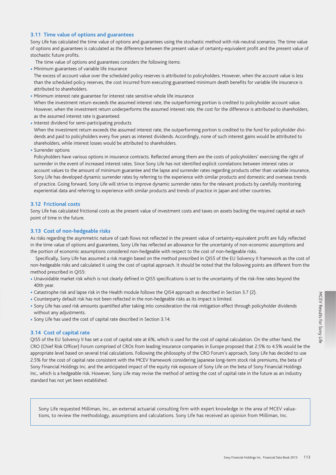# **3.11 Time value of options and guarantees**

Sony Life has calculated the time value of options and guarantees using the stochastic method with risk-neutral scenarios. The time value of options and guarantees is calculated as the difference between the present value of certainty-equivalent profit and the present value of stochastic future profits.

The time value of options and guarantees considers the following items:

• Minimum guarantees of variable life insurance

 The excess of account value over the scheduled policy reserves is attributed to policyholders. However, when the account value is less than the scheduled policy reserves, the cost incurred from executing guaranteed minimum death benefits for variable life insurance is attributed to shareholders.

- Minimum interest rate guarantee for interest rate sensitive whole life insurance When the investment return exceeds the assumed interest rate, the outperforming portion is credited to policyholder account value. However, when the investment return underperforms the assumed interest rate, the cost for the difference is attributed to shareholders, as the assumed interest rate is guaranteed.
- Interest dividend for semi-participating products When the investment return exceeds the assumed interest rate, the outperforming portion is credited to the fund for policyholder dividends and paid to policyholders every five years as interest dividends. Accordingly, none of such interest gains would be attributed to shareholders, while interest losses would be attributed to shareholders.
- Surrender options

 Policyholders have various options in insurance contracts. Reflected among them are the costs of policyholders' exercising the right of surrender in the event of increased interest rates. Since Sony Life has not identified explicit correlations between interest rates or account values to the amount of minimum guarantee and the lapse and surrender rates regarding products other than variable insurance, Sony Life has developed dynamic surrender rates by referring to the experience with similar products and domestic and overseas trends of practice. Going forward, Sony Life will strive to improve dynamic surrender rates for the relevant products by carefully monitoring experiential data and referring to experience with similar products and trends of practice in Japan and other countries.

# **3.12 Frictional costs**

Sony Life has calculated frictional costs as the present value of investment costs and taxes on assets backing the required capital at each point of time in the future.

# **3.13 Cost of non-hedgeable risks**

As risks regarding the asymmetric nature of cash flows not reflected in the present value of certainty-equivalent profit are fully reflected in the time value of options and guarantees, Sony Life has reflected an allowance for the uncertainty of non-economic assumptions and the portion of economic assumptions considered non-hedgeable with respect to the cost of non-hedgeable risks.

Specifically, Sony Life has assumed a risk margin based on the method prescribed in QIS5 of the EU Solvency II framework as the cost of non-hedgeable risks and calculated it using the cost of capital approach. It should be noted that the following points are different from the method prescribed in QIS5:

- Unavoidable market risk which is not clearly defined in QIS5 specifications is set to the uncertainty of the risk-free rates beyond the 40th year.
- Catastrophe risk and lapse risk in the Health module follows the QIS4 approach as described in Section 3.7 (2).
- Counterparty default risk has not been reflected in the non-hedgeable risks as its impact is limited.
- Sony Life has used risk amounts quantified after taking into consideration the risk mitigation effect through policyholder dividends without any adjustments.
- Sony Life has used the cost of capital rate described in Section 3.14.

# **3.14 Cost of capital rate**

QIS5 of the EU Solvency II has set a cost of capital rate at 6%, which is used for the cost of capital calculation. On the other hand, the CRO (Chief Risk Officer) Forum comprised of CROs from leading insurance companies in Europe proposed that 2.5% to 4.5% would be the appropriate level based on several trial calculations. Following the philosophy of the CRO Forum's approach, Sony Life has decided to use 2.5% for the cost of capital rate consistent with the MCEV framework considering Japanese long-term stock risk premiums, the beta of Sony Financial Holdings Inc. and the anticipated impact of the equity risk exposure of Sony Life on the beta of Sony Financial Holdings Inc., which is a hedgeable risk. However, Sony Life may revise the method of setting the cost of capital rate in the future as an industry standard has not yet been established.

Sony Life requested Milliman, Inc., an external actuarial consulting firm with expert knowledge in the area of MCEV valuations, to review the methodology, assumptions and calculations. Sony Life has received an opinion from Milliman, Inc.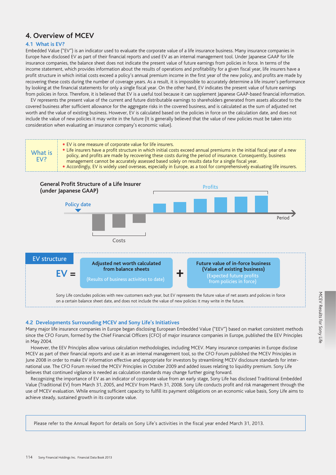# **4. Overview of MCEV**

# **4.1 What is EV?**

Embedded Value ("EV") is an indicator used to evaluate the corporate value of a life insurance business. Many insurance companies in Europe have disclosed EV as part of their financial reports and used EV as an internal management tool. Under Japanese GAAP for life insurance companies, the balance sheet does not indicate the present value of future earnings from policies in force. In terms of the income statement, which provides information about the results of operations and profitability for a given fiscal year, life insurers have a profit structure in which initial costs exceed a policy's annual premium income in the first year of the new policy, and profits are made by recovering these costs during the number of coverage years. As a result, it is impossible to accurately determine a life insurer's performance by looking at the financial statements for only a single fiscal year. On the other hand, EV indicates the present value of future earnings from policies in force. Therefore, it is believed that EV is a useful tool because it can supplement Japanese GAAP-based financial information.

EV represents the present value of the current and future distributable earnings to shareholders generated from assets allocated to the covered business after sufficient allowance for the aggregate risks in the covered business, and is calculated as the sum of adjusted net worth and the value of existing business. However, EV is calculated based on the policies in force on the calculation date, and does not include the value of new policies it may write in the future (It is generally believed that the value of new policies must be taken into consideration when evaluating an insurance company's economic value).



# **4.2 Developments Surrounding MCEV and Sony Life's Initiatives**

Many major life insurance companies in Europe began disclosing European Embedded Value ("EEV") based on market consistent methods since the CFO Forum, formed by the Chief Financial Officers (CFO) of major insurance companies in Europe, published the EEV Principles in May 2004.

However, the EEV Principles allow various calculation methodologies, including MCEV. Many insurance companies in Europe disclose MCEV as part of their financial reports and use it as an internal management tool, so the CFO Forum published the MCEV Principles in June 2008 in order to make EV information effective and appropriate for investors by streamlining MCEV disclosure standards for international use. The CFO Forum revised the MCEV Principles in October 2009 and added issues relating to liquidity premium. Sony Life believes that continued vigilance is needed as calculation standards may change further going forward.

Recognizing the importance of EV as an indicator of corporate value from an early stage, Sony Life has disclosed Traditional Embedded Value (Traditional EV) from March 31, 2005, and MCEV from March 31, 2008. Sony Life conducts profit and risk management through the use of MCEV evaluation. While ensuring sufficient capacity to fulfill its payment obligations on an economic value basis, Sony Life aims to achieve steady, sustained growth in its corporate value.

Please refer to the Annual Report for details on Sony Life's activities in the fiscal year ended March 31, 2013.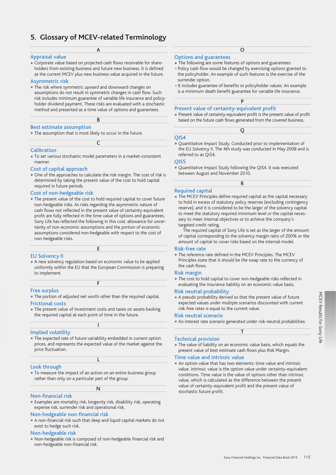# **5. Glossary of MCEV-related Terminology**

#### $A$ Appraisal value

• Corporate value based on projected cash flows receivable for shareholders from existing business and future new business. It is defined as the current MCEV plus new business value acquired in the future.

#### Asymmetric risk

• The risk where symmetric upward and downward changes on assumptions do not result in symmetric changes in cash flow. Such risk includes minimum guarantee of variable life insurance and policyholder dividend payment. These risks are evaluated with a stochastic method and presented as a time value of options and guarantees. <u>B</u>

# Best estimate assumption

- The assumption that is most likely to occur in the future.
- <u>C</u>

#### **Calibration**

- To set various stochastic model parameters in a market-consistent manner.
- Cost of capital approach
- One of the approaches to calculate the risk margin. The cost of risk is determined by taking the present value of the cost to hold capital required in future periods.

## Cost of non-hedgeable risk

• The present value of the cost to hold required capital to cover future non-hedgeable risks. As risks regarding the asymmetric nature of cash flows not reflected in the present value of certainty-equivalent profit are fully reflected in the time value of options and guarantees, Sony Life has reflected the following in this cost: allowance for uncertainty of non-economic assumptions and the portion of economic assumptions considered non-hedgeable with respect to the cost of non-hedgeable risks.

# E EU Solvency II

• A new solvency regulation based on economic value to be applied uniformly within the EU that the European Commission is preparing to implement.

# F Free surplus

- The portion of adjusted net worth other than the required capital. Frictional costs
- The present value of investment costs and taxes on assets backing the required capital at each point of time in the future.

# I Implied volatility

• The expected rate of future variability embedded in current option prices, and represents the expected value of the market against the price fluctuation.

# L Look through

• To measure the impact of an action on an entire business group rather than only on a particular part of the group.

<u>National Communication</u> Non-financial risk

• Examples are mortality risk, longevity risk, disability risk, operating expense risk, surrender risk and operational risk.

# Non-hedgeable non-financial risk

• A non-financial risk such that deep and liquid capital markets do not exist to hedge such risk.

# Non-hedgeable risk

• Non-hedgeable risk is composed of non-hedgeable financial risk and non-hedgeable non-financial risk.

# O Options and guarantees

- The following are some features of options and guarantees: • Policy cash flow would be changed by exercising options granted to the policyholder. An example of such features is the exercise of the surrender option.
- It includes guarantee of benefits or policyholder values. An example is a minimum death benefit guarantee for variable life insurance.

# P

# Present value of certainty-equivalent profit

• Present value of certainty-equivalent profit is the present value of profit based on the future cash flows generated from the covered business.

# <u>Q</u> QIS4

• Quantitative Impact Study. Conducted prior to implementation of the EU Solvency II. The 4th study was conducted in May 2008 and is referred to as QIS4.

#### QIS5

• Quantitative Impact Study following the QIS4. It was executed between August and November 2010.

# R Required capital

• The MCEV Principles define required capital as the capital necessary to hold in excess of statutory policy reserves (excluding contingency reserve), and it is considered to be the larger of the solvency capital to meet the statutory required minimum level or the capital necessary to meet internal objectives or to achieve the company's targeted credit rating.

The required capital of Sony Life is set as the larger of the amount of capital corresponding to the solvency margin ratio of 200% or the amount of capital to cover risks based on the internal model.

#### Risk-free rate

• The reference rate defined in the MCEV Principles. The MCEV Principles state that it should be the swap rate to the currency of the cash flows.

# Risk margin

• The cost to hold capital to cover non-hedgeable risks reflected in evaluating the insurance liability on an economic value basis.

#### Risk neutral probability

• A pseudo probability derived so that the present value of future expected values under multiple scenarios discounted with current risk-free rates is equal to the current value.

#### Risk neutral scenario

• An interest rate scenario generated under risk-neutral probabilities.

# T Technical provision

• The value of liability on an economic value basis, which equals the present value of best estimate cash flows plus Risk Margin.

#### Time value and intrinsic value

• An option value that has two elements: time value and intrinsic value. Intrinsic value is the option value under certainty-equivalent conditions. Time value is the value of options other than intrinsic value, which is calculated as the difference between the present value of certainty-equivalent profit and the present value of stochastic future profit.